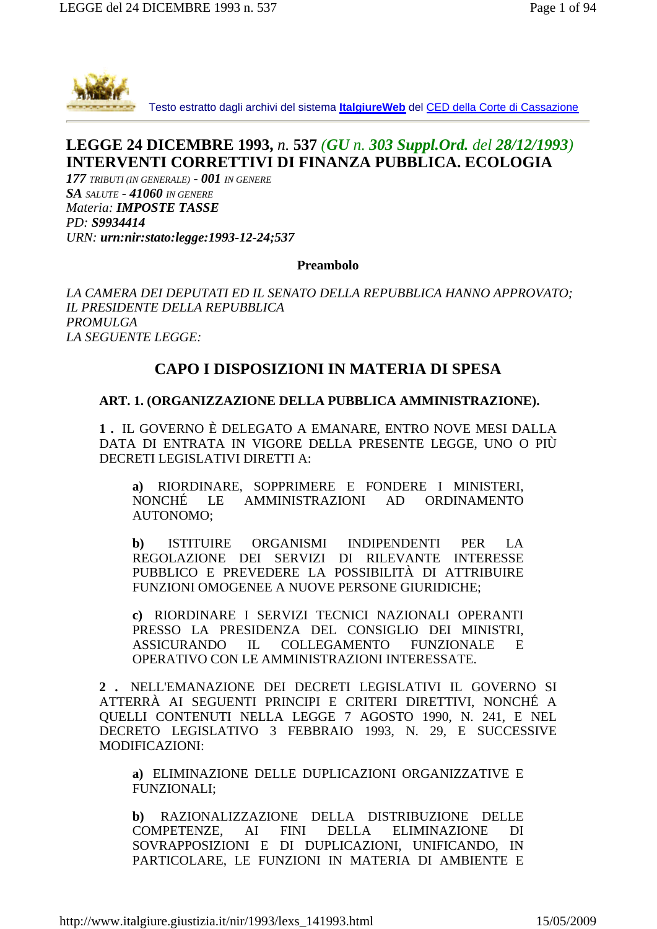

Testo estratto dagli archivi del sistema **ItalgiureWeb** del CED della Corte di Cassazione

# **LEGGE 24 DICEMBRE 1993,** *n.* **537** *(GU n. 303 Suppl.Ord. del 28/12/1993)* **INTERVENTI CORRETTIVI DI FINANZA PUBBLICA. ECOLOGIA**

*177 TRIBUTI (IN GENERALE) - 001 IN GENERE SA SALUTE - 41060 IN GENERE Materia: IMPOSTE TASSE PD: S9934414 URN: urn:nir:stato:legge:1993-12-24;537*

**Preambolo**

*LA CAMERA DEI DEPUTATI ED IL SENATO DELLA REPUBBLICA HANNO APPROVATO; IL PRESIDENTE DELLA REPUBBLICA PROMULGA LA SEGUENTE LEGGE:*

## **CAPO I DISPOSIZIONI IN MATERIA DI SPESA**

### **ART. 1. (ORGANIZZAZIONE DELLA PUBBLICA AMMINISTRAZIONE).**

**1 .** IL GOVERNO È DELEGATO A EMANARE, ENTRO NOVE MESI DALLA DATA DI ENTRATA IN VIGORE DELLA PRESENTE LEGGE, UNO O PIÙ DECRETI LEGISLATIVI DIRETTI A:

**a)** RIORDINARE, SOPPRIMERE E FONDERE I MINISTERI, NONCHÉ LE AMMINISTRAZIONI AD ORDINAMENTO AUTONOMO;

**b)** ISTITUIRE ORGANISMI INDIPENDENTI PER LA REGOLAZIONE DEI SERVIZI DI RILEVANTE INTERESSE PUBBLICO E PREVEDERE LA POSSIBILITÀ DI ATTRIBUIRE FUNZIONI OMOGENEE A NUOVE PERSONE GIURIDICHE;

**c)** RIORDINARE I SERVIZI TECNICI NAZIONALI OPERANTI PRESSO LA PRESIDENZA DEL CONSIGLIO DEI MINISTRI, ASSICURANDO IL COLLEGAMENTO FUNZIONALE E OPERATIVO CON LE AMMINISTRAZIONI INTERESSATE.

**2 .** NELL'EMANAZIONE DEI DECRETI LEGISLATIVI IL GOVERNO SI ATTERRÀ AI SEGUENTI PRINCIPI E CRITERI DIRETTIVI, NONCHÉ A QUELLI CONTENUTI NELLA LEGGE 7 AGOSTO 1990, N. 241, E NEL DECRETO LEGISLATIVO 3 FEBBRAIO 1993, N. 29, E SUCCESSIVE MODIFICAZIONI:

**a)** ELIMINAZIONE DELLE DUPLICAZIONI ORGANIZZATIVE E FUNZIONALI;

**b)** RAZIONALIZZAZIONE DELLA DISTRIBUZIONE DELLE COMPETENZE, AI FINI DELLA ELIMINAZIONE DI SOVRAPPOSIZIONI E DI DUPLICAZIONI, UNIFICANDO, IN PARTICOLARE, LE FUNZIONI IN MATERIA DI AMBIENTE E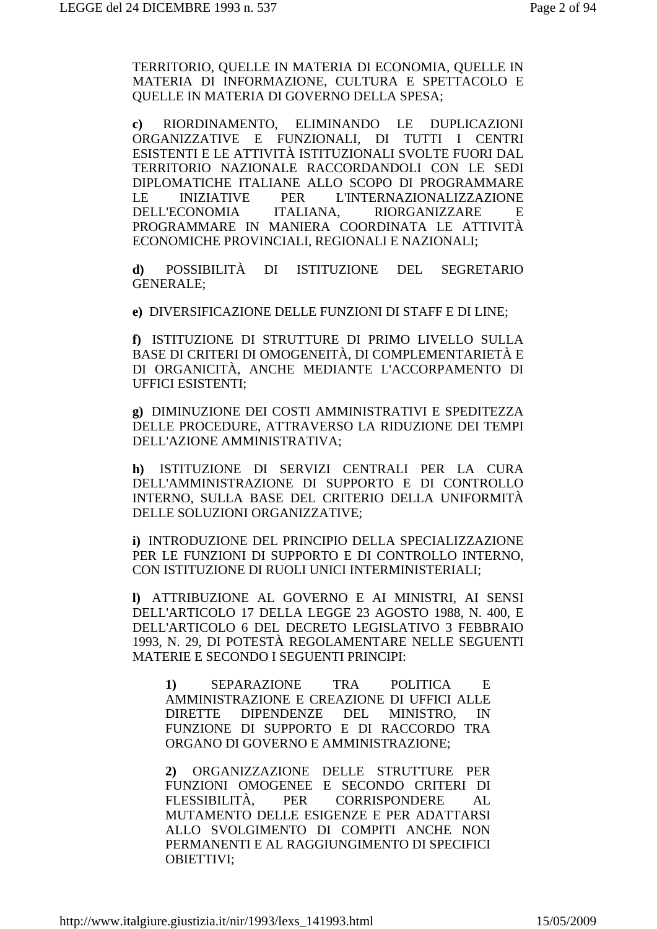TERRITORIO, QUELLE IN MATERIA DI ECONOMIA, QUELLE IN MATERIA DI INFORMAZIONE, CULTURA E SPETTACOLO E QUELLE IN MATERIA DI GOVERNO DELLA SPESA;

**c)** RIORDINAMENTO, ELIMINANDO LE DUPLICAZIONI ORGANIZZATIVE E FUNZIONALI, DI TUTTI I CENTRI ESISTENTI E LE ATTIVITÀ ISTITUZIONALI SVOLTE FUORI DAL TERRITORIO NAZIONALE RACCORDANDOLI CON LE SEDI DIPLOMATICHE ITALIANE ALLO SCOPO DI PROGRAMMARE LE INIZIATIVE PER L'INTERNAZIONALIZZAZIONE DELL'ECONOMIA ITALIANA, RIORGANIZZARE E PROGRAMMARE IN MANIERA COORDINATA LE ATTIVITÀ ECONOMICHE PROVINCIALI, REGIONALI E NAZIONALI;

**d)** POSSIBILITÀ DI ISTITUZIONE DEL SEGRETARIO GENERALE;

**e)** DIVERSIFICAZIONE DELLE FUNZIONI DI STAFF E DI LINE;

**f)** ISTITUZIONE DI STRUTTURE DI PRIMO LIVELLO SULLA BASE DI CRITERI DI OMOGENEITÀ, DI COMPLEMENTARIETÀ E DI ORGANICITÀ, ANCHE MEDIANTE L'ACCORPAMENTO DI UFFICI ESISTENTI;

**g)** DIMINUZIONE DEI COSTI AMMINISTRATIVI E SPEDITEZZA DELLE PROCEDURE, ATTRAVERSO LA RIDUZIONE DEI TEMPI DELL'AZIONE AMMINISTRATIVA;

**h)** ISTITUZIONE DI SERVIZI CENTRALI PER LA CURA DELL'AMMINISTRAZIONE DI SUPPORTO E DI CONTROLLO INTERNO, SULLA BASE DEL CRITERIO DELLA UNIFORMITÀ DELLE SOLUZIONI ORGANIZZATIVE;

**i)** INTRODUZIONE DEL PRINCIPIO DELLA SPECIALIZZAZIONE PER LE FUNZIONI DI SUPPORTO E DI CONTROLLO INTERNO, CON ISTITUZIONE DI RUOLI UNICI INTERMINISTERIALI;

**l)** ATTRIBUZIONE AL GOVERNO E AI MINISTRI, AI SENSI DELL'ARTICOLO 17 DELLA LEGGE 23 AGOSTO 1988, N. 400, E DELL'ARTICOLO 6 DEL DECRETO LEGISLATIVO 3 FEBBRAIO 1993, N. 29, DI POTESTÀ REGOLAMENTARE NELLE SEGUENTI MATERIE E SECONDO I SEGUENTI PRINCIPI:

**1)** SEPARAZIONE TRA POLITICA E AMMINISTRAZIONE E CREAZIONE DI UFFICI ALLE DIRETTE DIPENDENZE DEL MINISTRO, IN FUNZIONE DI SUPPORTO E DI RACCORDO TRA ORGANO DI GOVERNO E AMMINISTRAZIONE;

**2)** ORGANIZZAZIONE DELLE STRUTTURE PER FUNZIONI OMOGENEE E SECONDO CRITERI DI FLESSIBILITÀ, PER CORRISPONDERE AL MUTAMENTO DELLE ESIGENZE E PER ADATTARSI ALLO SVOLGIMENTO DI COMPITI ANCHE NON PERMANENTI E AL RAGGIUNGIMENTO DI SPECIFICI OBIETTIVI;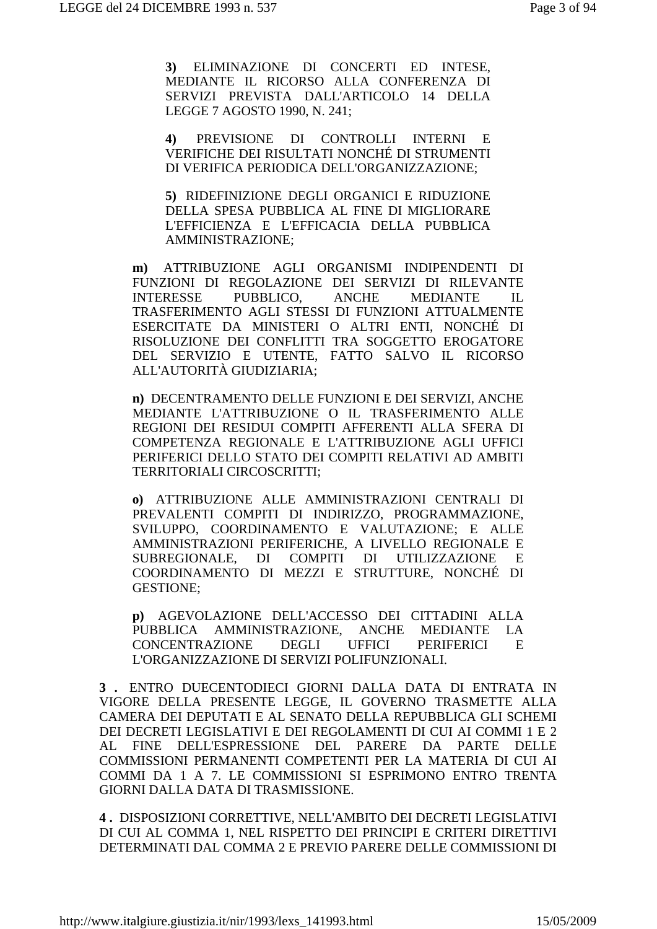**3)** ELIMINAZIONE DI CONCERTI ED INTESE, MEDIANTE IL RICORSO ALLA CONFERENZA DI SERVIZI PREVISTA DALL'ARTICOLO 14 DELLA LEGGE 7 AGOSTO 1990, N. 241;

**4)** PREVISIONE DI CONTROLLI INTERNI E VERIFICHE DEI RISULTATI NONCHÉ DI STRUMENTI DI VERIFICA PERIODICA DELL'ORGANIZZAZIONE;

**5)** RIDEFINIZIONE DEGLI ORGANICI E RIDUZIONE DELLA SPESA PUBBLICA AL FINE DI MIGLIORARE L'EFFICIENZA E L'EFFICACIA DELLA PUBBLICA AMMINISTRAZIONE;

**m)** ATTRIBUZIONE AGLI ORGANISMI INDIPENDENTI DI FUNZIONI DI REGOLAZIONE DEI SERVIZI DI RILEVANTE INTERESSE PUBBLICO, ANCHE MEDIANTE IL TRASFERIMENTO AGLI STESSI DI FUNZIONI ATTUALMENTE ESERCITATE DA MINISTERI O ALTRI ENTI, NONCHÉ DI RISOLUZIONE DEI CONFLITTI TRA SOGGETTO EROGATORE DEL SERVIZIO E UTENTE, FATTO SALVO IL RICORSO ALL'AUTORITÀ GIUDIZIARIA;

**n)** DECENTRAMENTO DELLE FUNZIONI E DEI SERVIZI, ANCHE MEDIANTE L'ATTRIBUZIONE O IL TRASFERIMENTO ALLE REGIONI DEI RESIDUI COMPITI AFFERENTI ALLA SFERA DI COMPETENZA REGIONALE E L'ATTRIBUZIONE AGLI UFFICI PERIFERICI DELLO STATO DEI COMPITI RELATIVI AD AMBITI TERRITORIALI CIRCOSCRITTI;

**o)** ATTRIBUZIONE ALLE AMMINISTRAZIONI CENTRALI DI PREVALENTI COMPITI DI INDIRIZZO, PROGRAMMAZIONE, SVILUPPO, COORDINAMENTO E VALUTAZIONE; E ALLE AMMINISTRAZIONI PERIFERICHE, A LIVELLO REGIONALE E SUBREGIONALE, DI COMPITI DI UTILIZZAZIONE E COORDINAMENTO DI MEZZI E STRUTTURE, NONCHÉ DI GESTIONE;

**p)** AGEVOLAZIONE DELL'ACCESSO DEI CITTADINI ALLA PUBBLICA AMMINISTRAZIONE, ANCHE MEDIANTE LA CONCENTRAZIONE DEGLI UFFICI PERIFERICI E L'ORGANIZZAZIONE DI SERVIZI POLIFUNZIONALI.

**3 .** ENTRO DUECENTODIECI GIORNI DALLA DATA DI ENTRATA IN VIGORE DELLA PRESENTE LEGGE, IL GOVERNO TRASMETTE ALLA CAMERA DEI DEPUTATI E AL SENATO DELLA REPUBBLICA GLI SCHEMI DEI DECRETI LEGISLATIVI E DEI REGOLAMENTI DI CUI AI COMMI 1 E 2 AL FINE DELL'ESPRESSIONE DEL PARERE DA PARTE DELLE COMMISSIONI PERMANENTI COMPETENTI PER LA MATERIA DI CUI AI COMMI DA 1 A 7. LE COMMISSIONI SI ESPRIMONO ENTRO TRENTA GIORNI DALLA DATA DI TRASMISSIONE.

**4 .** DISPOSIZIONI CORRETTIVE, NELL'AMBITO DEI DECRETI LEGISLATIVI DI CUI AL COMMA 1, NEL RISPETTO DEI PRINCIPI E CRITERI DIRETTIVI DETERMINATI DAL COMMA 2 E PREVIO PARERE DELLE COMMISSIONI DI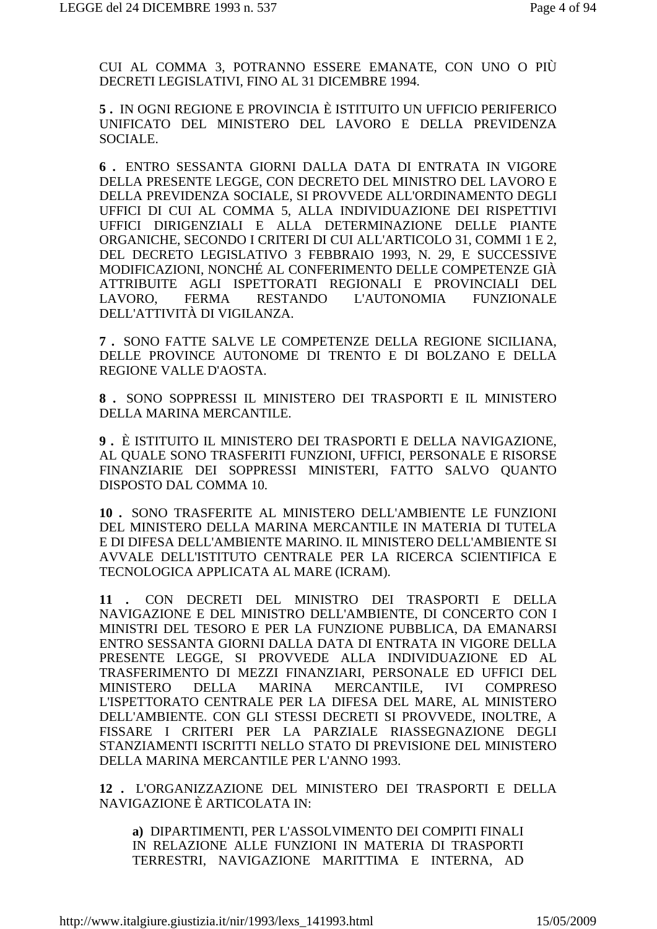CUI AL COMMA 3, POTRANNO ESSERE EMANATE, CON UNO O PIÙ DECRETI LEGISLATIVI. FINO AL 31 DICEMBRE 1994.

5. IN OGNI REGIONE E PROVINCIA È ISTITUITO UN UFFICIO PERIFERICO UNIFICATO DEL MINISTERO DEL LAVORO E DELLA PREVIDENZA SOCIALE.

6. ENTRO SESSANTA GIORNI DALLA DATA DI ENTRATA IN VIGORE DELLA PRESENTE LEGGE, CON DECRETO DEL MINISTRO DEL LAVORO E DELLA PREVIDENZA SOCIALE, SI PROVVEDE ALL'ORDINAMENTO DEGLI UFFICI DI CUI AL COMMA 5, ALLA INDIVIDUAZIONE DEI RISPETTIVI UFFICI DIRIGENZIALI E ALLA DETERMINAZIONE DELLE PIANTE ORGANICHE, SECONDO I CRITERI DI CUI ALL'ARTICOLO 31, COMMI 1 E 2, DEL DECRETO LEGISLATIVO 3 FEBBRAIO 1993, N. 29, E SUCCESSIVE MODIFICAZIONI, NONCHÉ AL CONFERIMENTO DELLE COMPETENZE GIÀ ATTRIBUITE AGLI ISPETTORATI REGIONALI E PROVINCIALI DEL LAVORO. **FERMA** RESTANDO L'AUTONOMIA FUNZIONALE DELL'ATTIVITÀ DI VIGILANZA.

7. SONO FATTE SALVE LE COMPETENZE DELLA REGIONE SICILIANA, DELLE PROVINCE AUTONOME DI TRENTO E DI BOLZANO E DELLA REGIONE VALLE D'AOSTA.

8. SONO SOPPRESSI IL MINISTERO DEI TRASPORTI E IL MINISTERO DELLA MARINA MERCANTILE.

9. È ISTITUITO IL MINISTERO DEI TRASPORTI E DELLA NAVIGAZIONE. AL QUALE SONO TRASFERITI FUNZIONI, UFFICI, PERSONALE E RISORSE FINANZIARIE DEI SOPPRESSI MINISTERI, FATTO SALVO QUANTO DISPOSTO DAL COMMA 10.

10. SONO TRASFERITE AL MINISTERO DELL'AMBIENTE LE FUNZIONI DEL MINISTERO DELLA MARINA MERCANTILE IN MATERIA DI TUTELA E DI DIFESA DELL'AMBIENTE MARINO. IL MINISTERO DELL'AMBIENTE SI AVVALE DELL'ISTITUTO CENTRALE PER LA RICERCA SCIENTIFICA E TECNOLOGICA APPLICATA AL MARE (ICRAM).

11 . CON DECRETI DEL MINISTRO DEI TRASPORTI E DELLA NAVIGAZIONE E DEL MINISTRO DELL'AMBIENTE, DI CONCERTO CON I MINISTRI DEL TESORO E PER LA FUNZIONE PUBBLICA. DA EMANARSI ENTRO SESSANTA GIORNI DALLA DATA DI ENTRATA IN VIGORE DELLA PRESENTE LEGGE, SI PROVVEDE ALLA INDIVIDUAZIONE ED AL TRASFERIMENTO DI MEZZI FINANZIARI, PERSONALE ED UFFICI DEL **MINISTERO DELLA MARINA** MERCANTILE. **IVI COMPRESO** L'ISPETTORATO CENTRALE PER LA DIFESA DEL MARE, AL MINISTERO DELL'AMBIENTE. CON GLI STESSI DECRETI SI PROVVEDE, INOLTRE, A FISSARE I CRITERI PER LA PARZIALE RIASSEGNAZIONE DEGLI STANZIAMENTI ISCRITTI NELLO STATO DI PREVISIONE DEL MINISTERO DELLA MARINA MERCANTILE PER L'ANNO 1993.

12. L'ORGANIZZAZIONE DEL MINISTERO DEI TRASPORTI E DELLA NAVIGAZIONE È ARTICOLATA IN:

a) DIPARTIMENTI, PER L'ASSOLVIMENTO DEI COMPITI FINALI IN RELAZIONE ALLE FUNZIONI IN MATERIA DI TRASPORTI TERRESTRI, NAVIGAZIONE MARITTIMA E INTERNA, AD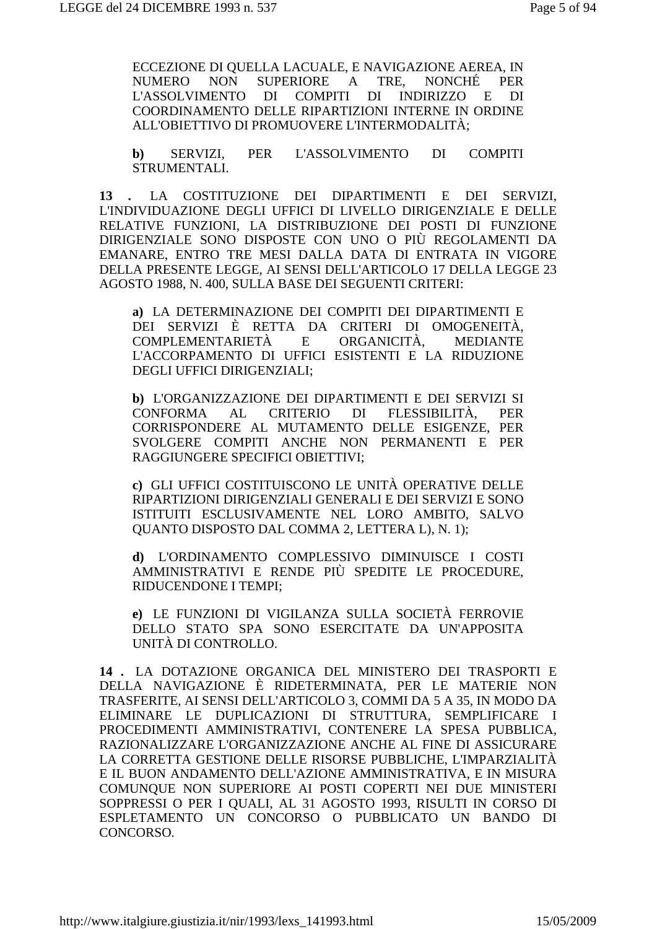ECCEZIONE DI QUELLA LACUALE, E NAVIGAZIONE AEREA, IN NUMERO NON SUPERIORE A TRE, NONCHÉ PER L'ASSOLVIMENTO DI COMPITI DI INDIRIZZO E DI COORDINAMENTO DELLE RIPARTIZIONI INTERNE IN ORDINE ALL'OBIETTIVO DI PROMUOVERE L'INTERMODALITÀ;

**b)** SERVIZI, PER L'ASSOLVIMENTO DI COMPITI STRUMENTALI.

**13 .** LA COSTITUZIONE DEI DIPARTIMENTI E DEI SERVIZI, L'INDIVIDUAZIONE DEGLI UFFICI DI LIVELLO DIRIGENZIALE E DELLE RELATIVE FUNZIONI, LA DISTRIBUZIONE DEI POSTI DI FUNZIONE DIRIGENZIALE SONO DISPOSTE CON UNO O PIÙ REGOLAMENTI DA EMANARE, ENTRO TRE MESI DALLA DATA DI ENTRATA IN VIGORE DELLA PRESENTE LEGGE, AI SENSI DELL'ARTICOLO 17 DELLA LEGGE 23 AGOSTO 1988, N. 400, SULLA BASE DEI SEGUENTI CRITERI:

**a)** LA DETERMINAZIONE DEI COMPITI DEI DIPARTIMENTI E DEI SERVIZI È RETTA DA CRITERI DI OMOGENEITÀ, COMPLEMENTARIETÀ E ORGANICITÀ, MEDIANTE L'ACCORPAMENTO DI UFFICI ESISTENTI E LA RIDUZIONE DEGLI UFFICI DIRIGENZIALI;

**b)** L'ORGANIZZAZIONE DEI DIPARTIMENTI E DEI SERVIZI SI CONFORMA AL CRITERIO DI FLESSIBILITÀ, PER CORRISPONDERE AL MUTAMENTO DELLE ESIGENZE, PER SVOLGERE COMPITI ANCHE NON PERMANENTI E PER RAGGIUNGERE SPECIFICI OBIETTIVI;

**c)** GLI UFFICI COSTITUISCONO LE UNITÀ OPERATIVE DELLE RIPARTIZIONI DIRIGENZIALI GENERALI E DEI SERVIZI E SONO ISTITUITI ESCLUSIVAMENTE NEL LORO AMBITO, SALVO QUANTO DISPOSTO DAL COMMA 2, LETTERA L), N. 1);

**d)** L'ORDINAMENTO COMPLESSIVO DIMINUISCE I COSTI AMMINISTRATIVI E RENDE PIÙ SPEDITE LE PROCEDURE, RIDUCENDONE I TEMPI;

**e)** LE FUNZIONI DI VIGILANZA SULLA SOCIETÀ FERROVIE DELLO STATO SPA SONO ESERCITATE DA UN'APPOSITA UNITÀ DI CONTROLLO.

**14 .** LA DOTAZIONE ORGANICA DEL MINISTERO DEI TRASPORTI E DELLA NAVIGAZIONE È RIDETERMINATA, PER LE MATERIE NON TRASFERITE, AI SENSI DELL'ARTICOLO 3, COMMI DA 5 A 35, IN MODO DA ELIMINARE LE DUPLICAZIONI DI STRUTTURA, SEMPLIFICARE I PROCEDIMENTI AMMINISTRATIVI, CONTENERE LA SPESA PUBBLICA, RAZIONALIZZARE L'ORGANIZZAZIONE ANCHE AL FINE DI ASSICURARE LA CORRETTA GESTIONE DELLE RISORSE PUBBLICHE, L'IMPARZIALITÀ E IL BUON ANDAMENTO DELL'AZIONE AMMINISTRATIVA, E IN MISURA COMUNQUE NON SUPERIORE AI POSTI COPERTI NEI DUE MINISTERI SOPPRESSI O PER I QUALI, AL 31 AGOSTO 1993, RISULTI IN CORSO DI ESPLETAMENTO UN CONCORSO O PUBBLICATO UN BANDO DI CONCORSO.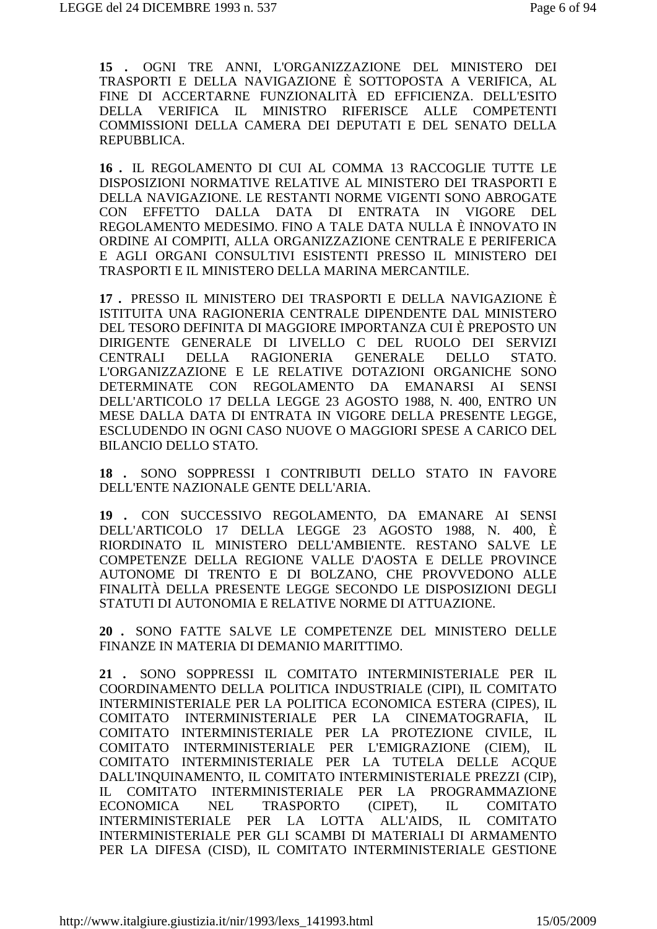**15 .** OGNI TRE ANNI, L'ORGANIZZAZIONE DEL MINISTERO DEI TRASPORTI E DELLA NAVIGAZIONE È SOTTOPOSTA A VERIFICA, AL FINE DI ACCERTARNE FUNZIONALITÀ ED EFFICIENZA. DELL'ESITO DELLA VERIFICA IL MINISTRO RIFERISCE ALLE COMPETENTI COMMISSIONI DELLA CAMERA DEI DEPUTATI E DEL SENATO DELLA REPUBBLICA.

**16 .** IL REGOLAMENTO DI CUI AL COMMA 13 RACCOGLIE TUTTE LE DISPOSIZIONI NORMATIVE RELATIVE AL MINISTERO DEI TRASPORTI E DELLA NAVIGAZIONE. LE RESTANTI NORME VIGENTI SONO ABROGATE CON EFFETTO DALLA DATA DI ENTRATA IN VIGORE DEL REGOLAMENTO MEDESIMO. FINO A TALE DATA NULLA È INNOVATO IN ORDINE AI COMPITI, ALLA ORGANIZZAZIONE CENTRALE E PERIFERICA E AGLI ORGANI CONSULTIVI ESISTENTI PRESSO IL MINISTERO DEI TRASPORTI E IL MINISTERO DELLA MARINA MERCANTILE.

**17 .** PRESSO IL MINISTERO DEI TRASPORTI E DELLA NAVIGAZIONE È ISTITUITA UNA RAGIONERIA CENTRALE DIPENDENTE DAL MINISTERO DEL TESORO DEFINITA DI MAGGIORE IMPORTANZA CUI È PREPOSTO UN DIRIGENTE GENERALE DI LIVELLO C DEL RUOLO DEI SERVIZI CENTRALI DELLA RAGIONERIA GENERALE DELLO STATO. L'ORGANIZZAZIONE E LE RELATIVE DOTAZIONI ORGANICHE SONO DETERMINATE CON REGOLAMENTO DA EMANARSI AI SENSI DELL'ARTICOLO 17 DELLA LEGGE 23 AGOSTO 1988, N. 400, ENTRO UN MESE DALLA DATA DI ENTRATA IN VIGORE DELLA PRESENTE LEGGE, ESCLUDENDO IN OGNI CASO NUOVE O MAGGIORI SPESE A CARICO DEL BILANCIO DELLO STATO.

**18 .** SONO SOPPRESSI I CONTRIBUTI DELLO STATO IN FAVORE DELL'ENTE NAZIONALE GENTE DELL'ARIA.

**19 .** CON SUCCESSIVO REGOLAMENTO, DA EMANARE AI SENSI DELL'ARTICOLO 17 DELLA LEGGE 23 AGOSTO 1988, N. 400, È RIORDINATO IL MINISTERO DELL'AMBIENTE. RESTANO SALVE LE COMPETENZE DELLA REGIONE VALLE D'AOSTA E DELLE PROVINCE AUTONOME DI TRENTO E DI BOLZANO, CHE PROVVEDONO ALLE FINALITÀ DELLA PRESENTE LEGGE SECONDO LE DISPOSIZIONI DEGLI STATUTI DI AUTONOMIA E RELATIVE NORME DI ATTUAZIONE.

**20 .** SONO FATTE SALVE LE COMPETENZE DEL MINISTERO DELLE FINANZE IN MATERIA DI DEMANIO MARITTIMO.

**21 .** SONO SOPPRESSI IL COMITATO INTERMINISTERIALE PER IL COORDINAMENTO DELLA POLITICA INDUSTRIALE (CIPI), IL COMITATO INTERMINISTERIALE PER LA POLITICA ECONOMICA ESTERA (CIPES), IL COMITATO INTERMINISTERIALE PER LA CINEMATOGRAFIA, IL COMITATO INTERMINISTERIALE PER LA PROTEZIONE CIVILE, IL COMITATO INTERMINISTERIALE PER L'EMIGRAZIONE (CIEM), IL COMITATO INTERMINISTERIALE PER LA TUTELA DELLE ACQUE DALL'INQUINAMENTO, IL COMITATO INTERMINISTERIALE PREZZI (CIP), IL COMITATO INTERMINISTERIALE PER LA PROGRAMMAZIONE ECONOMICA NEL TRASPORTO (CIPET), IL COMITATO INTERMINISTERIALE PER LA LOTTA ALL'AIDS, IL COMITATO INTERMINISTERIALE PER GLI SCAMBI DI MATERIALI DI ARMAMENTO PER LA DIFESA (CISD), IL COMITATO INTERMINISTERIALE GESTIONE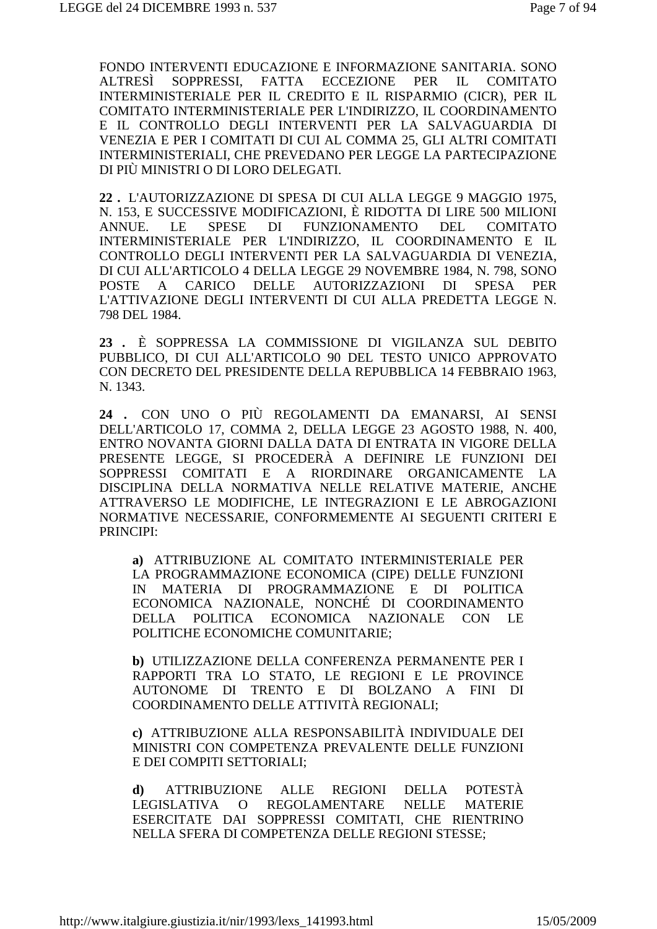FONDO INTERVENTI EDUCAZIONE E INFORMAZIONE SANITARIA. SONO ALTRESÌ SOPPRESSI, FATTA ECCEZIONE PER IL COMITATO INTERMINISTERIALE PER IL CREDITO E IL RISPARMIO (CICR), PER IL COMITATO INTERMINISTERIALE PER L'INDIRIZZO, IL COORDINAMENTO E IL CONTROLLO DEGLI INTERVENTI PER LA SALVAGUARDIA DI VENEZIA E PER I COMITATI DI CUI AL COMMA 25, GLI ALTRI COMITATI INTERMINISTERIALI, CHE PREVEDANO PER LEGGE LA PARTECIPAZIONE DI PIÙ MINISTRI O DI LORO DELEGATI.

**22 .** L'AUTORIZZAZIONE DI SPESA DI CUI ALLA LEGGE 9 MAGGIO 1975, N. 153, E SUCCESSIVE MODIFICAZIONI, È RIDOTTA DI LIRE 500 MILIONI ANNUE. LE SPESE DI FUNZIONAMENTO DEL COMITATO INTERMINISTERIALE PER L'INDIRIZZO, IL COORDINAMENTO E IL CONTROLLO DEGLI INTERVENTI PER LA SALVAGUARDIA DI VENEZIA, DI CUI ALL'ARTICOLO 4 DELLA LEGGE 29 NOVEMBRE 1984, N. 798, SONO POSTE A CARICO DELLE AUTORIZZAZIONI DI SPESA PER L'ATTIVAZIONE DEGLI INTERVENTI DI CUI ALLA PREDETTA LEGGE N. 798 DEL 1984.

**23 .** È SOPPRESSA LA COMMISSIONE DI VIGILANZA SUL DEBITO PUBBLICO, DI CUI ALL'ARTICOLO 90 DEL TESTO UNICO APPROVATO CON DECRETO DEL PRESIDENTE DELLA REPUBBLICA 14 FEBBRAIO 1963, N. 1343.

**24 .** CON UNO O PIÙ REGOLAMENTI DA EMANARSI, AI SENSI DELL'ARTICOLO 17, COMMA 2, DELLA LEGGE 23 AGOSTO 1988, N. 400, ENTRO NOVANTA GIORNI DALLA DATA DI ENTRATA IN VIGORE DELLA PRESENTE LEGGE, SI PROCEDERÀ A DEFINIRE LE FUNZIONI DEI SOPPRESSI COMITATI E A RIORDINARE ORGANICAMENTE LA DISCIPLINA DELLA NORMATIVA NELLE RELATIVE MATERIE, ANCHE ATTRAVERSO LE MODIFICHE, LE INTEGRAZIONI E LE ABROGAZIONI NORMATIVE NECESSARIE, CONFORMEMENTE AI SEGUENTI CRITERI E PRINCIPI:

**a)** ATTRIBUZIONE AL COMITATO INTERMINISTERIALE PER LA PROGRAMMAZIONE ECONOMICA (CIPE) DELLE FUNZIONI IN MATERIA DI PROGRAMMAZIONE E DI POLITICA ECONOMICA NAZIONALE, NONCHÉ DI COORDINAMENTO DELLA POLITICA ECONOMICA NAZIONALE CON LE POLITICHE ECONOMICHE COMUNITARIE;

**b)** UTILIZZAZIONE DELLA CONFERENZA PERMANENTE PER I RAPPORTI TRA LO STATO, LE REGIONI E LE PROVINCE AUTONOME DI TRENTO E DI BOLZANO A FINI DI COORDINAMENTO DELLE ATTIVITÀ REGIONALI;

**c)** ATTRIBUZIONE ALLA RESPONSABILITÀ INDIVIDUALE DEI MINISTRI CON COMPETENZA PREVALENTE DELLE FUNZIONI E DEI COMPITI SETTORIALI;

**d)** ATTRIBUZIONE ALLE REGIONI DELLA POTESTÀ LEGISLATIVA O REGOLAMENTARE NELLE MATERIE ESERCITATE DAI SOPPRESSI COMITATI, CHE RIENTRINO NELLA SFERA DI COMPETENZA DELLE REGIONI STESSE;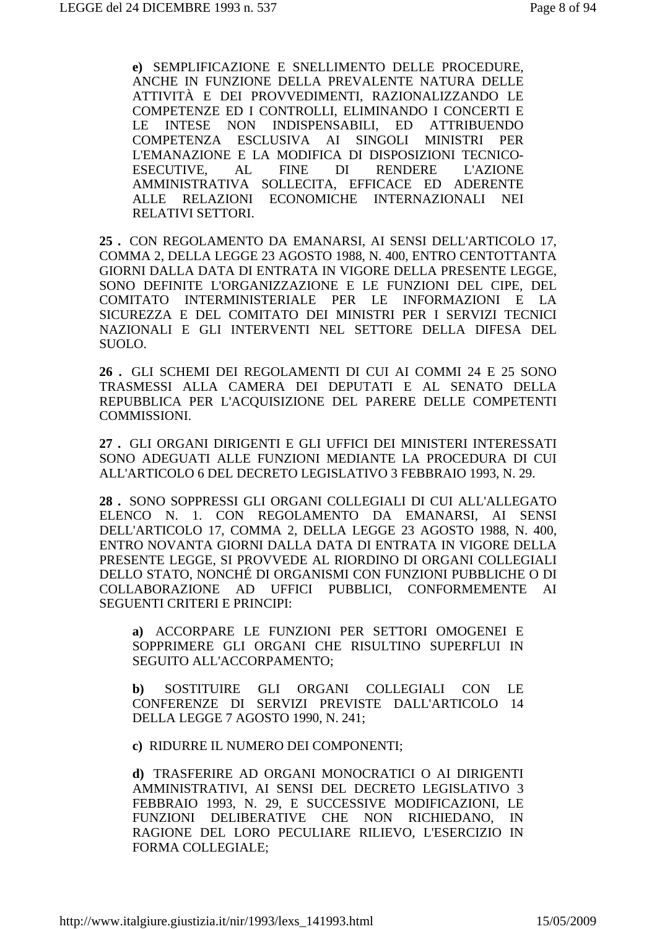**e)** SEMPLIFICAZIONE E SNELLIMENTO DELLE PROCEDURE, ANCHE IN FUNZIONE DELLA PREVALENTE NATURA DELLE ATTIVITÀ E DEI PROVVEDIMENTI, RAZIONALIZZANDO LE COMPETENZE ED I CONTROLLI, ELIMINANDO I CONCERTI E LE INTESE NON INDISPENSABILI, ED ATTRIBUENDO COMPETENZA ESCLUSIVA AI SINGOLI MINISTRI PER L'EMANAZIONE E LA MODIFICA DI DISPOSIZIONI TECNICO-ESECUTIVE, AL FINE DI RENDERE L'AZIONE AMMINISTRATIVA SOLLECITA, EFFICACE ED ADERENTE ALLE RELAZIONI ECONOMICHE INTERNAZIONALI NEI RELATIVI SETTORI.

**25 .** CON REGOLAMENTO DA EMANARSI, AI SENSI DELL'ARTICOLO 17, COMMA 2, DELLA LEGGE 23 AGOSTO 1988, N. 400, ENTRO CENTOTTANTA GIORNI DALLA DATA DI ENTRATA IN VIGORE DELLA PRESENTE LEGGE, SONO DEFINITE L'ORGANIZZAZIONE E LE FUNZIONI DEL CIPE, DEL COMITATO INTERMINISTERIALE PER LE INFORMAZIONI E LA SICUREZZA E DEL COMITATO DEI MINISTRI PER I SERVIZI TECNICI NAZIONALI E GLI INTERVENTI NEL SETTORE DELLA DIFESA DEL SUOLO.

**26 .** GLI SCHEMI DEI REGOLAMENTI DI CUI AI COMMI 24 E 25 SONO TRASMESSI ALLA CAMERA DEI DEPUTATI E AL SENATO DELLA REPUBBLICA PER L'ACQUISIZIONE DEL PARERE DELLE COMPETENTI COMMISSIONI.

**27 .** GLI ORGANI DIRIGENTI E GLI UFFICI DEI MINISTERI INTERESSATI SONO ADEGUATI ALLE FUNZIONI MEDIANTE LA PROCEDURA DI CUI ALL'ARTICOLO 6 DEL DECRETO LEGISLATIVO 3 FEBBRAIO 1993, N. 29.

**28 .** SONO SOPPRESSI GLI ORGANI COLLEGIALI DI CUI ALL'ALLEGATO ELENCO N. 1. CON REGOLAMENTO DA EMANARSI, AI SENSI DELL'ARTICOLO 17, COMMA 2, DELLA LEGGE 23 AGOSTO 1988, N. 400, ENTRO NOVANTA GIORNI DALLA DATA DI ENTRATA IN VIGORE DELLA PRESENTE LEGGE, SI PROVVEDE AL RIORDINO DI ORGANI COLLEGIALI DELLO STATO, NONCHÉ DI ORGANISMI CON FUNZIONI PUBBLICHE O DI COLLABORAZIONE AD UFFICI PUBBLICI, CONFORMEMENTE AI SEGUENTI CRITERI E PRINCIPI:

**a)** ACCORPARE LE FUNZIONI PER SETTORI OMOGENEI E SOPPRIMERE GLI ORGANI CHE RISULTINO SUPERFLUI IN SEGUITO ALL'ACCORPAMENTO;

**b)** SOSTITUIRE GLI ORGANI COLLEGIALI CON LE CONFERENZE DI SERVIZI PREVISTE DALL'ARTICOLO 14 DELLA LEGGE 7 AGOSTO 1990, N. 241;

**c)** RIDURRE IL NUMERO DEI COMPONENTI;

**d)** TRASFERIRE AD ORGANI MONOCRATICI O AI DIRIGENTI AMMINISTRATIVI, AI SENSI DEL DECRETO LEGISLATIVO 3 FEBBRAIO 1993, N. 29, E SUCCESSIVE MODIFICAZIONI, LE FUNZIONI DELIBERATIVE CHE NON RICHIEDANO, IN RAGIONE DEL LORO PECULIARE RILIEVO, L'ESERCIZIO IN FORMA COLLEGIALE;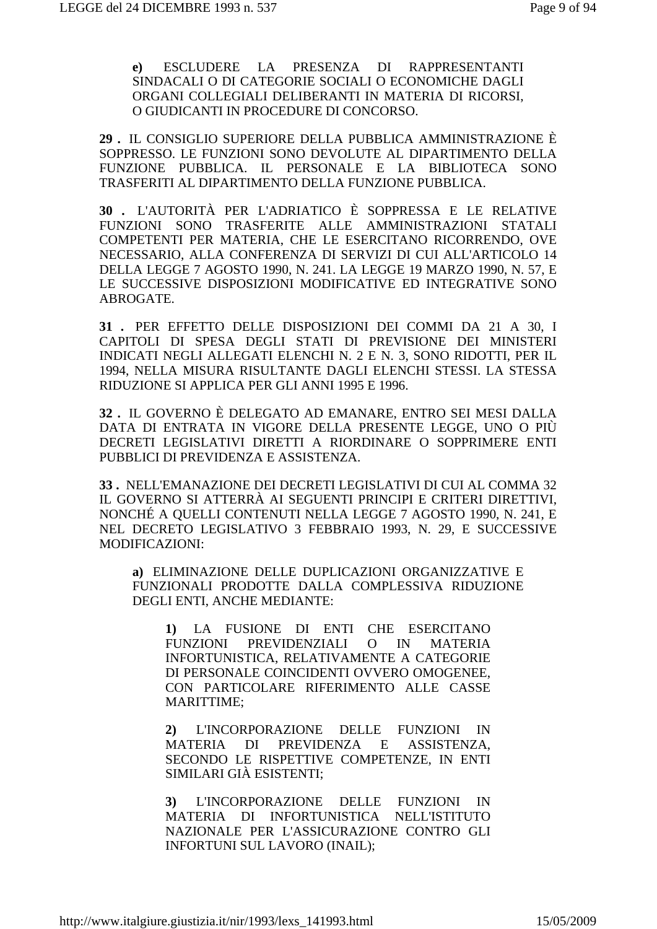**e)** ESCLUDERE LA PRESENZA DI RAPPRESENTANTI SINDACALI O DI CATEGORIE SOCIALI O ECONOMICHE DAGLI ORGANI COLLEGIALI DELIBERANTI IN MATERIA DI RICORSI, O GIUDICANTI IN PROCEDURE DI CONCORSO.

**29 .** IL CONSIGLIO SUPERIORE DELLA PUBBLICA AMMINISTRAZIONE È SOPPRESSO. LE FUNZIONI SONO DEVOLUTE AL DIPARTIMENTO DELLA FUNZIONE PUBBLICA. IL PERSONALE E LA BIBLIOTECA SONO TRASFERITI AL DIPARTIMENTO DELLA FUNZIONE PUBBLICA.

**30 .** L'AUTORITÀ PER L'ADRIATICO È SOPPRESSA E LE RELATIVE FUNZIONI SONO TRASFERITE ALLE AMMINISTRAZIONI STATALI COMPETENTI PER MATERIA, CHE LE ESERCITANO RICORRENDO, OVE NECESSARIO, ALLA CONFERENZA DI SERVIZI DI CUI ALL'ARTICOLO 14 DELLA LEGGE 7 AGOSTO 1990, N. 241. LA LEGGE 19 MARZO 1990, N. 57, E LE SUCCESSIVE DISPOSIZIONI MODIFICATIVE ED INTEGRATIVE SONO ABROGATE.

**31 .** PER EFFETTO DELLE DISPOSIZIONI DEI COMMI DA 21 A 30, I CAPITOLI DI SPESA DEGLI STATI DI PREVISIONE DEI MINISTERI INDICATI NEGLI ALLEGATI ELENCHI N. 2 E N. 3, SONO RIDOTTI, PER IL 1994, NELLA MISURA RISULTANTE DAGLI ELENCHI STESSI. LA STESSA RIDUZIONE SI APPLICA PER GLI ANNI 1995 E 1996.

**32 .** IL GOVERNO È DELEGATO AD EMANARE, ENTRO SEI MESI DALLA DATA DI ENTRATA IN VIGORE DELLA PRESENTE LEGGE, UNO O PIÙ DECRETI LEGISLATIVI DIRETTI A RIORDINARE O SOPPRIMERE ENTI PUBBLICI DI PREVIDENZA E ASSISTENZA.

**33 .** NELL'EMANAZIONE DEI DECRETI LEGISLATIVI DI CUI AL COMMA 32 IL GOVERNO SI ATTERRÀ AI SEGUENTI PRINCIPI E CRITERI DIRETTIVI, NONCHÉ A QUELLI CONTENUTI NELLA LEGGE 7 AGOSTO 1990, N. 241, E NEL DECRETO LEGISLATIVO 3 FEBBRAIO 1993, N. 29, E SUCCESSIVE MODIFICAZIONI:

**a)** ELIMINAZIONE DELLE DUPLICAZIONI ORGANIZZATIVE E FUNZIONALI PRODOTTE DALLA COMPLESSIVA RIDUZIONE DEGLI ENTI, ANCHE MEDIANTE:

**1)** LA FUSIONE DI ENTI CHE ESERCITANO FUNZIONI PREVIDENZIALI O IN MATERIA INFORTUNISTICA, RELATIVAMENTE A CATEGORIE DI PERSONALE COINCIDENTI OVVERO OMOGENEE, CON PARTICOLARE RIFERIMENTO ALLE CASSE MARITTIME;

**2)** L'INCORPORAZIONE DELLE FUNZIONI IN MATERIA DI PREVIDENZA E ASSISTENZA, SECONDO LE RISPETTIVE COMPETENZE, IN ENTI SIMILARI GIÀ ESISTENTI;

**3)** L'INCORPORAZIONE DELLE FUNZIONI IN MATERIA DI INFORTUNISTICA NELL'ISTITUTO NAZIONALE PER L'ASSICURAZIONE CONTRO GLI INFORTUNI SUL LAVORO (INAIL);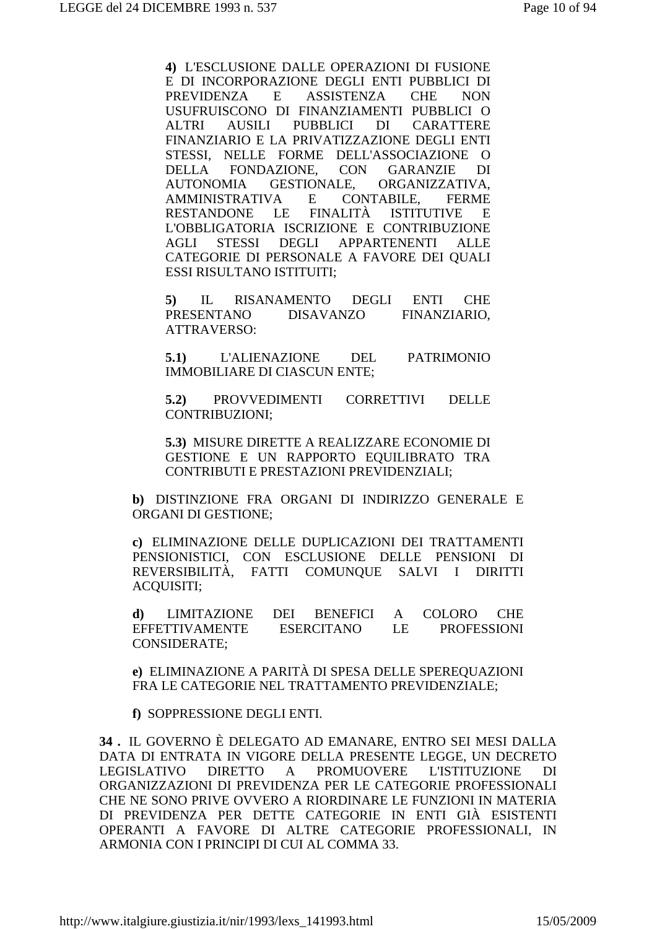**4)** L'ESCLUSIONE DALLE OPERAZIONI DI FUSIONE E DI INCORPORAZIONE DEGLI ENTI PUBBLICI DI PREVIDENZA E ASSISTENZA CHE NON USUFRUISCONO DI FINANZIAMENTI PUBBLICI O ALTRI AUSILI PUBBLICI DI CARATTERE FINANZIARIO E LA PRIVATIZZAZIONE DEGLI ENTI STESSI, NELLE FORME DELL'ASSOCIAZIONE O DELLA FONDAZIONE, CON GARANZIE DI AUTONOMIA GESTIONALE, ORGANIZZATIVA, AMMINISTRATIVA E CONTABILE, FERME RESTANDONE LE FINALITÀ ISTITUTIVE E L'OBBLIGATORIA ISCRIZIONE E CONTRIBUZIONE AGLI STESSI DEGLI APPARTENENTI ALLE CATEGORIE DI PERSONALE A FAVORE DEI QUALI ESSI RISULTANO ISTITUITI;

**5)** IL RISANAMENTO DEGLI ENTI CHE PRESENTANO DISAVANZO FINANZIARIO, ATTRAVERSO:

**5.1)** L'ALIENAZIONE DEL PATRIMONIO IMMOBILIARE DI CIASCUN ENTE;

**5.2)** PROVVEDIMENTI CORRETTIVI DELLE CONTRIBUZIONI;

**5.3)** MISURE DIRETTE A REALIZZARE ECONOMIE DI GESTIONE E UN RAPPORTO EQUILIBRATO TRA CONTRIBUTI E PRESTAZIONI PREVIDENZIALI;

**b)** DISTINZIONE FRA ORGANI DI INDIRIZZO GENERALE E ORGANI DI GESTIONE;

**c)** ELIMINAZIONE DELLE DUPLICAZIONI DEI TRATTAMENTI PENSIONISTICI, CON ESCLUSIONE DELLE PENSIONI DI REVERSIBILITÀ, FATTI COMUNQUE SALVI I DIRITTI ACQUISITI;

**d)** LIMITAZIONE DEI BENEFICI A COLORO CHE EFFETTIVAMENTE ESERCITANO LE PROFESSIONI CONSIDERATE;

**e)** ELIMINAZIONE A PARITÀ DI SPESA DELLE SPEREQUAZIONI FRA LE CATEGORIE NEL TRATTAMENTO PREVIDENZIALE;

**f)** SOPPRESSIONE DEGLI ENTI.

**34 .** IL GOVERNO È DELEGATO AD EMANARE, ENTRO SEI MESI DALLA DATA DI ENTRATA IN VIGORE DELLA PRESENTE LEGGE, UN DECRETO LEGISLATIVO DIRETTO A PROMUOVERE L'ISTITUZIONE DI ORGANIZZAZIONI DI PREVIDENZA PER LE CATEGORIE PROFESSIONALI CHE NE SONO PRIVE OVVERO A RIORDINARE LE FUNZIONI IN MATERIA DI PREVIDENZA PER DETTE CATEGORIE IN ENTI GIÀ ESISTENTI OPERANTI A FAVORE DI ALTRE CATEGORIE PROFESSIONALI, IN ARMONIA CON I PRINCIPI DI CUI AL COMMA 33.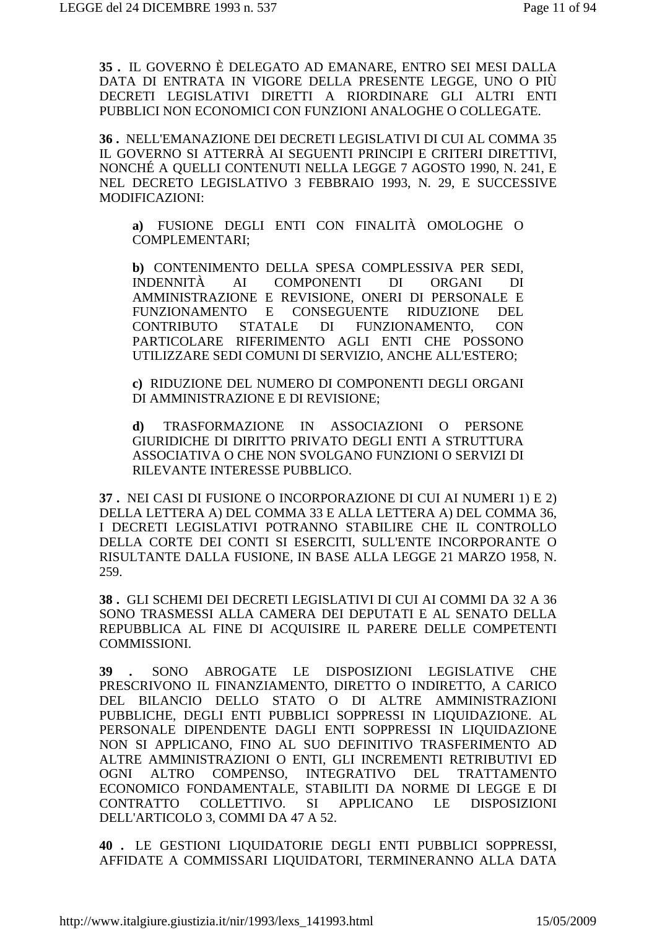**35 .** IL GOVERNO È DELEGATO AD EMANARE, ENTRO SEI MESI DALLA DATA DI ENTRATA IN VIGORE DELLA PRESENTE LEGGE, UNO O PIÙ DECRETI LEGISLATIVI DIRETTI A RIORDINARE GLI ALTRI ENTI PUBBLICI NON ECONOMICI CON FUNZIONI ANALOGHE O COLLEGATE.

**36 .** NELL'EMANAZIONE DEI DECRETI LEGISLATIVI DI CUI AL COMMA 35 IL GOVERNO SI ATTERRÀ AI SEGUENTI PRINCIPI E CRITERI DIRETTIVI, NONCHÉ A QUELLI CONTENUTI NELLA LEGGE 7 AGOSTO 1990, N. 241, E NEL DECRETO LEGISLATIVO 3 FEBBRAIO 1993, N. 29, E SUCCESSIVE MODIFICAZIONI:

**a)** FUSIONE DEGLI ENTI CON FINALITÀ OMOLOGHE O COMPLEMENTARI;

**b)** CONTENIMENTO DELLA SPESA COMPLESSIVA PER SEDI, INDENNITÀ AI COMPONENTI DI ORGANI DI AMMINISTRAZIONE E REVISIONE, ONERI DI PERSONALE E FUNZIONAMENTO E CONSEGUENTE RIDUZIONE DEL CONTRIBUTO STATALE DI FUNZIONAMENTO, CON PARTICOLARE RIFERIMENTO AGLI ENTI CHE POSSONO UTILIZZARE SEDI COMUNI DI SERVIZIO, ANCHE ALL'ESTERO;

**c)** RIDUZIONE DEL NUMERO DI COMPONENTI DEGLI ORGANI DI AMMINISTRAZIONE E DI REVISIONE;

**d)** TRASFORMAZIONE IN ASSOCIAZIONI O PERSONE GIURIDICHE DI DIRITTO PRIVATO DEGLI ENTI A STRUTTURA ASSOCIATIVA O CHE NON SVOLGANO FUNZIONI O SERVIZI DI RILEVANTE INTERESSE PUBBLICO.

**37 .** NEI CASI DI FUSIONE O INCORPORAZIONE DI CUI AI NUMERI 1) E 2) DELLA LETTERA A) DEL COMMA 33 E ALLA LETTERA A) DEL COMMA 36, I DECRETI LEGISLATIVI POTRANNO STABILIRE CHE IL CONTROLLO DELLA CORTE DEI CONTI SI ESERCITI, SULL'ENTE INCORPORANTE O RISULTANTE DALLA FUSIONE, IN BASE ALLA LEGGE 21 MARZO 1958, N. 259.

**38 .** GLI SCHEMI DEI DECRETI LEGISLATIVI DI CUI AI COMMI DA 32 A 36 SONO TRASMESSI ALLA CAMERA DEI DEPUTATI E AL SENATO DELLA REPUBBLICA AL FINE DI ACQUISIRE IL PARERE DELLE COMPETENTI COMMISSIONI.

**39 .** SONO ABROGATE LE DISPOSIZIONI LEGISLATIVE CHE PRESCRIVONO IL FINANZIAMENTO, DIRETTO O INDIRETTO, A CARICO DEL BILANCIO DELLO STATO O DI ALTRE AMMINISTRAZIONI PUBBLICHE, DEGLI ENTI PUBBLICI SOPPRESSI IN LIQUIDAZIONE. AL PERSONALE DIPENDENTE DAGLI ENTI SOPPRESSI IN LIQUIDAZIONE NON SI APPLICANO, FINO AL SUO DEFINITIVO TRASFERIMENTO AD ALTRE AMMINISTRAZIONI O ENTI, GLI INCREMENTI RETRIBUTIVI ED OGNI ALTRO COMPENSO, INTEGRATIVO DEL TRATTAMENTO ECONOMICO FONDAMENTALE, STABILITI DA NORME DI LEGGE E DI CONTRATTO COLLETTIVO. SI APPLICANO LE DISPOSIZIONI DELL'ARTICOLO 3, COMMI DA 47 A 52.

**40 .** LE GESTIONI LIQUIDATORIE DEGLI ENTI PUBBLICI SOPPRESSI, AFFIDATE A COMMISSARI LIQUIDATORI, TERMINERANNO ALLA DATA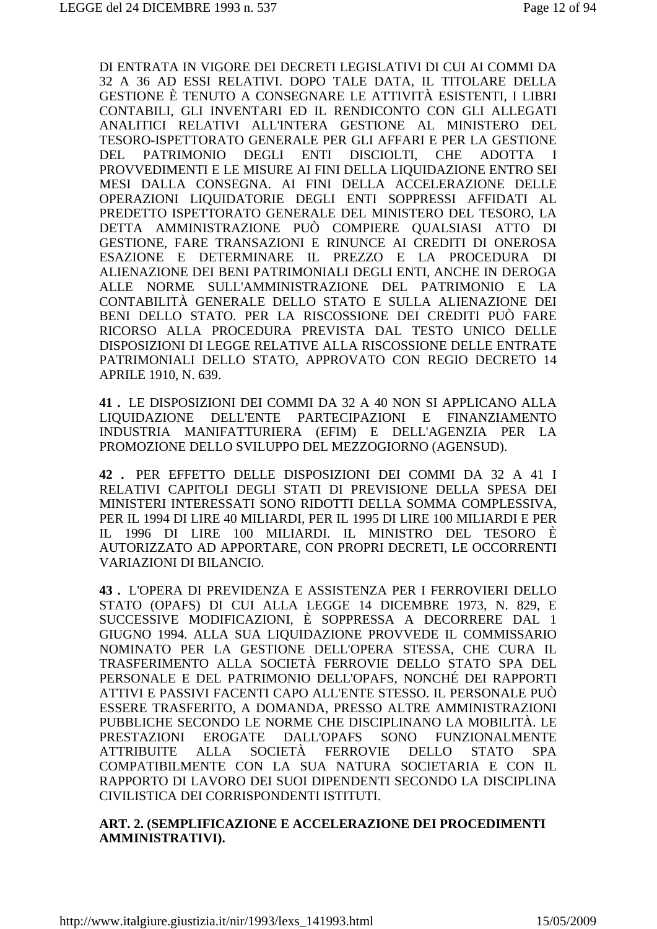DI ENTRATA IN VIGORE DEI DECRETI LEGISLATIVI DI CUI AI COMMI DA 32 A 36 AD ESSI RELATIVI. DOPO TALE DATA, IL TITOLARE DELLA GESTIONE È TENUTO A CONSEGNARE LE ATTIVITÀ ESISTENTI, I LIBRI CONTABILI, GLI INVENTARI ED IL RENDICONTO CON GLI ALLEGATI ANALITICI RELATIVI ALL'INTERA GESTIONE AL MINISTERO DEL TESORO-ISPETTORATO GENERALE PER GLI AFFARI E PER LA GESTIONE PATRIMONIO DEGLI ENTI DISCIOLTI, **CHE** ADOTTA I DEL. PROVVEDIMENTI E LE MISURE AI FINI DELLA LIOUIDAZIONE ENTRO SEI MESI DALLA CONSEGNA. AI FINI DELLA ACCELERAZIONE DELLE OPERAZIONI LIQUIDATORIE DEGLI ENTI SOPPRESSI AFFIDATI AL PREDETTO ISPETTORATO GENERALE DEL MINISTERO DEL TESORO, LA DETTA AMMINISTRAZIONE PUÒ COMPIERE OUALSIASI ATTO DI GESTIONE, FARE TRANSAZIONI E RINUNCE AI CREDITI DI ONEROSA ESAZIONE E DETERMINARE IL PREZZO E LA PROCEDURA DI ALIENAZIONE DEI BENI PATRIMONIALI DEGLI ENTI, ANCHE IN DEROGA ALLE NORME SULL'AMMINISTRAZIONE DEL PATRIMONIO E LA CONTABILITÀ GENERALE DELLO STATO E SULLA ALIENAZIONE DEI BENI DELLO STATO. PER LA RISCOSSIONE DEI CREDITI PUÒ FARE RICORSO ALLA PROCEDURA PREVISTA DAL TESTO UNICO DELLE DISPOSIZIONI DI LEGGE RELATIVE ALLA RISCOSSIONE DELLE ENTRATE PATRIMONIALI DELLO STATO, APPROVATO CON REGIO DECRETO 14 APRILE 1910, N. 639.

41. LE DISPOSIZIONI DEI COMMI DA 32 A 40 NON SI APPLICANO ALLA LIQUIDAZIONE DELL'ENTE PARTECIPAZIONI E FINANZIAMENTO INDUSTRIA MANIFATTURIERA (EFIM) E DELL'AGENZIA PER LA PROMOZIONE DELLO SVILUPPO DEL MEZZOGIORNO (AGENSUD).

42. PER EFFETTO DELLE DISPOSIZIONI DEI COMMI DA 32 A 41 I RELATIVI CAPITOLI DEGLI STATI DI PREVISIONE DELLA SPESA DEI MINISTERI INTERESSATI SONO RIDOTTI DELLA SOMMA COMPLESSIVA. PER IL 1994 DI LIRE 40 MILIARDI, PER IL 1995 DI LIRE 100 MILIARDI E PER IL 1996 DI LIRE 100 MILIARDI. IL MINISTRO DEL TESORO È AUTORIZZATO AD APPORTARE, CON PROPRI DECRETI, LE OCCORRENTI **VARIAZIONI DI BILANCIO.** 

43. L'OPERA DI PREVIDENZA E ASSISTENZA PER I FERROVIERI DELLO STATO (OPAFS) DI CUI ALLA LEGGE 14 DICEMBRE 1973, N. 829, E SUCCESSIVE MODIFICAZIONI, È SOPPRESSA A DECORRERE DAL 1 GIUGNO 1994, ALLA SUA LIQUIDAZIONE PROVVEDE IL COMMISSARIO NOMINATO PER LA GESTIONE DELL'OPERA STESSA, CHE CURA IL TRASFERIMENTO ALLA SOCIETÀ FERROVIE DELLO STATO SPA DEL PERSONALE E DEL PATRIMONIO DELL'OPAFS, NONCHÉ DEI RAPPORTI ATTIVI E PASSIVI FACENTI CAPO ALL'ENTE STESSO. IL PERSONALE PUÒ ESSERE TRASFERITO, A DOMANDA, PRESSO ALTRE AMMINISTRAZIONI PUBBLICHE SECONDO LE NORME CHE DISCIPLINANO LA MOBILITÀ. LE **EROGATE PRESTAZIONI** DALL'OPAFS SONO FUNZIONALMENTE SOCIETÀ **ATTRIBUITE** ALLA **FERROVIE** DELLO **STATO SPA** COMPATIBILMENTE CON LA SUA NATURA SOCIETARIA E CON IL RAPPORTO DI LAVORO DEI SUOI DIPENDENTI SECONDO LA DISCIPLINA CIVILISTICA DEI CORRISPONDENTI ISTITUTI.

#### ART. 2. (SEMPLIFICAZIONE E ACCELERAZIONE DEI PROCEDIMENTI **AMMINISTRATIVI).**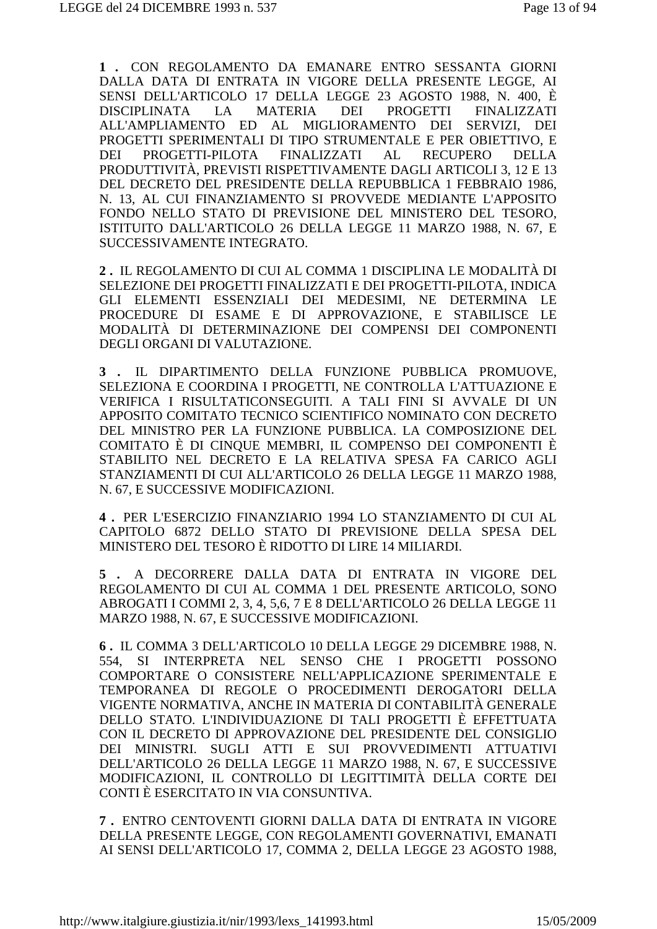**1 .** CON REGOLAMENTO DA EMANARE ENTRO SESSANTA GIORNI DALLA DATA DI ENTRATA IN VIGORE DELLA PRESENTE LEGGE, AI SENSI DELL'ARTICOLO 17 DELLA LEGGE 23 AGOSTO 1988, N. 400, È DISCIPLINATA LA MATERIA DEI PROGETTI FINALIZZATI ALL'AMPLIAMENTO ED AL MIGLIORAMENTO DEI SERVIZI, DEI PROGETTI SPERIMENTALI DI TIPO STRUMENTALE E PER OBIETTIVO, E DEI PROGETTI-PILOTA FINALIZZATI AL RECUPERO DELLA PRODUTTIVITÀ, PREVISTI RISPETTIVAMENTE DAGLI ARTICOLI 3, 12 E 13 DEL DECRETO DEL PRESIDENTE DELLA REPUBBLICA 1 FEBBRAIO 1986, N. 13, AL CUI FINANZIAMENTO SI PROVVEDE MEDIANTE L'APPOSITO FONDO NELLO STATO DI PREVISIONE DEL MINISTERO DEL TESORO, ISTITUITO DALL'ARTICOLO 26 DELLA LEGGE 11 MARZO 1988, N. 67, E SUCCESSIVAMENTE INTEGRATO.

**2 .** IL REGOLAMENTO DI CUI AL COMMA 1 DISCIPLINA LE MODALITÀ DI SELEZIONE DEI PROGETTI FINALIZZATI E DEI PROGETTI-PILOTA, INDICA GLI ELEMENTI ESSENZIALI DEI MEDESIMI, NE DETERMINA LE PROCEDURE DI ESAME E DI APPROVAZIONE, E STABILISCE LE MODALITÀ DI DETERMINAZIONE DEI COMPENSI DEI COMPONENTI DEGLI ORGANI DI VALUTAZIONE.

**3 .** IL DIPARTIMENTO DELLA FUNZIONE PUBBLICA PROMUOVE, SELEZIONA E COORDINA I PROGETTI, NE CONTROLLA L'ATTUAZIONE E VERIFICA I RISULTATICONSEGUITI. A TALI FINI SI AVVALE DI UN APPOSITO COMITATO TECNICO SCIENTIFICO NOMINATO CON DECRETO DEL MINISTRO PER LA FUNZIONE PUBBLICA. LA COMPOSIZIONE DEL COMITATO È DI CINQUE MEMBRI, IL COMPENSO DEI COMPONENTI È STABILITO NEL DECRETO E LA RELATIVA SPESA FA CARICO AGLI STANZIAMENTI DI CUI ALL'ARTICOLO 26 DELLA LEGGE 11 MARZO 1988, N. 67, E SUCCESSIVE MODIFICAZIONI.

**4 .** PER L'ESERCIZIO FINANZIARIO 1994 LO STANZIAMENTO DI CUI AL CAPITOLO 6872 DELLO STATO DI PREVISIONE DELLA SPESA DEL MINISTERO DEL TESORO È RIDOTTO DI LIRE 14 MILIARDI.

**5 .** A DECORRERE DALLA DATA DI ENTRATA IN VIGORE DEL REGOLAMENTO DI CUI AL COMMA 1 DEL PRESENTE ARTICOLO, SONO ABROGATI I COMMI 2, 3, 4, 5,6, 7 E 8 DELL'ARTICOLO 26 DELLA LEGGE 11 MARZO 1988, N. 67, E SUCCESSIVE MODIFICAZIONI.

**6 .** IL COMMA 3 DELL'ARTICOLO 10 DELLA LEGGE 29 DICEMBRE 1988, N. 554, SI INTERPRETA NEL SENSO CHE I PROGETTI POSSONO COMPORTARE O CONSISTERE NELL'APPLICAZIONE SPERIMENTALE E TEMPORANEA DI REGOLE O PROCEDIMENTI DEROGATORI DELLA VIGENTE NORMATIVA, ANCHE IN MATERIA DI CONTABILITÀ GENERALE DELLO STATO. L'INDIVIDUAZIONE DI TALI PROGETTI È EFFETTUATA CON IL DECRETO DI APPROVAZIONE DEL PRESIDENTE DEL CONSIGLIO DEI MINISTRI. SUGLI ATTI E SUI PROVVEDIMENTI ATTUATIVI DELL'ARTICOLO 26 DELLA LEGGE 11 MARZO 1988, N. 67, E SUCCESSIVE MODIFICAZIONI, IL CONTROLLO DI LEGITTIMITÀ DELLA CORTE DEI CONTI È ESERCITATO IN VIA CONSUNTIVA.

**7 .** ENTRO CENTOVENTI GIORNI DALLA DATA DI ENTRATA IN VIGORE DELLA PRESENTE LEGGE, CON REGOLAMENTI GOVERNATIVI, EMANATI AI SENSI DELL'ARTICOLO 17, COMMA 2, DELLA LEGGE 23 AGOSTO 1988,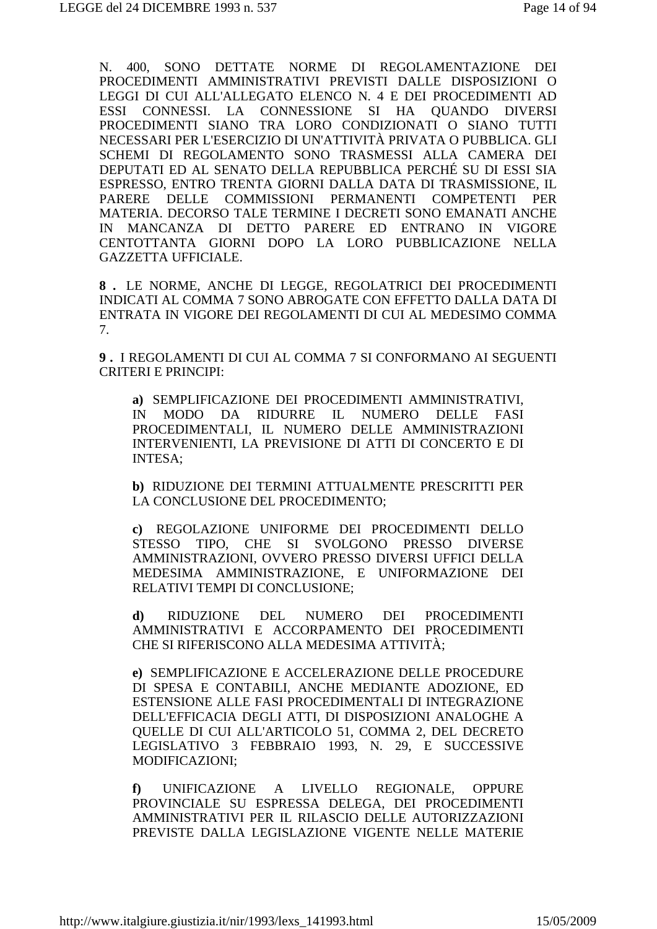N. 400, SONO DETTATE NORME DI REGOLAMENTAZIONE DEI PROCEDIMENTI AMMINISTRATIVI PREVISTI DALLE DISPOSIZIONI O LEGGI DI CUI ALL'ALLEGATO ELENCO N. 4 E DEI PROCEDIMENTI AD ESSI CONNESSI. LA CONNESSIONE SI HA QUANDO DIVERSI PROCEDIMENTI SIANO TRA LORO CONDIZIONATI O SIANO TUTTI NECESSARI PER L'ESERCIZIO DI UN'ATTIVITÀ PRIVATA O PUBBLICA. GLI SCHEMI DI REGOLAMENTO SONO TRASMESSI ALLA CAMERA DEI DEPUTATI ED AL SENATO DELLA REPUBBLICA PERCHÉ SU DI ESSI SIA ESPRESSO, ENTRO TRENTA GIORNI DALLA DATA DI TRASMISSIONE, IL PARERE DELLE COMMISSIONI PERMANENTI COMPETENTI PER MATERIA. DECORSO TALE TERMINE I DECRETI SONO EMANATI ANCHE IN MANCANZA DI DETTO PARERE ED ENTRANO IN VIGORE CENTOTTANTA GIORNI DOPO LA LORO PUBBLICAZIONE NELLA GAZZETTA UFFICIALE.

**8 .** LE NORME, ANCHE DI LEGGE, REGOLATRICI DEI PROCEDIMENTI INDICATI AL COMMA 7 SONO ABROGATE CON EFFETTO DALLA DATA DI ENTRATA IN VIGORE DEI REGOLAMENTI DI CUI AL MEDESIMO COMMA 7.

**9 .** I REGOLAMENTI DI CUI AL COMMA 7 SI CONFORMANO AI SEGUENTI CRITERI E PRINCIPI:

**a)** SEMPLIFICAZIONE DEI PROCEDIMENTI AMMINISTRATIVI, IN MODO DA RIDURRE IL NUMERO DELLE FASI PROCEDIMENTALI, IL NUMERO DELLE AMMINISTRAZIONI INTERVENIENTI, LA PREVISIONE DI ATTI DI CONCERTO E DI INTESA;

**b)** RIDUZIONE DEI TERMINI ATTUALMENTE PRESCRITTI PER LA CONCLUSIONE DEL PROCEDIMENTO;

**c)** REGOLAZIONE UNIFORME DEI PROCEDIMENTI DELLO STESSO TIPO, CHE SI SVOLGONO PRESSO DIVERSE AMMINISTRAZIONI, OVVERO PRESSO DIVERSI UFFICI DELLA MEDESIMA AMMINISTRAZIONE, E UNIFORMAZIONE DEI RELATIVI TEMPI DI CONCLUSIONE;

**d)** RIDUZIONE DEL NUMERO DEI PROCEDIMENTI AMMINISTRATIVI E ACCORPAMENTO DEI PROCEDIMENTI CHE SI RIFERISCONO ALLA MEDESIMA ATTIVITÀ;

**e)** SEMPLIFICAZIONE E ACCELERAZIONE DELLE PROCEDURE DI SPESA E CONTABILI, ANCHE MEDIANTE ADOZIONE, ED ESTENSIONE ALLE FASI PROCEDIMENTALI DI INTEGRAZIONE DELL'EFFICACIA DEGLI ATTI, DI DISPOSIZIONI ANALOGHE A QUELLE DI CUI ALL'ARTICOLO 51, COMMA 2, DEL DECRETO LEGISLATIVO 3 FEBBRAIO 1993, N. 29, E SUCCESSIVE MODIFICAZIONI;

**f)** UNIFICAZIONE A LIVELLO REGIONALE, OPPURE PROVINCIALE SU ESPRESSA DELEGA, DEI PROCEDIMENTI AMMINISTRATIVI PER IL RILASCIO DELLE AUTORIZZAZIONI PREVISTE DALLA LEGISLAZIONE VIGENTE NELLE MATERIE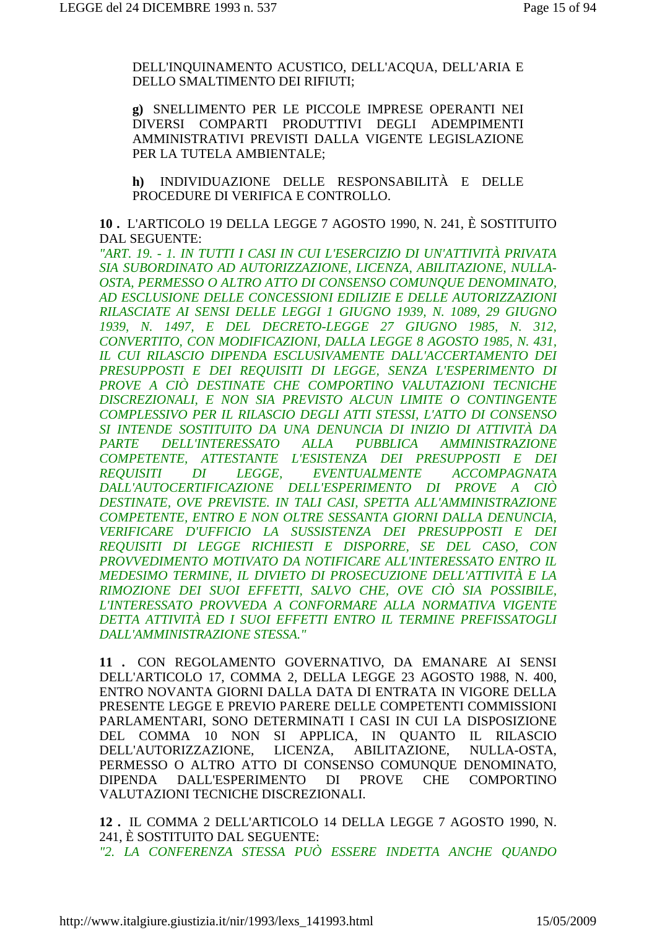DELL'INOUINAMENTO ACUSTICO, DELL'ACOUA, DELL'ARIA E DELLO SMALTIMENTO DEI RIFIUTI;

g) SNELLIMENTO PER LE PICCOLE IMPRESE OPERANTI NEI DIVERSI COMPARTI PRODUTTIVI DEGLI ADEMPIMENTI AMMINISTRATIVI PREVISTI DALLA VIGENTE LEGISLAZIONE PER LA TUTELA AMBIENTALE:

INDIVIDUAZIONE DELLE RESPONSABILITÀ E DELLE  $h$ ) PROCEDURE DI VERIFICA E CONTROLLO.

10. L'ARTICOLO 19 DELLA LEGGE 7 AGOSTO 1990, N. 241, È SOSTITUITO DAL SEGUENTE:

"ART. 19. - 1. IN TUTTI I CASI IN CUI L'ESERCIZIO DI UN'ATTIVITÀ PRIVATA SIA SUBORDINATO AD AUTORIZZAZIONE, LICENZA, ABILITAZIONE, NULLA-OSTA, PERMESSO O ALTRO ATTO DI CONSENSO COMUNQUE DENOMINATO, AD ESCLUSIONE DELLE CONCESSIONI EDILIZIE E DELLE AUTORIZZAZIONI RILASCIATE AI SENSI DELLE LEGGI 1 GIUGNO 1939, N. 1089, 29 GIUGNO 1939, N. 1497, E DEL DECRETO-LEGGE 27 GIUGNO 1985, N. 312, CONVERTITO, CON MODIFICAZIONI, DALLA LEGGE 8 AGOSTO 1985, N. 431, IL CUI RILASCIO DIPENDA ESCLUSIVAMENTE DALL'ACCERTAMENTO DEI PRESUPPOSTI E DEI REOUISITI DI LEGGE, SENZA L'ESPERIMENTO DI PROVE A CIÒ DESTINATE CHE COMPORTINO VALUTAZIONI TECNICHE DISCREZIONALI, E NON SIA PREVISTO ALCUN LIMITE O CONTINGENTE COMPLESSIVO PER IL RILASCIO DEGLI ATTI STESSI. L'ATTO DI CONSENSO SI INTENDE SOSTITUITO DA UNA DENUNCIA DI INIZIO DI ATTIVITÀ DA DELL'INTERESSATO ALLA PUBBLICA **AMMINISTRAZIONE PARTE** COMPETENTE, ATTESTANTE L'ESISTENZA DEI PRESUPPOSTI E DEI  $DI$ **ACCOMPAGNATA** *LEGGE,* EVENTUALMENTE **REOUISITI** DALL'AUTOCERTIFICAZIONE DELL'ESPERIMENTO DI PROVE A CIÒ DESTINATE, OVE PREVISTE. IN TALI CASI, SPETTA ALL'AMMINISTRAZIONE COMPETENTE. ENTRO E NON OLTRE SESSANTA GIORNI DALLA DENUNCIA. VERIFICARE D'UFFICIO LA SUSSISTENZA DEI PRESUPPOSTI E DEI REQUISITI DI LEGGE RICHIESTI E DISPORRE, SE DEL CASO, CON PROVVEDIMENTO MOTIVATO DA NOTIFICARE ALL'INTERESSATO ENTRO IL MEDESIMO TERMINE, IL DIVIETO DI PROSECUZIONE DELL'ATTIVITÀ E LA RIMOZIONE DEI SUOI EFFETTI, SALVO CHE, OVE CIÒ SIA POSSIBILE, L'INTERESSATO PROVVEDA A CONFORMARE ALLA NORMATIVA VIGENTE DETTA ATTIVITÀ ED I SUOI EFFETTI ENTRO IL TERMINE PREFISSATOGLI DALL'AMMINISTRAZIONE STESSA."

11 . CON REGOLAMENTO GOVERNATIVO, DA EMANARE AI SENSI DELL'ARTICOLO 17, COMMA 2, DELLA LEGGE 23 AGOSTO 1988, N. 400, ENTRO NOVANTA GIORNI DALLA DATA DI ENTRATA IN VIGORE DELLA PRESENTE LEGGE E PREVIO PARERE DELLE COMPETENTI COMMISSIONI PARLAMENTARI. SONO DETERMINATI I CASI IN CUI LA DISPOSIZIONE DEL COMMA 10 NON SI APPLICA, IN QUANTO IL RILASCIO LICENZA. ABILITAZIONE, NULLA-OSTA. DELL'AUTORIZZAZIONE. PERMESSO O ALTRO ATTO DI CONSENSO COMUNQUE DENOMINATO, **DALL'ESPERIMENTO**  $DI$ PROVE CHE COMPORTINO **DIPENDA** VALUTAZIONI TECNICHE DISCREZIONALI.

12. IL COMMA 2 DELL'ARTICOLO 14 DELLA LEGGE 7 AGOSTO 1990. N. 241, È SOSTITUITO DAL SEGUENTE: "2. LA CONFERENZA STESSA PUÒ ESSERE INDETTA ANCHE QUANDO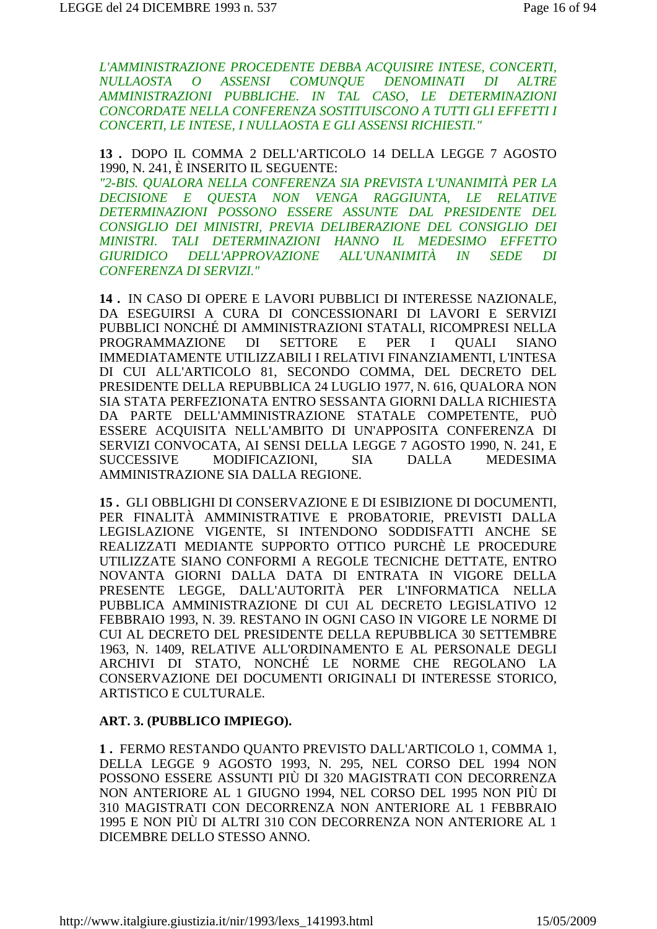L'AMMINISTRAZIONE PROCEDENTE DEBBA ACOUISIRE INTESE, CONCERTI, **NULLAOSTA**  $\overline{O}$ **ASSENSI** COMUNOUE DENOMINATI DI **ALTRE** AMMINISTRAZIONI PUBBLICHE. IN TAL CASO, LE DETERMINAZIONI CONCORDATE NELLA CONFERENZA SOSTITUISCONO A TUTTI GLI EFFETTI I CONCERTI, LE INTESE, I NULLAOSTA E GLI ASSENSI RICHIESTI."

#### 13. DOPO IL COMMA 2 DELL'ARTICOLO 14 DELLA LEGGE 7 AGOSTO 1990, N. 241, È INSERITO IL SEGUENTE:

"2-BIS. OUALORA NELLA CONFERENZA SIA PREVISTA L'UNANIMITÀ PER LA DECISIONE E OUESTA NON VENGA RAGGIUNTA, LE RELATIVE DETERMINAZIONI POSSONO ESSERE ASSUNTE DAL PRESIDENTE DEL CONSIGLIO DEI MINISTRI. PREVIA DELIBERAZIONE DEL CONSIGLIO DEI MINISTRI. TALI DETERMINAZIONI HANNO IL MEDESIMO EFFETTO **GIURIDICO** DELL'APPROVAZIONE ALL'UNANIMITÀ IN SEDE DI **CONFERENZA DI SERVIZI."** 

14. IN CASO DI OPERE E LAVORI PUBBLICI DI INTERESSE NAZIONALE. DA ESEGUIRSI A CURA DI CONCESSIONARI DI LAVORI E SERVIZI PUBBLICI NONCHÉ DI AMMINISTRAZIONI STATALI, RICOMPRESI NELLA PROGRAMMAZIONE DI SETTORE E PER  $\mathbf{I}$ **OUALI SIANO** IMMEDIATAMENTE UTILIZZABILI I RELATIVI FINANZIAMENTI, L'INTESA DI CUI ALL'ARTICOLO 81, SECONDO COMMA, DEL DECRETO DEL PRESIDENTE DELLA REPUBBLICA 24 LUGLIO 1977, N. 616, OUALORA NON SIA STATA PERFEZIONATA ENTRO SESSANTA GIORNI DALLA RICHIESTA DA PARTE DELL'AMMINISTRAZIONE STATALE COMPETENTE, PUÒ ESSERE ACQUISITA NELL'AMBITO DI UN'APPOSITA CONFERENZA DI SERVIZI CONVOCATA, AI SENSI DELLA LEGGE 7 AGOSTO 1990, N. 241, E **SUCCESSIVE** MODIFICAZIONI. **SIA DALLA MEDESIMA** AMMINISTRAZIONE SIA DALLA REGIONE.

15. GLI OBBLIGHI DI CONSERVAZIONE E DI ESIBIZIONE DI DOCUMENTI. PER FINALITÀ AMMINISTRATIVE E PROBATORIE, PREVISTI DALLA LEGISLAZIONE VIGENTE, SI INTENDONO SODDISFATTI ANCHE SE REALIZZATI MEDIANTE SUPPORTO OTTICO PURCHÈ LE PROCEDURE UTILIZZATE SIANO CONFORMI A REGOLE TECNICHE DETTATE, ENTRO NOVANTA GIORNI DALLA DATA DI ENTRATA IN VIGORE DELLA PRESENTE LEGGE, DALL'AUTORITÀ PER L'INFORMATICA NELLA PUBBLICA AMMINISTRAZIONE DI CUI AL DECRETO LEGISLATIVO 12 FEBBRAIO 1993, N. 39. RESTANO IN OGNI CASO IN VIGORE LE NORME DI CUI AL DECRETO DEL PRESIDENTE DELLA REPUBBLICA 30 SETTEMBRE 1963, N. 1409, RELATIVE ALL'ORDINAMENTO E AL PERSONALE DEGLI ARCHIVI DI STATO, NONCHÉ LE NORME CHE REGOLANO LA CONSERVAZIONE DEI DOCUMENTI ORIGINALI DI INTERESSE STORICO, ARTISTICO E CULTURALE.

#### ART. 3. (PUBBLICO IMPIEGO).

1. FERMO RESTANDO OUANTO PREVISTO DALL'ARTICOLO 1. COMMA 1. DELLA LEGGE 9 AGOSTO 1993, N. 295, NEL CORSO DEL 1994 NON POSSONO ESSERE ASSUNTI PIÙ DI 320 MAGISTRATI CON DECORRENZA NON ANTERIORE AL 1 GIUGNO 1994. NEL CORSO DEL 1995 NON PIÙ DI 310 MAGISTRATI CON DECORRENZA NON ANTERIORE AL 1 FEBBRAIO 1995 E NON PIÙ DI ALTRI 310 CON DECORRENZA NON ANTERIORE AL 1 DICEMBRE DELLO STESSO ANNO.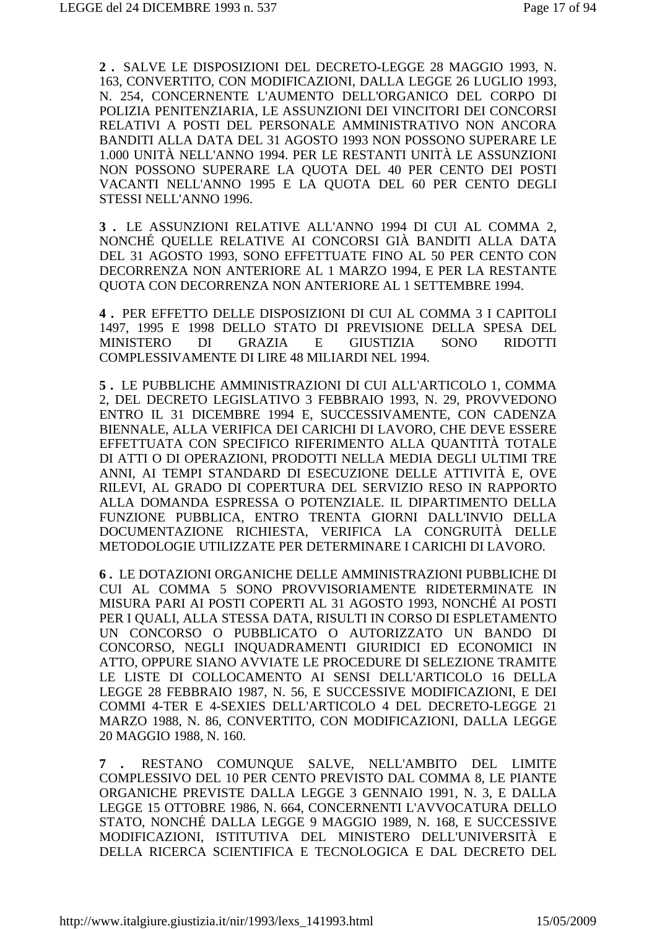**2 .** SALVE LE DISPOSIZIONI DEL DECRETO-LEGGE 28 MAGGIO 1993, N. 163, CONVERTITO, CON MODIFICAZIONI, DALLA LEGGE 26 LUGLIO 1993, N. 254, CONCERNENTE L'AUMENTO DELL'ORGANICO DEL CORPO DI POLIZIA PENITENZIARIA, LE ASSUNZIONI DEI VINCITORI DEI CONCORSI RELATIVI A POSTI DEL PERSONALE AMMINISTRATIVO NON ANCORA BANDITI ALLA DATA DEL 31 AGOSTO 1993 NON POSSONO SUPERARE LE 1.000 UNITÀ NELL'ANNO 1994. PER LE RESTANTI UNITÀ LE ASSUNZIONI NON POSSONO SUPERARE LA QUOTA DEL 40 PER CENTO DEI POSTI VACANTI NELL'ANNO 1995 E LA QUOTA DEL 60 PER CENTO DEGLI STESSI NELL'ANNO 1996.

**3 .** LE ASSUNZIONI RELATIVE ALL'ANNO 1994 DI CUI AL COMMA 2, NONCHÉ QUELLE RELATIVE AI CONCORSI GIÀ BANDITI ALLA DATA DEL 31 AGOSTO 1993, SONO EFFETTUATE FINO AL 50 PER CENTO CON DECORRENZA NON ANTERIORE AL 1 MARZO 1994, E PER LA RESTANTE QUOTA CON DECORRENZA NON ANTERIORE AL 1 SETTEMBRE 1994.

**4 .** PER EFFETTO DELLE DISPOSIZIONI DI CUI AL COMMA 3 I CAPITOLI 1497, 1995 E 1998 DELLO STATO DI PREVISIONE DELLA SPESA DEL MINISTERO DI GRAZIA E GIUSTIZIA SONO RIDOTTI COMPLESSIVAMENTE DI LIRE 48 MILIARDI NEL 1994.

**5 .** LE PUBBLICHE AMMINISTRAZIONI DI CUI ALL'ARTICOLO 1, COMMA 2, DEL DECRETO LEGISLATIVO 3 FEBBRAIO 1993, N. 29, PROVVEDONO ENTRO IL 31 DICEMBRE 1994 E, SUCCESSIVAMENTE, CON CADENZA BIENNALE, ALLA VERIFICA DEI CARICHI DI LAVORO, CHE DEVE ESSERE EFFETTUATA CON SPECIFICO RIFERIMENTO ALLA QUANTITÀ TOTALE DI ATTI O DI OPERAZIONI, PRODOTTI NELLA MEDIA DEGLI ULTIMI TRE ANNI, AI TEMPI STANDARD DI ESECUZIONE DELLE ATTIVITÀ E, OVE RILEVI, AL GRADO DI COPERTURA DEL SERVIZIO RESO IN RAPPORTO ALLA DOMANDA ESPRESSA O POTENZIALE. IL DIPARTIMENTO DELLA FUNZIONE PUBBLICA, ENTRO TRENTA GIORNI DALL'INVIO DELLA DOCUMENTAZIONE RICHIESTA, VERIFICA LA CONGRUITÀ DELLE METODOLOGIE UTILIZZATE PER DETERMINARE I CARICHI DI LAVORO.

**6 .** LE DOTAZIONI ORGANICHE DELLE AMMINISTRAZIONI PUBBLICHE DI CUI AL COMMA 5 SONO PROVVISORIAMENTE RIDETERMINATE IN MISURA PARI AI POSTI COPERTI AL 31 AGOSTO 1993, NONCHÉ AI POSTI PER I QUALI, ALLA STESSA DATA, RISULTI IN CORSO DI ESPLETAMENTO UN CONCORSO O PUBBLICATO O AUTORIZZATO UN BANDO DI CONCORSO, NEGLI INQUADRAMENTI GIURIDICI ED ECONOMICI IN ATTO, OPPURE SIANO AVVIATE LE PROCEDURE DI SELEZIONE TRAMITE LE LISTE DI COLLOCAMENTO AI SENSI DELL'ARTICOLO 16 DELLA LEGGE 28 FEBBRAIO 1987, N. 56, E SUCCESSIVE MODIFICAZIONI, E DEI COMMI 4-TER E 4-SEXIES DELL'ARTICOLO 4 DEL DECRETO-LEGGE 21 MARZO 1988, N. 86, CONVERTITO, CON MODIFICAZIONI, DALLA LEGGE 20 MAGGIO 1988, N. 160.

**7 .** RESTANO COMUNQUE SALVE, NELL'AMBITO DEL LIMITE COMPLESSIVO DEL 10 PER CENTO PREVISTO DAL COMMA 8, LE PIANTE ORGANICHE PREVISTE DALLA LEGGE 3 GENNAIO 1991, N. 3, E DALLA LEGGE 15 OTTOBRE 1986, N. 664, CONCERNENTI L'AVVOCATURA DELLO STATO, NONCHÉ DALLA LEGGE 9 MAGGIO 1989, N. 168, E SUCCESSIVE MODIFICAZIONI, ISTITUTIVA DEL MINISTERO DELL'UNIVERSITÀ E DELLA RICERCA SCIENTIFICA E TECNOLOGICA E DAL DECRETO DEL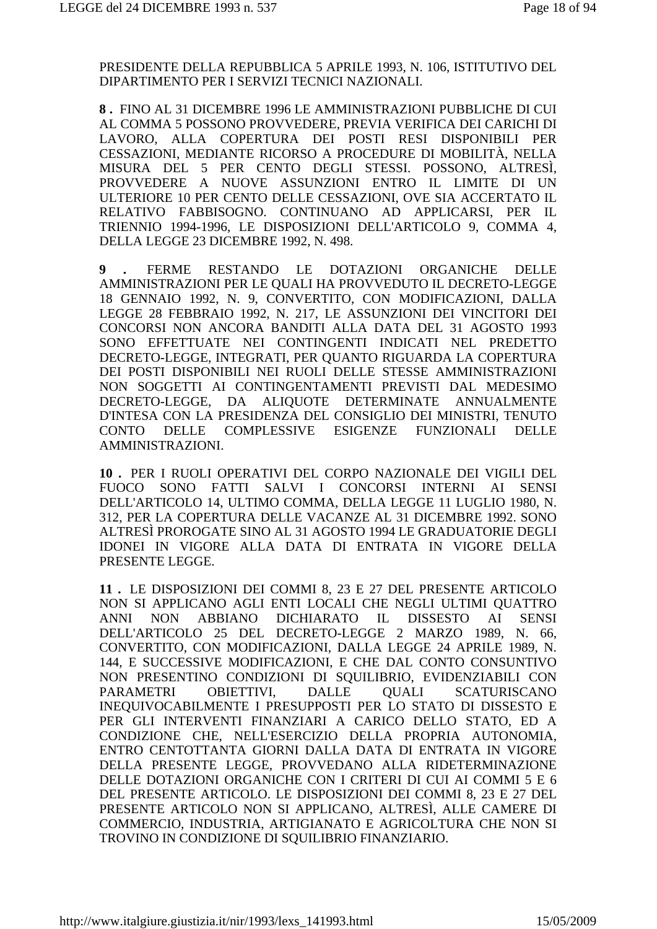PRESIDENTE DELLA REPUBBLICA 5 APRILE 1993, N. 106, ISTITUTIVO DEL DIPARTIMENTO PER I SERVIZI TECNICI NAZIONALI.

**8 .** FINO AL 31 DICEMBRE 1996 LE AMMINISTRAZIONI PUBBLICHE DI CUI AL COMMA 5 POSSONO PROVVEDERE, PREVIA VERIFICA DEI CARICHI DI LAVORO, ALLA COPERTURA DEI POSTI RESI DISPONIBILI PER CESSAZIONI, MEDIANTE RICORSO A PROCEDURE DI MOBILITÀ, NELLA MISURA DEL 5 PER CENTO DEGLI STESSI. POSSONO, ALTRESÌ, PROVVEDERE A NUOVE ASSUNZIONI ENTRO IL LIMITE DI UN ULTERIORE 10 PER CENTO DELLE CESSAZIONI, OVE SIA ACCERTATO IL RELATIVO FABBISOGNO. CONTINUANO AD APPLICARSI, PER IL TRIENNIO 1994-1996, LE DISPOSIZIONI DELL'ARTICOLO 9, COMMA 4, DELLA LEGGE 23 DICEMBRE 1992, N. 498.

**9 .** FERME RESTANDO LE DOTAZIONI ORGANICHE DELLE AMMINISTRAZIONI PER LE QUALI HA PROVVEDUTO IL DECRETO-LEGGE 18 GENNAIO 1992, N. 9, CONVERTITO, CON MODIFICAZIONI, DALLA LEGGE 28 FEBBRAIO 1992, N. 217, LE ASSUNZIONI DEI VINCITORI DEI CONCORSI NON ANCORA BANDITI ALLA DATA DEL 31 AGOSTO 1993 SONO EFFETTUATE NEI CONTINGENTI INDICATI NEL PREDETTO DECRETO-LEGGE, INTEGRATI, PER QUANTO RIGUARDA LA COPERTURA DEI POSTI DISPONIBILI NEI RUOLI DELLE STESSE AMMINISTRAZIONI NON SOGGETTI AI CONTINGENTAMENTI PREVISTI DAL MEDESIMO DECRETO-LEGGE, DA ALIQUOTE DETERMINATE ANNUALMENTE D'INTESA CON LA PRESIDENZA DEL CONSIGLIO DEI MINISTRI, TENUTO CONTO DELLE COMPLESSIVE ESIGENZE FUNZIONALI DELLE AMMINISTRAZIONI.

**10 .** PER I RUOLI OPERATIVI DEL CORPO NAZIONALE DEI VIGILI DEL FUOCO SONO FATTI SALVI I CONCORSI INTERNI AI SENSI DELL'ARTICOLO 14, ULTIMO COMMA, DELLA LEGGE 11 LUGLIO 1980, N. 312, PER LA COPERTURA DELLE VACANZE AL 31 DICEMBRE 1992. SONO ALTRESÌ PROROGATE SINO AL 31 AGOSTO 1994 LE GRADUATORIE DEGLI IDONEI IN VIGORE ALLA DATA DI ENTRATA IN VIGORE DELLA PRESENTE LEGGE.

**11 .** LE DISPOSIZIONI DEI COMMI 8, 23 E 27 DEL PRESENTE ARTICOLO NON SI APPLICANO AGLI ENTI LOCALI CHE NEGLI ULTIMI QUATTRO ANNI NON ABBIANO DICHIARATO IL DISSESTO AI SENSI DELL'ARTICOLO 25 DEL DECRETO-LEGGE 2 MARZO 1989, N. 66, CONVERTITO, CON MODIFICAZIONI, DALLA LEGGE 24 APRILE 1989, N. 144, E SUCCESSIVE MODIFICAZIONI, E CHE DAL CONTO CONSUNTIVO NON PRESENTINO CONDIZIONI DI SQUILIBRIO, EVIDENZIABILI CON PARAMETRI OBIETTIVI, DALLE QUALI SCATURISCANO INEQUIVOCABILMENTE I PRESUPPOSTI PER LO STATO DI DISSESTO E PER GLI INTERVENTI FINANZIARI A CARICO DELLO STATO, ED A CONDIZIONE CHE, NELL'ESERCIZIO DELLA PROPRIA AUTONOMIA, ENTRO CENTOTTANTA GIORNI DALLA DATA DI ENTRATA IN VIGORE DELLA PRESENTE LEGGE, PROVVEDANO ALLA RIDETERMINAZIONE DELLE DOTAZIONI ORGANICHE CON I CRITERI DI CUI AI COMMI 5 E 6 DEL PRESENTE ARTICOLO. LE DISPOSIZIONI DEI COMMI 8, 23 E 27 DEL PRESENTE ARTICOLO NON SI APPLICANO, ALTRESÌ, ALLE CAMERE DI COMMERCIO, INDUSTRIA, ARTIGIANATO E AGRICOLTURA CHE NON SI TROVINO IN CONDIZIONE DI SQUILIBRIO FINANZIARIO.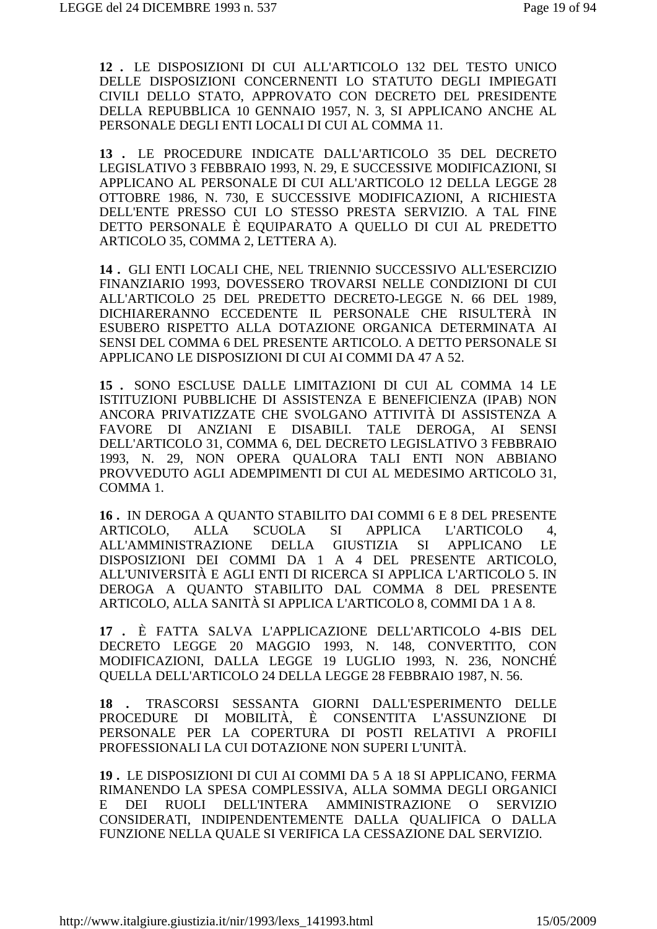12. LE DISPOSIZIONI DI CUI ALL'ARTICOLO 132 DEL TESTO UNICO DELLE DISPOSIZIONI CONCERNENTI LO STATUTO DEGLI IMPIEGATI CIVILI DELLO STATO, APPROVATO CON DECRETO DEL PRESIDENTE DELLA REPUBBLICA 10 GENNAIO 1957, N. 3, SI APPLICANO ANCHE AL PERSONALE DEGLI ENTI LOCALI DI CUI AL COMMA 11.

13. LE PROCEDURE INDICATE DALL'ARTICOLO 35 DEL DECRETO LEGISLATIVO 3 FEBBRAIO 1993, N. 29, E SUCCESSIVE MODIFICAZIONI, SI APPLICANO AL PERSONALE DI CUI ALL'ARTICOLO 12 DELLA LEGGE 28 OTTOBRE 1986, N. 730, E SUCCESSIVE MODIFICAZIONI, A RICHIESTA DELL'ENTE PRESSO CUI LO STESSO PRESTA SERVIZIO. A TAL FINE DETTO PERSONALE È EQUIPARATO A QUELLO DI CUI AL PREDETTO ARTICOLO 35, COMMA 2, LETTERA A).

14. GLI ENTI LOCALI CHE, NEL TRIENNIO SUCCESSIVO ALL'ESERCIZIO FINANZIARIO 1993, DOVESSERO TROVARSI NELLE CONDIZIONI DI CUI ALL'ARTICOLO 25 DEL PREDETTO DECRETO-LEGGE N. 66 DEL 1989, DICHIARERANNO ECCEDENTE IL PERSONALE CHE RISULTERÀ IN ESUBERO RISPETTO ALLA DOTAZIONE ORGANICA DETERMINATA AI SENSI DEL COMMA 6 DEL PRESENTE ARTICOLO. A DETTO PERSONALE SI APPLICANO LE DISPOSIZIONI DI CUI AI COMMI DA 47 A 52.

15. SONO ESCLUSE DALLE LIMITAZIONI DI CUI AL COMMA 14 LE ISTITUZIONI PUBBLICHE DI ASSISTENZA E BENEFICIENZA (IPAB) NON ANCORA PRIVATIZZATE CHE SVOLGANO ATTIVITÀ DI ASSISTENZA A FAVORE DI ANZIANI E DISABILI. TALE DEROGA, AI SENSI DELL'ARTICOLO 31, COMMA 6, DEL DECRETO LEGISLATIVO 3 FEBBRAIO 1993, N. 29, NON OPERA QUALORA TALI ENTI NON ABBIANO PROVVEDUTO AGLI ADEMPIMENTI DI CUI AL MEDESIMO ARTICOLO 31, COMMA 1.

16. IN DEROGA A QUANTO STABILITO DAI COMMI 6 E 8 DEL PRESENTE ARTICOLO, ALLA SCUOLA SI **APPLICA L'ARTICOLO** 4. ALL'AMMINISTRAZIONE DELLA GIUSTIZIA SI APPLICANO  $LE$ DISPOSIZIONI DEI COMMI DA 1 A 4 DEL PRESENTE ARTICOLO, ALL'UNIVERSITÀ E AGLI ENTI DI RICERCA SI APPLICA L'ARTICOLO 5. IN DEROGA A QUANTO STABILITO DAL COMMA 8 DEL PRESENTE ARTICOLO, ALLA SANITÀ SI APPLICA L'ARTICOLO 8, COMMI DA 1 A 8.

17. È FATTA SALVA L'APPLICAZIONE DELL'ARTICOLO 4-BIS DEL DECRETO LEGGE 20 MAGGIO 1993. N. 148. CONVERTITO. CON MODIFICAZIONI, DALLA LEGGE 19 LUGLIO 1993, N. 236, NONCHÉ **OUELLA DELL'ARTICOLO 24 DELLA LEGGE 28 FEBBRAIO 1987, N. 56.** 

 $18$ . TRASCORSI SESSANTA GIORNI DALL'ESPERIMENTO DELLE PROCEDURE DI MOBILITÀ, È CONSENTITA L'ASSUNZIONE  $DI$ PERSONALE PER LA COPERTURA DI POSTI RELATIVI A PROFILI PROFESSIONALI LA CUI DOTAZIONE NON SUPERI L'UNITÀ.

19. LE DISPOSIZIONI DI CUI AI COMMI DA 5 A 18 SI APPLICANO, FERMA RIMANENDO LA SPESA COMPLESSIVA, ALLA SOMMA DEGLI ORGANICI RUOLI DELL'INTERA AMMINISTRAZIONE O SERVIZIO  $E_{\rm}$ **DEI** CONSIDERATI, INDIPENDENTEMENTE DALLA QUALIFICA O DALLA FUNZIONE NELLA QUALE SI VERIFICA LA CESSAZIONE DAL SERVIZIO.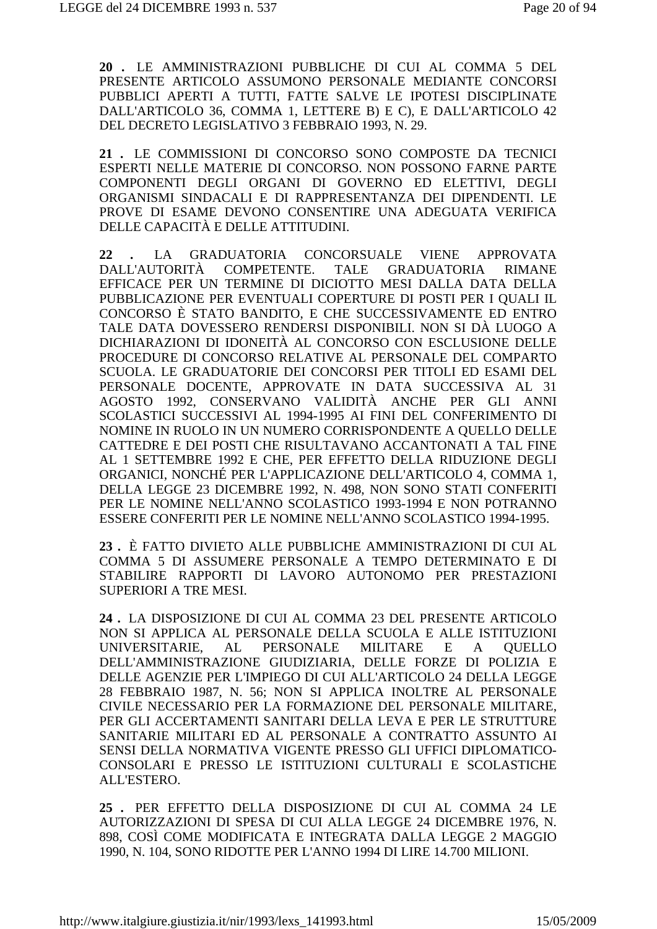20. LE AMMINISTRAZIONI PUBBLICHE DI CUI AL COMMA 5 DEL PRESENTE ARTICOLO ASSUMONO PERSONALE MEDIANTE CONCORSI PUBBLICI APERTI A TUTTI, FATTE SALVE LE IPOTESI DISCIPLINATE DALL'ARTICOLO 36, COMMA 1, LETTERE B) E C), E DALL'ARTICOLO 42 DEL DECRETO LEGISLATIVO 3 FEBBRAIO 1993, N. 29.

21. LE COMMISSIONI DI CONCORSO SONO COMPOSTE DA TECNICI ESPERTI NELLE MATERIE DI CONCORSO. NON POSSONO FARNE PARTE COMPONENTI DEGLI ORGANI DI GOVERNO ED ELETTIVI. DEGLI ORGANISMI SINDACALI E DI RAPPRESENTANZA DEI DIPENDENTI. LE PROVE DI ESAME DEVONO CONSENTIRE UNA ADEGUATA VERIFICA DELLE CAPACITÀ E DELLE ATTITUDINI.

GRADUATORIA CONCORSUALE **VIENE** 22 LA **APPROVATA** COMPETENTE. DALL'AUTORITÀ **TALE GRADUATORIA RIMANE** EFFICACE PER UN TERMINE DI DICIOTTO MESI DALLA DATA DELLA PUBBLICAZIONE PER EVENTUALI COPERTURE DI POSTI PER I OUALI IL CONCORSO È STATO BANDITO, E CHE SUCCESSIVAMENTE ED ENTRO TALE DATA DOVESSERO RENDERSI DISPONIBILI. NON SI DÀ LUOGO A DICHIARAZIONI DI IDONEITÀ AL CONCORSO CON ESCLUSIONE DELLE PROCEDURE DI CONCORSO RELATIVE AL PERSONALE DEL COMPARTO SCUOLA. LE GRADUATORIE DEI CONCORSI PER TITOLI ED ESAMI DEL PERSONALE DOCENTE. APPROVATE IN DATA SUCCESSIVA AL 31 AGOSTO 1992. CONSERVANO VALIDITÀ ANCHE PER GLI ANNI SCOLASTICI SUCCESSIVI AL 1994-1995 AI FINI DEL CONFERIMENTO DI NOMINE IN RUOLO IN UN NUMERO CORRISPONDENTE A OUELLO DELLE CATTEDRE E DEI POSTI CHE RISULTAVANO ACCANTONATI A TAL FINE AL 1 SETTEMBRE 1992 E CHE, PER EFFETTO DELLA RIDUZIONE DEGLI ORGANICI, NONCHÉ PER L'APPLICAZIONE DELL'ARTICOLO 4, COMMA 1, DELLA LEGGE 23 DICEMBRE 1992, N. 498, NON SONO STATI CONFERITI PER LE NOMINE NELL'ANNO SCOLASTICO 1993-1994 E NON POTRANNO ESSERE CONFERITI PER LE NOMINE NELL'ANNO SCOLASTICO 1994-1995.

23. È FATTO DIVIETO ALLE PUBBLICHE AMMINISTRAZIONI DI CUI AL COMMA 5 DI ASSUMERE PERSONALE A TEMPO DETERMINATO E DI STABILIRE RAPPORTI DI LAVORO AUTONOMO PER PRESTAZIONI **SUPERIORI A TRE MESI.** 

24. LA DISPOSIZIONE DI CUI AL COMMA 23 DEL PRESENTE ARTICOLO NON SI APPLICA AL PERSONALE DELLA SCUOLA E ALLE ISTITUZIONI UNIVERSITARIE. **PERSONALE MILITARE**  $AL$  $E$  $\mathbf{A}$ **OUELLO** DELL'AMMINISTRAZIONE GIUDIZIARIA, DELLE FORZE DI POLIZIA E DELLE AGENZIE PER L'IMPIEGO DI CUI ALL'ARTICOLO 24 DELLA LEGGE 28 FEBBRAIO 1987, N. 56; NON SI APPLICA INOLTRE AL PERSONALE CIVILE NECESSARIO PER LA FORMAZIONE DEL PERSONALE MILITARE, PER GLI ACCERTAMENTI SANITARI DELLA LEVA E PER LE STRUTTURE SANITARIE MILITARI ED AL PERSONALE A CONTRATTO ASSUNTO AI SENSI DELLA NORMATIVA VIGENTE PRESSO GLI UFFICI DIPLOMATICO-CONSOLARI E PRESSO LE ISTITUZIONI CULTURALI E SCOLASTICHE ALL'ESTERO.

25. PER EFFETTO DELLA DISPOSIZIONE DI CUI AL COMMA 24 LE AUTORIZZAZIONI DI SPESA DI CUI ALLA LEGGE 24 DICEMBRE 1976, N. 898, COSÌ COME MODIFICATA E INTEGRATA DALLA LEGGE 2 MAGGIO 1990, N. 104, SONO RIDOTTE PER L'ANNO 1994 DI LIRE 14.700 MILIONI.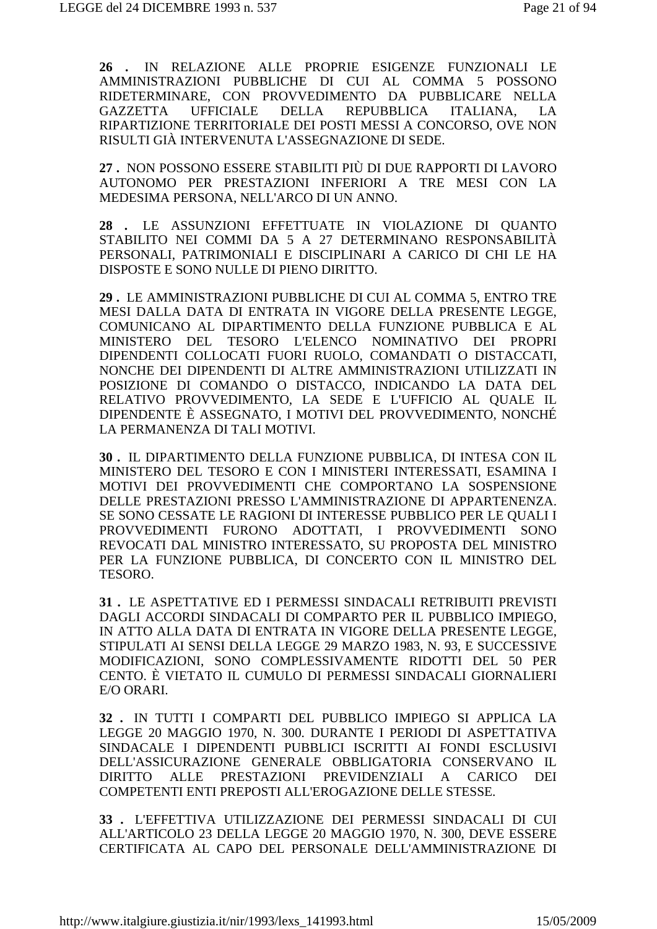**26 .** IN RELAZIONE ALLE PROPRIE ESIGENZE FUNZIONALI LE AMMINISTRAZIONI PUBBLICHE DI CUI AL COMMA 5 POSSONO RIDETERMINARE, CON PROVVEDIMENTO DA PUBBLICARE NELLA GAZZETTA UFFICIALE DELLA REPUBBLICA ITALIANA, LA RIPARTIZIONE TERRITORIALE DEI POSTI MESSI A CONCORSO, OVE NON RISULTI GIÀ INTERVENUTA L'ASSEGNAZIONE DI SEDE.

**27 .** NON POSSONO ESSERE STABILITI PIÙ DI DUE RAPPORTI DI LAVORO AUTONOMO PER PRESTAZIONI INFERIORI A TRE MESI CON LA MEDESIMA PERSONA, NELL'ARCO DI UN ANNO.

**28 .** LE ASSUNZIONI EFFETTUATE IN VIOLAZIONE DI QUANTO STABILITO NEI COMMI DA 5 A 27 DETERMINANO RESPONSABILITÀ PERSONALI, PATRIMONIALI E DISCIPLINARI A CARICO DI CHI LE HA DISPOSTE E SONO NULLE DI PIENO DIRITTO.

**29 .** LE AMMINISTRAZIONI PUBBLICHE DI CUI AL COMMA 5, ENTRO TRE MESI DALLA DATA DI ENTRATA IN VIGORE DELLA PRESENTE LEGGE, COMUNICANO AL DIPARTIMENTO DELLA FUNZIONE PUBBLICA E AL MINISTERO DEL TESORO L'ELENCO NOMINATIVO DEI PROPRI DIPENDENTI COLLOCATI FUORI RUOLO, COMANDATI O DISTACCATI, NONCHE DEI DIPENDENTI DI ALTRE AMMINISTRAZIONI UTILIZZATI IN POSIZIONE DI COMANDO O DISTACCO, INDICANDO LA DATA DEL RELATIVO PROVVEDIMENTO, LA SEDE E L'UFFICIO AL QUALE IL DIPENDENTE È ASSEGNATO, I MOTIVI DEL PROVVEDIMENTO, NONCHÉ LA PERMANENZA DI TALI MOTIVI.

**30 .** IL DIPARTIMENTO DELLA FUNZIONE PUBBLICA, DI INTESA CON IL MINISTERO DEL TESORO E CON I MINISTERI INTERESSATI, ESAMINA I MOTIVI DEI PROVVEDIMENTI CHE COMPORTANO LA SOSPENSIONE DELLE PRESTAZIONI PRESSO L'AMMINISTRAZIONE DI APPARTENENZA. SE SONO CESSATE LE RAGIONI DI INTERESSE PUBBLICO PER LE QUALI I PROVVEDIMENTI FURONO ADOTTATI, I PROVVEDIMENTI SONO REVOCATI DAL MINISTRO INTERESSATO, SU PROPOSTA DEL MINISTRO PER LA FUNZIONE PUBBLICA, DI CONCERTO CON IL MINISTRO DEL TESORO.

**31 .** LE ASPETTATIVE ED I PERMESSI SINDACALI RETRIBUITI PREVISTI DAGLI ACCORDI SINDACALI DI COMPARTO PER IL PUBBLICO IMPIEGO, IN ATTO ALLA DATA DI ENTRATA IN VIGORE DELLA PRESENTE LEGGE, STIPULATI AI SENSI DELLA LEGGE 29 MARZO 1983, N. 93, E SUCCESSIVE MODIFICAZIONI, SONO COMPLESSIVAMENTE RIDOTTI DEL 50 PER CENTO. È VIETATO IL CUMULO DI PERMESSI SINDACALI GIORNALIERI E/O ORARI.

**32 .** IN TUTTI I COMPARTI DEL PUBBLICO IMPIEGO SI APPLICA LA LEGGE 20 MAGGIO 1970, N. 300. DURANTE I PERIODI DI ASPETTATIVA SINDACALE I DIPENDENTI PUBBLICI ISCRITTI AI FONDI ESCLUSIVI DELL'ASSICURAZIONE GENERALE OBBLIGATORIA CONSERVANO IL DIRITTO ALLE PRESTAZIONI PREVIDENZIALI A CARICO DEI COMPETENTI ENTI PREPOSTI ALL'EROGAZIONE DELLE STESSE.

**33 .** L'EFFETTIVA UTILIZZAZIONE DEI PERMESSI SINDACALI DI CUI ALL'ARTICOLO 23 DELLA LEGGE 20 MAGGIO 1970, N. 300, DEVE ESSERE CERTIFICATA AL CAPO DEL PERSONALE DELL'AMMINISTRAZIONE DI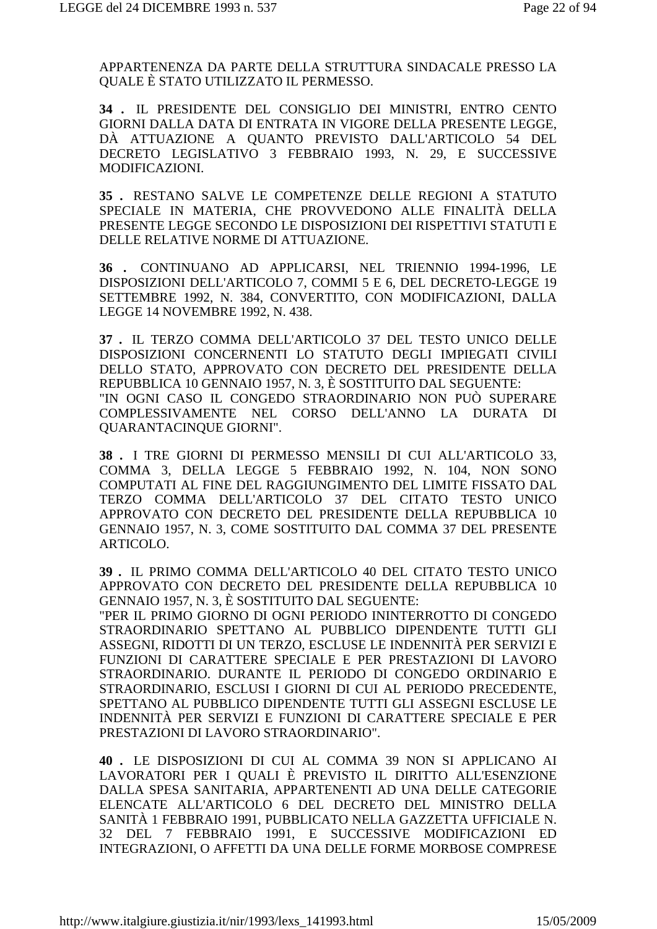APPARTENENZA DA PARTE DELLA STRUTTURA SINDACALE PRESSO LA **OUALE È STATO UTILIZZATO IL PERMESSO.** 

34 . IL PRESIDENTE DEL CONSIGLIO DEI MINISTRI, ENTRO CENTO GIORNI DALLA DATA DI ENTRATA IN VIGORE DELLA PRESENTE LEGGE, DÀ ATTUAZIONE A QUANTO PREVISTO DALL'ARTICOLO 54 DEL DECRETO LEGISLATIVO 3 FEBBRAIO 1993, N. 29, E SUCCESSIVE MODIFICAZIONI.

35. RESTANO SALVE LE COMPETENZE DELLE REGIONI A STATUTO SPECIALE IN MATERIA, CHE PROVVEDONO ALLE FINALITÀ DELLA PRESENTE LEGGE SECONDO LE DISPOSIZIONI DEI RISPETTIVI STATUTI E DELLE RELATIVE NORME DI ATTUAZIONE.

36 . CONTINUANO AD APPLICARSI, NEL TRIENNIO 1994-1996, LE DISPOSIZIONI DELL'ARTICOLO 7, COMMI 5 E 6, DEL DECRETO-LEGGE 19 SETTEMBRE 1992, N. 384, CONVERTITO, CON MODIFICAZIONI, DALLA LEGGE 14 NOVEMBRE 1992, N. 438.

37. IL TERZO COMMA DELL'ARTICOLO 37 DEL TESTO UNICO DELLE DISPOSIZIONI CONCERNENTI LO STATUTO DEGLI IMPIEGATI CIVILI DELLO STATO. APPROVATO CON DECRETO DEL PRESIDENTE DELLA REPUBBLICA 10 GENNAIO 1957, N. 3, È SOSTITUITO DAL SEGUENTE: "IN OGNI CASO IL CONGEDO STRAORDINARIO NON PUÒ SUPERARE COMPLESSIVAMENTE NEL CORSO DELL'ANNO LA DURATA DI QUARANTACINQUE GIORNI".

38 . I TRE GIORNI DI PERMESSO MENSILI DI CUI ALL'ARTICOLO 33, COMMA 3, DELLA LEGGE 5 FEBBRAIO 1992, N. 104, NON SONO COMPUTATI AL FINE DEL RAGGIUNGIMENTO DEL LIMITE FISSATO DAL TERZO COMMA DELL'ARTICOLO 37 DEL CITATO TESTO UNICO APPROVATO CON DECRETO DEL PRESIDENTE DELLA REPUBBLICA 10 GENNAIO 1957, N. 3, COME SOSTITUITO DAL COMMA 37 DEL PRESENTE ARTICOLO.

39. IL PRIMO COMMA DELL'ARTICOLO 40 DEL CITATO TESTO UNICO APPROVATO CON DECRETO DEL PRESIDENTE DELLA REPUBBLICA 10 GENNAIO 1957, N. 3, È SOSTITUITO DAL SEGUENTE:

"PER IL PRIMO GIORNO DI OGNI PERIODO ININTERROTTO DI CONGEDO STRAORDINARIO SPETTANO AL PUBBLICO DIPENDENTE TUTTI GLI ASSEGNI, RIDOTTI DI UN TERZO, ESCLUSE LE INDENNITÀ PER SERVIZI E FUNZIONI DI CARATTERE SPECIALE E PER PRESTAZIONI DI LAVORO STRAORDINARIO. DURANTE IL PERIODO DI CONGEDO ORDINARIO E STRAORDINARIO, ESCLUSI I GIORNI DI CUI AL PERIODO PRECEDENTE, SPETTANO AL PUBBLICO DIPENDENTE TUTTI GLI ASSEGNI ESCLUSE LE INDENNITÀ PER SERVIZI E FUNZIONI DI CARATTERE SPECIALE E PER PRESTAZIONI DI LAVORO STRAORDINARIO".

40. LE DISPOSIZIONI DI CUI AL COMMA 39 NON SI APPLICANO AI LAVORATORI PER I QUALI È PREVISTO IL DIRITTO ALL'ESENZIONE DALLA SPESA SANITARIA, APPARTENENTI AD UNA DELLE CATEGORIE ELENCATE ALL'ARTICOLO 6 DEL DECRETO DEL MINISTRO DELLA SANITÀ 1 FEBBRAIO 1991, PUBBLICATO NELLA GAZZETTA UFFICIALE N. 32 DEL 7 FEBBRAIO 1991, E SUCCESSIVE MODIFICAZIONI ED INTEGRAZIONI. O AFFETTI DA UNA DELLE FORME MORBOSE COMPRESE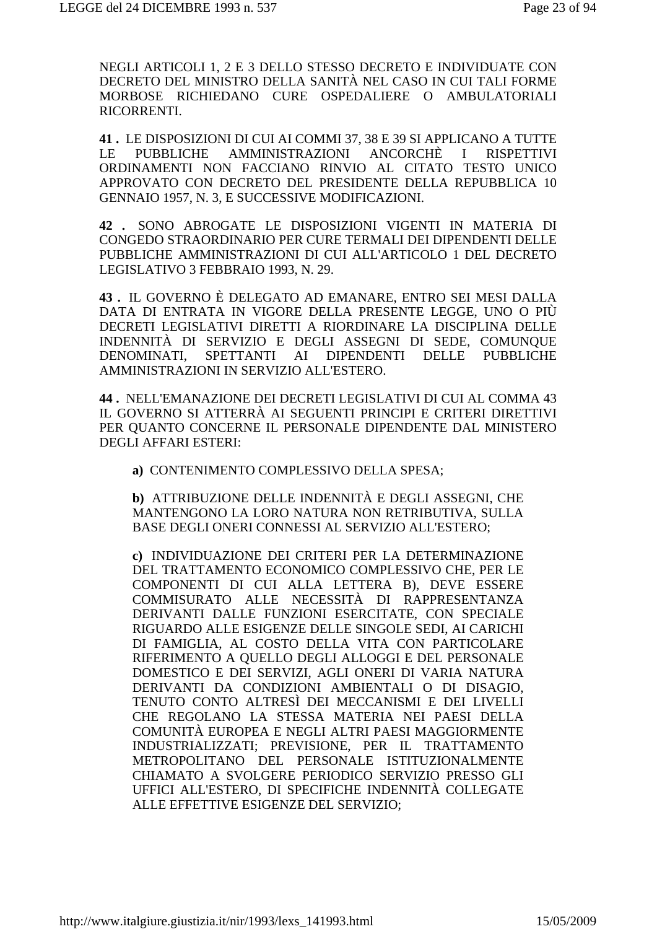NEGLI ARTICOLI 1, 2 E 3 DELLO STESSO DECRETO E INDIVIDUATE CON DECRETO DEL MINISTRO DELLA SANITÀ NEL CASO IN CUI TALI FORME MORBOSE RICHIEDANO CURE OSPEDALIERE O AMBULATORIALI RICORRENTI.

41. LE DISPOSIZIONI DI CUI AI COMMI 37, 38 E 39 SI APPLICANO A TUTTE  $LE$ **PUBBLICHE AMMINISTRAZIONI** ANCORCHÈ I **RISPETTIVI** ORDINAMENTI NON FACCIANO RINVIO AL CITATO TESTO UNICO APPROVATO CON DECRETO DEL PRESIDENTE DELLA REPUBBLICA 10 GENNAIO 1957, N. 3, E SUCCESSIVE MODIFICAZIONI.

42. SONO ABROGATE LE DISPOSIZIONI VIGENTI IN MATERIA DI CONGEDO STRAORDINARIO PER CURE TERMALI DEI DIPENDENTI DELLE PUBBLICHE AMMINISTRAZIONI DI CUI ALL'ARTICOLO 1 DEL DECRETO LEGISLATIVO 3 FEBBRAIO 1993, N. 29.

43. IL GOVERNO È DELEGATO AD EMANARE, ENTRO SEI MESI DALLA DATA DI ENTRATA IN VIGORE DELLA PRESENTE LEGGE, UNO O PIÙ DECRETI LEGISLATIVI DIRETTI A RIORDINARE LA DISCIPLINA DELLE INDENNITÀ DI SERVIZIO E DEGLI ASSEGNI DI SEDE, COMUNQUE DENOMINATI, SPETTANTI AI DIPENDENTI **DELLE PUBBLICHE** AMMINISTRAZIONI IN SERVIZIO ALL'ESTERO.

44. NELL'EMANAZIONE DEI DECRETI LEGISLATIVI DI CUI AL COMMA 43 IL GOVERNO SI ATTERRÀ AI SEGUENTI PRINCIPI E CRITERI DIRETTIVI PER QUANTO CONCERNE IL PERSONALE DIPENDENTE DAL MINISTERO **DEGLI AFFARI ESTERI:** 

a) CONTENIMENTO COMPLESSIVO DELLA SPESA;

b) ATTRIBUZIONE DELLE INDENNITÀ E DEGLI ASSEGNI. CHE MANTENGONO LA LORO NATURA NON RETRIBUTIVA, SULLA BASE DEGLI ONERI CONNESSI AL SERVIZIO ALL'ESTERO;

c) INDIVIDUAZIONE DEI CRITERI PER LA DETERMINAZIONE DEL TRATTAMENTO ECONOMICO COMPLESSIVO CHE, PER LE COMPONENTI DI CUI ALLA LETTERA B), DEVE ESSERE COMMISURATO ALLE NECESSITÀ DI RAPPRESENTANZA DERIVANTI DALLE FUNZIONI ESERCITATE, CON SPECIALE RIGUARDO ALLE ESIGENZE DELLE SINGOLE SEDI. AI CARICHI DI FAMIGLIA, AL COSTO DELLA VITA CON PARTICOLARE RIFERIMENTO A QUELLO DEGLI ALLOGGI E DEL PERSONALE DOMESTICO E DEI SERVIZI, AGLI ONERI DI VARIA NATURA DERIVANTI DA CONDIZIONI AMBIENTALI O DI DISAGIO. TENUTO CONTO ALTRESÌ DEI MECCANISMI E DEI LIVELLI CHE REGOLANO LA STESSA MATERIA NEI PAESI DELLA COMUNITÀ EUROPEA E NEGLI ALTRI PAESI MAGGIORMENTE INDUSTRIALIZZATI: PREVISIONE. PER IL TRATTAMENTO METROPOLITANO DEL PERSONALE ISTITUZIONALMENTE CHIAMATO A SVOLGERE PERIODICO SERVIZIO PRESSO GLI UFFICI ALL'ESTERO, DI SPECIFICHE INDENNITÀ COLLEGATE ALLE EFFETTIVE ESIGENZE DEL SERVIZIO: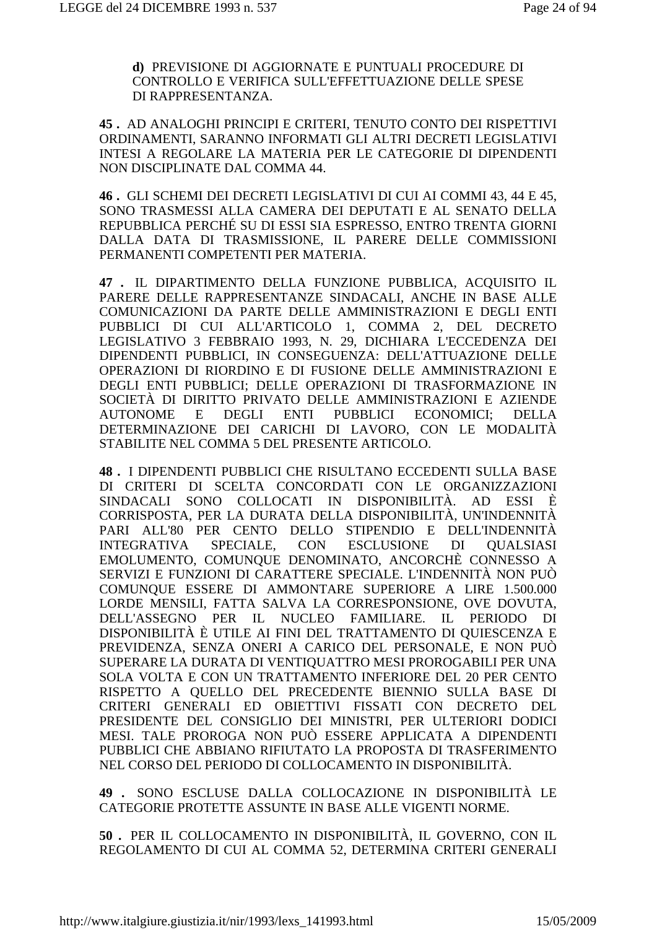**d)** PREVISIONE DI AGGIORNATE E PUNTUALI PROCEDURE DI CONTROLLO E VERIFICA SULL'EFFETTUAZIONE DELLE SPESE DI RAPPRESENTANZA.

**45 .** AD ANALOGHI PRINCIPI E CRITERI, TENUTO CONTO DEI RISPETTIVI ORDINAMENTI, SARANNO INFORMATI GLI ALTRI DECRETI LEGISLATIVI INTESI A REGOLARE LA MATERIA PER LE CATEGORIE DI DIPENDENTI NON DISCIPLINATE DAL COMMA 44.

**46 .** GLI SCHEMI DEI DECRETI LEGISLATIVI DI CUI AI COMMI 43, 44 E 45, SONO TRASMESSI ALLA CAMERA DEI DEPUTATI E AL SENATO DELLA REPUBBLICA PERCHÉ SU DI ESSI SIA ESPRESSO, ENTRO TRENTA GIORNI DALLA DATA DI TRASMISSIONE, IL PARERE DELLE COMMISSIONI PERMANENTI COMPETENTI PER MATERIA.

**47 .** IL DIPARTIMENTO DELLA FUNZIONE PUBBLICA, ACQUISITO IL PARERE DELLE RAPPRESENTANZE SINDACALI, ANCHE IN BASE ALLE COMUNICAZIONI DA PARTE DELLE AMMINISTRAZIONI E DEGLI ENTI PUBBLICI DI CUI ALL'ARTICOLO 1, COMMA 2, DEL DECRETO LEGISLATIVO 3 FEBBRAIO 1993, N. 29, DICHIARA L'ECCEDENZA DEI DIPENDENTI PUBBLICI, IN CONSEGUENZA: DELL'ATTUAZIONE DELLE OPERAZIONI DI RIORDINO E DI FUSIONE DELLE AMMINISTRAZIONI E DEGLI ENTI PUBBLICI; DELLE OPERAZIONI DI TRASFORMAZIONE IN SOCIETÀ DI DIRITTO PRIVATO DELLE AMMINISTRAZIONI E AZIENDE AUTONOME E DEGLI ENTI PUBBLICI ECONOMICI; DELLA DETERMINAZIONE DEI CARICHI DI LAVORO, CON LE MODALITÀ STABILITE NEL COMMA 5 DEL PRESENTE ARTICOLO.

**48 .** I DIPENDENTI PUBBLICI CHE RISULTANO ECCEDENTI SULLA BASE DI CRITERI DI SCELTA CONCORDATI CON LE ORGANIZZAZIONI SINDACALI SONO COLLOCATI IN DISPONIBILITÀ. AD ESSI È CORRISPOSTA, PER LA DURATA DELLA DISPONIBILITÀ, UN'INDENNITÀ PARI ALL'80 PER CENTO DELLO STIPENDIO E DELL'INDENNITÀ INTEGRATIVA SPECIALE, CON ESCLUSIONE DI QUALSIASI EMOLUMENTO, COMUNQUE DENOMINATO, ANCORCHÈ CONNESSO A SERVIZI E FUNZIONI DI CARATTERE SPECIALE. L'INDENNITÀ NON PUÒ COMUNQUE ESSERE DI AMMONTARE SUPERIORE A LIRE 1.500.000 LORDE MENSILI, FATTA SALVA LA CORRESPONSIONE, OVE DOVUTA, DELL'ASSEGNO PER IL NUCLEO FAMILIARE. IL PERIODO DI DISPONIBILITÀ È UTILE AI FINI DEL TRATTAMENTO DI QUIESCENZA E PREVIDENZA, SENZA ONERI A CARICO DEL PERSONALE, E NON PUÒ SUPERARE LA DURATA DI VENTIQUATTRO MESI PROROGABILI PER UNA SOLA VOLTA E CON UN TRATTAMENTO INFERIORE DEL 20 PER CENTO RISPETTO A QUELLO DEL PRECEDENTE BIENNIO SULLA BASE DI CRITERI GENERALI ED OBIETTIVI FISSATI CON DECRETO DEL PRESIDENTE DEL CONSIGLIO DEI MINISTRI, PER ULTERIORI DODICI MESI. TALE PROROGA NON PUÒ ESSERE APPLICATA A DIPENDENTI PUBBLICI CHE ABBIANO RIFIUTATO LA PROPOSTA DI TRASFERIMENTO NEL CORSO DEL PERIODO DI COLLOCAMENTO IN DISPONIBILITÀ.

**49 .** SONO ESCLUSE DALLA COLLOCAZIONE IN DISPONIBILITÀ LE CATEGORIE PROTETTE ASSUNTE IN BASE ALLE VIGENTI NORME.

**50 .** PER IL COLLOCAMENTO IN DISPONIBILITÀ, IL GOVERNO, CON IL REGOLAMENTO DI CUI AL COMMA 52, DETERMINA CRITERI GENERALI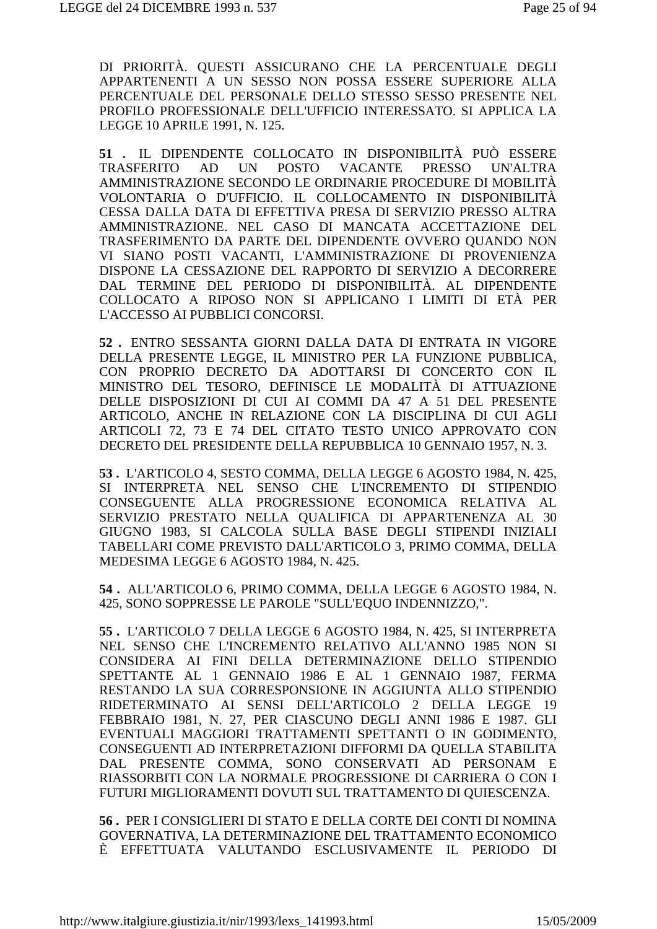DI PRIORITÀ. QUESTI ASSICURANO CHE LA PERCENTUALE DEGLI APPARTENENTI A UN SESSO NON POSSA ESSERE SUPERIORE ALLA PERCENTUALE DEL PERSONALE DELLO STESSO SESSO PRESENTE NEL PROFILO PROFESSIONALE DELL'UFFICIO INTERESSATO. SI APPLICA LA LEGGE 10 APRILE 1991, N. 125.

**51 .** IL DIPENDENTE COLLOCATO IN DISPONIBILITÀ PUÒ ESSERE TRASFERITO AD UN POSTO VACANTE PRESSO UN'ALTRA AMMINISTRAZIONE SECONDO LE ORDINARIE PROCEDURE DI MOBILITÀ VOLONTARIA O D'UFFICIO. IL COLLOCAMENTO IN DISPONIBILITÀ CESSA DALLA DATA DI EFFETTIVA PRESA DI SERVIZIO PRESSO ALTRA AMMINISTRAZIONE. NEL CASO DI MANCATA ACCETTAZIONE DEL TRASFERIMENTO DA PARTE DEL DIPENDENTE OVVERO QUANDO NON VI SIANO POSTI VACANTI, L'AMMINISTRAZIONE DI PROVENIENZA DISPONE LA CESSAZIONE DEL RAPPORTO DI SERVIZIO A DECORRERE DAL TERMINE DEL PERIODO DI DISPONIBILITÀ. AL DIPENDENTE COLLOCATO A RIPOSO NON SI APPLICANO I LIMITI DI ETÀ PER L'ACCESSO AI PUBBLICI CONCORSI.

**52 .** ENTRO SESSANTA GIORNI DALLA DATA DI ENTRATA IN VIGORE DELLA PRESENTE LEGGE, IL MINISTRO PER LA FUNZIONE PUBBLICA, CON PROPRIO DECRETO DA ADOTTARSI DI CONCERTO CON IL MINISTRO DEL TESORO, DEFINISCE LE MODALITÀ DI ATTUAZIONE DELLE DISPOSIZIONI DI CUI AI COMMI DA 47 A 51 DEL PRESENTE ARTICOLO, ANCHE IN RELAZIONE CON LA DISCIPLINA DI CUI AGLI ARTICOLI 72, 73 E 74 DEL CITATO TESTO UNICO APPROVATO CON DECRETO DEL PRESIDENTE DELLA REPUBBLICA 10 GENNAIO 1957, N. 3.

**53 .** L'ARTICOLO 4, SESTO COMMA, DELLA LEGGE 6 AGOSTO 1984, N. 425, SI INTERPRETA NEL SENSO CHE L'INCREMENTO DI STIPENDIO CONSEGUENTE ALLA PROGRESSIONE ECONOMICA RELATIVA AL SERVIZIO PRESTATO NELLA QUALIFICA DI APPARTENENZA AL 30 GIUGNO 1983, SI CALCOLA SULLA BASE DEGLI STIPENDI INIZIALI TABELLARI COME PREVISTO DALL'ARTICOLO 3, PRIMO COMMA, DELLA MEDESIMA LEGGE 6 AGOSTO 1984, N. 425.

**54 .** ALL'ARTICOLO 6, PRIMO COMMA, DELLA LEGGE 6 AGOSTO 1984, N. 425, SONO SOPPRESSE LE PAROLE "SULL'EQUO INDENNIZZO,".

**55 .** L'ARTICOLO 7 DELLA LEGGE 6 AGOSTO 1984, N. 425, SI INTERPRETA NEL SENSO CHE L'INCREMENTO RELATIVO ALL'ANNO 1985 NON SI CONSIDERA AI FINI DELLA DETERMINAZIONE DELLO STIPENDIO SPETTANTE AL 1 GENNAIO 1986 E AL 1 GENNAIO 1987, FERMA RESTANDO LA SUA CORRESPONSIONE IN AGGIUNTA ALLO STIPENDIO RIDETERMINATO AI SENSI DELL'ARTICOLO 2 DELLA LEGGE 19 FEBBRAIO 1981, N. 27, PER CIASCUNO DEGLI ANNI 1986 E 1987. GLI EVENTUALI MAGGIORI TRATTAMENTI SPETTANTI O IN GODIMENTO, CONSEGUENTI AD INTERPRETAZIONI DIFFORMI DA QUELLA STABILITA DAL PRESENTE COMMA, SONO CONSERVATI AD PERSONAM E RIASSORBITI CON LA NORMALE PROGRESSIONE DI CARRIERA O CON I FUTURI MIGLIORAMENTI DOVUTI SUL TRATTAMENTO DI QUIESCENZA.

**56 .** PER I CONSIGLIERI DI STATO E DELLA CORTE DEI CONTI DI NOMINA GOVERNATIVA, LA DETERMINAZIONE DEL TRATTAMENTO ECONOMICO È EFFETTUATA VALUTANDO ESCLUSIVAMENTE IL PERIODO DI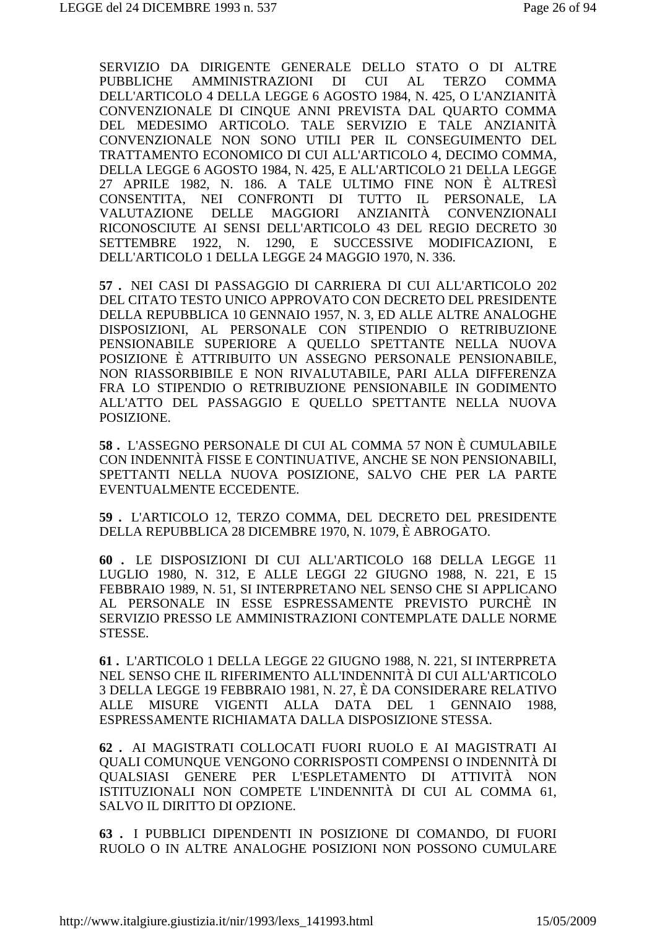SERVIZIO DA DIRIGENTE GENERALE DELLO STATO O DI ALTRE PUBBLICHE AMMINISTRAZIONI DI CUI AL TERZO COMMA DELL'ARTICOLO 4 DELLA LEGGE 6 AGOSTO 1984, N. 425, O L'ANZIANITÀ CONVENZIONALE DI CINQUE ANNI PREVISTA DAL QUARTO COMMA DEL MEDESIMO ARTICOLO. TALE SERVIZIO E TALE ANZIANITÀ CONVENZIONALE NON SONO UTILI PER IL CONSEGUIMENTO DEL TRATTAMENTO ECONOMICO DI CUI ALL'ARTICOLO 4, DECIMO COMMA, DELLA LEGGE 6 AGOSTO 1984, N. 425, E ALL'ARTICOLO 21 DELLA LEGGE 27 APRILE 1982, N. 186. A TALE ULTIMO FINE NON È ALTRESÌ CONSENTITA, NEI CONFRONTI DI TUTTO IL PERSONALE, LA VALUTAZIONE DELLE MAGGIORI ANZIANITÀ CONVENZIONALI RICONOSCIUTE AI SENSI DELL'ARTICOLO 43 DEL REGIO DECRETO 30 SETTEMBRE 1922, N. 1290, E SUCCESSIVE MODIFICAZIONI, E DELL'ARTICOLO 1 DELLA LEGGE 24 MAGGIO 1970, N. 336.

**57 .** NEI CASI DI PASSAGGIO DI CARRIERA DI CUI ALL'ARTICOLO 202 DEL CITATO TESTO UNICO APPROVATO CON DECRETO DEL PRESIDENTE DELLA REPUBBLICA 10 GENNAIO 1957, N. 3, ED ALLE ALTRE ANALOGHE DISPOSIZIONI, AL PERSONALE CON STIPENDIO O RETRIBUZIONE PENSIONABILE SUPERIORE A QUELLO SPETTANTE NELLA NUOVA POSIZIONE È ATTRIBUITO UN ASSEGNO PERSONALE PENSIONABILE, NON RIASSORBIBILE E NON RIVALUTABILE, PARI ALLA DIFFERENZA FRA LO STIPENDIO O RETRIBUZIONE PENSIONABILE IN GODIMENTO ALL'ATTO DEL PASSAGGIO E QUELLO SPETTANTE NELLA NUOVA POSIZIONE.

**58 .** L'ASSEGNO PERSONALE DI CUI AL COMMA 57 NON È CUMULABILE CON INDENNITÀ FISSE E CONTINUATIVE, ANCHE SE NON PENSIONABILI, SPETTANTI NELLA NUOVA POSIZIONE, SALVO CHE PER LA PARTE EVENTUALMENTE ECCEDENTE.

**59 .** L'ARTICOLO 12, TERZO COMMA, DEL DECRETO DEL PRESIDENTE DELLA REPUBBLICA 28 DICEMBRE 1970, N. 1079, È ABROGATO.

**60 .** LE DISPOSIZIONI DI CUI ALL'ARTICOLO 168 DELLA LEGGE 11 LUGLIO 1980, N. 312, E ALLE LEGGI 22 GIUGNO 1988, N. 221, E 15 FEBBRAIO 1989, N. 51, SI INTERPRETANO NEL SENSO CHE SI APPLICANO AL PERSONALE IN ESSE ESPRESSAMENTE PREVISTO PURCHÈ IN SERVIZIO PRESSO LE AMMINISTRAZIONI CONTEMPLATE DALLE NORME STESSE.

**61 .** L'ARTICOLO 1 DELLA LEGGE 22 GIUGNO 1988, N. 221, SI INTERPRETA NEL SENSO CHE IL RIFERIMENTO ALL'INDENNITÀ DI CUI ALL'ARTICOLO 3 DELLA LEGGE 19 FEBBRAIO 1981, N. 27, È DA CONSIDERARE RELATIVO ALLE MISURE VIGENTI ALLA DATA DEL 1 GENNAIO 1988, ESPRESSAMENTE RICHIAMATA DALLA DISPOSIZIONE STESSA.

**62 .** AI MAGISTRATI COLLOCATI FUORI RUOLO E AI MAGISTRATI AI QUALI COMUNQUE VENGONO CORRISPOSTI COMPENSI O INDENNITÀ DI QUALSIASI GENERE PER L'ESPLETAMENTO DI ATTIVITÀ NON ISTITUZIONALI NON COMPETE L'INDENNITÀ DI CUI AL COMMA 61, SALVO IL DIRITTO DI OPZIONE.

**63 .** I PUBBLICI DIPENDENTI IN POSIZIONE DI COMANDO, DI FUORI RUOLO O IN ALTRE ANALOGHE POSIZIONI NON POSSONO CUMULARE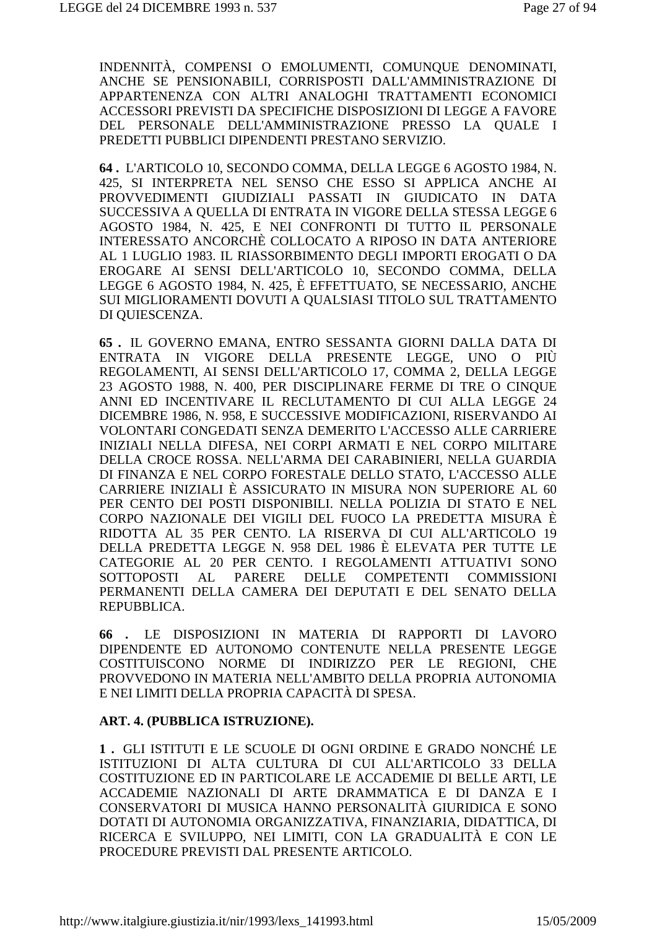INDENNITÀ, COMPENSI O EMOLUMENTI, COMUNOUE DENOMINATI, ANCHE SE PENSIONABILI, CORRISPOSTI DALL'AMMINISTRAZIONE DI APPARTENENZA CON ALTRI ANALOGHI TRATTAMENTI ECONOMICI ACCESSORI PREVISTI DA SPECIFICHE DISPOSIZIONI DI LEGGE A FAVORE DEL PERSONALE DELL'AMMINISTRAZIONE PRESSO LA OUALE I PREDETTI PUBBLICI DIPENDENTI PRESTANO SERVIZIO.

64. L'ARTICOLO 10, SECONDO COMMA, DELLA LEGGE 6 AGOSTO 1984, N. 425. SI INTERPRETA NEL SENSO CHE ESSO SI APPLICA ANCHE AI PROVVEDIMENTI GIUDIZIALI PASSATI IN GIUDICATO IN DATA SUCCESSIVA A OUELLA DI ENTRATA IN VIGORE DELLA STESSA LEGGE 6 AGOSTO 1984, N. 425, E NEI CONFRONTI DI TUTTO IL PERSONALE INTERESSATO ANCORCHÈ COLLOCATO A RIPOSO IN DATA ANTERIORE AL 1 LUGLIO 1983. IL RIASSORBIMENTO DEGLI IMPORTI EROGATI O DA EROGARE AI SENSI DELL'ARTICOLO 10, SECONDO COMMA, DELLA LEGGE 6 AGOSTO 1984, N. 425, È EFFETTUATO, SE NECESSARIO, ANCHE SUI MIGLIORAMENTI DOVUTI A QUALSIASI TITOLO SUL TRATTAMENTO DI OUIESCENZA.

65. IL GOVERNO EMANA, ENTRO SESSANTA GIORNI DALLA DATA DI ENTRATA IN VIGORE DELLA PRESENTE LEGGE, UNO O PIÙ REGOLAMENTI, AI SENSI DELL'ARTICOLO 17, COMMA 2, DELLA LEGGE 23 AGOSTO 1988, N. 400, PER DISCIPLINARE FERME DI TRE O CINOUE ANNI ED INCENTIVARE IL RECLUTAMENTO DI CUI ALLA LEGGE 24 DICEMBRE 1986, N. 958, E SUCCESSIVE MODIFICAZIONI, RISERVANDO AI VOLONTARI CONGEDATI SENZA DEMERITO L'ACCESSO ALLE CARRIERE INIZIALI NELLA DIFESA, NEI CORPI ARMATI E NEL CORPO MILITARE DELLA CROCE ROSSA. NELL'ARMA DEI CARABINIERI. NELLA GUARDIA DI FINANZA E NEL CORPO FORESTALE DELLO STATO, L'ACCESSO ALLE CARRIERE INIZIALI È ASSICURATO IN MISURA NON SUPERIORE AL 60 PER CENTO DEI POSTI DISPONIBILI. NELLA POLIZIA DI STATO E NEL CORPO NAZIONALE DEI VIGILI DEL FUOCO LA PREDETTA MISURA È RIDOTTA AL 35 PER CENTO. LA RISERVA DI CUI ALL'ARTICOLO 19 DELLA PREDETTA LEGGE N. 958 DEL 1986 È ELEVATA PER TUTTE LE CATEGORIE AL 20 PER CENTO. I REGOLAMENTI ATTUATIVI SONO **DELLE** SOTTOPOSTI AL **PARERE COMPETENTI COMMISSIONI** PERMANENTI DELLA CAMERA DEI DEPUTATI E DEL SENATO DELLA REPUBBLICA.

66 . LE DISPOSIZIONI IN MATERIA DI RAPPORTI DI LAVORO DIPENDENTE ED AUTONOMO CONTENUTE NELLA PRESENTE LEGGE COSTITUISCONO NORME DI INDIRIZZO PER LE REGIONI, CHE PROVVEDONO IN MATERIA NELL'AMBITO DELLA PROPRIA AUTONOMIA E NEI LIMITI DELLA PROPRIA CAPACITÀ DI SPESA.

#### ART. 4. (PUBBLICA ISTRUZIONE).

1. GLI ISTITUTI E LE SCUOLE DI OGNI ORDINE E GRADO NONCHÉ LE ISTITUZIONI DI ALTA CULTURA DI CUI ALL'ARTICOLO 33 DELLA COSTITUZIONE ED IN PARTICOLARE LE ACCADEMIE DI BELLE ARTI, LE ACCADEMIE NAZIONALI DI ARTE DRAMMATICA E DI DANZA E I CONSERVATORI DI MUSICA HANNO PERSONALITÀ GIURIDICA E SONO DOTATI DI AUTONOMIA ORGANIZZATIVA, FINANZIARIA, DIDATTICA, DI RICERCA E SVILUPPO, NEI LIMITI, CON LA GRADUALITÀ E CON LE PROCEDURE PREVISTI DAL PRESENTE ARTICOLO.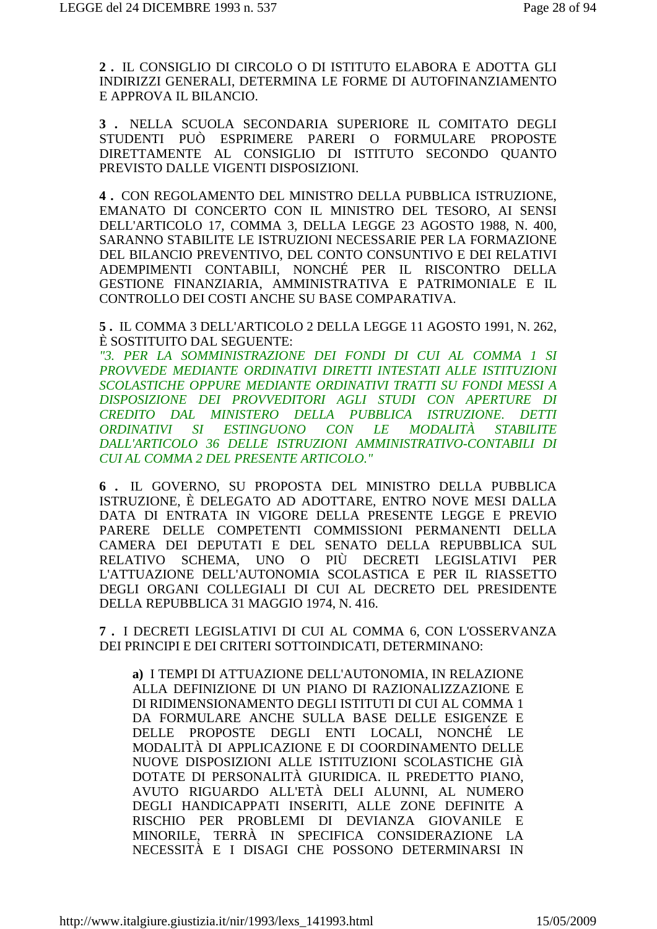2. IL CONSIGLIO DI CIRCOLO O DI ISTITUTO ELABORA E ADOTTA GLI INDIRIZZI GENERALI, DETERMINA LE FORME DI AUTOFINANZIAMENTO E APPROVA IL BILANCIO.

3 . NELLA SCUOLA SECONDARIA SUPERIORE IL COMITATO DEGLI STUDENTI PUÒ ESPRIMERE PARERI O FORMULARE PROPOSTE DIRETTAMENTE AL CONSIGLIO DI ISTITUTO SECONDO QUANTO PREVISTO DALLE VIGENTI DISPOSIZIONI.

4. CON REGOLAMENTO DEL MINISTRO DELLA PUBBLICA ISTRUZIONE, EMANATO DI CONCERTO CON IL MINISTRO DEL TESORO, AI SENSI DELL'ARTICOLO 17. COMMA 3. DELLA LEGGE 23 AGOSTO 1988, N. 400. SARANNO STABILITE LE ISTRUZIONI NECESSARIE PER LA FORMAZIONE DEL BILANCIO PREVENTIVO, DEL CONTO CONSUNTIVO E DEI RELATIVI ADEMPIMENTI CONTABILI, NONCHÉ PER IL RISCONTRO DELLA GESTIONE FINANZIARIA, AMMINISTRATIVA E PATRIMONIALE E IL CONTROLLO DEI COSTI ANCHE SU BASE COMPARATIVA.

5. IL COMMA 3 DELL'ARTICOLO 2 DELLA LEGGE 11 AGOSTO 1991, N. 262, È SOSTITUITO DAL SEGUENTE:

"3. PER LA SOMMINISTRAZIONE DEI FONDI DI CUI AL COMMA 1 SI PROVVEDE MEDIANTE ORDINATIVI DIRETTI INTESTATI ALLE ISTITUZIONI SCOLASTICHE OPPURE MEDIANTE ORDINATIVI TRATTI SU FONDI MESSI A DISPOSIZIONE DEI PROVVEDITORI AGLI STUDI CON APERTURE DI CREDITO DAL MINISTERO DELLA PUBBLICA ISTRUZIONE. DETTI ESTINGUONO CON LE MODALITÀ ORDINATIVI SI **STABILITE** DALL'ARTICOLO 36 DELLE ISTRUZIONI AMMINISTRATIVO-CONTABILI DI CUI AL COMMA 2 DEL PRESENTE ARTICOLO."

6. IL GOVERNO. SU PROPOSTA DEL MINISTRO DELLA PUBBLICA ISTRUZIONE, È DELEGATO AD ADOTTARE, ENTRO NOVE MESI DALLA DATA DI ENTRATA IN VIGORE DELLA PRESENTE LEGGE E PREVIO PARERE DELLE COMPETENTI COMMISSIONI PERMANENTI DELLA CAMERA DEI DEPUTATI E DEL SENATO DELLA REPUBBLICA SUL **RELATIVO** SCHEMA, UNO O PIÙ DECRETI LEGISLATIVI PER L'ATTUAZIONE DELL'AUTONOMIA SCOLASTICA E PER IL RIASSETTO DEGLI ORGANI COLLEGIALI DI CUI AL DECRETO DEL PRESIDENTE DELLA REPUBBLICA 31 MAGGIO 1974, N. 416.

7. I DECRETI LEGISLATIVI DI CUI AL COMMA 6, CON L'OSSERVANZA DEI PRINCIPI E DEI CRITERI SOTTOINDICATI. DETERMINANO:

a) I TEMPI DI ATTUAZIONE DELL'AUTONOMIA. IN RELAZIONE ALLA DEFINIZIONE DI UN PIANO DI RAZIONALIZZAZIONE E DI RIDIMENSIONAMENTO DEGLI ISTITUTI DI CUI AL COMMA 1 DA FORMULARE ANCHE SULLA BASE DELLE ESIGENZE E DELLE PROPOSTE DEGLI ENTI LOCALI. NONCHÉ LE MODALITÀ DI APPLICAZIONE E DI COORDINAMENTO DELLE NUOVE DISPOSIZIONI ALLE ISTITUZIONI SCOLASTICHE GIÀ DOTATE DI PERSONALITÀ GIURIDICA. IL PREDETTO PIANO. AVUTO RIGUARDO ALL'ETÀ DELI ALUNNI, AL NUMERO DEGLI HANDICAPPATI INSERITI, ALLE ZONE DEFINITE A RISCHIO PER PROBLEMI DI DEVIANZA GIOVANILE E MINORILE, TERRÀ IN SPECIFICA CONSIDERAZIONE LA NECESSITÀ E I DISAGI CHE POSSONO DETERMINARSI IN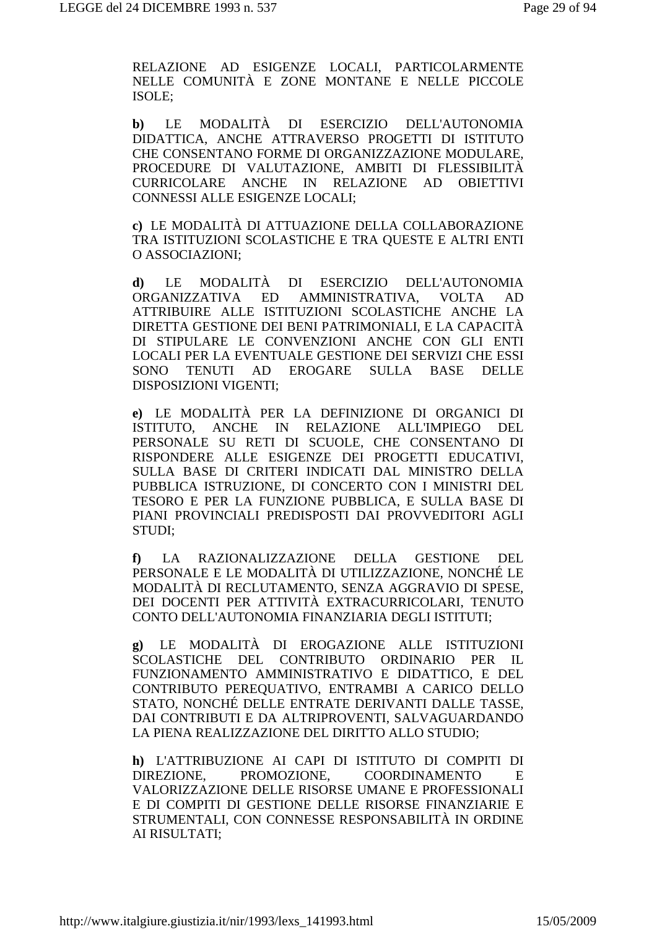RELAZIONE AD ESIGENZE LOCALI, PARTICOLARMENTE NELLE COMUNITÀ E ZONE MONTANE E NELLE PICCOLE ISOLE;

**b)** LE MODALITÀ DI ESERCIZIO DELL'AUTONOMIA DIDATTICA, ANCHE ATTRAVERSO PROGETTI DI ISTITUTO CHE CONSENTANO FORME DI ORGANIZZAZIONE MODULARE, PROCEDURE DI VALUTAZIONE, AMBITI DI FLESSIBILITÀ CURRICOLARE ANCHE IN RELAZIONE AD OBIETTIVI CONNESSI ALLE ESIGENZE LOCALI;

**c)** LE MODALITÀ DI ATTUAZIONE DELLA COLLABORAZIONE TRA ISTITUZIONI SCOLASTICHE E TRA QUESTE E ALTRI ENTI O ASSOCIAZIONI;

**d)** LE MODALITÀ DI ESERCIZIO DELL'AUTONOMIA ORGANIZZATIVA ED AMMINISTRATIVA, VOLTA AD ATTRIBUIRE ALLE ISTITUZIONI SCOLASTICHE ANCHE LA DIRETTA GESTIONE DEI BENI PATRIMONIALI, E LA CAPACITÀ DI STIPULARE LE CONVENZIONI ANCHE CON GLI ENTI LOCALI PER LA EVENTUALE GESTIONE DEI SERVIZI CHE ESSI SONO TENUTI AD EROGARE SULLA BASE DELLE DISPOSIZIONI VIGENTI;

**e)** LE MODALITÀ PER LA DEFINIZIONE DI ORGANICI DI ISTITUTO, ANCHE IN RELAZIONE ALL'IMPIEGO DEL PERSONALE SU RETI DI SCUOLE, CHE CONSENTANO DI RISPONDERE ALLE ESIGENZE DEI PROGETTI EDUCATIVI, SULLA BASE DI CRITERI INDICATI DAL MINISTRO DELLA PUBBLICA ISTRUZIONE, DI CONCERTO CON I MINISTRI DEL TESORO E PER LA FUNZIONE PUBBLICA, E SULLA BASE DI PIANI PROVINCIALI PREDISPOSTI DAI PROVVEDITORI AGLI STUDI;

**f)** LA RAZIONALIZZAZIONE DELLA GESTIONE DEL PERSONALE E LE MODALITÀ DI UTILIZZAZIONE, NONCHÉ LE MODALITÀ DI RECLUTAMENTO, SENZA AGGRAVIO DI SPESE, DEI DOCENTI PER ATTIVITÀ EXTRACURRICOLARI, TENUTO CONTO DELL'AUTONOMIA FINANZIARIA DEGLI ISTITUTI;

**g)** LE MODALITÀ DI EROGAZIONE ALLE ISTITUZIONI SCOLASTICHE DEL CONTRIBUTO ORDINARIO PER IL FUNZIONAMENTO AMMINISTRATIVO E DIDATTICO, E DEL CONTRIBUTO PEREQUATIVO, ENTRAMBI A CARICO DELLO STATO, NONCHÉ DELLE ENTRATE DERIVANTI DALLE TASSE, DAI CONTRIBUTI E DA ALTRIPROVENTI, SALVAGUARDANDO LA PIENA REALIZZAZIONE DEL DIRITTO ALLO STUDIO;

**h)** L'ATTRIBUZIONE AI CAPI DI ISTITUTO DI COMPITI DI DIREZIONE, PROMOZIONE, COORDINAMENTO E VALORIZZAZIONE DELLE RISORSE UMANE E PROFESSIONALI E DI COMPITI DI GESTIONE DELLE RISORSE FINANZIARIE E STRUMENTALI, CON CONNESSE RESPONSABILITÀ IN ORDINE AI RISULTATI;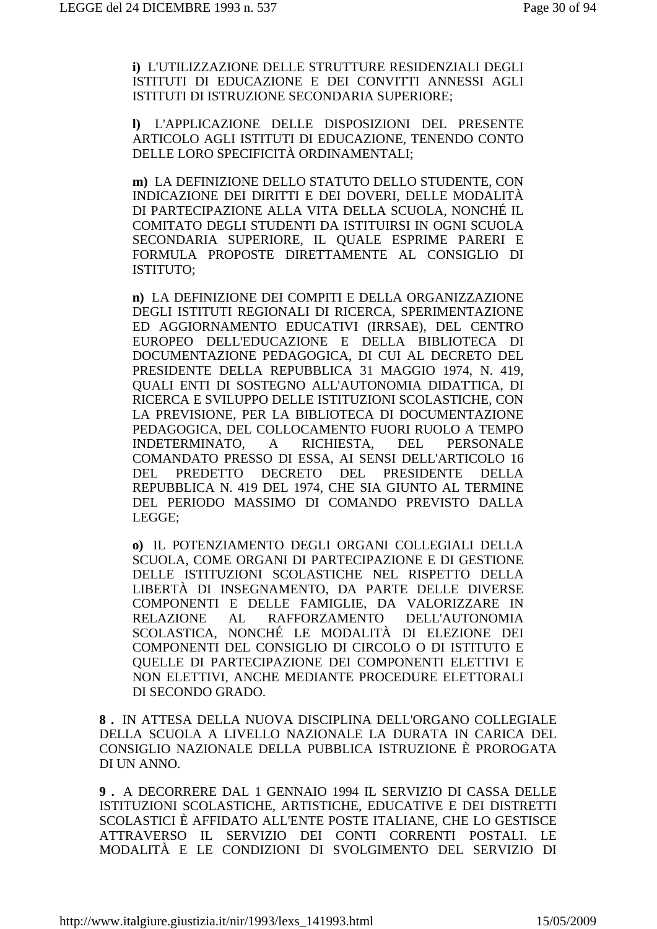**i)** L'UTILIZZAZIONE DELLE STRUTTURE RESIDENZIALI DEGLI ISTITUTI DI EDUCAZIONE E DEI CONVITTI ANNESSI AGLI ISTITUTI DI ISTRUZIONE SECONDARIA SUPERIORE;

**l)** L'APPLICAZIONE DELLE DISPOSIZIONI DEL PRESENTE ARTICOLO AGLI ISTITUTI DI EDUCAZIONE, TENENDO CONTO DELLE LORO SPECIFICITÀ ORDINAMENTALI;

**m)** LA DEFINIZIONE DELLO STATUTO DELLO STUDENTE, CON INDICAZIONE DEI DIRITTI E DEI DOVERI, DELLE MODALITÀ DI PARTECIPAZIONE ALLA VITA DELLA SCUOLA, NONCHÉ IL COMITATO DEGLI STUDENTI DA ISTITUIRSI IN OGNI SCUOLA SECONDARIA SUPERIORE, IL QUALE ESPRIME PARERI E FORMULA PROPOSTE DIRETTAMENTE AL CONSIGLIO DI ISTITUTO;

**n)** LA DEFINIZIONE DEI COMPITI E DELLA ORGANIZZAZIONE DEGLI ISTITUTI REGIONALI DI RICERCA, SPERIMENTAZIONE ED AGGIORNAMENTO EDUCATIVI (IRRSAE), DEL CENTRO EUROPEO DELL'EDUCAZIONE E DELLA BIBLIOTECA DI DOCUMENTAZIONE PEDAGOGICA, DI CUI AL DECRETO DEL PRESIDENTE DELLA REPUBBLICA 31 MAGGIO 1974, N. 419, QUALI ENTI DI SOSTEGNO ALL'AUTONOMIA DIDATTICA, DI RICERCA E SVILUPPO DELLE ISTITUZIONI SCOLASTICHE, CON LA PREVISIONE, PER LA BIBLIOTECA DI DOCUMENTAZIONE PEDAGOGICA, DEL COLLOCAMENTO FUORI RUOLO A TEMPO INDETERMINATO, A RICHIESTA, DEL PERSONALE COMANDATO PRESSO DI ESSA, AI SENSI DELL'ARTICOLO 16 DEL PREDETTO DECRETO DEL PRESIDENTE DELLA REPUBBLICA N. 419 DEL 1974, CHE SIA GIUNTO AL TERMINE DEL PERIODO MASSIMO DI COMANDO PREVISTO DALLA LEGGE;

**o)** IL POTENZIAMENTO DEGLI ORGANI COLLEGIALI DELLA SCUOLA, COME ORGANI DI PARTECIPAZIONE E DI GESTIONE DELLE ISTITUZIONI SCOLASTICHE NEL RISPETTO DELLA LIBERTÀ DI INSEGNAMENTO, DA PARTE DELLE DIVERSE COMPONENTI E DELLE FAMIGLIE, DA VALORIZZARE IN RELAZIONE AL RAFFORZAMENTO DELL'AUTONOMIA SCOLASTICA, NONCHÉ LE MODALITÀ DI ELEZIONE DEI COMPONENTI DEL CONSIGLIO DI CIRCOLO O DI ISTITUTO E QUELLE DI PARTECIPAZIONE DEI COMPONENTI ELETTIVI E NON ELETTIVI, ANCHE MEDIANTE PROCEDURE ELETTORALI DI SECONDO GRADO.

**8 .** IN ATTESA DELLA NUOVA DISCIPLINA DELL'ORGANO COLLEGIALE DELLA SCUOLA A LIVELLO NAZIONALE LA DURATA IN CARICA DEL CONSIGLIO NAZIONALE DELLA PUBBLICA ISTRUZIONE È PROROGATA DI UN ANNO.

**9 .** A DECORRERE DAL 1 GENNAIO 1994 IL SERVIZIO DI CASSA DELLE ISTITUZIONI SCOLASTICHE, ARTISTICHE, EDUCATIVE E DEI DISTRETTI SCOLASTICI È AFFIDATO ALL'ENTE POSTE ITALIANE, CHE LO GESTISCE ATTRAVERSO IL SERVIZIO DEI CONTI CORRENTI POSTALI. LE MODALITÀ E LE CONDIZIONI DI SVOLGIMENTO DEL SERVIZIO DI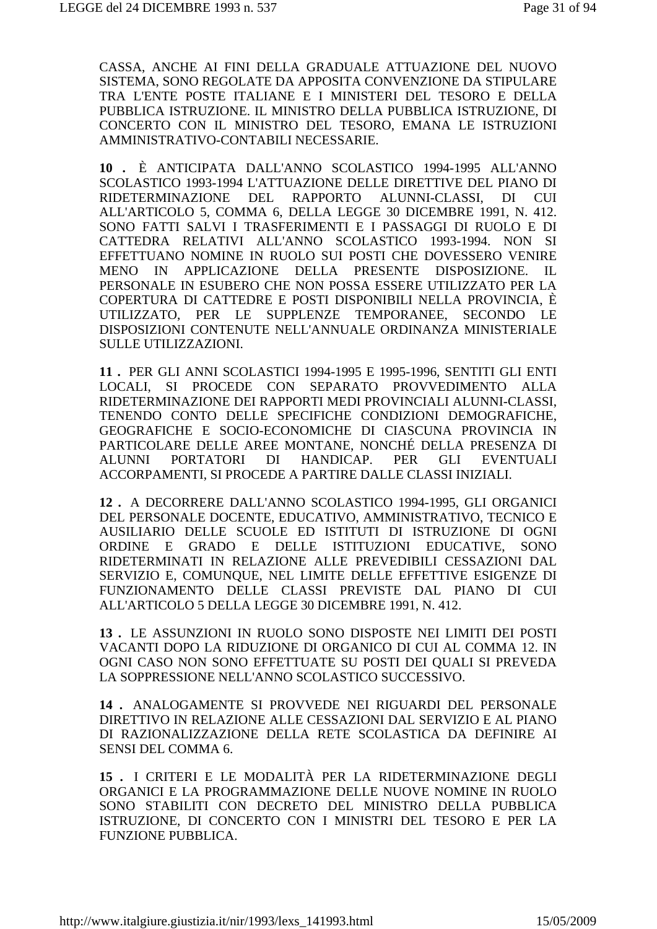CASSA, ANCHE AI FINI DELLA GRADUALE ATTUAZIONE DEL NUOVO SISTEMA, SONO REGOLATE DA APPOSITA CONVENZIONE DA STIPULARE TRA L'ENTE POSTE ITALIANE E I MINISTERI DEL TESORO E DELLA PUBBLICA ISTRUZIONE. IL MINISTRO DELLA PUBBLICA ISTRUZIONE, DI CONCERTO CON IL MINISTRO DEL TESORO, EMANA LE ISTRUZIONI AMMINISTRATIVO-CONTABILI NECESSARIE.

**10 .** È ANTICIPATA DALL'ANNO SCOLASTICO 1994-1995 ALL'ANNO SCOLASTICO 1993-1994 L'ATTUAZIONE DELLE DIRETTIVE DEL PIANO DI RIDETERMINAZIONE DEL RAPPORTO ALUNNI-CLASSI, DI CUI ALL'ARTICOLO 5, COMMA 6, DELLA LEGGE 30 DICEMBRE 1991, N. 412. SONO FATTI SALVI I TRASFERIMENTI E I PASSAGGI DI RUOLO E DI CATTEDRA RELATIVI ALL'ANNO SCOLASTICO 1993-1994. NON SI EFFETTUANO NOMINE IN RUOLO SUI POSTI CHE DOVESSERO VENIRE MENO IN APPLICAZIONE DELLA PRESENTE DISPOSIZIONE. IL PERSONALE IN ESUBERO CHE NON POSSA ESSERE UTILIZZATO PER LA COPERTURA DI CATTEDRE E POSTI DISPONIBILI NELLA PROVINCIA, È UTILIZZATO, PER LE SUPPLENZE TEMPORANEE, SECONDO LE DISPOSIZIONI CONTENUTE NELL'ANNUALE ORDINANZA MINISTERIALE SULLE UTILIZZAZIONI.

**11 .** PER GLI ANNI SCOLASTICI 1994-1995 E 1995-1996, SENTITI GLI ENTI LOCALI, SI PROCEDE CON SEPARATO PROVVEDIMENTO ALLA RIDETERMINAZIONE DEI RAPPORTI MEDI PROVINCIALI ALUNNI-CLASSI, TENENDO CONTO DELLE SPECIFICHE CONDIZIONI DEMOGRAFICHE, GEOGRAFICHE E SOCIO-ECONOMICHE DI CIASCUNA PROVINCIA IN PARTICOLARE DELLE AREE MONTANE, NONCHÉ DELLA PRESENZA DI ALUNNI PORTATORI DI HANDICAP. PER GLI EVENTUALI ACCORPAMENTI, SI PROCEDE A PARTIRE DALLE CLASSI INIZIALI.

**12 .** A DECORRERE DALL'ANNO SCOLASTICO 1994-1995, GLI ORGANICI DEL PERSONALE DOCENTE, EDUCATIVO, AMMINISTRATIVO, TECNICO E AUSILIARIO DELLE SCUOLE ED ISTITUTI DI ISTRUZIONE DI OGNI ORDINE E GRADO E DELLE ISTITUZIONI EDUCATIVE, SONO RIDETERMINATI IN RELAZIONE ALLE PREVEDIBILI CESSAZIONI DAL SERVIZIO E, COMUNQUE, NEL LIMITE DELLE EFFETTIVE ESIGENZE DI FUNZIONAMENTO DELLE CLASSI PREVISTE DAL PIANO DI CUI ALL'ARTICOLO 5 DELLA LEGGE 30 DICEMBRE 1991, N. 412.

**13 .** LE ASSUNZIONI IN RUOLO SONO DISPOSTE NEI LIMITI DEI POSTI VACANTI DOPO LA RIDUZIONE DI ORGANICO DI CUI AL COMMA 12. IN OGNI CASO NON SONO EFFETTUATE SU POSTI DEI QUALI SI PREVEDA LA SOPPRESSIONE NELL'ANNO SCOLASTICO SUCCESSIVO.

**14 .** ANALOGAMENTE SI PROVVEDE NEI RIGUARDI DEL PERSONALE DIRETTIVO IN RELAZIONE ALLE CESSAZIONI DAL SERVIZIO E AL PIANO DI RAZIONALIZZAZIONE DELLA RETE SCOLASTICA DA DEFINIRE AI SENSI DEL COMMA 6.

**15 .** I CRITERI E LE MODALITÀ PER LA RIDETERMINAZIONE DEGLI ORGANICI E LA PROGRAMMAZIONE DELLE NUOVE NOMINE IN RUOLO SONO STABILITI CON DECRETO DEL MINISTRO DELLA PUBBLICA ISTRUZIONE, DI CONCERTO CON I MINISTRI DEL TESORO E PER LA FUNZIONE PUBBLICA.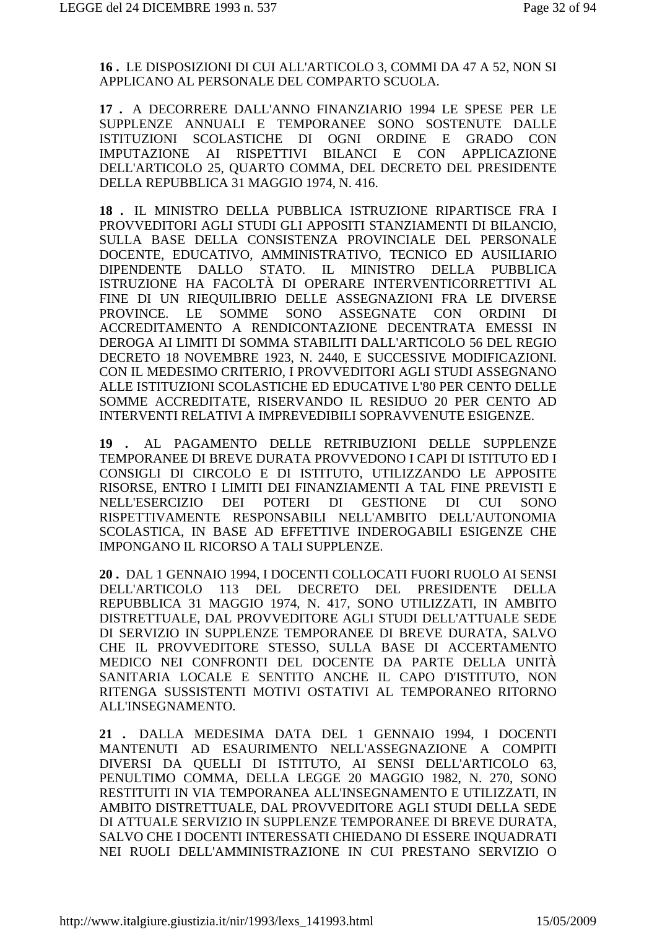**16 .** LE DISPOSIZIONI DI CUI ALL'ARTICOLO 3, COMMI DA 47 A 52, NON SI APPLICANO AL PERSONALE DEL COMPARTO SCUOLA.

**17 .** A DECORRERE DALL'ANNO FINANZIARIO 1994 LE SPESE PER LE SUPPLENZE ANNUALI E TEMPORANEE SONO SOSTENUTE DALLE ISTITUZIONI SCOLASTICHE DI OGNI ORDINE E GRADO CON IMPUTAZIONE AI RISPETTIVI BILANCI E CON APPLICAZIONE DELL'ARTICOLO 25, QUARTO COMMA, DEL DECRETO DEL PRESIDENTE DELLA REPUBBLICA 31 MAGGIO 1974, N. 416.

**18 .** IL MINISTRO DELLA PUBBLICA ISTRUZIONE RIPARTISCE FRA I PROVVEDITORI AGLI STUDI GLI APPOSITI STANZIAMENTI DI BILANCIO, SULLA BASE DELLA CONSISTENZA PROVINCIALE DEL PERSONALE DOCENTE, EDUCATIVO, AMMINISTRATIVO, TECNICO ED AUSILIARIO DIPENDENTE DALLO STATO. IL MINISTRO DELLA PUBBLICA ISTRUZIONE HA FACOLTÀ DI OPERARE INTERVENTICORRETTIVI AL FINE DI UN RIEQUILIBRIO DELLE ASSEGNAZIONI FRA LE DIVERSE PROVINCE. LE SOMME SONO ASSEGNATE CON ORDINI DI ACCREDITAMENTO A RENDICONTAZIONE DECENTRATA EMESSI IN DEROGA AI LIMITI DI SOMMA STABILITI DALL'ARTICOLO 56 DEL REGIO DECRETO 18 NOVEMBRE 1923, N. 2440, E SUCCESSIVE MODIFICAZIONI. CON IL MEDESIMO CRITERIO, I PROVVEDITORI AGLI STUDI ASSEGNANO ALLE ISTITUZIONI SCOLASTICHE ED EDUCATIVE L'80 PER CENTO DELLE SOMME ACCREDITATE, RISERVANDO IL RESIDUO 20 PER CENTO AD INTERVENTI RELATIVI A IMPREVEDIBILI SOPRAVVENUTE ESIGENZE.

**19 .** AL PAGAMENTO DELLE RETRIBUZIONI DELLE SUPPLENZE TEMPORANEE DI BREVE DURATA PROVVEDONO I CAPI DI ISTITUTO ED I CONSIGLI DI CIRCOLO E DI ISTITUTO, UTILIZZANDO LE APPOSITE RISORSE, ENTRO I LIMITI DEI FINANZIAMENTI A TAL FINE PREVISTI E NELL'ESERCIZIO DEI POTERI DI GESTIONE DI CUI SONO RISPETTIVAMENTE RESPONSABILI NELL'AMBITO DELL'AUTONOMIA SCOLASTICA, IN BASE AD EFFETTIVE INDEROGABILI ESIGENZE CHE IMPONGANO IL RICORSO A TALI SUPPLENZE.

**20 .** DAL 1 GENNAIO 1994, I DOCENTI COLLOCATI FUORI RUOLO AI SENSI DELL'ARTICOLO 113 DEL DECRETO DEL PRESIDENTE DELLA REPUBBLICA 31 MAGGIO 1974, N. 417, SONO UTILIZZATI, IN AMBITO DISTRETTUALE, DAL PROVVEDITORE AGLI STUDI DELL'ATTUALE SEDE DI SERVIZIO IN SUPPLENZE TEMPORANEE DI BREVE DURATA, SALVO CHE IL PROVVEDITORE STESSO, SULLA BASE DI ACCERTAMENTO MEDICO NEI CONFRONTI DEL DOCENTE DA PARTE DELLA UNITÀ SANITARIA LOCALE E SENTITO ANCHE IL CAPO D'ISTITUTO, NON RITENGA SUSSISTENTI MOTIVI OSTATIVI AL TEMPORANEO RITORNO ALL'INSEGNAMENTO.

**21 .** DALLA MEDESIMA DATA DEL 1 GENNAIO 1994, I DOCENTI MANTENUTI AD ESAURIMENTO NELL'ASSEGNAZIONE A COMPITI DIVERSI DA QUELLI DI ISTITUTO, AI SENSI DELL'ARTICOLO 63, PENULTIMO COMMA, DELLA LEGGE 20 MAGGIO 1982, N. 270, SONO RESTITUITI IN VIA TEMPORANEA ALL'INSEGNAMENTO E UTILIZZATI, IN AMBITO DISTRETTUALE, DAL PROVVEDITORE AGLI STUDI DELLA SEDE DI ATTUALE SERVIZIO IN SUPPLENZE TEMPORANEE DI BREVE DURATA, SALVO CHE I DOCENTI INTERESSATI CHIEDANO DI ESSERE INQUADRATI NEI RUOLI DELL'AMMINISTRAZIONE IN CUI PRESTANO SERVIZIO O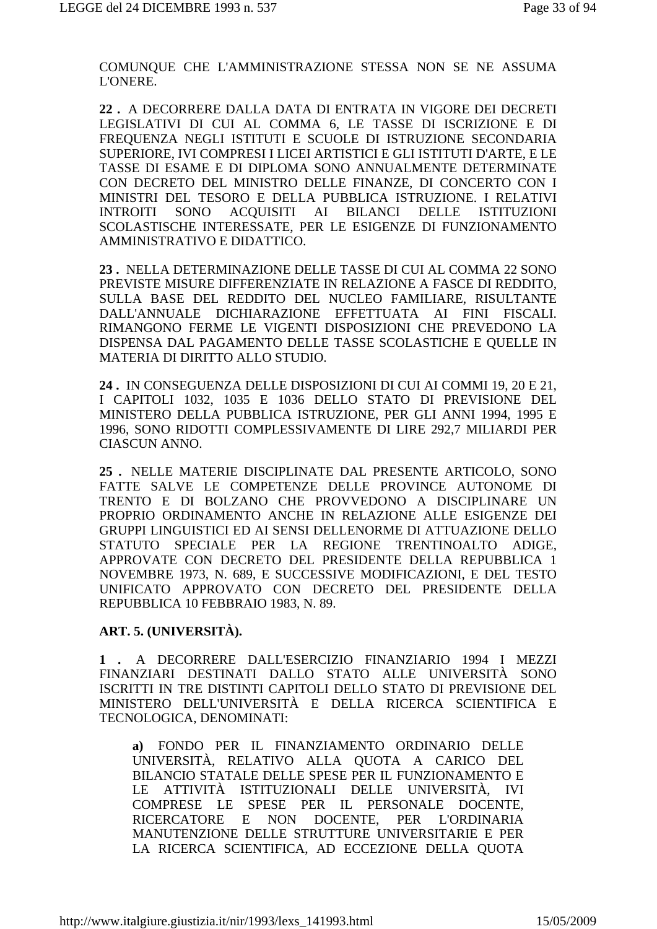COMUNQUE CHE L'AMMINISTRAZIONE STESSA NON SE NE ASSUMA L'ONERE.

**22 .** A DECORRERE DALLA DATA DI ENTRATA IN VIGORE DEI DECRETI LEGISLATIVI DI CUI AL COMMA 6, LE TASSE DI ISCRIZIONE E DI FREQUENZA NEGLI ISTITUTI E SCUOLE DI ISTRUZIONE SECONDARIA SUPERIORE, IVI COMPRESI I LICEI ARTISTICI E GLI ISTITUTI D'ARTE, E LE TASSE DI ESAME E DI DIPLOMA SONO ANNUALMENTE DETERMINATE CON DECRETO DEL MINISTRO DELLE FINANZE, DI CONCERTO CON I MINISTRI DEL TESORO E DELLA PUBBLICA ISTRUZIONE. I RELATIVI INTROITI SONO ACQUISITI AI BILANCI DELLE ISTITUZIONI SCOLASTISCHE INTERESSATE, PER LE ESIGENZE DI FUNZIONAMENTO AMMINISTRATIVO E DIDATTICO.

**23 .** NELLA DETERMINAZIONE DELLE TASSE DI CUI AL COMMA 22 SONO PREVISTE MISURE DIFFERENZIATE IN RELAZIONE A FASCE DI REDDITO, SULLA BASE DEL REDDITO DEL NUCLEO FAMILIARE, RISULTANTE DALL'ANNUALE DICHIARAZIONE EFFETTUATA AI FINI FISCALI. RIMANGONO FERME LE VIGENTI DISPOSIZIONI CHE PREVEDONO LA DISPENSA DAL PAGAMENTO DELLE TASSE SCOLASTICHE E QUELLE IN MATERIA DI DIRITTO ALLO STUDIO.

**24 .** IN CONSEGUENZA DELLE DISPOSIZIONI DI CUI AI COMMI 19, 20 E 21, I CAPITOLI 1032, 1035 E 1036 DELLO STATO DI PREVISIONE DEL MINISTERO DELLA PUBBLICA ISTRUZIONE, PER GLI ANNI 1994, 1995 E 1996, SONO RIDOTTI COMPLESSIVAMENTE DI LIRE 292,7 MILIARDI PER CIASCUN ANNO.

**25 .** NELLE MATERIE DISCIPLINATE DAL PRESENTE ARTICOLO, SONO FATTE SALVE LE COMPETENZE DELLE PROVINCE AUTONOME DI TRENTO E DI BOLZANO CHE PROVVEDONO A DISCIPLINARE UN PROPRIO ORDINAMENTO ANCHE IN RELAZIONE ALLE ESIGENZE DEI GRUPPI LINGUISTICI ED AI SENSI DELLENORME DI ATTUAZIONE DELLO STATUTO SPECIALE PER LA REGIONE TRENTINOALTO ADIGE, APPROVATE CON DECRETO DEL PRESIDENTE DELLA REPUBBLICA 1 NOVEMBRE 1973, N. 689, E SUCCESSIVE MODIFICAZIONI, E DEL TESTO UNIFICATO APPROVATO CON DECRETO DEL PRESIDENTE DELLA REPUBBLICA 10 FEBBRAIO 1983, N. 89.

#### **ART. 5. (UNIVERSITÀ).**

**1 .** A DECORRERE DALL'ESERCIZIO FINANZIARIO 1994 I MEZZI FINANZIARI DESTINATI DALLO STATO ALLE UNIVERSITÀ SONO ISCRITTI IN TRE DISTINTI CAPITOLI DELLO STATO DI PREVISIONE DEL MINISTERO DELL'UNIVERSITÀ E DELLA RICERCA SCIENTIFICA E TECNOLOGICA, DENOMINATI:

**a)** FONDO PER IL FINANZIAMENTO ORDINARIO DELLE UNIVERSITÀ, RELATIVO ALLA QUOTA A CARICO DEL BILANCIO STATALE DELLE SPESE PER IL FUNZIONAMENTO E LE ATTIVITÀ ISTITUZIONALI DELLE UNIVERSITÀ, IVI COMPRESE LE SPESE PER IL PERSONALE DOCENTE, RICERCATORE E NON DOCENTE, PER L'ORDINARIA MANUTENZIONE DELLE STRUTTURE UNIVERSITARIE E PER LA RICERCA SCIENTIFICA, AD ECCEZIONE DELLA QUOTA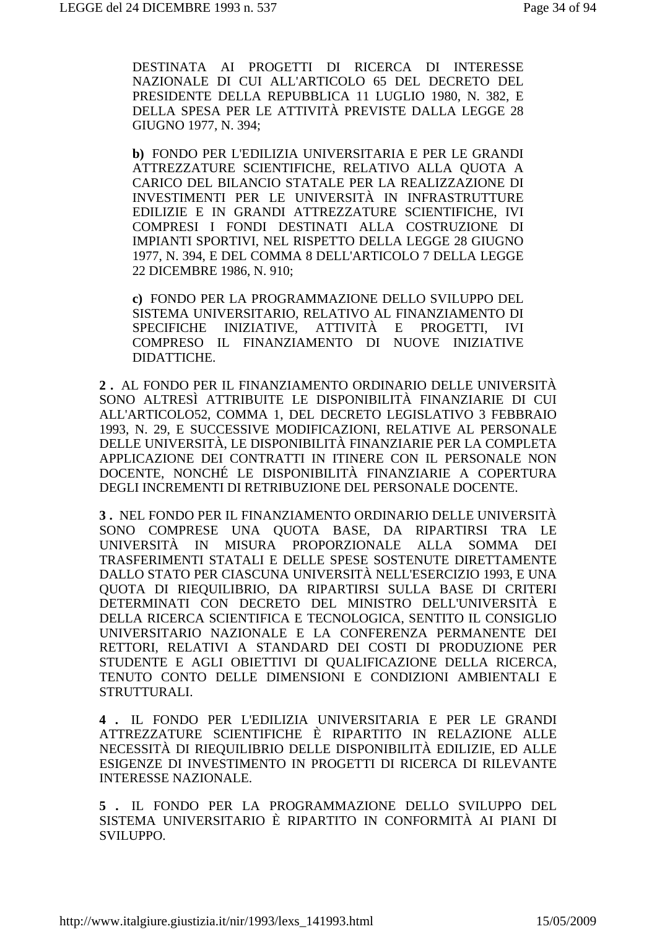DESTINATA AI PROGETTI DI RICERCA DI INTERESSE NAZIONALE DI CUI ALL'ARTICOLO 65 DEL DECRETO DEL PRESIDENTE DELLA REPUBBLICA 11 LUGLIO 1980, N. 382, E DELLA SPESA PER LE ATTIVITÀ PREVISTE DALLA LEGGE 28 GIUGNO 1977, N. 394;

**b)** FONDO PER L'EDILIZIA UNIVERSITARIA E PER LE GRANDI ATTREZZATURE SCIENTIFICHE, RELATIVO ALLA QUOTA A CARICO DEL BILANCIO STATALE PER LA REALIZZAZIONE DI INVESTIMENTI PER LE UNIVERSITÀ IN INFRASTRUTTURE EDILIZIE E IN GRANDI ATTREZZATURE SCIENTIFICHE, IVI COMPRESI I FONDI DESTINATI ALLA COSTRUZIONE DI IMPIANTI SPORTIVI, NEL RISPETTO DELLA LEGGE 28 GIUGNO 1977, N. 394, E DEL COMMA 8 DELL'ARTICOLO 7 DELLA LEGGE 22 DICEMBRE 1986, N. 910;

**c)** FONDO PER LA PROGRAMMAZIONE DELLO SVILUPPO DEL SISTEMA UNIVERSITARIO, RELATIVO AL FINANZIAMENTO DI SPECIFICHE INIZIATIVE, ATTIVITÀ E PROGETTI, IVI COMPRESO IL FINANZIAMENTO DI NUOVE INIZIATIVE DIDATTICHE.

**2 .** AL FONDO PER IL FINANZIAMENTO ORDINARIO DELLE UNIVERSITÀ SONO ALTRESÌ ATTRIBUITE LE DISPONIBILITÀ FINANZIARIE DI CUI ALL'ARTICOLO52, COMMA 1, DEL DECRETO LEGISLATIVO 3 FEBBRAIO 1993, N. 29, E SUCCESSIVE MODIFICAZIONI, RELATIVE AL PERSONALE DELLE UNIVERSITÀ, LE DISPONIBILITÀ FINANZIARIE PER LA COMPLETA APPLICAZIONE DEI CONTRATTI IN ITINERE CON IL PERSONALE NON DOCENTE, NONCHÉ LE DISPONIBILITÀ FINANZIARIE A COPERTURA DEGLI INCREMENTI DI RETRIBUZIONE DEL PERSONALE DOCENTE.

**3 .** NEL FONDO PER IL FINANZIAMENTO ORDINARIO DELLE UNIVERSITÀ SONO COMPRESE UNA QUOTA BASE, DA RIPARTIRSI TRA LE UNIVERSITÀ IN MISURA PROPORZIONALE ALLA SOMMA DEI TRASFERIMENTI STATALI E DELLE SPESE SOSTENUTE DIRETTAMENTE DALLO STATO PER CIASCUNA UNIVERSITÀ NELL'ESERCIZIO 1993, E UNA QUOTA DI RIEQUILIBRIO, DA RIPARTIRSI SULLA BASE DI CRITERI DETERMINATI CON DECRETO DEL MINISTRO DELL'UNIVERSITÀ E DELLA RICERCA SCIENTIFICA E TECNOLOGICA, SENTITO IL CONSIGLIO UNIVERSITARIO NAZIONALE E LA CONFERENZA PERMANENTE DEI RETTORI, RELATIVI A STANDARD DEI COSTI DI PRODUZIONE PER STUDENTE E AGLI OBIETTIVI DI QUALIFICAZIONE DELLA RICERCA, TENUTO CONTO DELLE DIMENSIONI E CONDIZIONI AMBIENTALI E STRUTTURALI.

**4 .** IL FONDO PER L'EDILIZIA UNIVERSITARIA E PER LE GRANDI ATTREZZATURE SCIENTIFICHE È RIPARTITO IN RELAZIONE ALLE NECESSITÀ DI RIEQUILIBRIO DELLE DISPONIBILITÀ EDILIZIE, ED ALLE ESIGENZE DI INVESTIMENTO IN PROGETTI DI RICERCA DI RILEVANTE INTERESSE NAZIONALE.

**5 .** IL FONDO PER LA PROGRAMMAZIONE DELLO SVILUPPO DEL SISTEMA UNIVERSITARIO È RIPARTITO IN CONFORMITÀ AI PIANI DI SVILUPPO.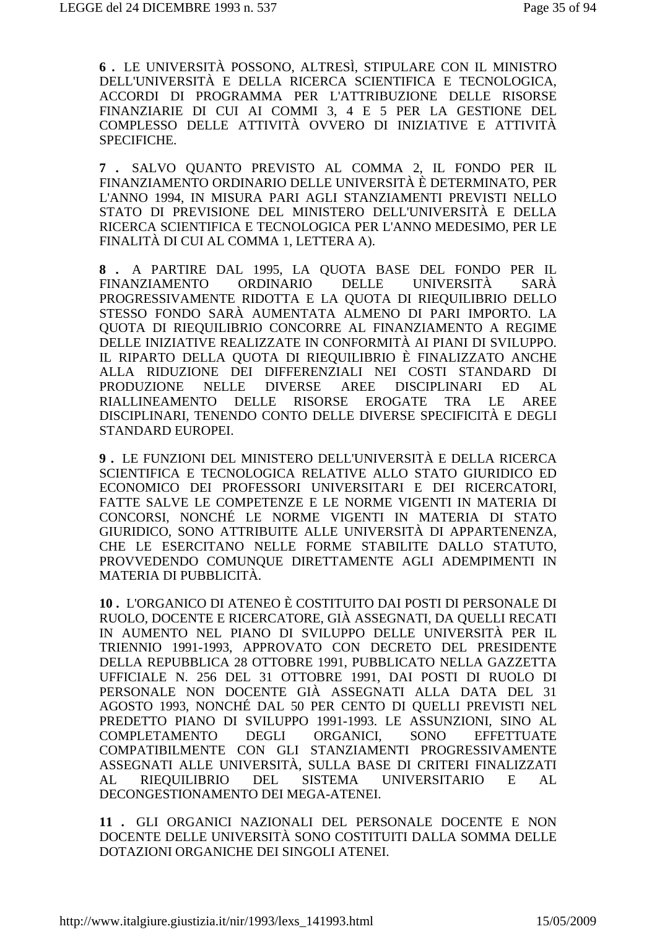**6 .** LE UNIVERSITÀ POSSONO, ALTRESÌ, STIPULARE CON IL MINISTRO DELL'UNIVERSITÀ E DELLA RICERCA SCIENTIFICA E TECNOLOGICA, ACCORDI DI PROGRAMMA PER L'ATTRIBUZIONE DELLE RISORSE FINANZIARIE DI CUI AI COMMI 3, 4 E 5 PER LA GESTIONE DEL COMPLESSO DELLE ATTIVITÀ OVVERO DI INIZIATIVE E ATTIVITÀ SPECIFICHE.

**7 .** SALVO QUANTO PREVISTO AL COMMA 2, IL FONDO PER IL FINANZIAMENTO ORDINARIO DELLE UNIVERSITÀ È DETERMINATO, PER L'ANNO 1994, IN MISURA PARI AGLI STANZIAMENTI PREVISTI NELLO STATO DI PREVISIONE DEL MINISTERO DELL'UNIVERSITÀ E DELLA RICERCA SCIENTIFICA E TECNOLOGICA PER L'ANNO MEDESIMO, PER LE FINALITÀ DI CUI AL COMMA 1, LETTERA A).

**8 .** A PARTIRE DAL 1995, LA QUOTA BASE DEL FONDO PER IL FINANZIAMENTO ORDINARIO DELLE UNIVERSITÀ SARÀ PROGRESSIVAMENTE RIDOTTA E LA QUOTA DI RIEQUILIBRIO DELLO STESSO FONDO SARÀ AUMENTATA ALMENO DI PARI IMPORTO. LA QUOTA DI RIEQUILIBRIO CONCORRE AL FINANZIAMENTO A REGIME DELLE INIZIATIVE REALIZZATE IN CONFORMITÀ AI PIANI DI SVILUPPO. IL RIPARTO DELLA QUOTA DI RIEQUILIBRIO È FINALIZZATO ANCHE ALLA RIDUZIONE DEI DIFFERENZIALI NEI COSTI STANDARD DI PRODUZIONE NELLE DIVERSE AREE DISCIPLINARI ED AL RIALLINEAMENTO DELLE RISORSE EROGATE TRA LE AREE DISCIPLINARI, TENENDO CONTO DELLE DIVERSE SPECIFICITÀ E DEGLI STANDARD EUROPEI.

**9 .** LE FUNZIONI DEL MINISTERO DELL'UNIVERSITÀ E DELLA RICERCA SCIENTIFICA E TECNOLOGICA RELATIVE ALLO STATO GIURIDICO ED ECONOMICO DEI PROFESSORI UNIVERSITARI E DEI RICERCATORI, FATTE SALVE LE COMPETENZE E LE NORME VIGENTI IN MATERIA DI CONCORSI, NONCHÉ LE NORME VIGENTI IN MATERIA DI STATO GIURIDICO, SONO ATTRIBUITE ALLE UNIVERSITÀ DI APPARTENENZA, CHE LE ESERCITANO NELLE FORME STABILITE DALLO STATUTO, PROVVEDENDO COMUNQUE DIRETTAMENTE AGLI ADEMPIMENTI IN MATERIA DI PUBBLICITÀ.

**10 .** L'ORGANICO DI ATENEO È COSTITUITO DAI POSTI DI PERSONALE DI RUOLO, DOCENTE E RICERCATORE, GIÀ ASSEGNATI, DA QUELLI RECATI IN AUMENTO NEL PIANO DI SVILUPPO DELLE UNIVERSITÀ PER IL TRIENNIO 1991-1993, APPROVATO CON DECRETO DEL PRESIDENTE DELLA REPUBBLICA 28 OTTOBRE 1991, PUBBLICATO NELLA GAZZETTA UFFICIALE N. 256 DEL 31 OTTOBRE 1991, DAI POSTI DI RUOLO DI PERSONALE NON DOCENTE GIÀ ASSEGNATI ALLA DATA DEL 31 AGOSTO 1993, NONCHÉ DAL 50 PER CENTO DI QUELLI PREVISTI NEL PREDETTO PIANO DI SVILUPPO 1991-1993. LE ASSUNZIONI, SINO AL COMPLETAMENTO DEGLI ORGANICI, SONO EFFETTUATE COMPATIBILMENTE CON GLI STANZIAMENTI PROGRESSIVAMENTE ASSEGNATI ALLE UNIVERSITÀ, SULLA BASE DI CRITERI FINALIZZATI AL RIEQUILIBRIO DEL SISTEMA UNIVERSITARIO E AL DECONGESTIONAMENTO DEI MEGA-ATENEI.

**11 .** GLI ORGANICI NAZIONALI DEL PERSONALE DOCENTE E NON DOCENTE DELLE UNIVERSITÀ SONO COSTITUITI DALLA SOMMA DELLE DOTAZIONI ORGANICHE DEI SINGOLI ATENEI.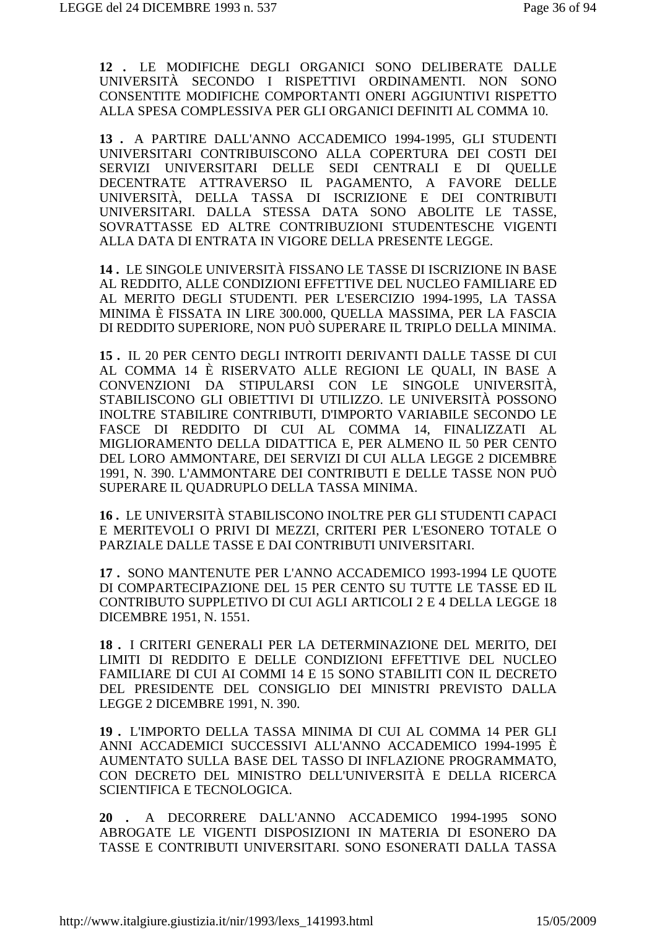**12 .** LE MODIFICHE DEGLI ORGANICI SONO DELIBERATE DALLE UNIVERSITÀ SECONDO I RISPETTIVI ORDINAMENTI. NON SONO CONSENTITE MODIFICHE COMPORTANTI ONERI AGGIUNTIVI RISPETTO ALLA SPESA COMPLESSIVA PER GLI ORGANICI DEFINITI AL COMMA 10.

**13 .** A PARTIRE DALL'ANNO ACCADEMICO 1994-1995, GLI STUDENTI UNIVERSITARI CONTRIBUISCONO ALLA COPERTURA DEI COSTI DEI SERVIZI UNIVERSITARI DELLE SEDI CENTRALI E DI QUELLE DECENTRATE ATTRAVERSO IL PAGAMENTO, A FAVORE DELLE UNIVERSITÀ, DELLA TASSA DI ISCRIZIONE E DEI CONTRIBUTI UNIVERSITARI. DALLA STESSA DATA SONO ABOLITE LE TASSE, SOVRATTASSE ED ALTRE CONTRIBUZIONI STUDENTESCHE VIGENTI ALLA DATA DI ENTRATA IN VIGORE DELLA PRESENTE LEGGE.

**14 .** LE SINGOLE UNIVERSITÀ FISSANO LE TASSE DI ISCRIZIONE IN BASE AL REDDITO, ALLE CONDIZIONI EFFETTIVE DEL NUCLEO FAMILIARE ED AL MERITO DEGLI STUDENTI. PER L'ESERCIZIO 1994-1995, LA TASSA MINIMA È FISSATA IN LIRE 300.000, QUELLA MASSIMA, PER LA FASCIA DI REDDITO SUPERIORE, NON PUÒ SUPERARE IL TRIPLO DELLA MINIMA.

**15 .** IL 20 PER CENTO DEGLI INTROITI DERIVANTI DALLE TASSE DI CUI AL COMMA 14 È RISERVATO ALLE REGIONI LE QUALI, IN BASE A CONVENZIONI DA STIPULARSI CON LE SINGOLE UNIVERSITÀ, STABILISCONO GLI OBIETTIVI DI UTILIZZO. LE UNIVERSITÀ POSSONO INOLTRE STABILIRE CONTRIBUTI, D'IMPORTO VARIABILE SECONDO LE FASCE DI REDDITO DI CUI AL COMMA 14, FINALIZZATI AL MIGLIORAMENTO DELLA DIDATTICA E, PER ALMENO IL 50 PER CENTO DEL LORO AMMONTARE, DEI SERVIZI DI CUI ALLA LEGGE 2 DICEMBRE 1991, N. 390. L'AMMONTARE DEI CONTRIBUTI E DELLE TASSE NON PUÒ SUPERARE IL QUADRUPLO DELLA TASSA MINIMA.

**16 .** LE UNIVERSITÀ STABILISCONO INOLTRE PER GLI STUDENTI CAPACI E MERITEVOLI O PRIVI DI MEZZI, CRITERI PER L'ESONERO TOTALE O PARZIALE DALLE TASSE E DAI CONTRIBUTI UNIVERSITARI.

**17 .** SONO MANTENUTE PER L'ANNO ACCADEMICO 1993-1994 LE QUOTE DI COMPARTECIPAZIONE DEL 15 PER CENTO SU TUTTE LE TASSE ED IL CONTRIBUTO SUPPLETIVO DI CUI AGLI ARTICOLI 2 E 4 DELLA LEGGE 18 DICEMBRE 1951, N. 1551.

**18 .** I CRITERI GENERALI PER LA DETERMINAZIONE DEL MERITO, DEI LIMITI DI REDDITO E DELLE CONDIZIONI EFFETTIVE DEL NUCLEO FAMILIARE DI CUI AI COMMI 14 E 15 SONO STABILITI CON IL DECRETO DEL PRESIDENTE DEL CONSIGLIO DEI MINISTRI PREVISTO DALLA LEGGE 2 DICEMBRE 1991, N. 390.

**19 .** L'IMPORTO DELLA TASSA MINIMA DI CUI AL COMMA 14 PER GLI ANNI ACCADEMICI SUCCESSIVI ALL'ANNO ACCADEMICO 1994-1995 È AUMENTATO SULLA BASE DEL TASSO DI INFLAZIONE PROGRAMMATO, CON DECRETO DEL MINISTRO DELL'UNIVERSITÀ E DELLA RICERCA SCIENTIFICA E TECNOLOGICA.

**20 .** A DECORRERE DALL'ANNO ACCADEMICO 1994-1995 SONO ABROGATE LE VIGENTI DISPOSIZIONI IN MATERIA DI ESONERO DA TASSE E CONTRIBUTI UNIVERSITARI. SONO ESONERATI DALLA TASSA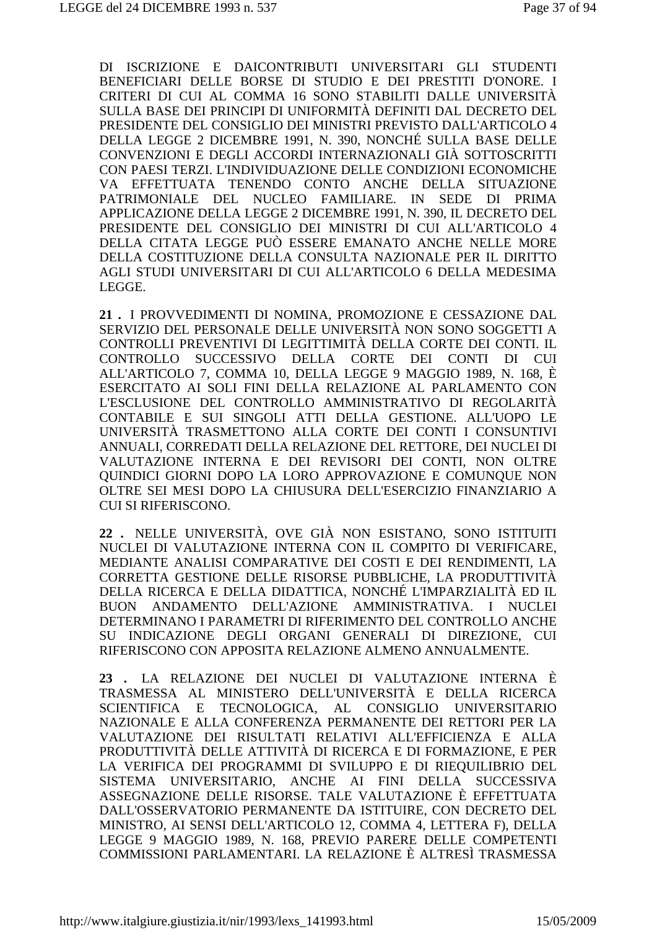DI ISCRIZIONE E DAICONTRIBUTI UNIVERSITARI GLI STUDENTI BENEFICIARI DELLE BORSE DI STUDIO E DEI PRESTITI D'ONORE. I CRITERI DI CUI AL COMMA 16 SONO STABILITI DALLE UNIVERSITÀ SULLA BASE DEI PRINCIPI DI UNIFORMITÀ DEFINITI DAL DECRETO DEL PRESIDENTE DEL CONSIGLIO DEI MINISTRI PREVISTO DALL'ARTICOLO 4 DELLA LEGGE 2 DICEMBRE 1991, N. 390, NONCHÉ SULLA BASE DELLE CONVENZIONI E DEGLI ACCORDI INTERNAZIONALI GIÀ SOTTOSCRITTI CON PAESI TERZI. L'INDIVIDUAZIONE DELLE CONDIZIONI ECONOMICHE VA EFFETTUATA TENENDO CONTO ANCHE DELLA SITUAZIONE PATRIMONIALE DEL NUCLEO FAMILIARE. IN SEDE DI PRIMA APPLICAZIONE DELLA LEGGE 2 DICEMBRE 1991, N. 390, IL DECRETO DEL PRESIDENTE DEL CONSIGLIO DEI MINISTRI DI CUI ALL'ARTICOLO 4 DELLA CITATA LEGGE PUÒ ESSERE EMANATO ANCHE NELLE MORE DELLA COSTITUZIONE DELLA CONSULTA NAZIONALE PER IL DIRITTO AGLI STUDI UNIVERSITARI DI CUI ALL'ARTICOLO 6 DELLA MEDESIMA LEGGE.

**21 .** I PROVVEDIMENTI DI NOMINA, PROMOZIONE E CESSAZIONE DAL SERVIZIO DEL PERSONALE DELLE UNIVERSITÀ NON SONO SOGGETTI A CONTROLLI PREVENTIVI DI LEGITTIMITÀ DELLA CORTE DEI CONTI. IL CONTROLLO SUCCESSIVO DELLA CORTE DEI CONTI DI CUI ALL'ARTICOLO 7, COMMA 10, DELLA LEGGE 9 MAGGIO 1989, N. 168, È ESERCITATO AI SOLI FINI DELLA RELAZIONE AL PARLAMENTO CON L'ESCLUSIONE DEL CONTROLLO AMMINISTRATIVO DI REGOLARITÀ CONTABILE E SUI SINGOLI ATTI DELLA GESTIONE. ALL'UOPO LE UNIVERSITÀ TRASMETTONO ALLA CORTE DEI CONTI I CONSUNTIVI ANNUALI, CORREDATI DELLA RELAZIONE DEL RETTORE, DEI NUCLEI DI VALUTAZIONE INTERNA E DEI REVISORI DEI CONTI, NON OLTRE QUINDICI GIORNI DOPO LA LORO APPROVAZIONE E COMUNQUE NON OLTRE SEI MESI DOPO LA CHIUSURA DELL'ESERCIZIO FINANZIARIO A CUI SI RIFERISCONO.

**22 .** NELLE UNIVERSITÀ, OVE GIÀ NON ESISTANO, SONO ISTITUITI NUCLEI DI VALUTAZIONE INTERNA CON IL COMPITO DI VERIFICARE, MEDIANTE ANALISI COMPARATIVE DEI COSTI E DEI RENDIMENTI, LA CORRETTA GESTIONE DELLE RISORSE PUBBLICHE, LA PRODUTTIVITÀ DELLA RICERCA E DELLA DIDATTICA, NONCHÉ L'IMPARZIALITÀ ED IL BUON ANDAMENTO DELL'AZIONE AMMINISTRATIVA. I NUCLEI DETERMINANO I PARAMETRI DI RIFERIMENTO DEL CONTROLLO ANCHE SU INDICAZIONE DEGLI ORGANI GENERALI DI DIREZIONE, CUI RIFERISCONO CON APPOSITA RELAZIONE ALMENO ANNUALMENTE.

**23 .** LA RELAZIONE DEI NUCLEI DI VALUTAZIONE INTERNA È TRASMESSA AL MINISTERO DELL'UNIVERSITÀ E DELLA RICERCA SCIENTIFICA E TECNOLOGICA, AL CONSIGLIO UNIVERSITARIO NAZIONALE E ALLA CONFERENZA PERMANENTE DEI RETTORI PER LA VALUTAZIONE DEI RISULTATI RELATIVI ALL'EFFICIENZA E ALLA PRODUTTIVITÀ DELLE ATTIVITÀ DI RICERCA E DI FORMAZIONE, E PER LA VERIFICA DEI PROGRAMMI DI SVILUPPO E DI RIEQUILIBRIO DEL SISTEMA UNIVERSITARIO, ANCHE AI FINI DELLA SUCCESSIVA ASSEGNAZIONE DELLE RISORSE. TALE VALUTAZIONE È EFFETTUATA DALL'OSSERVATORIO PERMANENTE DA ISTITUIRE, CON DECRETO DEL MINISTRO, AI SENSI DELL'ARTICOLO 12, COMMA 4, LETTERA F), DELLA LEGGE 9 MAGGIO 1989, N. 168, PREVIO PARERE DELLE COMPETENTI COMMISSIONI PARLAMENTARI. LA RELAZIONE È ALTRESÌ TRASMESSA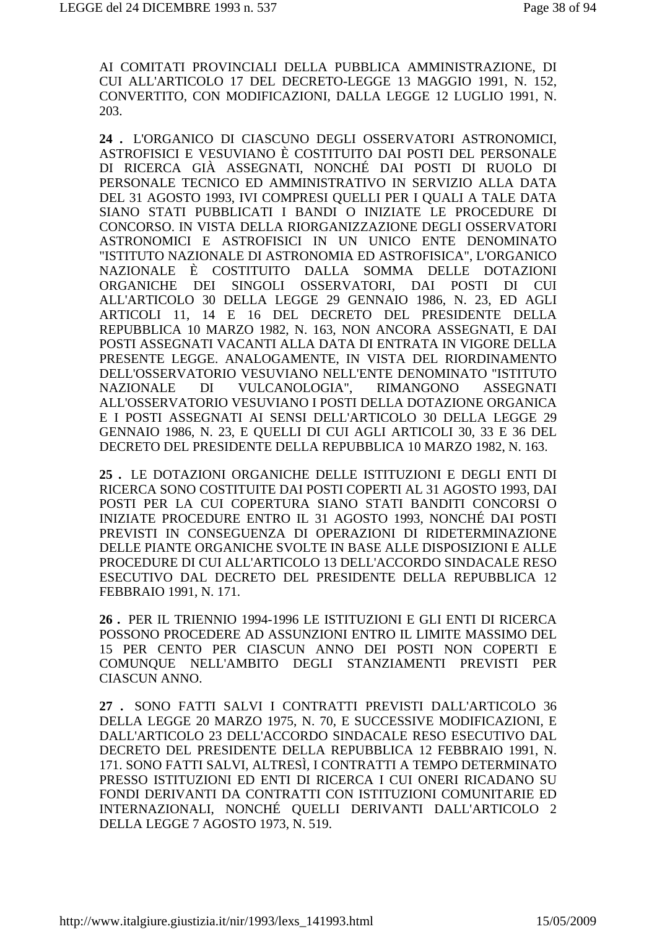AI COMITATI PROVINCIALI DELLA PUBBLICA AMMINISTRAZIONE, DI CUI ALL'ARTICOLO 17 DEL DECRETO-LEGGE 13 MAGGIO 1991, N. 152, CONVERTITO, CON MODIFICAZIONI, DALLA LEGGE 12 LUGLIO 1991, N. 203.

24 . L'ORGANICO DI CIASCUNO DEGLI OSSERVATORI ASTRONOMICI, ASTROFISICI E VESUVIANO È COSTITUITO DAI POSTI DEL PERSONALE DI RICERCA GIÀ ASSEGNATI, NONCHÉ DAI POSTI DI RUOLO DI PERSONALE TECNICO ED AMMINISTRATIVO IN SERVIZIO ALLA DATA DEL 31 AGOSTO 1993, IVI COMPRESI QUELLI PER I QUALI A TALE DATA SIANO STATI PUBBLICATI I BANDI O INIZIATE LE PROCEDURE DI CONCORSO. IN VISTA DELLA RIORGANIZZAZIONE DEGLI OSSERVATORI ASTRONOMICI E ASTROFISICI IN UN UNICO ENTE DENOMINATO "ISTITUTO NAZIONALE DI ASTRONOMIA ED ASTROFISICA", L'ORGANICO NAZIONALE È COSTITUITO DALLA SOMMA DELLE DOTAZIONI ORGANICHE DEI SINGOLI OSSERVATORI. DAI POSTI DI CUI ALL'ARTICOLO 30 DELLA LEGGE 29 GENNAIO 1986. N. 23. ED AGLI ARTICOLI 11, 14 E 16 DEL DECRETO DEL PRESIDENTE DELLA REPUBBLICA 10 MARZO 1982, N. 163, NON ANCORA ASSEGNATI, E DAI POSTI ASSEGNATI VACANTI ALLA DATA DI ENTRATA IN VIGORE DELLA PRESENTE LEGGE, ANALOGAMENTE, IN VISTA DEL RIORDINAMENTO DELL'OSSERVATORIO VESUVIANO NELL'ENTE DENOMINATO "ISTITUTO VULCANOLOGIA". **ASSEGNATI NAZIONALE**  $DI$ **RIMANGONO** ALL'OSSERVATORIO VESUVIANO I POSTI DELLA DOTAZIONE ORGANICA E I POSTI ASSEGNATI AI SENSI DELL'ARTICOLO 30 DELLA LEGGE 29 GENNAIO 1986, N. 23, E QUELLI DI CUI AGLI ARTICOLI 30, 33 E 36 DEL DECRETO DEL PRESIDENTE DELLA REPUBBLICA 10 MARZO 1982, N. 163.

25. LE DOTAZIONI ORGANICHE DELLE ISTITUZIONI E DEGLI ENTI DI RICERCA SONO COSTITUITE DAI POSTI COPERTI AL 31 AGOSTO 1993, DAI POSTI PER LA CUI COPERTURA SIANO STATI BANDITI CONCORSI O INIZIATE PROCEDURE ENTRO IL 31 AGOSTO 1993, NONCHÉ DAI POSTI PREVISTI IN CONSEGUENZA DI OPERAZIONI DI RIDETERMINAZIONE DELLE PIANTE ORGANICHE SVOLTE IN BASE ALLE DISPOSIZIONI E ALLE PROCEDURE DI CUI ALL'ARTICOLO 13 DELL'ACCORDO SINDACALE RESO ESECUTIVO DAL DECRETO DEL PRESIDENTE DELLA REPUBBLICA 12 FEBBRAIO 1991, N. 171.

26. PER IL TRIENNIO 1994-1996 LE ISTITUZIONI E GLI ENTI DI RICERCA POSSONO PROCEDERE AD ASSUNZIONI ENTRO IL LIMITE MASSIMO DEL 15 PER CENTO PER CIASCUN ANNO DEI POSTI NON COPERTI E COMUNQUE NELL'AMBITO DEGLI STANZIAMENTI PREVISTI PER **CIASCUN ANNO.** 

27 . SONO FATTI SALVI I CONTRATTI PREVISTI DALL'ARTICOLO 36 DELLA LEGGE 20 MARZO 1975, N. 70. E SUCCESSIVE MODIFICAZIONI. E DALL'ARTICOLO 23 DELL'ACCORDO SINDACALE RESO ESECUTIVO DAL DECRETO DEL PRESIDENTE DELLA REPUBBLICA 12 FEBBRAIO 1991, N. 171. SONO FATTI SALVI, ALTRESÌ, I CONTRATTI A TEMPO DETERMINATO PRESSO ISTITUZIONI ED ENTI DI RICERCA I CUI ONERI RICADANO SU FONDI DERIVANTI DA CONTRATTI CON ISTITUZIONI COMUNITARIE ED INTERNAZIONALI, NONCHÉ QUELLI DERIVANTI DALL'ARTICOLO 2 DELLA LEGGE 7 AGOSTO 1973, N. 519.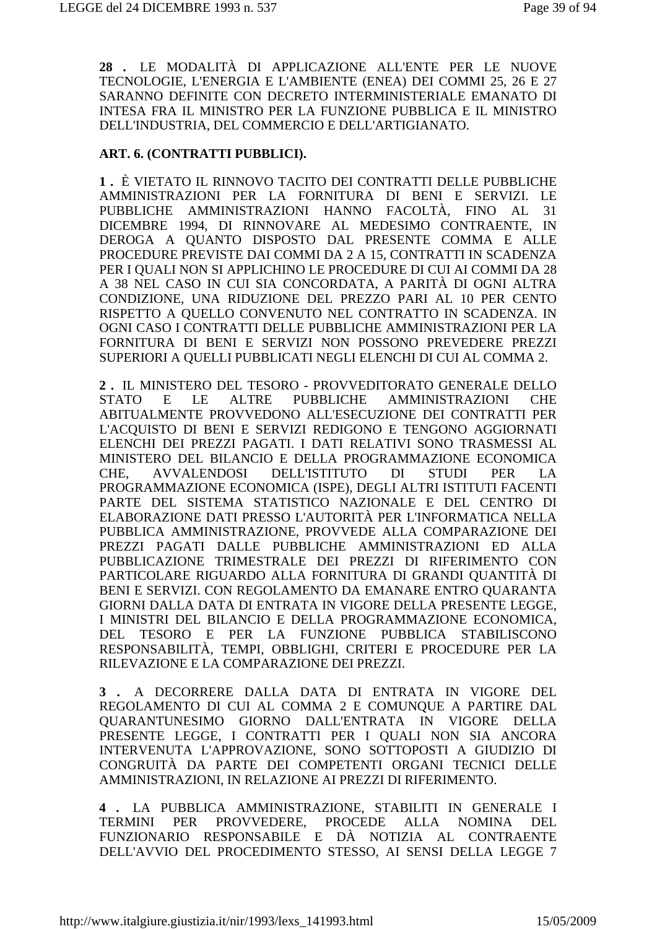28 . LE MODALITÀ DI APPLICAZIONE ALL'ENTE PER LE NUOVE TECNOLOGIE, L'ENERGIA E L'AMBIENTE (ENEA) DEI COMMI 25, 26 E 27 SARANNO DEFINITE CON DECRETO INTERMINISTERIALE EMANATO DI INTESA FRA IL MINISTRO PER LA FUNZIONE PUBBLICA E IL MINISTRO DELL'INDUSTRIA, DEL COMMERCIO E DELL'ARTIGIANATO.

#### ART. 6. (CONTRATTI PUBBLICI).

1. È VIETATO IL RINNOVO TACITO DEI CONTRATTI DELLE PUBBLICHE AMMINISTRAZIONI PER LA FORNITURA DI BENI E SERVIZI. LE PUBBLICHE AMMINISTRAZIONI HANNO FACOLTÀ, FINO AL 31 DICEMBRE 1994. DI RINNOVARE AL MEDESIMO CONTRAENTE. IN DEROGA A QUANTO DISPOSTO DAL PRESENTE COMMA E ALLE PROCEDURE PREVISTE DAI COMMI DA 2 A 15, CONTRATTI IN SCADENZA PER I OUALI NON SI APPLICHINO LE PROCEDURE DI CUI AI COMMI DA 28 A 38 NEL CASO IN CUI SIA CONCORDATA, A PARITÀ DI OGNI ALTRA CONDIZIONE, UNA RIDUZIONE DEL PREZZO PARI AL 10 PER CENTO RISPETTO A OUELLO CONVENUTO NEL CONTRATTO IN SCADENZA. IN OGNI CASO I CONTRATTI DELLE PUBBLICHE AMMINISTRAZIONI PER LA FORNITURA DI BENI E SERVIZI NON POSSONO PREVEDERE PREZZI SUPERIORI A QUELLI PUBBLICATI NEGLI ELENCHI DI CUI AL COMMA 2.

2. IL MINISTERO DEL TESORO - PROVVEDITORATO GENERALE DELLO **ALTRE PUBBLICHE AMMINISTRAZIONI STATO**  $E$ LE **CHE** ABITUALMENTE PROVVEDONO ALL'ESECUZIONE DEI CONTRATTI PER L'ACOUISTO DI BENI E SERVIZI REDIGONO E TENGONO AGGIORNATI ELENCHI DEI PREZZI PAGATI. I DATI RELATIVI SONO TRASMESSI AL MINISTERO DEL BILANCIO E DELLA PROGRAMMAZIONE ECONOMICA **DELL'ISTITUTO** CHE. **AVVALENDOSI** DI. **STUDI PER**  $L^A$ PROGRAMMAZIONE ECONOMICA (ISPE), DEGLI ALTRI ISTITUTI FACENTI PARTE DEL SISTEMA STATISTICO NAZIONALE E DEL CENTRO DI ELABORAZIONE DATI PRESSO L'AUTORITÀ PER L'INFORMATICA NELLA PUBBLICA AMMINISTRAZIONE, PROVVEDE ALLA COMPARAZIONE DEI PREZZI PAGATI DALLE PUBBLICHE AMMINISTRAZIONI ED ALLA PUBBLICAZIONE TRIMESTRALE DEI PREZZI DI RIFERIMENTO CON PARTICOLARE RIGUARDO ALLA FORNITURA DI GRANDI QUANTITÀ DI BENI E SERVIZI. CON REGOLAMENTO DA EMANARE ENTRO OUARANTA GIORNI DALLA DATA DI ENTRATA IN VIGORE DELLA PRESENTE LEGGE, I MINISTRI DEL BILANCIO E DELLA PROGRAMMAZIONE ECONOMICA, TESORO E PER LA FUNZIONE PUBBLICA STABILISCONO **DEL** RESPONSABILITÀ, TEMPI, OBBLIGHI, CRITERI E PROCEDURE PER LA RILEVAZIONE E LA COMPARAZIONE DEI PREZZI.

3. A DECORRERE DALLA DATA DI ENTRATA IN VIGORE DEL REGOLAMENTO DI CUI AL COMMA 2 E COMUNQUE A PARTIRE DAL OUARANTUNESIMO GIORNO DALL'ENTRATA IN VIGORE DELLA PRESENTE LEGGE, I CONTRATTI PER I QUALI NON SIA ANCORA INTERVENUTA L'APPROVAZIONE, SONO SOTTOPOSTI A GIUDIZIO DI CONGRUITÀ DA PARTE DEI COMPETENTI ORGANI TECNICI DELLE AMMINISTRAZIONI. IN RELAZIONE AI PREZZI DI RIFERIMENTO.

4. LA PUBBLICA AMMINISTRAZIONE. STABILITI IN GENERALE I PROVVEDERE. PROCEDE **ALLA TERMINI PER NOMINA** DEL. FUNZIONARIO RESPONSABILE E DÀ NOTIZIA AL CONTRAENTE DELL'AVVIO DEL PROCEDIMENTO STESSO, AI SENSI DELLA LEGGE 7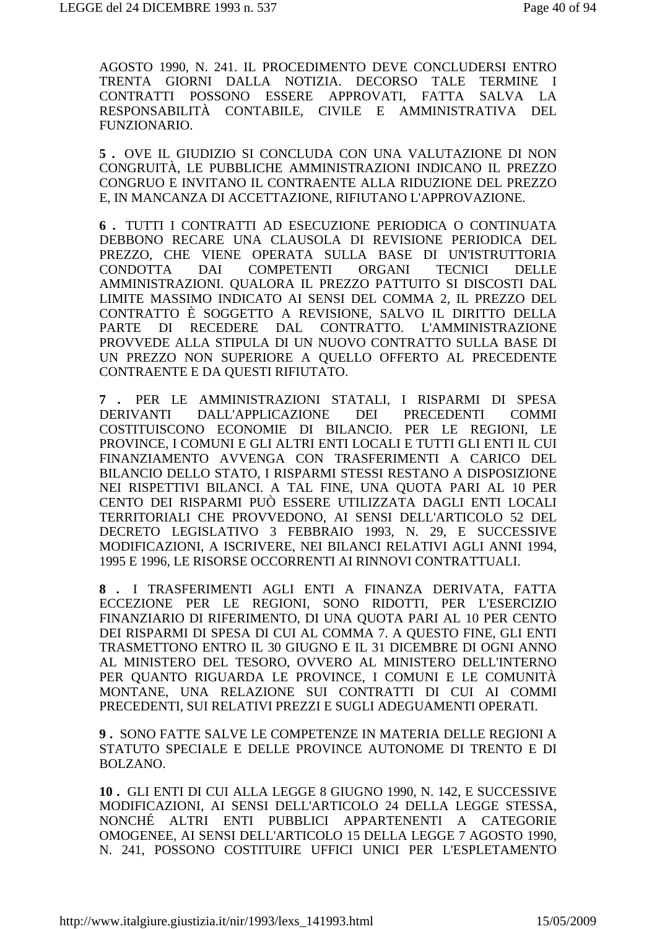AGOSTO 1990, N. 241. IL PROCEDIMENTO DEVE CONCLUDERSI ENTRO TRENTA GIORNI DALLA NOTIZIA. DECORSO TALE TERMINE I CONTRATTI POSSONO ESSERE APPROVATI, FATTA SALVA LA RESPONSABILITÀ CONTABILE. CIVILE E AMMINISTRATIVA DEL FUNZIONARIO.

5. OVE IL GIUDIZIO SI CONCLUDA CON UNA VALUTAZIONE DI NON CONGRUITÀ, LE PUBBLICHE AMMINISTRAZIONI INDICANO IL PREZZO CONGRUO E INVITANO IL CONTRAENTE ALLA RIDUZIONE DEL PREZZO E, IN MANCANZA DI ACCETTAZIONE, RIFIUTANO L'APPROVAZIONE.

6. TUTTI I CONTRATTI AD ESECUZIONE PERIODICA O CONTINUATA DEBBONO RECARE UNA CLAUSOLA DI REVISIONE PERIODICA DEL PREZZO, CHE VIENE OPERATA SULLA BASE DI UN'ISTRUTTORIA **CONDOTTA** DAI **COMPETENTI ORGANI TECNICI DELLE** AMMINISTRAZIONI. QUALORA IL PREZZO PATTUITO SI DISCOSTI DAL LIMITE MASSIMO INDICATO AI SENSI DEL COMMA 2, IL PREZZO DEL CONTRATTO È SOGGETTO A REVISIONE, SALVO IL DIRITTO DELLA RECEDERE DAL CONTRATTO. L'AMMINISTRAZIONE PARTE DI PROVVEDE ALLA STIPULA DI UN NUOVO CONTRATTO SULLA BASE DI UN PREZZO NON SUPERIORE A OUELLO OFFERTO AL PRECEDENTE CONTRAENTE E DA OUESTI RIFIUTATO.

7 . PER LE AMMINISTRAZIONI STATALI, I RISPARMI DI SPESA DALL'APPLICAZIONE **DERIVANTI DEI** PRECEDENTI **COMMI** COSTITUISCONO ECONOMIE DI BILANCIO. PER LE REGIONI, LE PROVINCE, I COMUNI E GLI ALTRI ENTI LOCALI E TUTTI GLI ENTI IL CUI FINANZIAMENTO AVVENGA CON TRASFERIMENTI A CARICO DEL BILANCIO DELLO STATO, I RISPARMI STESSI RESTANO A DISPOSIZIONE NEI RISPETTIVI BILANCI. A TAL FINE, UNA QUOTA PARI AL 10 PER CENTO DEI RISPARMI PUÒ ESSERE UTILIZZATA DAGLI ENTI LOCALI TERRITORIALI CHE PROVVEDONO, AI SENSI DELL'ARTICOLO 52 DEL DECRETO LEGISLATIVO 3 FEBBRAIO 1993, N. 29, E SUCCESSIVE MODIFICAZIONI, A ISCRIVERE, NEI BILANCI RELATIVI AGLI ANNI 1994, 1995 E 1996, LE RISORSE OCCORRENTI AI RINNOVI CONTRATTUALI.

8. I TRASFERIMENTI AGLI ENTI A FINANZA DERIVATA, FATTA ECCEZIONE PER LE REGIONI, SONO RIDOTTI, PER L'ESERCIZIO FINANZIARIO DI RIFERIMENTO, DI UNA QUOTA PARI AL 10 PER CENTO DEI RISPARMI DI SPESA DI CUI AL COMMA 7. A QUESTO FINE, GLI ENTI TRASMETTONO ENTRO IL 30 GIUGNO E IL 31 DICEMBRE DI OGNI ANNO AL MINISTERO DEL TESORO, OVVERO AL MINISTERO DELL'INTERNO PER OUANTO RIGUARDA LE PROVINCE, I COMUNI E LE COMUNITÀ MONTANE, UNA RELAZIONE SUI CONTRATTI DI CUI AI COMMI PRECEDENTI, SUI RELATIVI PREZZI E SUGLI ADEGUAMENTI OPERATI.

9. SONO FATTE SALVE LE COMPETENZE IN MATERIA DELLE REGIONI A STATUTO SPECIALE E DELLE PROVINCE AUTONOME DI TRENTO E DI **BOLZANO.** 

10. GLI ENTI DI CUI ALLA LEGGE 8 GIUGNO 1990, N. 142, E SUCCESSIVE MODIFICAZIONI, AI SENSI DELL'ARTICOLO 24 DELLA LEGGE STESSA, NONCHÉ ALTRI ENTI PUBBLICI APPARTENENTI A CATEGORIE OMOGENEE, AI SENSI DELL'ARTICOLO 15 DELLA LEGGE 7 AGOSTO 1990. N. 241, POSSONO COSTITUIRE UFFICI UNICI PER L'ESPLETAMENTO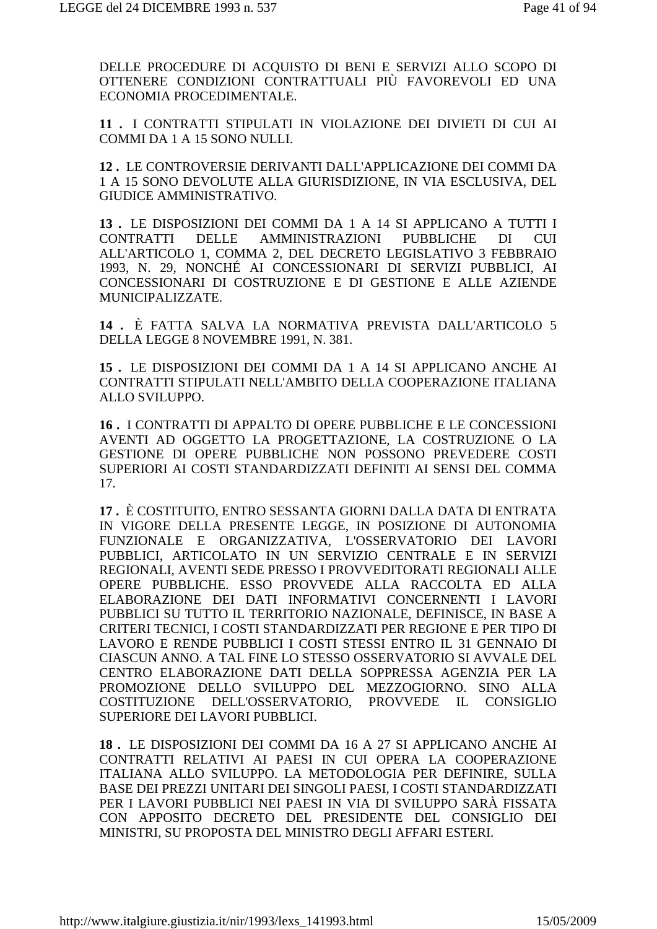DELLE PROCEDURE DI ACQUISTO DI BENI E SERVIZI ALLO SCOPO DI OTTENERE CONDIZIONI CONTRATTUALI PIÙ FAVOREVOLI ED UNA ECONOMIA PROCEDIMENTALE.

11 . I CONTRATTI STIPULATI IN VIOLAZIONE DEI DIVIETI DI CUI AI COMMI DA 1 A 15 SONO NULLI.

12. LE CONTROVERSIE DERIVANTI DALL'APPLICAZIONE DEI COMMI DA 1 A 15 SONO DEVOLUTE ALLA GIURISDIZIONE, IN VIA ESCLUSIVA, DEL GIUDICE AMMINISTRATIVO.

13. LE DISPOSIZIONI DEI COMMI DA 1 A 14 SI APPLICANO A TUTTI I **CONTRATTI DELLE** AMMINISTRAZIONI **PUBBLICHE** DI **CUL** ALL'ARTICOLO 1, COMMA 2, DEL DECRETO LEGISLATIVO 3 FEBBRAIO 1993, N. 29, NONCHÉ AI CONCESSIONARI DI SERVIZI PUBBLICI, AI CONCESSIONARI DI COSTRUZIONE E DI GESTIONE E ALLE AZIENDE MUNICIPALIZZATE.

14 . È FATTA SALVA LA NORMATIVA PREVISTA DALL'ARTICOLO 5 DELLA LEGGE 8 NOVEMBRE 1991, N. 381.

15. LE DISPOSIZIONI DEI COMMI DA 1 A 14 SI APPLICANO ANCHE AI CONTRATTI STIPULATI NELL'AMBITO DELLA COOPERAZIONE ITALIANA ALLO SVILUPPO.

16. I CONTRATTI DI APPALTO DI OPERE PUBBLICHE E LE CONCESSIONI AVENTI AD OGGETTO LA PROGETTAZIONE, LA COSTRUZIONE O LA GESTIONE DI OPERE PUBBLICHE NON POSSONO PREVEDERE COSTI SUPERIORI AI COSTI STANDARDIZZATI DEFINITI AI SENSI DEL COMMA  $17<sub>1</sub>$ 

17. È COSTITUITO, ENTRO SESSANTA GIORNI DALLA DATA DI ENTRATA IN VIGORE DELLA PRESENTE LEGGE. IN POSIZIONE DI AUTONOMIA FUNZIONALE E ORGANIZZATIVA, L'OSSERVATORIO DEI LAVORI PUBBLICI, ARTICOLATO IN UN SERVIZIO CENTRALE E IN SERVIZI REGIONALI, AVENTI SEDE PRESSO I PROVVEDITORATI REGIONALI ALLE OPERE PUBBLICHE. ESSO PROVVEDE ALLA RACCOLTA ED ALLA ELABORAZIONE DEI DATI INFORMATIVI CONCERNENTI I LAVORI PUBBLICI SU TUTTO IL TERRITORIO NAZIONALE, DEFINISCE, IN BASE A CRITERI TECNICI. I COSTI STANDARDIZZATI PER REGIONE E PER TIPO DI LAVORO E RENDE PUBBLICI I COSTI STESSI ENTRO IL 31 GENNAIO DI CIASCUN ANNO. A TAL FINE LO STESSO OSSERVATORIO SI AVVALE DEL CENTRO ELABORAZIONE DATI DELLA SOPPRESSA AGENZIA PER LA PROMOZIONE DELLO SVILUPPO DEL MEZZOGIORNO. SINO ALLA COSTITUZIONE DELL'OSSERVATORIO, PROVVEDE IL CONSIGLIO SUPERIORE DEI LAVORI PUBBLICI.

18. LE DISPOSIZIONI DEI COMMI DA 16 A 27 SI APPLICANO ANCHE AI CONTRATTI RELATIVI AI PAESI IN CUI OPERA LA COOPERAZIONE ITALIANA ALLO SVILUPPO. LA METODOLOGIA PER DEFINIRE, SULLA BASE DEI PREZZI UNITARI DEI SINGOLI PAESI, I COSTI STANDARDIZZATI PER I LAVORI PUBBLICI NEI PAESI IN VIA DI SVILUPPO SARÀ FISSATA CON APPOSITO DECRETO DEL PRESIDENTE DEL CONSIGLIO DEI MINISTRI, SU PROPOSTA DEL MINISTRO DEGLI AFFARI ESTERI.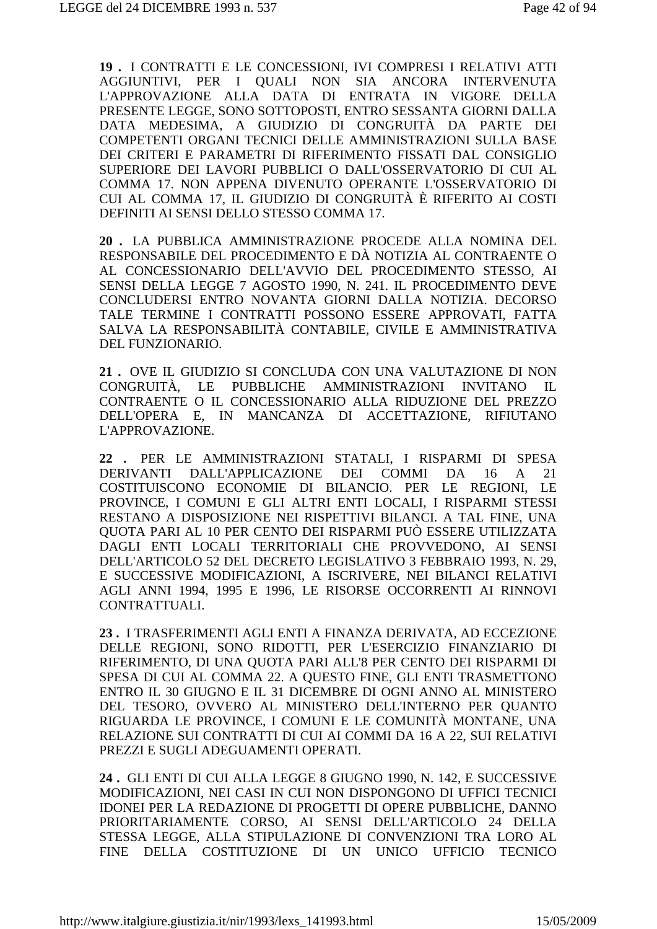**19 .** I CONTRATTI E LE CONCESSIONI, IVI COMPRESI I RELATIVI ATTI AGGIUNTIVI, PER I QUALI NON SIA ANCORA INTERVENUTA L'APPROVAZIONE ALLA DATA DI ENTRATA IN VIGORE DELLA PRESENTE LEGGE, SONO SOTTOPOSTI, ENTRO SESSANTA GIORNI DALLA DATA MEDESIMA, A GIUDIZIO DI CONGRUITÀ DA PARTE DEI COMPETENTI ORGANI TECNICI DELLE AMMINISTRAZIONI SULLA BASE DEI CRITERI E PARAMETRI DI RIFERIMENTO FISSATI DAL CONSIGLIO SUPERIORE DEI LAVORI PUBBLICI O DALL'OSSERVATORIO DI CUI AL COMMA 17. NON APPENA DIVENUTO OPERANTE L'OSSERVATORIO DI CUI AL COMMA 17, IL GIUDIZIO DI CONGRUITÀ È RIFERITO AI COSTI DEFINITI AI SENSI DELLO STESSO COMMA 17.

**20 .** LA PUBBLICA AMMINISTRAZIONE PROCEDE ALLA NOMINA DEL RESPONSABILE DEL PROCEDIMENTO E DÀ NOTIZIA AL CONTRAENTE O AL CONCESSIONARIO DELL'AVVIO DEL PROCEDIMENTO STESSO, AI SENSI DELLA LEGGE 7 AGOSTO 1990, N. 241. IL PROCEDIMENTO DEVE CONCLUDERSI ENTRO NOVANTA GIORNI DALLA NOTIZIA. DECORSO TALE TERMINE I CONTRATTI POSSONO ESSERE APPROVATI, FATTA SALVA LA RESPONSABILITÀ CONTABILE, CIVILE E AMMINISTRATIVA DEL FUNZIONARIO.

**21 .** OVE IL GIUDIZIO SI CONCLUDA CON UNA VALUTAZIONE DI NON CONGRUITÀ, LE PUBBLICHE AMMINISTRAZIONI INVITANO CONTRAENTE O IL CONCESSIONARIO ALLA RIDUZIONE DEL PREZZO DELL'OPERA E, IN MANCANZA DI ACCETTAZIONE, RIFIUTANO L'APPROVAZIONE.

**22 .** PER LE AMMINISTRAZIONI STATALI, I RISPARMI DI SPESA DERIVANTI DALL'APPLICAZIONE DEI COMMI DA 16 A 21 COSTITUISCONO ECONOMIE DI BILANCIO. PER LE REGIONI, LE PROVINCE, I COMUNI E GLI ALTRI ENTI LOCALI, I RISPARMI STESSI RESTANO A DISPOSIZIONE NEI RISPETTIVI BILANCI. A TAL FINE, UNA QUOTA PARI AL 10 PER CENTO DEI RISPARMI PUÒ ESSERE UTILIZZATA DAGLI ENTI LOCALI TERRITORIALI CHE PROVVEDONO, AI SENSI DELL'ARTICOLO 52 DEL DECRETO LEGISLATIVO 3 FEBBRAIO 1993, N. 29, E SUCCESSIVE MODIFICAZIONI, A ISCRIVERE, NEI BILANCI RELATIVI AGLI ANNI 1994, 1995 E 1996, LE RISORSE OCCORRENTI AI RINNOVI CONTRATTUALI.

**23 .** I TRASFERIMENTI AGLI ENTI A FINANZA DERIVATA, AD ECCEZIONE DELLE REGIONI, SONO RIDOTTI, PER L'ESERCIZIO FINANZIARIO DI RIFERIMENTO, DI UNA QUOTA PARI ALL'8 PER CENTO DEI RISPARMI DI SPESA DI CUI AL COMMA 22. A QUESTO FINE, GLI ENTI TRASMETTONO ENTRO IL 30 GIUGNO E IL 31 DICEMBRE DI OGNI ANNO AL MINISTERO DEL TESORO, OVVERO AL MINISTERO DELL'INTERNO PER QUANTO RIGUARDA LE PROVINCE, I COMUNI E LE COMUNITÀ MONTANE, UNA RELAZIONE SUI CONTRATTI DI CUI AI COMMI DA 16 A 22, SUI RELATIVI PREZZI E SUGLI ADEGUAMENTI OPERATI.

**24 .** GLI ENTI DI CUI ALLA LEGGE 8 GIUGNO 1990, N. 142, E SUCCESSIVE MODIFICAZIONI, NEI CASI IN CUI NON DISPONGONO DI UFFICI TECNICI IDONEI PER LA REDAZIONE DI PROGETTI DI OPERE PUBBLICHE, DANNO PRIORITARIAMENTE CORSO, AI SENSI DELL'ARTICOLO 24 DELLA STESSA LEGGE, ALLA STIPULAZIONE DI CONVENZIONI TRA LORO AL FINE DELLA COSTITUZIONE DI UN UNICO UFFICIO TECNICO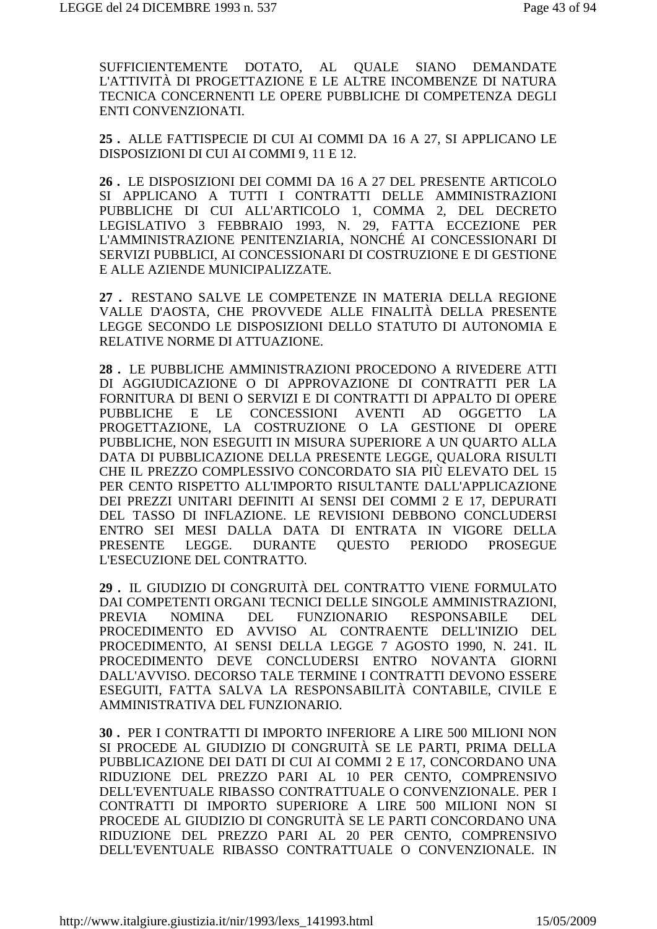SUFFICIENTEMENTE DOTATO, AL QUALE SIANO DEMANDATE L'ATTIVITÀ DI PROGETTAZIONE E LE ALTRE INCOMBENZE DI NATURA TECNICA CONCERNENTI LE OPERE PUBBLICHE DI COMPETENZA DEGLI ENTI CONVENZIONATI.

**25 .** ALLE FATTISPECIE DI CUI AI COMMI DA 16 A 27, SI APPLICANO LE DISPOSIZIONI DI CUI AI COMMI 9, 11 E 12.

**26 .** LE DISPOSIZIONI DEI COMMI DA 16 A 27 DEL PRESENTE ARTICOLO SI APPLICANO A TUTTI I CONTRATTI DELLE AMMINISTRAZIONI PUBBLICHE DI CUI ALL'ARTICOLO 1, COMMA 2, DEL DECRETO LEGISLATIVO 3 FEBBRAIO 1993, N. 29, FATTA ECCEZIONE PER L'AMMINISTRAZIONE PENITENZIARIA, NONCHÉ AI CONCESSIONARI DI SERVIZI PUBBLICI, AI CONCESSIONARI DI COSTRUZIONE E DI GESTIONE E ALLE AZIENDE MUNICIPALIZZATE.

**27 .** RESTANO SALVE LE COMPETENZE IN MATERIA DELLA REGIONE VALLE D'AOSTA, CHE PROVVEDE ALLE FINALITÀ DELLA PRESENTE LEGGE SECONDO LE DISPOSIZIONI DELLO STATUTO DI AUTONOMIA E RELATIVE NORME DI ATTUAZIONE.

**28 .** LE PUBBLICHE AMMINISTRAZIONI PROCEDONO A RIVEDERE ATTI DI AGGIUDICAZIONE O DI APPROVAZIONE DI CONTRATTI PER LA FORNITURA DI BENI O SERVIZI E DI CONTRATTI DI APPALTO DI OPERE PUBBLICHE E LE CONCESSIONI AVENTI AD OGGETTO LA PROGETTAZIONE, LA COSTRUZIONE O LA GESTIONE DI OPERE PUBBLICHE, NON ESEGUITI IN MISURA SUPERIORE A UN QUARTO ALLA DATA DI PUBBLICAZIONE DELLA PRESENTE LEGGE, QUALORA RISULTI CHE IL PREZZO COMPLESSIVO CONCORDATO SIA PIÙ ELEVATO DEL 15 PER CENTO RISPETTO ALL'IMPORTO RISULTANTE DALL'APPLICAZIONE DEI PREZZI UNITARI DEFINITI AI SENSI DEI COMMI 2 E 17, DEPURATI DEL TASSO DI INFLAZIONE. LE REVISIONI DEBBONO CONCLUDERSI ENTRO SEI MESI DALLA DATA DI ENTRATA IN VIGORE DELLA PRESENTE LEGGE. DURANTE QUESTO PERIODO PROSEGUE L'ESECUZIONE DEL CONTRATTO.

**29 .** IL GIUDIZIO DI CONGRUITÀ DEL CONTRATTO VIENE FORMULATO DAI COMPETENTI ORGANI TECNICI DELLE SINGOLE AMMINISTRAZIONI, PREVIA NOMINA DEL FUNZIONARIO RESPONSABILE DEL PROCEDIMENTO ED AVVISO AL CONTRAENTE DELL'INIZIO DEL PROCEDIMENTO, AI SENSI DELLA LEGGE 7 AGOSTO 1990, N. 241. IL PROCEDIMENTO DEVE CONCLUDERSI ENTRO NOVANTA GIORNI DALL'AVVISO. DECORSO TALE TERMINE I CONTRATTI DEVONO ESSERE ESEGUITI, FATTA SALVA LA RESPONSABILITÀ CONTABILE, CIVILE E AMMINISTRATIVA DEL FUNZIONARIO.

**30 .** PER I CONTRATTI DI IMPORTO INFERIORE A LIRE 500 MILIONI NON SI PROCEDE AL GIUDIZIO DI CONGRUITÀ SE LE PARTI, PRIMA DELLA PUBBLICAZIONE DEI DATI DI CUI AI COMMI 2 E 17, CONCORDANO UNA RIDUZIONE DEL PREZZO PARI AL 10 PER CENTO, COMPRENSIVO DELL'EVENTUALE RIBASSO CONTRATTUALE O CONVENZIONALE. PER I CONTRATTI DI IMPORTO SUPERIORE A LIRE 500 MILIONI NON SI PROCEDE AL GIUDIZIO DI CONGRUITÀ SE LE PARTI CONCORDANO UNA RIDUZIONE DEL PREZZO PARI AL 20 PER CENTO, COMPRENSIVO DELL'EVENTUALE RIBASSO CONTRATTUALE O CONVENZIONALE. IN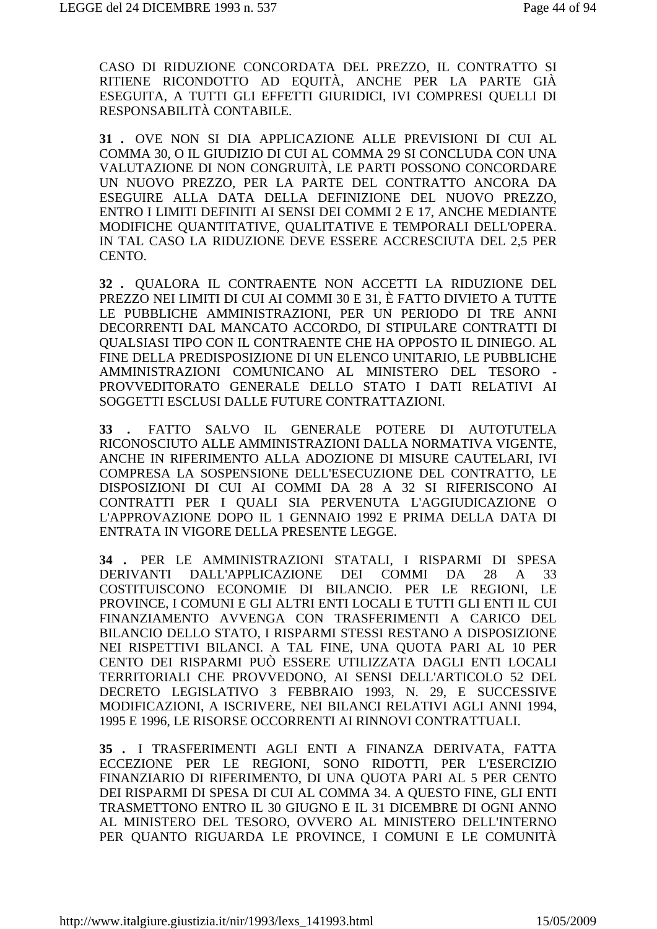CASO DI RIDUZIONE CONCORDATA DEL PREZZO, IL CONTRATTO SI RITIENE RICONDOTTO AD EQUITÀ, ANCHE PER LA PARTE GIÀ ESEGUITA, A TUTTI GLI EFFETTI GIURIDICI, IVI COMPRESI QUELLI DI RESPONSABILITÀ CONTABILE.

31. OVE NON SI DIA APPLICAZIONE ALLE PREVISIONI DI CUI AL COMMA 30, O IL GIUDIZIO DI CUI AL COMMA 29 SI CONCLUDA CON UNA VALUTAZIONE DI NON CONGRUITÀ, LE PARTI POSSONO CONCORDARE UN NUOVO PREZZO, PER LA PARTE DEL CONTRATTO ANCORA DA ESEGUIRE ALLA DATA DELLA DEFINIZIONE DEL NUOVO PREZZO, ENTRO I LIMITI DEFINITI AI SENSI DEI COMMI 2 E 17. ANCHE MEDIANTE MODIFICHE QUANTITATIVE, QUALITATIVE E TEMPORALI DELL'OPERA. IN TAL CASO LA RIDUZIONE DEVE ESSERE ACCRESCIUTA DEL 2.5 PER CENTO.

32. QUALORA IL CONTRAENTE NON ACCETTI LA RIDUZIONE DEL PREZZO NEI LIMITI DI CUI AI COMMI 30 E 31, È FATTO DIVIETO A TUTTE LE PUBBLICHE AMMINISTRAZIONI, PER UN PERIODO DI TRE ANNI DECORRENTI DAL MANCATO ACCORDO, DI STIPULARE CONTRATTI DI QUALSIASI TIPO CON IL CONTRAENTE CHE HA OPPOSTO IL DINIEGO. AL FINE DELLA PREDISPOSIZIONE DI UN ELENCO UNITARIO, LE PUBBLICHE AMMINISTRAZIONI COMUNICANO AL MINISTERO DEL TESORO -PROVVEDITORATO GENERALE DELLO STATO I DATI RELATIVI AI SOGGETTI ESCLUSI DALLE FUTURE CONTRATTAZIONI.

FATTO SALVO IL GENERALE POTERE DI AUTOTUTELA  $33.$ RICONOSCIUTO ALLE AMMINISTRAZIONI DALLA NORMATIVA VIGENTE, ANCHE IN RIFERIMENTO ALLA ADOZIONE DI MISURE CAUTELARI. IVI COMPRESA LA SOSPENSIONE DELL'ESECUZIONE DEL CONTRATTO, LE DISPOSIZIONI DI CUI AI COMMI DA 28 A 32 SI RIFERISCONO AI CONTRATTI PER I OUALI SIA PERVENUTA L'AGGIUDICAZIONE O L'APPROVAZIONE DOPO IL 1 GENNAIO 1992 E PRIMA DELLA DATA DI ENTRATA IN VIGORE DELLA PRESENTE LEGGE.

34 . PER LE AMMINISTRAZIONI STATALI, I RISPARMI DI SPESA DALL'APPLICAZIONE COMMI **DERIVANTI** DEI DA 28  $\mathbf{A}$ 33 COSTITUISCONO ECONOMIE DI BILANCIO. PER LE REGIONI. LE PROVINCE, I COMUNI E GLI ALTRI ENTI LOCALI E TUTTI GLI ENTI IL CUI FINANZIAMENTO AVVENGA CON TRASFERIMENTI A CARICO DEL BILANCIO DELLO STATO, I RISPARMI STESSI RESTANO A DISPOSIZIONE NEI RISPETTIVI BILANCI. A TAL FINE, UNA OUOTA PARI AL 10 PER CENTO DEI RISPARMI PUÒ ESSERE UTILIZZATA DAGLI ENTI LOCALI TERRITORIALI CHE PROVVEDONO, AI SENSI DELL'ARTICOLO 52 DEL DECRETO LEGISLATIVO 3 FEBBRAIO 1993, N. 29, E SUCCESSIVE MODIFICAZIONI, A ISCRIVERE, NEI BILANCI RELATIVI AGLI ANNI 1994, 1995 E 1996. LE RISORSE OCCORRENTI AI RINNOVI CONTRATTUALI.

35. I TRASFERIMENTI AGLI ENTI A FINANZA DERIVATA, FATTA ECCEZIONE PER LE REGIONI, SONO RIDOTTI, PER L'ESERCIZIO FINANZIARIO DI RIFERIMENTO, DI UNA QUOTA PARI AL 5 PER CENTO DEI RISPARMI DI SPESA DI CUI AL COMMA 34. A QUESTO FINE, GLI ENTI TRASMETTONO ENTRO IL 30 GIUGNO E IL 31 DICEMBRE DI OGNI ANNO AL MINISTERO DEL TESORO, OVVERO AL MINISTERO DELL'INTERNO PER QUANTO RIGUARDA LE PROVINCE, I COMUNI E LE COMUNITÀ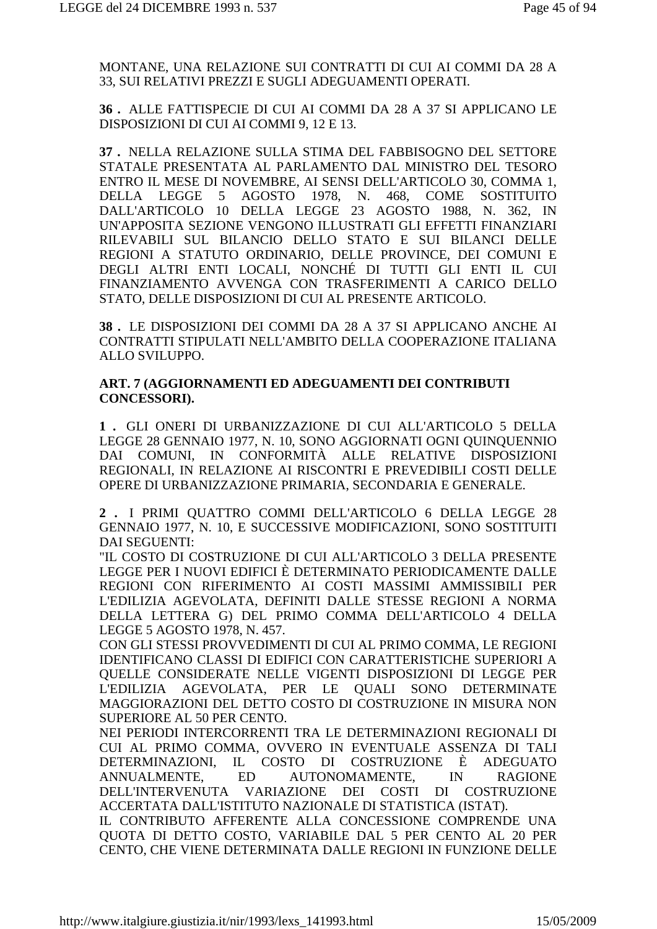MONTANE, UNA RELAZIONE SUI CONTRATTI DI CUI AI COMMI DA 28 A 33, SUI RELATIVI PREZZI E SUGLI ADEGUAMENTI OPERATI.

**36 .** ALLE FATTISPECIE DI CUI AI COMMI DA 28 A 37 SI APPLICANO LE DISPOSIZIONI DI CUI AI COMMI 9, 12 E 13.

**37 .** NELLA RELAZIONE SULLA STIMA DEL FABBISOGNO DEL SETTORE STATALE PRESENTATA AL PARLAMENTO DAL MINISTRO DEL TESORO ENTRO IL MESE DI NOVEMBRE, AI SENSI DELL'ARTICOLO 30, COMMA 1, DELLA LEGGE 5 AGOSTO 1978, N. 468, COME SOSTITUITO DALL'ARTICOLO 10 DELLA LEGGE 23 AGOSTO 1988, N. 362, IN UN'APPOSITA SEZIONE VENGONO ILLUSTRATI GLI EFFETTI FINANZIARI RILEVABILI SUL BILANCIO DELLO STATO E SUI BILANCI DELLE REGIONI A STATUTO ORDINARIO, DELLE PROVINCE, DEI COMUNI E DEGLI ALTRI ENTI LOCALI, NONCHÉ DI TUTTI GLI ENTI IL CUI FINANZIAMENTO AVVENGA CON TRASFERIMENTI A CARICO DELLO STATO, DELLE DISPOSIZIONI DI CUI AL PRESENTE ARTICOLO.

**38 .** LE DISPOSIZIONI DEI COMMI DA 28 A 37 SI APPLICANO ANCHE AI CONTRATTI STIPULATI NELL'AMBITO DELLA COOPERAZIONE ITALIANA ALLO SVILUPPO.

#### **ART. 7 (AGGIORNAMENTI ED ADEGUAMENTI DEI CONTRIBUTI CONCESSORI).**

**1 .** GLI ONERI DI URBANIZZAZIONE DI CUI ALL'ARTICOLO 5 DELLA LEGGE 28 GENNAIO 1977, N. 10, SONO AGGIORNATI OGNI QUINQUENNIO DAI COMUNI, IN CONFORMITÀ ALLE RELATIVE DISPOSIZIONI REGIONALI, IN RELAZIONE AI RISCONTRI E PREVEDIBILI COSTI DELLE OPERE DI URBANIZZAZIONE PRIMARIA, SECONDARIA E GENERALE.

**2 .** I PRIMI QUATTRO COMMI DELL'ARTICOLO 6 DELLA LEGGE 28 GENNAIO 1977, N. 10, E SUCCESSIVE MODIFICAZIONI, SONO SOSTITUITI DAI SEGUENTI:

"IL COSTO DI COSTRUZIONE DI CUI ALL'ARTICOLO 3 DELLA PRESENTE LEGGE PER I NUOVI EDIFICI È DETERMINATO PERIODICAMENTE DALLE REGIONI CON RIFERIMENTO AI COSTI MASSIMI AMMISSIBILI PER L'EDILIZIA AGEVOLATA, DEFINITI DALLE STESSE REGIONI A NORMA DELLA LETTERA G) DEL PRIMO COMMA DELL'ARTICOLO 4 DELLA LEGGE 5 AGOSTO 1978, N. 457.

CON GLI STESSI PROVVEDIMENTI DI CUI AL PRIMO COMMA, LE REGIONI IDENTIFICANO CLASSI DI EDIFICI CON CARATTERISTICHE SUPERIORI A QUELLE CONSIDERATE NELLE VIGENTI DISPOSIZIONI DI LEGGE PER L'EDILIZIA AGEVOLATA, PER LE QUALI SONO DETERMINATE MAGGIORAZIONI DEL DETTO COSTO DI COSTRUZIONE IN MISURA NON SUPERIORE AL 50 PER CENTO.

NEI PERIODI INTERCORRENTI TRA LE DETERMINAZIONI REGIONALI DI CUI AL PRIMO COMMA, OVVERO IN EVENTUALE ASSENZA DI TALI DETERMINAZIONI, IL COSTO DI COSTRUZIONE È ADEGUATO ANNUALMENTE, ED AUTONOMAMENTE, IN RAGIONE DELL'INTERVENUTA VARIAZIONE DEI COSTI DI COSTRUZIONE ACCERTATA DALL'ISTITUTO NAZIONALE DI STATISTICA (ISTAT).

IL CONTRIBUTO AFFERENTE ALLA CONCESSIONE COMPRENDE UNA QUOTA DI DETTO COSTO, VARIABILE DAL 5 PER CENTO AL 20 PER CENTO, CHE VIENE DETERMINATA DALLE REGIONI IN FUNZIONE DELLE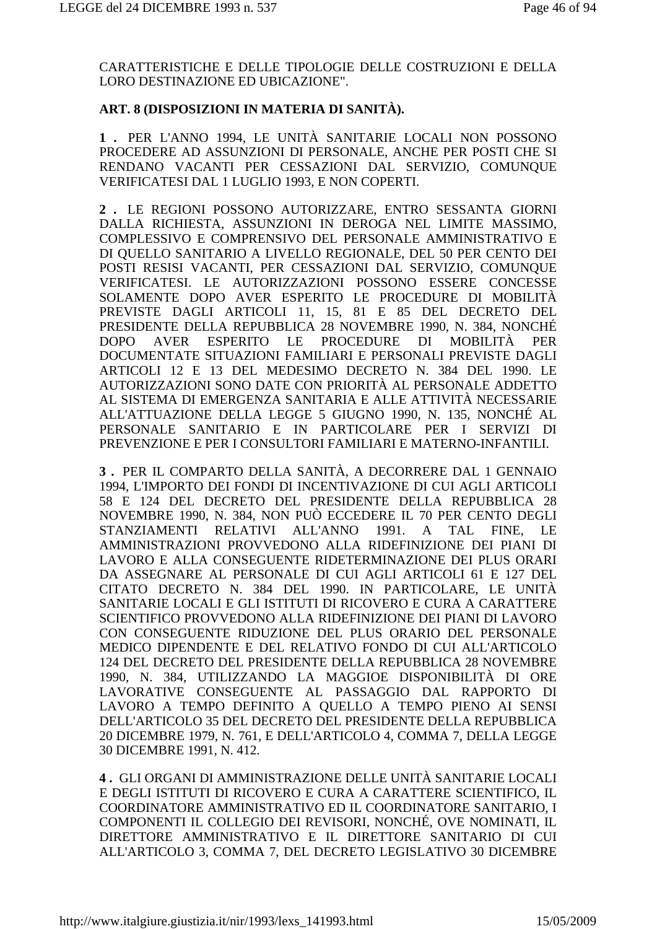CARATTERISTICHE E DELLE TIPOLOGIE DELLE COSTRUZIONI E DELLA LORO DESTINAZIONE ED UBICAZIONE".

## **ART. 8 (DISPOSIZIONI IN MATERIA DI SANITÀ).**

**1 .** PER L'ANNO 1994, LE UNITÀ SANITARIE LOCALI NON POSSONO PROCEDERE AD ASSUNZIONI DI PERSONALE, ANCHE PER POSTI CHE SI RENDANO VACANTI PER CESSAZIONI DAL SERVIZIO, COMUNQUE VERIFICATESI DAL 1 LUGLIO 1993, E NON COPERTI.

**2 .** LE REGIONI POSSONO AUTORIZZARE, ENTRO SESSANTA GIORNI DALLA RICHIESTA, ASSUNZIONI IN DEROGA NEL LIMITE MASSIMO, COMPLESSIVO E COMPRENSIVO DEL PERSONALE AMMINISTRATIVO E DI QUELLO SANITARIO A LIVELLO REGIONALE, DEL 50 PER CENTO DEI POSTI RESISI VACANTI, PER CESSAZIONI DAL SERVIZIO, COMUNQUE VERIFICATESI. LE AUTORIZZAZIONI POSSONO ESSERE CONCESSE SOLAMENTE DOPO AVER ESPERITO LE PROCEDURE DI MOBILITÀ PREVISTE DAGLI ARTICOLI 11, 15, 81 E 85 DEL DECRETO DEL PRESIDENTE DELLA REPUBBLICA 28 NOVEMBRE 1990, N. 384, NONCHÉ DOPO AVER ESPERITO LE PROCEDURE DI MOBILITÀ PER DOCUMENTATE SITUAZIONI FAMILIARI E PERSONALI PREVISTE DAGLI ARTICOLI 12 E 13 DEL MEDESIMO DECRETO N. 384 DEL 1990. LE AUTORIZZAZIONI SONO DATE CON PRIORITÀ AL PERSONALE ADDETTO AL SISTEMA DI EMERGENZA SANITARIA E ALLE ATTIVITÀ NECESSARIE ALL'ATTUAZIONE DELLA LEGGE 5 GIUGNO 1990, N. 135, NONCHÉ AL PERSONALE SANITARIO E IN PARTICOLARE PER I SERVIZI DI PREVENZIONE E PER I CONSULTORI FAMILIARI E MATERNO-INFANTILI.

**3 .** PER IL COMPARTO DELLA SANITÀ, A DECORRERE DAL 1 GENNAIO 1994, L'IMPORTO DEI FONDI DI INCENTIVAZIONE DI CUI AGLI ARTICOLI 58 E 124 DEL DECRETO DEL PRESIDENTE DELLA REPUBBLICA 28 NOVEMBRE 1990, N. 384, NON PUÒ ECCEDERE IL 70 PER CENTO DEGLI STANZIAMENTI RELATIVI ALL'ANNO 1991. A TAL FINE, LE AMMINISTRAZIONI PROVVEDONO ALLA RIDEFINIZIONE DEI PIANI DI LAVORO E ALLA CONSEGUENTE RIDETERMINAZIONE DEI PLUS ORARI DA ASSEGNARE AL PERSONALE DI CUI AGLI ARTICOLI 61 E 127 DEL CITATO DECRETO N. 384 DEL 1990. IN PARTICOLARE, LE UNITÀ SANITARIE LOCALI E GLI ISTITUTI DI RICOVERO E CURA A CARATTERE SCIENTIFICO PROVVEDONO ALLA RIDEFINIZIONE DEI PIANI DI LAVORO CON CONSEGUENTE RIDUZIONE DEL PLUS ORARIO DEL PERSONALE MEDICO DIPENDENTE E DEL RELATIVO FONDO DI CUI ALL'ARTICOLO 124 DEL DECRETO DEL PRESIDENTE DELLA REPUBBLICA 28 NOVEMBRE 1990, N. 384, UTILIZZANDO LA MAGGIOE DISPONIBILITÀ DI ORE LAVORATIVE CONSEGUENTE AL PASSAGGIO DAL RAPPORTO DI LAVORO A TEMPO DEFINITO A QUELLO A TEMPO PIENO AI SENSI DELL'ARTICOLO 35 DEL DECRETO DEL PRESIDENTE DELLA REPUBBLICA 20 DICEMBRE 1979, N. 761, E DELL'ARTICOLO 4, COMMA 7, DELLA LEGGE 30 DICEMBRE 1991, N. 412.

**4 .** GLI ORGANI DI AMMINISTRAZIONE DELLE UNITÀ SANITARIE LOCALI E DEGLI ISTITUTI DI RICOVERO E CURA A CARATTERE SCIENTIFICO, IL COORDINATORE AMMINISTRATIVO ED IL COORDINATORE SANITARIO, I COMPONENTI IL COLLEGIO DEI REVISORI, NONCHÉ, OVE NOMINATI, IL DIRETTORE AMMINISTRATIVO E IL DIRETTORE SANITARIO DI CUI ALL'ARTICOLO 3, COMMA 7, DEL DECRETO LEGISLATIVO 30 DICEMBRE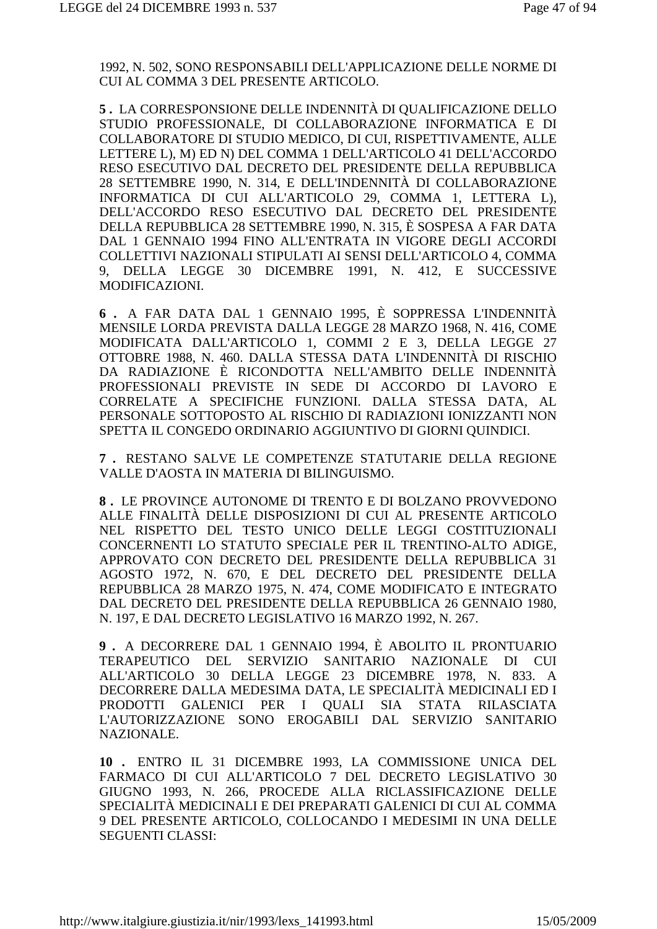1992, N. 502, SONO RESPONSABILI DELL'APPLICAZIONE DELLE NORME DI CUI AL COMMA 3 DEL PRESENTE ARTICOLO.

**5 .** LA CORRESPONSIONE DELLE INDENNITÀ DI QUALIFICAZIONE DELLO STUDIO PROFESSIONALE, DI COLLABORAZIONE INFORMATICA E DI COLLABORATORE DI STUDIO MEDICO, DI CUI, RISPETTIVAMENTE, ALLE LETTERE L), M) ED N) DEL COMMA 1 DELL'ARTICOLO 41 DELL'ACCORDO RESO ESECUTIVO DAL DECRETO DEL PRESIDENTE DELLA REPUBBLICA 28 SETTEMBRE 1990, N. 314, E DELL'INDENNITÀ DI COLLABORAZIONE INFORMATICA DI CUI ALL'ARTICOLO 29, COMMA 1, LETTERA L), DELL'ACCORDO RESO ESECUTIVO DAL DECRETO DEL PRESIDENTE DELLA REPUBBLICA 28 SETTEMBRE 1990, N. 315, È SOSPESA A FAR DATA DAL 1 GENNAIO 1994 FINO ALL'ENTRATA IN VIGORE DEGLI ACCORDI COLLETTIVI NAZIONALI STIPULATI AI SENSI DELL'ARTICOLO 4, COMMA 9, DELLA LEGGE 30 DICEMBRE 1991, N. 412, E SUCCESSIVE MODIFICAZIONI.

**6 .** A FAR DATA DAL 1 GENNAIO 1995, È SOPPRESSA L'INDENNITÀ MENSILE LORDA PREVISTA DALLA LEGGE 28 MARZO 1968, N. 416, COME MODIFICATA DALL'ARTICOLO 1, COMMI 2 E 3, DELLA LEGGE 27 OTTOBRE 1988, N. 460. DALLA STESSA DATA L'INDENNITÀ DI RISCHIO DA RADIAZIONE È RICONDOTTA NELL'AMBITO DELLE INDENNITÀ PROFESSIONALI PREVISTE IN SEDE DI ACCORDO DI LAVORO E CORRELATE A SPECIFICHE FUNZIONI. DALLA STESSA DATA, AL PERSONALE SOTTOPOSTO AL RISCHIO DI RADIAZIONI IONIZZANTI NON SPETTA IL CONGEDO ORDINARIO AGGIUNTIVO DI GIORNI QUINDICI.

**7 .** RESTANO SALVE LE COMPETENZE STATUTARIE DELLA REGIONE VALLE D'AOSTA IN MATERIA DI BILINGUISMO.

**8 .** LE PROVINCE AUTONOME DI TRENTO E DI BOLZANO PROVVEDONO ALLE FINALITÀ DELLE DISPOSIZIONI DI CUI AL PRESENTE ARTICOLO NEL RISPETTO DEL TESTO UNICO DELLE LEGGI COSTITUZIONALI CONCERNENTI LO STATUTO SPECIALE PER IL TRENTINO-ALTO ADIGE, APPROVATO CON DECRETO DEL PRESIDENTE DELLA REPUBBLICA 31 AGOSTO 1972, N. 670, E DEL DECRETO DEL PRESIDENTE DELLA REPUBBLICA 28 MARZO 1975, N. 474, COME MODIFICATO E INTEGRATO DAL DECRETO DEL PRESIDENTE DELLA REPUBBLICA 26 GENNAIO 1980, N. 197, E DAL DECRETO LEGISLATIVO 16 MARZO 1992, N. 267.

**9 .** A DECORRERE DAL 1 GENNAIO 1994, È ABOLITO IL PRONTUARIO TERAPEUTICO DEL SERVIZIO SANITARIO NAZIONALE DI CUI ALL'ARTICOLO 30 DELLA LEGGE 23 DICEMBRE 1978, N. 833. A DECORRERE DALLA MEDESIMA DATA, LE SPECIALITÀ MEDICINALI ED I PRODOTTI GALENICI PER I QUALI SIA STATA RILASCIATA L'AUTORIZZAZIONE SONO EROGABILI DAL SERVIZIO SANITARIO NAZIONALE.

**10 .** ENTRO IL 31 DICEMBRE 1993, LA COMMISSIONE UNICA DEL FARMACO DI CUI ALL'ARTICOLO 7 DEL DECRETO LEGISLATIVO 30 GIUGNO 1993, N. 266, PROCEDE ALLA RICLASSIFICAZIONE DELLE SPECIALITÀ MEDICINALI E DEI PREPARATI GALENICI DI CUI AL COMMA 9 DEL PRESENTE ARTICOLO, COLLOCANDO I MEDESIMI IN UNA DELLE SEGUENTI CLASSI: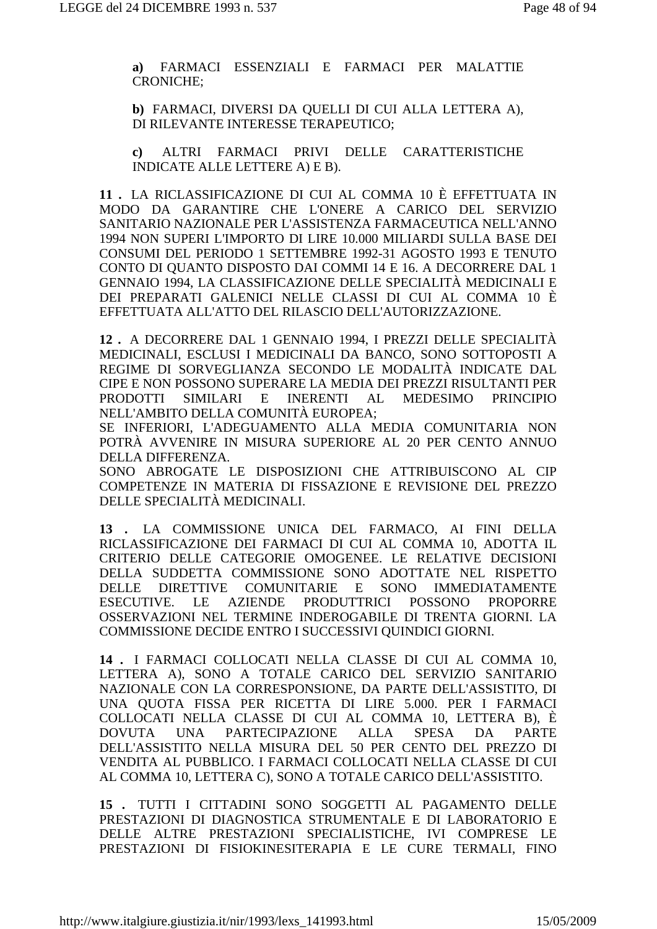a) FARMACI ESSENZIALI E FARMACI PER MALATTIE **CRONICHE:** 

b) FARMACI, DIVERSI DA QUELLI DI CUI ALLA LETTERA A), DI RILEVANTE INTERESSE TERAPEUTICO;

ALTRI FARMACI PRIVI DELLE CARATTERISTICHE  $\mathbf{c}$ INDICATE ALLE LETTERE A) E B).

11. LA RICLASSIFICAZIONE DI CUI AL COMMA 10 È EFFETTUATA IN MODO DA GARANTIRE CHE L'ONERE A CARICO DEL SERVIZIO SANITARIO NAZIONALE PER L'ASSISTENZA FARMACEUTICA NELL'ANNO 1994 NON SUPERI L'IMPORTO DI LIRE 10.000 MILIARDI SULLA BASE DEI CONSUMI DEL PERIODO 1 SETTEMBRE 1992-31 AGOSTO 1993 E TENUTO CONTO DI QUANTO DISPOSTO DAI COMMI 14 E 16. A DECORRERE DAL 1 GENNAIO 1994, LA CLASSIFICAZIONE DELLE SPECIALITÀ MEDICINALI E DEI PREPARATI GALENICI NELLE CLASSI DI CUI AL COMMA 10 È EFFETTUATA ALL'ATTO DEL RILASCIO DELL'AUTORIZZAZIONE.

12. A DECORRERE DAL 1 GENNAIO 1994, I PREZZI DELLE SPECIALITÀ MEDICINALI, ESCLUSI I MEDICINALI DA BANCO, SONO SOTTOPOSTI A REGIME DI SORVEGLIANZA SECONDO LE MODALITÀ INDICATE DAL CIPE E NON POSSONO SUPERARE LA MEDIA DEI PREZZI RISULTANTI PER **PRODOTTI SIMILARI**  $E$ **INERENTI**  $AL$ **MEDESIMO PRINCIPIO** NELL'AMBITO DELLA COMUNITÀ EUROPEA:

SE INFERIORI, L'ADEGUAMENTO ALLA MEDIA COMUNITARIA NON POTRÀ AVVENIRE IN MISURA SUPERIORE AL 20 PER CENTO ANNUO DELLA DIFFERENZA.

SONO ABROGATE LE DISPOSIZIONI CHE ATTRIBUISCONO AL CIP COMPETENZE IN MATERIA DI FISSAZIONE E REVISIONE DEL PREZZO DELLE SPECIALITÀ MEDICINALI.

13 . LA COMMISSIONE UNICA DEL FARMACO, AI FINI DELLA RICLASSIFICAZIONE DEI FARMACI DI CUI AL COMMA 10, ADOTTA IL CRITERIO DELLE CATEGORIE OMOGENEE. LE RELATIVE DECISIONI DELLA SUDDETTA COMMISSIONE SONO ADOTTATE NEL RISPETTO DELLE DIRETTIVE COMUNITARIE E SONO **IMMEDIATAMENTE ESECUTIVE.**  $LE$ AZIENDE PRODUTTRICI POSSONO **PROPORRE** OSSERVAZIONI NEL TERMINE INDEROGABILE DI TRENTA GIORNI. LA COMMISSIONE DECIDE ENTRO I SUCCESSIVI OUINDICI GIORNI.

14 . I FARMACI COLLOCATI NELLA CLASSE DI CUI AL COMMA 10. LETTERA A). SONO A TOTALE CARICO DEL SERVIZIO SANITARIO NAZIONALE CON LA CORRESPONSIONE, DA PARTE DELL'ASSISTITO, DI UNA QUOTA FISSA PER RICETTA DI LIRE 5.000. PER I FARMACI COLLOCATI NELLA CLASSE DI CUI AL COMMA 10, LETTERA B), È **UNA** PARTECIPAZIONE **ALLA SPESA** DA **PARTE DOVUTA** DELL'ASSISTITO NELLA MISURA DEL 50 PER CENTO DEL PREZZO DI VENDITA AL PUBBLICO. I FARMACI COLLOCATI NELLA CLASSE DI CUI AL COMMA 10. LETTERA C). SONO A TOTALE CARICO DELL'ASSISTITO.

15. TUTTI I CITTADINI SONO SOGGETTI AL PAGAMENTO DELLE PRESTAZIONI DI DIAGNOSTICA STRUMENTALE E DI LABORATORIO E DELLE ALTRE PRESTAZIONI SPECIALISTICHE, IVI COMPRESE LE PRESTAZIONI DI FISIOKINESITERAPIA E LE CURE TERMALI, FINO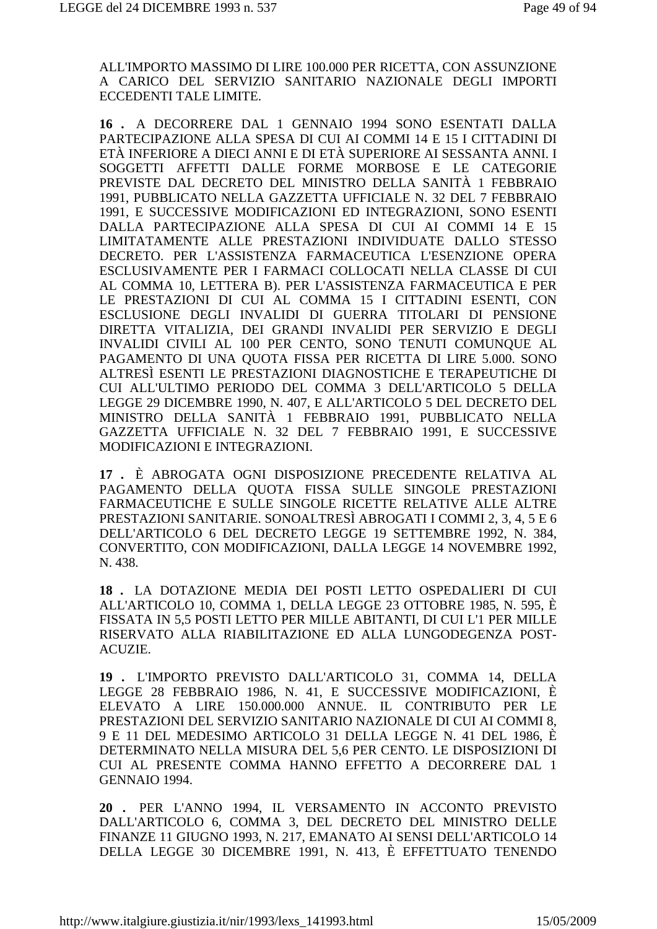ALL'IMPORTO MASSIMO DI LIRE 100.000 PER RICETTA, CON ASSUNZIONE A CARICO DEL SERVIZIO SANITARIO NAZIONALE DEGLI IMPORTI ECCEDENTI TALE LIMITE.

16. A DECORRERE DAL 1 GENNAIO 1994 SONO ESENTATI DALLA PARTECIPAZIONE ALLA SPESA DI CUI AI COMMI 14 E 15 I CITTADINI DI ETÀ INFERIORE A DIECI ANNI E DI ETÀ SUPERIORE AI SESSANTA ANNI. I SOGGETTI AFFETTI DALLE FORME MORBOSE E LE CATEGORIE PREVISTE DAL DECRETO DEL MINISTRO DELLA SANITÀ 1 FEBBRAIO 1991, PUBBLICATO NELLA GAZZETTA UFFICIALE N. 32 DEL 7 FEBBRAIO 1991. E SUCCESSIVE MODIFICAZIONI ED INTEGRAZIONI. SONO ESENTI DALLA PARTECIPAZIONE ALLA SPESA DI CUI AI COMMI 14 E 15 LIMITATAMENTE ALLE PRESTAZIONI INDIVIDUATE DALLO STESSO DECRETO. PER L'ASSISTENZA FARMACEUTICA L'ESENZIONE OPERA ESCLUSIVAMENTE PER I FARMACI COLLOCATI NELLA CLASSE DI CUI AL COMMA 10, LETTERA B). PER L'ASSISTENZA FARMACEUTICA E PER LE PRESTAZIONI DI CUI AL COMMA 15 I CITTADINI ESENTI. CON ESCLUSIONE DEGLI INVALIDI DI GUERRA TITOLARI DI PENSIONE DIRETTA VITALIZIA, DEI GRANDI INVALIDI PER SERVIZIO E DEGLI INVALIDI CIVILI AL 100 PER CENTO. SONO TENUTI COMUNOUE AL PAGAMENTO DI UNA QUOTA FISSA PER RICETTA DI LIRE 5.000. SONO ALTRESÌ ESENTI LE PRESTAZIONI DIAGNOSTICHE E TERAPEUTICHE DI CUI ALL'ULTIMO PERIODO DEL COMMA 3 DELL'ARTICOLO 5 DELLA LEGGE 29 DICEMBRE 1990, N. 407, E ALL'ARTICOLO 5 DEL DECRETO DEL MINISTRO DELLA SANITÀ 1 FEBBRAIO 1991. PUBBLICATO NELLA GAZZETTA UFFICIALE N. 32 DEL 7 FEBBRAIO 1991, E SUCCESSIVE MODIFICAZIONI E INTEGRAZIONI.

17. È ABROGATA OGNI DISPOSIZIONE PRECEDENTE RELATIVA AL PAGAMENTO DELLA OUOTA FISSA SULLE SINGOLE PRESTAZIONI FARMACEUTICHE E SULLE SINGOLE RICETTE RELATIVE ALLE ALTRE PRESTAZIONI SANITARIE. SONOALTRESÌ ABROGATI I COMMI 2, 3, 4, 5 E 6 DELL'ARTICOLO 6 DEL DECRETO LEGGE 19 SETTEMBRE 1992, N. 384, CONVERTITO, CON MODIFICAZIONI, DALLA LEGGE 14 NOVEMBRE 1992, N. 438.

18. LA DOTAZIONE MEDIA DEI POSTI LETTO OSPEDALIERI DI CUI ALL'ARTICOLO 10, COMMA 1, DELLA LEGGE 23 OTTOBRE 1985, N. 595, È FISSATA IN 5,5 POSTI LETTO PER MILLE ABITANTI, DI CUI L'1 PER MILLE RISERVATO ALLA RIABILITAZIONE ED ALLA LUNGODEGENZA POST-**ACUZIE.** 

19 . L'IMPORTO PREVISTO DALL'ARTICOLO 31, COMMA 14, DELLA LEGGE 28 FEBBRAIO 1986, N. 41, E SUCCESSIVE MODIFICAZIONI, È ELEVATO A LIRE 150.000.000 ANNUE. IL CONTRIBUTO PER LE PRESTAZIONI DEL SERVIZIO SANITARIO NAZIONALE DI CUI AI COMMI 8. 9 E 11 DEL MEDESIMO ARTICOLO 31 DELLA LEGGE N. 41 DEL 1986, È DETERMINATO NELLA MISURA DEL 5,6 PER CENTO. LE DISPOSIZIONI DI CUI AL PRESENTE COMMA HANNO EFFETTO A DECORRERE DAL 1 GENNAIO 1994.

20 . PER L'ANNO 1994. IL VERSAMENTO IN ACCONTO PREVISTO DALL'ARTICOLO 6, COMMA 3, DEL DECRETO DEL MINISTRO DELLE FINANZE 11 GIUGNO 1993, N. 217, EMANATO AI SENSI DELL'ARTICOLO 14 DELLA LEGGE 30 DICEMBRE 1991, N. 413, È EFFETTUATO TENENDO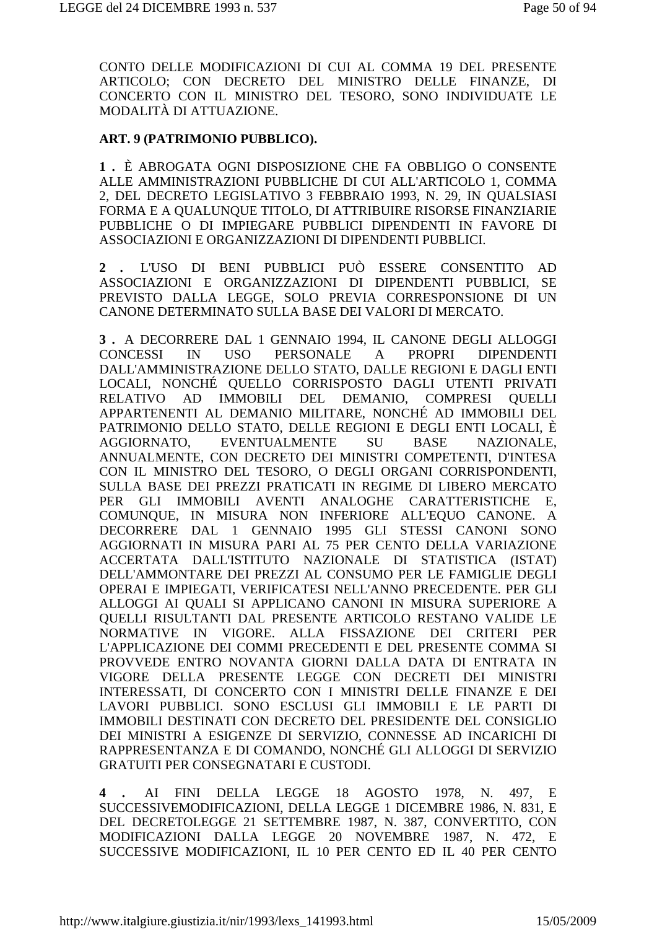CONTO DELLE MODIFICAZIONI DI CUI AL COMMA 19 DEL PRESENTE ARTICOLO; CON DECRETO DEL MINISTRO DELLE FINANZE, DI CONCERTO CON IL MINISTRO DEL TESORO, SONO INDIVIDUATE LE MODALITÀ DI ATTUAZIONE.

#### ART. 9 (PATRIMONIO PUBBLICO).

1. È ABROGATA OGNI DISPOSIZIONE CHE FA OBBLIGO O CONSENTE ALLE AMMINISTRAZIONI PUBBLICHE DI CUI ALL'ARTICOLO 1, COMMA 2, DEL DECRETO LEGISLATIVO 3 FEBBRAIO 1993, N. 29, IN QUALSIASI FORMA E A QUALUNQUE TITOLO, DI ATTRIBUIRE RISORSE FINANZIARIE PUBBLICHE O DI IMPIEGARE PUBBLICI DIPENDENTI IN FAVORE DI ASSOCIAZIONI E ORGANIZZAZIONI DI DIPENDENTI PUBBLICI.

L'USO DI BENI PUBBLICI PUÒ ESSERE CONSENTITO AD  $2 \cdot$ ASSOCIAZIONI E ORGANIZZAZIONI DI DIPENDENTI PUBBLICI, SE PREVISTO DALLA LEGGE, SOLO PREVIA CORRESPONSIONE DI UN CANONE DETERMINATO SULLA BASE DEI VALORI DI MERCATO.

3. A DECORRERE DAL 1 GENNAIO 1994, IL CANONE DEGLI ALLOGGI  $\overline{A}$ CONCESSI IN USO -PERSONALE PROPRI **DIPENDENTI** DALL'AMMINISTRAZIONE DELLO STATO. DALLE REGIONI E DAGLI ENTI LOCALI, NONCHÉ QUELLO CORRISPOSTO DAGLI UTENTI PRIVATI IMMOBILI DEL DEMANIO, COMPRESI **RELATIVO**  $AD$ OUELLI APPARTENENTI AL DEMANIO MILITARE, NONCHÉ AD IMMOBILI DEL PATRIMONIO DELLO STATO. DELLE REGIONI E DEGLI ENTI LOCALI. È AGGIORNATO. **EVENTUALMENTE SU BASE** NAZIONALE. ANNUALMENTE, CON DECRETO DEI MINISTRI COMPETENTI, D'INTESA CON IL MINISTRO DEL TESORO, O DEGLI ORGANI CORRISPONDENTI, SULLA BASE DEI PREZZI PRATICATI IN REGIME DI LIBERO MERCATO PER GLI IMMOBILI AVENTI ANALOGHE CARATTERISTICHE E, COMUNQUE, IN MISURA NON INFERIORE ALL'EQUO CANONE. A DECORRERE DAL 1 GENNAIO 1995 GLI STESSI CANONI SONO AGGIORNATI IN MISURA PARI AL 75 PER CENTO DELLA VARIAZIONE ACCERTATA DALL'ISTITUTO NAZIONALE DI STATISTICA (ISTAT) DELL'AMMONTARE DEI PREZZI AL CONSUMO PER LE FAMIGLIE DEGLI OPERAI E IMPIEGATI. VERIFICATESI NELL'ANNO PRECEDENTE. PER GLI ALLOGGI AI QUALI SI APPLICANO CANONI IN MISURA SUPERIORE A OUELLI RISULTANTI DAL PRESENTE ARTICOLO RESTANO VALIDE LE NORMATIVE IN VIGORE. ALLA FISSAZIONE DEI CRITERI PER L'APPLICAZIONE DEI COMMI PRECEDENTI E DEL PRESENTE COMMA SI PROVVEDE ENTRO NOVANTA GIORNI DALLA DATA DI ENTRATA IN VIGORE DELLA PRESENTE LEGGE CON DECRETI DEI MINISTRI INTERESSATI, DI CONCERTO CON I MINISTRI DELLE FINANZE E DEI LAVORI PUBBLICI. SONO ESCLUSI GLI IMMOBILI E LE PARTI DI IMMOBILI DESTINATI CON DECRETO DEL PRESIDENTE DEL CONSIGLIO DEI MINISTRI A ESIGENZE DI SERVIZIO, CONNESSE AD INCARICHI DI RAPPRESENTANZA E DI COMANDO, NONCHÉ GLI ALLOGGI DI SERVIZIO **GRATUITI PER CONSEGNATARI E CUSTODI.** 

 $AI$ FINI DELLA LEGGE 18 AGOSTO 1978. N. 497. E  $\mathbf 4$ SUCCESSIVEMODIFICAZIONI, DELLA LEGGE 1 DICEMBRE 1986, N. 831, E DEL DECRETOLEGGE 21 SETTEMBRE 1987, N. 387, CONVERTITO, CON MODIFICAZIONI DALLA LEGGE 20 NOVEMBRE 1987, N. 472, E SUCCESSIVE MODIFICAZIONI, IL 10 PER CENTO ED IL 40 PER CENTO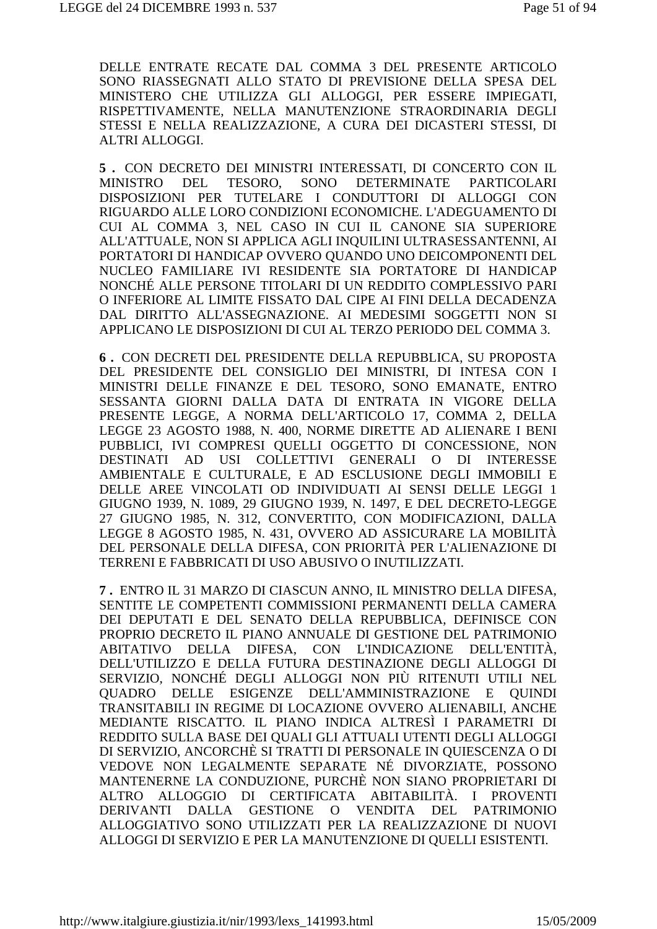DELLE ENTRATE RECATE DAL COMMA 3 DEL PRESENTE ARTICOLO SONO RIASSEGNATI ALLO STATO DI PREVISIONE DELLA SPESA DEL MINISTERO CHE UTILIZZA GLI ALLOGGI, PER ESSERE IMPIEGATI, RISPETTIVAMENTE, NELLA MANUTENZIONE STRAORDINARIA DEGLI STESSI E NELLA REALIZZAZIONE, A CURA DEI DICASTERI STESSI, DI ALTRI ALLOGGI.

5. CON DECRETO DEI MINISTRI INTERESSATI, DI CONCERTO CON IL **MINISTRO** DEL. TESORO. SONO DETERMINATE PARTICOLARI DISPOSIZIONI PER TUTELARE I CONDUTTORI DI ALLOGGI CON RIGUARDO ALLE LORO CONDIZIONI ECONOMICHE. L'ADEGUAMENTO DI CUI AL COMMA 3, NEL CASO IN CUI IL CANONE SIA SUPERIORE ALL'ATTUALE, NON SI APPLICA AGLI INOUILINI ULTRASESSANTENNI, AI PORTATORI DI HANDICAP OVVERO OUANDO UNO DEICOMPONENTI DEL NUCLEO FAMILIARE IVI RESIDENTE SIA PORTATORE DI HANDICAP NONCHÉ ALLE PERSONE TITOLARI DI UN REDDITO COMPLESSIVO PARI O INFERIORE AL LIMITE FISSATO DAL CIPE AI FINI DELLA DECADENZA DAL DIRITTO ALL'ASSEGNAZIONE. AI MEDESIMI SOGGETTI NON SI APPLICANO LE DISPOSIZIONI DI CUI AL TERZO PERIODO DEL COMMA 3.

6. CON DECRETI DEL PRESIDENTE DELLA REPUBBLICA, SU PROPOSTA DEL PRESIDENTE DEL CONSIGLIO DEI MINISTRI, DI INTESA CON I MINISTRI DELLE FINANZE E DEL TESORO, SONO EMANATE, ENTRO SESSANTA GIORNI DALLA DATA DI ENTRATA IN VIGORE DELLA PRESENTE LEGGE, A NORMA DELL'ARTICOLO 17, COMMA 2, DELLA LEGGE 23 AGOSTO 1988, N. 400, NORME DIRETTE AD ALIENARE I BENI PUBBLICI, IVI COMPRESI QUELLI OGGETTO DI CONCESSIONE, NON DESTINATI AD USI COLLETTIVI GENERALI O DI INTERESSE AMBIENTALE E CULTURALE, E AD ESCLUSIONE DEGLI IMMOBILI E DELLE AREE VINCOLATI OD INDIVIDUATI AI SENSI DELLE LEGGI 1 GIUGNO 1939, N. 1089, 29 GIUGNO 1939, N. 1497, E DEL DECRETO-LEGGE 27 GIUGNO 1985, N. 312, CONVERTITO, CON MODIFICAZIONI, DALLA LEGGE 8 AGOSTO 1985, N. 431, OVVERO AD ASSICURARE LA MOBILITÀ DEL PERSONALE DELLA DIFESA, CON PRIORITÀ PER L'ALIENAZIONE DI TERRENI E FABBRICATI DI USO ABUSIVO O INUTILIZZATI.

7. ENTRO IL 31 MARZO DI CIASCUN ANNO, IL MINISTRO DELLA DIFESA, SENTITE LE COMPETENTI COMMISSIONI PERMANENTI DELLA CAMERA DEI DEPUTATI E DEL SENATO DELLA REPUBBLICA, DEFINISCE CON PROPRIO DECRETO IL PIANO ANNUALE DI GESTIONE DEL PATRIMONIO ABITATIVO DELLA DIFESA, CON L'INDICAZIONE DELL'ENTITÀ, DELL'UTILIZZO E DELLA FUTURA DESTINAZIONE DEGLI ALLOGGI DI SERVIZIO, NONCHÉ DEGLI ALLOGGI NON PIÙ RITENUTI UTILI NEL OUADRO DELLE ESIGENZE DELL'AMMINISTRAZIONE E OUINDI TRANSITABILI IN REGIME DI LOCAZIONE OVVERO ALIENABILI, ANCHE MEDIANTE RISCATTO. IL PIANO INDICA ALTRESÌ I PARAMETRI DI REDDITO SULLA BASE DEI QUALI GLI ATTUALI UTENTI DEGLI ALLOGGI DI SERVIZIO, ANCORCHÈ SI TRATTI DI PERSONALE IN OUIESCENZA O DI VEDOVE NON LEGALMENTE SEPARATE NÉ DIVORZIATE, POSSONO MANTENERNE LA CONDUZIONE, PURCHÈ NON SIANO PROPRIETARI DI ALTRO ALLOGGIO DI CERTIFICATA ABITABILITÀ. I PROVENTI DALLA GESTIONE O VENDITA DEL **DERIVANTI PATRIMONIO** ALLOGGIATIVO SONO UTILIZZATI PER LA REALIZZAZIONE DI NUOVI ALLOGGI DI SERVIZIO E PER LA MANUTENZIONE DI OUELLI ESISTENTI.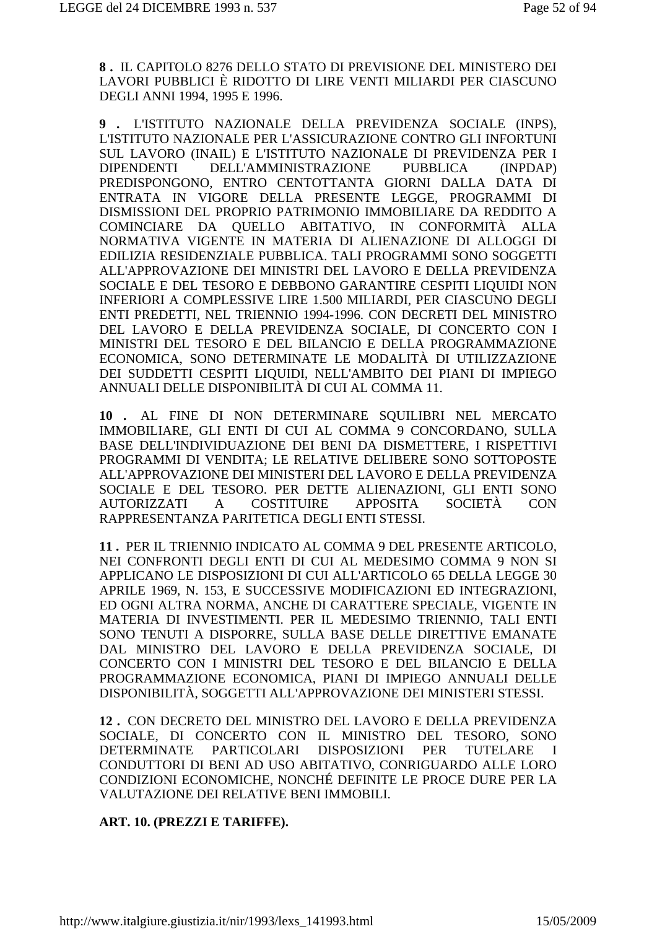**8 .** IL CAPITOLO 8276 DELLO STATO DI PREVISIONE DEL MINISTERO DEI LAVORI PUBBLICI È RIDOTTO DI LIRE VENTI MILIARDI PER CIASCUNO DEGLI ANNI 1994, 1995 E 1996.

**9 .** L'ISTITUTO NAZIONALE DELLA PREVIDENZA SOCIALE (INPS), L'ISTITUTO NAZIONALE PER L'ASSICURAZIONE CONTRO GLI INFORTUNI SUL LAVORO (INAIL) E L'ISTITUTO NAZIONALE DI PREVIDENZA PER I DIPENDENTI DELL'AMMINISTRAZIONE PUBBLICA (INPDAP) PREDISPONGONO, ENTRO CENTOTTANTA GIORNI DALLA DATA DI ENTRATA IN VIGORE DELLA PRESENTE LEGGE, PROGRAMMI DI DISMISSIONI DEL PROPRIO PATRIMONIO IMMOBILIARE DA REDDITO A COMINCIARE DA QUELLO ABITATIVO, IN CONFORMITÀ ALLA NORMATIVA VIGENTE IN MATERIA DI ALIENAZIONE DI ALLOGGI DI EDILIZIA RESIDENZIALE PUBBLICA. TALI PROGRAMMI SONO SOGGETTI ALL'APPROVAZIONE DEI MINISTRI DEL LAVORO E DELLA PREVIDENZA SOCIALE E DEL TESORO E DEBBONO GARANTIRE CESPITI LIQUIDI NON INFERIORI A COMPLESSIVE LIRE 1.500 MILIARDI, PER CIASCUNO DEGLI ENTI PREDETTI, NEL TRIENNIO 1994-1996. CON DECRETI DEL MINISTRO DEL LAVORO E DELLA PREVIDENZA SOCIALE, DI CONCERTO CON I MINISTRI DEL TESORO E DEL BILANCIO E DELLA PROGRAMMAZIONE ECONOMICA, SONO DETERMINATE LE MODALITÀ DI UTILIZZAZIONE DEI SUDDETTI CESPITI LIQUIDI, NELL'AMBITO DEI PIANI DI IMPIEGO ANNUALI DELLE DISPONIBILITÀ DI CUI AL COMMA 11.

**10 .** AL FINE DI NON DETERMINARE SQUILIBRI NEL MERCATO IMMOBILIARE, GLI ENTI DI CUI AL COMMA 9 CONCORDANO, SULLA BASE DELL'INDIVIDUAZIONE DEI BENI DA DISMETTERE, I RISPETTIVI PROGRAMMI DI VENDITA; LE RELATIVE DELIBERE SONO SOTTOPOSTE ALL'APPROVAZIONE DEI MINISTERI DEL LAVORO E DELLA PREVIDENZA SOCIALE E DEL TESORO. PER DETTE ALIENAZIONI, GLI ENTI SONO AUTORIZZATI A COSTITUIRE APPOSITA SOCIETÀ CON RAPPRESENTANZA PARITETICA DEGLI ENTI STESSI.

**11 .** PER IL TRIENNIO INDICATO AL COMMA 9 DEL PRESENTE ARTICOLO, NEI CONFRONTI DEGLI ENTI DI CUI AL MEDESIMO COMMA 9 NON SI APPLICANO LE DISPOSIZIONI DI CUI ALL'ARTICOLO 65 DELLA LEGGE 30 APRILE 1969, N. 153, E SUCCESSIVE MODIFICAZIONI ED INTEGRAZIONI, ED OGNI ALTRA NORMA, ANCHE DI CARATTERE SPECIALE, VIGENTE IN MATERIA DI INVESTIMENTI. PER IL MEDESIMO TRIENNIO, TALI ENTI SONO TENUTI A DISPORRE, SULLA BASE DELLE DIRETTIVE EMANATE DAL MINISTRO DEL LAVORO E DELLA PREVIDENZA SOCIALE, DI CONCERTO CON I MINISTRI DEL TESORO E DEL BILANCIO E DELLA PROGRAMMAZIONE ECONOMICA, PIANI DI IMPIEGO ANNUALI DELLE DISPONIBILITÀ, SOGGETTI ALL'APPROVAZIONE DEI MINISTERI STESSI.

**12 .** CON DECRETO DEL MINISTRO DEL LAVORO E DELLA PREVIDENZA SOCIALE, DI CONCERTO CON IL MINISTRO DEL TESORO, SONO DETERMINATE PARTICOLARI DISPOSIZIONI PER TUTELARE I CONDUTTORI DI BENI AD USO ABITATIVO, CONRIGUARDO ALLE LORO CONDIZIONI ECONOMICHE, NONCHÉ DEFINITE LE PROCE DURE PER LA VALUTAZIONE DEI RELATIVE BENI IMMOBILI.

#### **ART. 10. (PREZZI E TARIFFE).**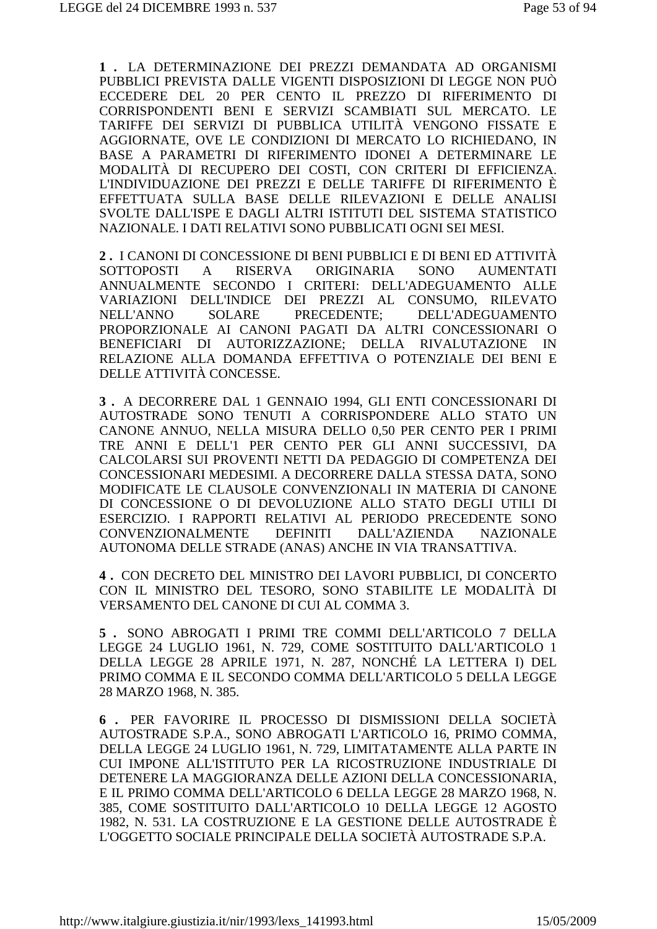1. LA DETERMINAZIONE DEI PREZZI DEMANDATA AD ORGANISMI PUBBLICI PREVISTA DALLE VIGENTI DISPOSIZIONI DI LEGGE NON PUÒ ECCEDERE DEL 20 PER CENTO IL PREZZO DI RIFERIMENTO DI CORRISPONDENTI BENI E SERVIZI SCAMBIATI SUL MERCATO. LE TARIFFE DEI SERVIZI DI PUBBLICA UTILITÀ VENGONO FISSATE E AGGIORNATE. OVE LE CONDIZIONI DI MERCATO LO RICHIEDANO. IN BASE A PARAMETRI DI RIFERIMENTO IDONEI A DETERMINARE LE MODALITÀ DI RECUPERO DEI COSTI. CON CRITERI DI EFFICIENZA. L'INDIVIDUAZIONE DEI PREZZI E DELLE TARIFFE DI RIFERIMENTO È EFFETTUATA SULLA BASE DELLE RILEVAZIONI E DELLE ANALISI SVOLTE DALL'ISPE E DAGLI ALTRI ISTITUTI DEL SISTEMA STATISTICO NAZIONALE. I DATI RELATIVI SONO PUBBLICATI OGNI SEI MESI.

2. I CANONI DI CONCESSIONE DI BENI PUBBLICI E DI BENI ED ATTIVITÀ RISERVA ORIGINARIA SONO **SOTTOPOSTI**  $\mathbf{A}$ **AUMENTATI** ANNUALMENTE SECONDO I CRITERI: DELL'ADEGUAMENTO ALLE VARIAZIONI DELL'INDICE DEI PREZZI AL CONSUMO. RILEVATO PRECEDENTE: DELL'ADEGUAMENTO NELL'ANNO **SOLARE** PROPORZIONALE AI CANONI PAGATI DA ALTRI CONCESSIONARI O BENEFICIARI DI AUTORIZZAZIONE: DELLA RIVALUTAZIONE IN RELAZIONE ALLA DOMANDA EFFETTIVA O POTENZIALE DEI BENI E DELLE ATTIVITÀ CONCESSE.

3. A DECORRERE DAL 1 GENNAIO 1994. GLI ENTI CONCESSIONARI DI AUTOSTRADE SONO TENUTI A CORRISPONDERE ALLO STATO UN CANONE ANNUO, NELLA MISURA DELLO 0.50 PER CENTO PER I PRIMI TRE ANNI E DELL'I PER CENTO PER GLI ANNI SUCCESSIVI. DA CALCOLARSI SUI PROVENTI NETTI DA PEDAGGIO DI COMPETENZA DEI CONCESSIONARI MEDESIMI. A DECORRERE DALLA STESSA DATA, SONO MODIFICATE LE CLAUSOLE CONVENZIONALI IN MATERIA DI CANONE DI CONCESSIONE O DI DEVOLUZIONE ALLO STATO DEGLI UTILI DI ESERCIZIO. I RAPPORTI RELATIVI AL PERIODO PRECEDENTE SONO **CONVENZIONALMENTE DEFINITI DALL'AZIENDA NAZIONALE** AUTONOMA DELLE STRADE (ANAS) ANCHE IN VIA TRANSATTIVA.

4. CON DECRETO DEL MINISTRO DEI LAVORI PUBBLICI. DI CONCERTO CON IL MINISTRO DEL TESORO, SONO STABILITE LE MODALITÀ DI VERSAMENTO DEL CANONE DI CUI AL COMMA 3.

5. SONO ABROGATI I PRIMI TRE COMMI DELL'ARTICOLO 7 DELLA LEGGE 24 LUGLIO 1961, N. 729, COME SOSTITUITO DALL'ARTICOLO 1 DELLA LEGGE 28 APRILE 1971, N. 287, NONCHÉ LA LETTERA I) DEL PRIMO COMMA E IL SECONDO COMMA DELL'ARTICOLO 5 DELLA LEGGE 28 MARZO 1968, N. 385.

6. PER FAVORIRE IL PROCESSO DI DISMISSIONI DELLA SOCIETÀ AUTOSTRADE S.P.A., SONO ABROGATI L'ARTICOLO 16, PRIMO COMMA, DELLA LEGGE 24 LUGLIO 1961, N. 729, LIMITATAMENTE ALLA PARTE IN CUI IMPONE ALL'ISTITUTO PER LA RICOSTRUZIONE INDUSTRIALE DI DETENERE LA MAGGIORANZA DELLE AZIONI DELLA CONCESSIONARIA, E IL PRIMO COMMA DELL'ARTICOLO 6 DELLA LEGGE 28 MARZO 1968. N. 385. COME SOSTITUITO DALL'ARTICOLO 10 DELLA LEGGE 12 AGOSTO 1982, N. 531. LA COSTRUZIONE E LA GESTIONE DELLE AUTOSTRADE È L'OGGETTO SOCIALE PRINCIPALE DELLA SOCIETÀ AUTOSTRADE S.P.A.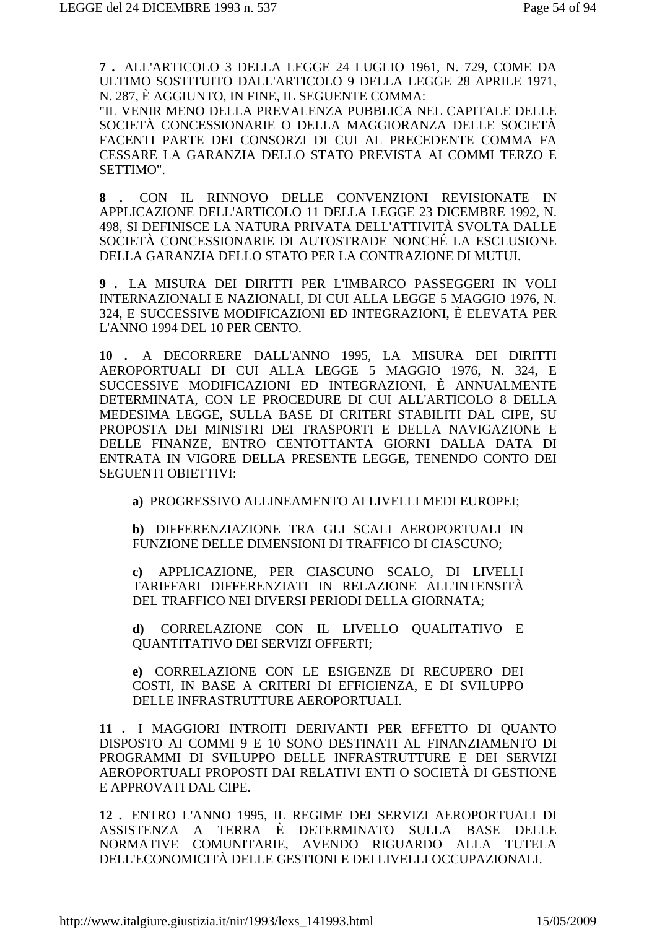**7 .** ALL'ARTICOLO 3 DELLA LEGGE 24 LUGLIO 1961, N. 729, COME DA ULTIMO SOSTITUITO DALL'ARTICOLO 9 DELLA LEGGE 28 APRILE 1971, N. 287, È AGGIUNTO, IN FINE, IL SEGUENTE COMMA:

"IL VENIR MENO DELLA PREVALENZA PUBBLICA NEL CAPITALE DELLE SOCIETÀ CONCESSIONARIE O DELLA MAGGIORANZA DELLE SOCIETÀ FACENTI PARTE DEI CONSORZI DI CUI AL PRECEDENTE COMMA FA CESSARE LA GARANZIA DELLO STATO PREVISTA AI COMMI TERZO E SETTIMO".

**8 .** CON IL RINNOVO DELLE CONVENZIONI REVISIONATE IN APPLICAZIONE DELL'ARTICOLO 11 DELLA LEGGE 23 DICEMBRE 1992, N. 498, SI DEFINISCE LA NATURA PRIVATA DELL'ATTIVITÀ SVOLTA DALLE SOCIETÀ CONCESSIONARIE DI AUTOSTRADE NONCHÉ LA ESCLUSIONE DELLA GARANZIA DELLO STATO PER LA CONTRAZIONE DI MUTUI.

**9 .** LA MISURA DEI DIRITTI PER L'IMBARCO PASSEGGERI IN VOLI INTERNAZIONALI E NAZIONALI, DI CUI ALLA LEGGE 5 MAGGIO 1976, N. 324, E SUCCESSIVE MODIFICAZIONI ED INTEGRAZIONI, È ELEVATA PER L'ANNO 1994 DEL 10 PER CENTO.

**10 .** A DECORRERE DALL'ANNO 1995, LA MISURA DEI DIRITTI AEROPORTUALI DI CUI ALLA LEGGE 5 MAGGIO 1976, N. 324, E SUCCESSIVE MODIFICAZIONI ED INTEGRAZIONI, È ANNUALMENTE DETERMINATA, CON LE PROCEDURE DI CUI ALL'ARTICOLO 8 DELLA MEDESIMA LEGGE, SULLA BASE DI CRITERI STABILITI DAL CIPE, SU PROPOSTA DEI MINISTRI DEI TRASPORTI E DELLA NAVIGAZIONE E DELLE FINANZE, ENTRO CENTOTTANTA GIORNI DALLA DATA DI ENTRATA IN VIGORE DELLA PRESENTE LEGGE, TENENDO CONTO DEI SEGUENTI OBIETTIVI:

**a)** PROGRESSIVO ALLINEAMENTO AI LIVELLI MEDI EUROPEI;

**b)** DIFFERENZIAZIONE TRA GLI SCALI AEROPORTUALI IN FUNZIONE DELLE DIMENSIONI DI TRAFFICO DI CIASCUNO;

**c)** APPLICAZIONE, PER CIASCUNO SCALO, DI LIVELLI TARIFFARI DIFFERENZIATI IN RELAZIONE ALL'INTENSITÀ DEL TRAFFICO NEI DIVERSI PERIODI DELLA GIORNATA;

**d)** CORRELAZIONE CON IL LIVELLO QUALITATIVO E QUANTITATIVO DEI SERVIZI OFFERTI;

**e)** CORRELAZIONE CON LE ESIGENZE DI RECUPERO DEI COSTI, IN BASE A CRITERI DI EFFICIENZA, E DI SVILUPPO DELLE INFRASTRUTTURE AEROPORTUALI.

**11 .** I MAGGIORI INTROITI DERIVANTI PER EFFETTO DI QUANTO DISPOSTO AI COMMI 9 E 10 SONO DESTINATI AL FINANZIAMENTO DI PROGRAMMI DI SVILUPPO DELLE INFRASTRUTTURE E DEI SERVIZI AEROPORTUALI PROPOSTI DAI RELATIVI ENTI O SOCIETÀ DI GESTIONE E APPROVATI DAL CIPE.

**12 .** ENTRO L'ANNO 1995, IL REGIME DEI SERVIZI AEROPORTUALI DI ASSISTENZA A TERRA È DETERMINATO SULLA BASE DELLE NORMATIVE COMUNITARIE, AVENDO RIGUARDO ALLA TUTELA DELL'ECONOMICITÀ DELLE GESTIONI E DEI LIVELLI OCCUPAZIONALI.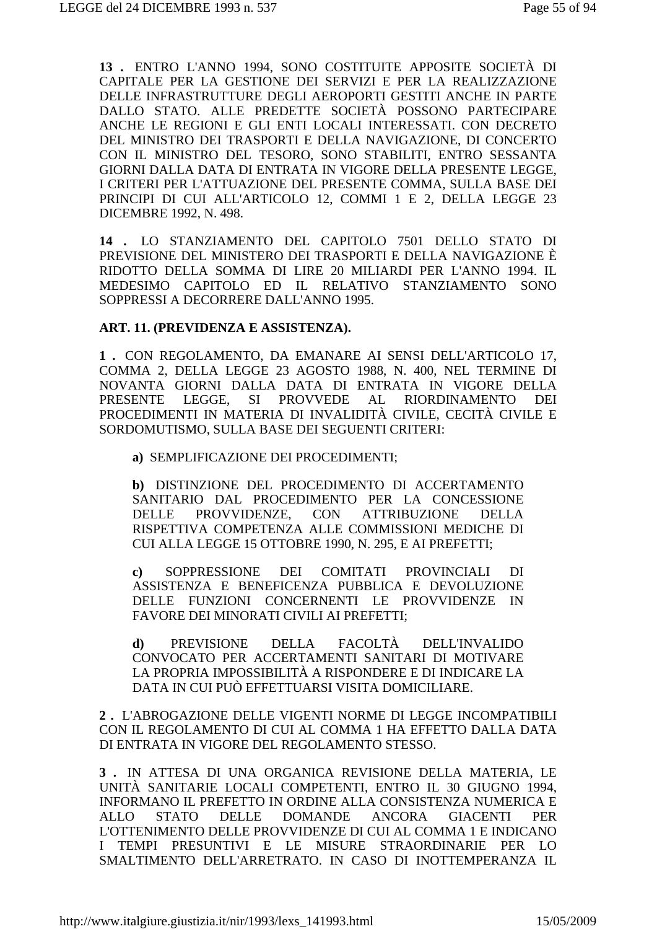**13 .** ENTRO L'ANNO 1994, SONO COSTITUITE APPOSITE SOCIETÀ DI CAPITALE PER LA GESTIONE DEI SERVIZI E PER LA REALIZZAZIONE DELLE INFRASTRUTTURE DEGLI AEROPORTI GESTITI ANCHE IN PARTE DALLO STATO. ALLE PREDETTE SOCIETÀ POSSONO PARTECIPARE ANCHE LE REGIONI E GLI ENTI LOCALI INTERESSATI. CON DECRETO DEL MINISTRO DEI TRASPORTI E DELLA NAVIGAZIONE, DI CONCERTO CON IL MINISTRO DEL TESORO, SONO STABILITI, ENTRO SESSANTA GIORNI DALLA DATA DI ENTRATA IN VIGORE DELLA PRESENTE LEGGE, I CRITERI PER L'ATTUAZIONE DEL PRESENTE COMMA, SULLA BASE DEI PRINCIPI DI CUI ALL'ARTICOLO 12, COMMI 1 E 2, DELLA LEGGE 23 DICEMBRE 1992, N. 498.

**14 .** LO STANZIAMENTO DEL CAPITOLO 7501 DELLO STATO DI PREVISIONE DEL MINISTERO DEI TRASPORTI E DELLA NAVIGAZIONE È RIDOTTO DELLA SOMMA DI LIRE 20 MILIARDI PER L'ANNO 1994. IL MEDESIMO CAPITOLO ED IL RELATIVO STANZIAMENTO SONO SOPPRESSI A DECORRERE DALL'ANNO 1995.

#### **ART. 11. (PREVIDENZA E ASSISTENZA).**

**1 .** CON REGOLAMENTO, DA EMANARE AI SENSI DELL'ARTICOLO 17, COMMA 2, DELLA LEGGE 23 AGOSTO 1988, N. 400, NEL TERMINE DI NOVANTA GIORNI DALLA DATA DI ENTRATA IN VIGORE DELLA PRESENTE LEGGE, SI PROVVEDE AL RIORDINAMENTO DEI PROCEDIMENTI IN MATERIA DI INVALIDITÀ CIVILE, CECITÀ CIVILE E SORDOMUTISMO, SULLA BASE DEI SEGUENTI CRITERI:

**a)** SEMPLIFICAZIONE DEI PROCEDIMENTI;

**b)** DISTINZIONE DEL PROCEDIMENTO DI ACCERTAMENTO SANITARIO DAL PROCEDIMENTO PER LA CONCESSIONE DELLE PROVVIDENZE, CON ATTRIBUZIONE DELLA RISPETTIVA COMPETENZA ALLE COMMISSIONI MEDICHE DI CUI ALLA LEGGE 15 OTTOBRE 1990, N. 295, E AI PREFETTI;

**c)** SOPPRESSIONE DEI COMITATI PROVINCIALI DI ASSISTENZA E BENEFICENZA PUBBLICA E DEVOLUZIONE DELLE FUNZIONI CONCERNENTI LE PROVVIDENZE IN FAVORE DEI MINORATI CIVILI AI PREFETTI;

**d)** PREVISIONE DELLA FACOLTÀ DELL'INVALIDO CONVOCATO PER ACCERTAMENTI SANITARI DI MOTIVARE LA PROPRIA IMPOSSIBILITÀ A RISPONDERE E DI INDICARE LA DATA IN CUI PUÒ EFFETTUARSI VISITA DOMICILIARE.

**2 .** L'ABROGAZIONE DELLE VIGENTI NORME DI LEGGE INCOMPATIBILI CON IL REGOLAMENTO DI CUI AL COMMA 1 HA EFFETTO DALLA DATA DI ENTRATA IN VIGORE DEL REGOLAMENTO STESSO.

**3 .** IN ATTESA DI UNA ORGANICA REVISIONE DELLA MATERIA, LE UNITÀ SANITARIE LOCALI COMPETENTI, ENTRO IL 30 GIUGNO 1994, INFORMANO IL PREFETTO IN ORDINE ALLA CONSISTENZA NUMERICA E ALLO STATO DELLE DOMANDE ANCORA GIACENTI PER L'OTTENIMENTO DELLE PROVVIDENZE DI CUI AL COMMA 1 E INDICANO I TEMPI PRESUNTIVI E LE MISURE STRAORDINARIE PER LO SMALTIMENTO DELL'ARRETRATO. IN CASO DI INOTTEMPERANZA IL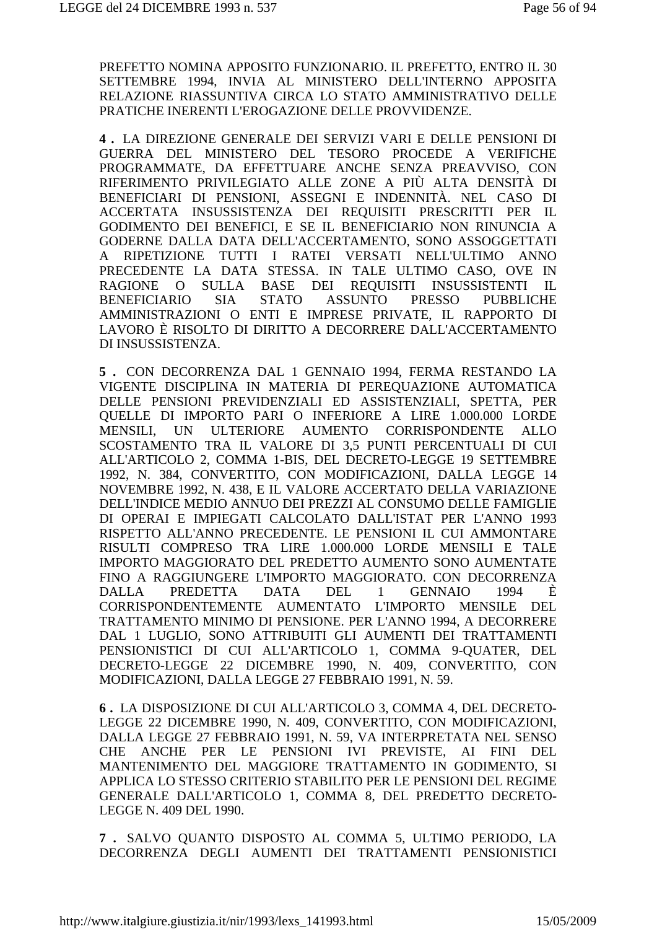PREFETTO NOMINA APPOSITO FUNZIONARIO. IL PREFETTO, ENTRO IL 30 SETTEMBRE 1994, INVIA AL MINISTERO DELL'INTERNO APPOSITA RELAZIONE RIASSUNTIVA CIRCA LO STATO AMMINISTRATIVO DELLE PRATICHE INERENTI L'EROGAZIONE DELLE PROVVIDENZE.

4. LA DIREZIONE GENERALE DEI SERVIZI VARI E DELLE PENSIONI DI GUERRA DEL MINISTERO DEL TESORO PROCEDE A VERIFICHE PROGRAMMATE, DA EFFETTUARE ANCHE SENZA PREAVVISO, CON RIFERIMENTO PRIVILEGIATO ALLE ZONE A PIÙ ALTA DENSITÀ DI BENEFICIARI DI PENSIONI, ASSEGNI E INDENNITÀ. NEL CASO DI ACCERTATA INSUSSISTENZA DEI REOUISITI PRESCRITTI PER IL GODIMENTO DEI BENEFICI, E SE IL BENEFICIARIO NON RINUNCIA A GODERNE DALLA DATA DELL'ACCERTAMENTO, SONO ASSOGGETTATI RIPETIZIONE TUTTI I RATEI VERSATI NELL'ULTIMO ANNO  $\mathsf{A}$ PRECEDENTE LA DATA STESSA. IN TALE ULTIMO CASO, OVE IN SULLA BASE DEI REQUISITI INSUSSISTENTI **RAGIONE**  $\Omega$  $\mathbf{H}$ **STATO PRESSO BENEFICIARIO SIA ASSUNTO PUBBLICHE** AMMINISTRAZIONI O ENTI E IMPRESE PRIVATE, IL RAPPORTO DI LAVORO È RISOLTO DI DIRITTO A DECORRERE DALL'ACCERTAMENTO DI INSUSSISTENZA.

5. CON DECORRENZA DAL 1 GENNAIO 1994, FERMA RESTANDO LA VIGENTE DISCIPLINA IN MATERIA DI PEREOUAZIONE AUTOMATICA DELLE PENSIONI PREVIDENZIALI ED ASSISTENZIALI, SPETTA, PER QUELLE DI IMPORTO PARI O INFERIORE A LIRE 1.000.000 LORDE MENSILI. UN ULTERIORE AUMENTO CORRISPONDENTE  $AIJO$ SCOSTAMENTO TRA IL VALORE DI 3,5 PUNTI PERCENTUALI DI CUI ALL'ARTICOLO 2, COMMA 1-BIS, DEL DECRETO-LEGGE 19 SETTEMBRE 1992, N. 384, CONVERTITO, CON MODIFICAZIONI, DALLA LEGGE 14 NOVEMBRE 1992, N. 438, E IL VALORE ACCERTATO DELLA VARIAZIONE DELL'INDICE MEDIO ANNUO DEI PREZZI AL CONSUMO DELLE FAMIGLIE DI OPERAI E IMPIEGATI CALCOLATO DALL'ISTAT PER L'ANNO 1993 RISPETTO ALL'ANNO PRECEDENTE. LE PENSIONI IL CUI AMMONTARE RISULTI COMPRESO TRA LIRE 1.000.000 LORDE MENSILI E TALE IMPORTO MAGGIORATO DEL PREDETTO AUMENTO SONO AUMENTATE FINO A RAGGIUNGERE L'IMPORTO MAGGIORATO. CON DECORRENZA PREDETTA **DATA DEL GENNAIO DALLA**  $\overline{1}$ 1994 Ė. CORRISPONDENTEMENTE AUMENTATO L'IMPORTO MENSILE DEL TRATTAMENTO MINIMO DI PENSIONE. PER L'ANNO 1994, A DECORRERE DAL 1 LUGLIO, SONO ATTRIBUITI GLI AUMENTI DEI TRATTAMENTI PENSIONISTICI DI CUI ALL'ARTICOLO 1, COMMA 9-QUATER, DEL DECRETO-LEGGE 22 DICEMBRE 1990, N. 409, CONVERTITO, CON MODIFICAZIONI, DALLA LEGGE 27 FEBBRAIO 1991, N. 59.

6. LA DISPOSIZIONE DI CUI ALL'ARTICOLO 3, COMMA 4, DEL DECRETO-LEGGE 22 DICEMBRE 1990, N. 409, CONVERTITO, CON MODIFICAZIONI, DALLA LEGGE 27 FEBBRAIO 1991, N. 59, VA INTERPRETATA NEL SENSO CHE ANCHE PER LE PENSIONI IVI PREVISTE, AI FINI DEL MANTENIMENTO DEL MAGGIORE TRATTAMENTO IN GODIMENTO, SI APPLICA LO STESSO CRITERIO STABILITO PER LE PENSIONI DEL REGIME GENERALE DALL'ARTICOLO 1. COMMA 8. DEL PREDETTO DECRETO-LEGGE N. 409 DEL 1990.

7. SALVO OUANTO DISPOSTO AL COMMA 5, ULTIMO PERIODO, LA DECORRENZA DEGLI AUMENTI DEI TRATTAMENTI PENSIONISTICI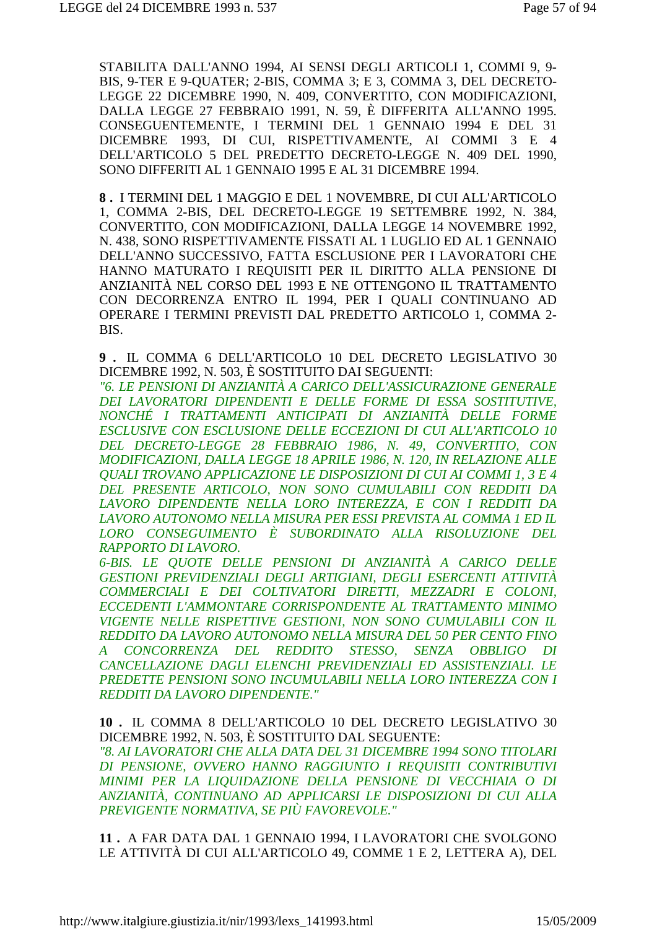STABILITA DALL'ANNO 1994, AI SENSI DEGLI ARTICOLI 1, COMMI 9, 9-BIS, 9-TER E 9-OUATER; 2-BIS, COMMA 3; E 3, COMMA 3, DEL DECRETO-LEGGE 22 DICEMBRE 1990, N. 409, CONVERTITO, CON MODIFICAZIONI, DALLA LEGGE 27 FEBBRAIO 1991, N. 59, È DIFFERITA ALL'ANNO 1995. CONSEGUENTEMENTE, I TERMINI DEL 1 GENNAIO 1994 E DEL 31 DICEMBRE 1993, DI CUI, RISPETTIVAMENTE, AI COMMI 3 E 4 DELL'ARTICOLO 5 DEL PREDETTO DECRETO-LEGGE N. 409 DEL 1990, SONO DIFFERITI AL 1 GENNAIO 1995 E AL 31 DICEMBRE 1994.

8. I TERMINI DEL 1 MAGGIO E DEL 1 NOVEMBRE, DI CUI ALL'ARTICOLO 1, COMMA 2-BIS, DEL DECRETO-LEGGE 19 SETTEMBRE 1992, N. 384, CONVERTITO, CON MODIFICAZIONI, DALLA LEGGE 14 NOVEMBRE 1992, N. 438, SONO RISPETTIVAMENTE FISSATI AL 1 LUGLIO ED AL 1 GENNAIO DELL'ANNO SUCCESSIVO, FATTA ESCLUSIONE PER I LAVORATORI CHE HANNO MATURATO I REQUISITI PER IL DIRITTO ALLA PENSIONE DI ANZIANITÀ NEL CORSO DEL 1993 E NE OTTENGONO IL TRATTAMENTO CON DECORRENZA ENTRO IL 1994, PER I QUALI CONTINUANO AD OPERARE I TERMINI PREVISTI DAL PREDETTO ARTICOLO 1, COMMA 2-BIS.

9. IL COMMA 6 DELL'ARTICOLO 10 DEL DECRETO LEGISLATIVO 30 DICEMBRE 1992, N. 503, È SOSTITUITO DAI SEGUENTI:

"6. LE PENSIONI DI ANZIANITÀ A CARICO DELL'ASSICURAZIONE GENERALE DEI LAVORATORI DIPENDENTI E DELLE FORME DI ESSA SOSTITUTIVE, NONCHÉ I TRATTAMENTI ANTICIPATI DI ANZIANITÀ DELLE FORME ESCLUSIVE CON ESCLUSIONE DELLE ECCEZIONI DI CUI ALL'ARTICOLO 10 DEL DECRETO-LEGGE 28 FEBBRAIO 1986, N. 49, CONVERTITO, CON MODIFICAZIONI, DALLA LEGGE 18 APRILE 1986, N. 120, IN RELAZIONE ALLE QUALI TROVANO APPLICAZIONE LE DISPOSIZIONI DI CUI AI COMMI 1, 3 E 4 DEL PRESENTE ARTICOLO, NON SONO CUMULABILI CON REDDITI DA LAVORO DIPENDENTE NELLA LORO INTEREZZA, E CON I REDDITI DA LAVORO AUTONOMO NELLA MISURA PER ESSI PREVISTA AL COMMA 1 ED IL LORO CONSEGUIMENTO È SUBORDINATO ALLA RISOLUZIONE DEL RAPPORTO DI LAVORO.

6-BIS. LE OUOTE DELLE PENSIONI DI ANZIANITÀ A CARICO DELLE GESTIONI PREVIDENZIALI DEGLI ARTIGIANI, DEGLI ESERCENTI ATTIVITÀ COMMERCIALI E DEI COLTIVATORI DIRETTI, MEZZADRI E COLONI, ECCEDENTI L'AMMONTARE CORRISPONDENTE AL TRATTAMENTO MINIMO VIGENTE NELLE RISPETTIVE GESTIONI, NON SONO CUMULABILI CON IL REDDITO DA LAVORO AUTONOMO NELLA MISURA DEL 50 PER CENTO FINO CONCORRENZA DEL REDDITO STESSO, SENZA **OBBLIGO DI**  $\bm{A}$ CANCELLAZIONE DAGLI ELENCHI PREVIDENZIALI ED ASSISTENZIALI. LE PREDETTE PENSIONI SONO INCUMULABILI NELLA LORO INTEREZZA CON I **REDDITI DA LAVORO DIPENDENTE."** 

10. IL COMMA 8 DELL'ARTICOLO 10 DEL DECRETO LEGISLATIVO 30 DICEMBRE 1992, N. 503, È SOSTITUITO DAL SEGUENTE:

"8. AI LAVORATORI CHE ALLA DATA DEL 31 DICEMBRE 1994 SONO TITOLARI DI PENSIONE, OVVERO HANNO RAGGIUNTO I REOUISITI CONTRIBUTIVI MINIMI PER LA LIQUIDAZIONE DELLA PENSIONE DI VECCHIAIA O DI ANZIANITÀ. CONTINUANO AD APPLICARSI LE DISPOSIZIONI DI CUI ALLA PREVIGENTE NORMATIVA, SE PIÙ FAVOREVOLE."

11. A FAR DATA DAL 1 GENNAIO 1994, I LAVORATORI CHE SVOLGONO LE ATTIVITÀ DI CUI ALL'ARTICOLO 49. COMME 1 E 2. LETTERA A). DEL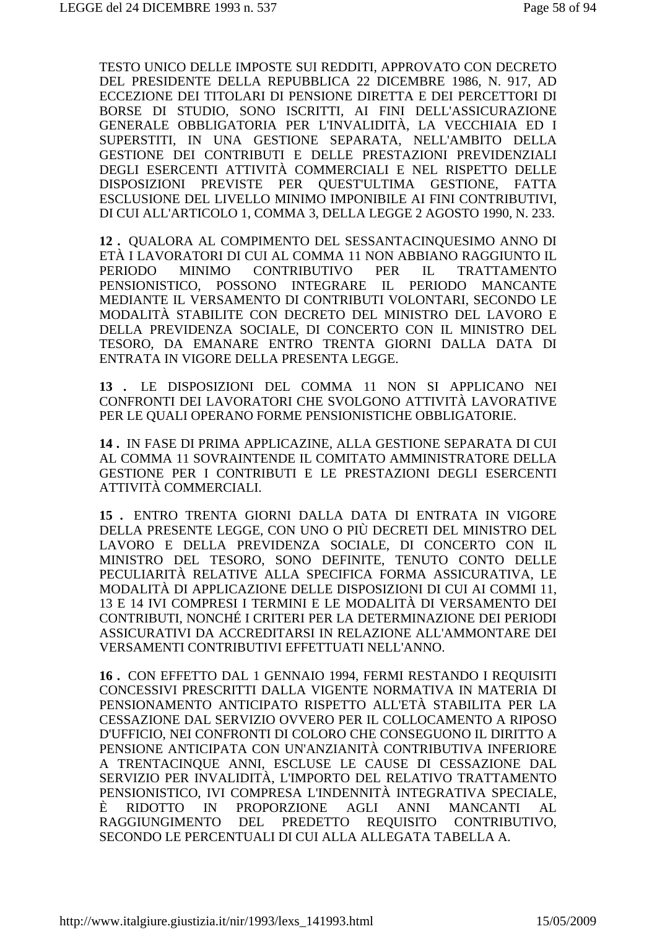TESTO UNICO DELLE IMPOSTE SUI REDDITI, APPROVATO CON DECRETO DEL PRESIDENTE DELLA REPUBBLICA 22 DICEMBRE 1986, N. 917, AD ECCEZIONE DEI TITOLARI DI PENSIONE DIRETTA E DEI PERCETTORI DI BORSE DI STUDIO, SONO ISCRITTI, AI FINI DELL'ASSICURAZIONE GENERALE OBBLIGATORIA PER L'INVALIDITÀ, LA VECCHIAIA ED I SUPERSTITI, IN UNA GESTIONE SEPARATA, NELL'AMBITO DELLA GESTIONE DEI CONTRIBUTI E DELLE PRESTAZIONI PREVIDENZIALI DEGLI ESERCENTI ATTIVITÀ COMMERCIALI E NEL RISPETTO DELLE DISPOSIZIONI PREVISTE PER QUEST'ULTIMA GESTIONE, FATTA ESCLUSIONE DEL LIVELLO MINIMO IMPONIBILE AI FINI CONTRIBUTIVI, DI CUI ALL'ARTICOLO 1, COMMA 3, DELLA LEGGE 2 AGOSTO 1990, N. 233.

**12 .** QUALORA AL COMPIMENTO DEL SESSANTACINQUESIMO ANNO DI ETÀ I LAVORATORI DI CUI AL COMMA 11 NON ABBIANO RAGGIUNTO IL PERIODO MINIMO CONTRIBUTIVO PER IL TRATTAMENTO PENSIONISTICO, POSSONO INTEGRARE IL PERIODO MANCANTE MEDIANTE IL VERSAMENTO DI CONTRIBUTI VOLONTARI, SECONDO LE MODALITÀ STABILITE CON DECRETO DEL MINISTRO DEL LAVORO E DELLA PREVIDENZA SOCIALE, DI CONCERTO CON IL MINISTRO DEL TESORO, DA EMANARE ENTRO TRENTA GIORNI DALLA DATA DI ENTRATA IN VIGORE DELLA PRESENTA LEGGE.

**13 .** LE DISPOSIZIONI DEL COMMA 11 NON SI APPLICANO NEI CONFRONTI DEI LAVORATORI CHE SVOLGONO ATTIVITÀ LAVORATIVE PER LE QUALI OPERANO FORME PENSIONISTICHE OBBLIGATORIE.

**14 .** IN FASE DI PRIMA APPLICAZINE, ALLA GESTIONE SEPARATA DI CUI AL COMMA 11 SOVRAINTENDE IL COMITATO AMMINISTRATORE DELLA GESTIONE PER I CONTRIBUTI E LE PRESTAZIONI DEGLI ESERCENTI ATTIVITÀ COMMERCIALI.

**15 .** ENTRO TRENTA GIORNI DALLA DATA DI ENTRATA IN VIGORE DELLA PRESENTE LEGGE, CON UNO O PIÙ DECRETI DEL MINISTRO DEL LAVORO E DELLA PREVIDENZA SOCIALE, DI CONCERTO CON IL MINISTRO DEL TESORO, SONO DEFINITE, TENUTO CONTO DELLE PECULIARITÀ RELATIVE ALLA SPECIFICA FORMA ASSICURATIVA, LE MODALITÀ DI APPLICAZIONE DELLE DISPOSIZIONI DI CUI AI COMMI 11, 13 E 14 IVI COMPRESI I TERMINI E LE MODALITÀ DI VERSAMENTO DEI CONTRIBUTI, NONCHÉ I CRITERI PER LA DETERMINAZIONE DEI PERIODI ASSICURATIVI DA ACCREDITARSI IN RELAZIONE ALL'AMMONTARE DEI VERSAMENTI CONTRIBUTIVI EFFETTUATI NELL'ANNO.

**16 .** CON EFFETTO DAL 1 GENNAIO 1994, FERMI RESTANDO I REQUISITI CONCESSIVI PRESCRITTI DALLA VIGENTE NORMATIVA IN MATERIA DI PENSIONAMENTO ANTICIPATO RISPETTO ALL'ETÀ STABILITA PER LA CESSAZIONE DAL SERVIZIO OVVERO PER IL COLLOCAMENTO A RIPOSO D'UFFICIO, NEI CONFRONTI DI COLORO CHE CONSEGUONO IL DIRITTO A PENSIONE ANTICIPATA CON UN'ANZIANITÀ CONTRIBUTIVA INFERIORE A TRENTACINQUE ANNI, ESCLUSE LE CAUSE DI CESSAZIONE DAL SERVIZIO PER INVALIDITÀ, L'IMPORTO DEL RELATIVO TRATTAMENTO PENSIONISTICO, IVI COMPRESA L'INDENNITÀ INTEGRATIVA SPECIALE, È RIDOTTO IN PROPORZIONE AGLI ANNI MANCANTI AL RAGGIUNGIMENTO DEL PREDETTO REQUISITO CONTRIBUTIVO, SECONDO LE PERCENTUALI DI CUI ALLA ALLEGATA TABELLA A.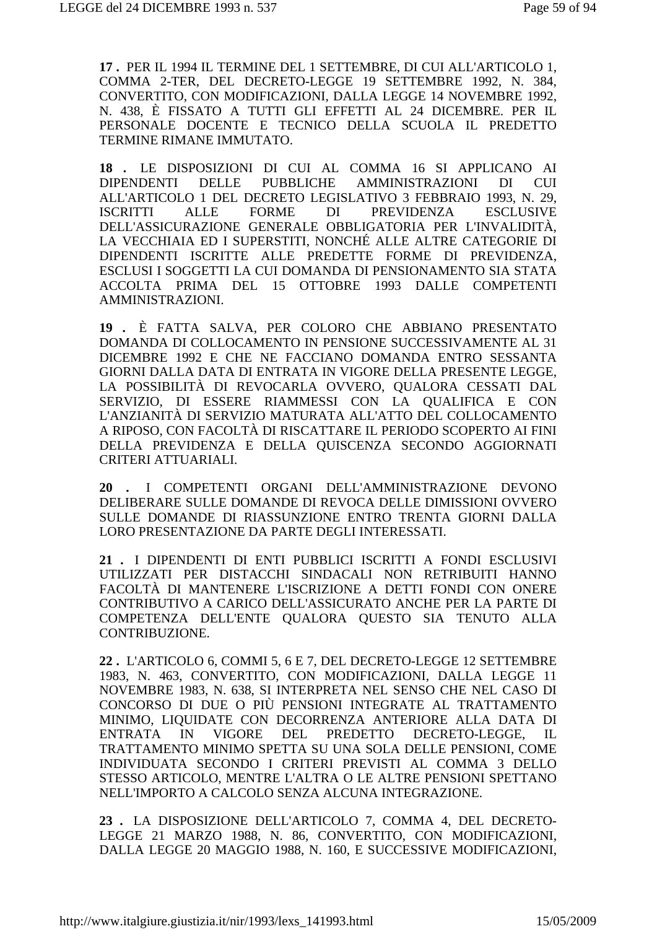**17 .** PER IL 1994 IL TERMINE DEL 1 SETTEMBRE, DI CUI ALL'ARTICOLO 1, COMMA 2-TER, DEL DECRETO-LEGGE 19 SETTEMBRE 1992, N. 384, CONVERTITO, CON MODIFICAZIONI, DALLA LEGGE 14 NOVEMBRE 1992, N. 438, È FISSATO A TUTTI GLI EFFETTI AL 24 DICEMBRE. PER IL PERSONALE DOCENTE E TECNICO DELLA SCUOLA IL PREDETTO TERMINE RIMANE IMMUTATO.

**18 .** LE DISPOSIZIONI DI CUI AL COMMA 16 SI APPLICANO AI DIPENDENTI DELLE PUBBLICHE AMMINISTRAZIONI DI CUI ALL'ARTICOLO 1 DEL DECRETO LEGISLATIVO 3 FEBBRAIO 1993, N. 29, ISCRITTI ALLE FORME DI PREVIDENZA ESCLUSIVE DELL'ASSICURAZIONE GENERALE OBBLIGATORIA PER L'INVALIDITÀ, LA VECCHIAIA ED I SUPERSTITI, NONCHÉ ALLE ALTRE CATEGORIE DI DIPENDENTI ISCRITTE ALLE PREDETTE FORME DI PREVIDENZA, ESCLUSI I SOGGETTI LA CUI DOMANDA DI PENSIONAMENTO SIA STATA ACCOLTA PRIMA DEL 15 OTTOBRE 1993 DALLE COMPETENTI AMMINISTRAZIONI.

**19 .** È FATTA SALVA, PER COLORO CHE ABBIANO PRESENTATO DOMANDA DI COLLOCAMENTO IN PENSIONE SUCCESSIVAMENTE AL 31 DICEMBRE 1992 E CHE NE FACCIANO DOMANDA ENTRO SESSANTA GIORNI DALLA DATA DI ENTRATA IN VIGORE DELLA PRESENTE LEGGE, LA POSSIBILITÀ DI REVOCARLA OVVERO, QUALORA CESSATI DAL SERVIZIO, DI ESSERE RIAMMESSI CON LA QUALIFICA E CON L'ANZIANITÀ DI SERVIZIO MATURATA ALL'ATTO DEL COLLOCAMENTO A RIPOSO, CON FACOLTÀ DI RISCATTARE IL PERIODO SCOPERTO AI FINI DELLA PREVIDENZA E DELLA QUISCENZA SECONDO AGGIORNATI CRITERI ATTUARIALI.

**20 .** I COMPETENTI ORGANI DELL'AMMINISTRAZIONE DEVONO DELIBERARE SULLE DOMANDE DI REVOCA DELLE DIMISSIONI OVVERO SULLE DOMANDE DI RIASSUNZIONE ENTRO TRENTA GIORNI DALLA LORO PRESENTAZIONE DA PARTE DEGLI INTERESSATI.

**21 .** I DIPENDENTI DI ENTI PUBBLICI ISCRITTI A FONDI ESCLUSIVI UTILIZZATI PER DISTACCHI SINDACALI NON RETRIBUITI HANNO FACOLTÀ DI MANTENERE L'ISCRIZIONE A DETTI FONDI CON ONERE CONTRIBUTIVO A CARICO DELL'ASSICURATO ANCHE PER LA PARTE DI COMPETENZA DELL'ENTE QUALORA QUESTO SIA TENUTO ALLA CONTRIBUZIONE.

**22 .** L'ARTICOLO 6, COMMI 5, 6 E 7, DEL DECRETO-LEGGE 12 SETTEMBRE 1983, N. 463, CONVERTITO, CON MODIFICAZIONI, DALLA LEGGE 11 NOVEMBRE 1983, N. 638, SI INTERPRETA NEL SENSO CHE NEL CASO DI CONCORSO DI DUE O PIÙ PENSIONI INTEGRATE AL TRATTAMENTO MINIMO, LIQUIDATE CON DECORRENZA ANTERIORE ALLA DATA DI ENTRATA IN VIGORE DEL PREDETTO DECRETO-LEGGE, IL TRATTAMENTO MINIMO SPETTA SU UNA SOLA DELLE PENSIONI, COME INDIVIDUATA SECONDO I CRITERI PREVISTI AL COMMA 3 DELLO STESSO ARTICOLO, MENTRE L'ALTRA O LE ALTRE PENSIONI SPETTANO NELL'IMPORTO A CALCOLO SENZA ALCUNA INTEGRAZIONE.

**23 .** LA DISPOSIZIONE DELL'ARTICOLO 7, COMMA 4, DEL DECRETO-LEGGE 21 MARZO 1988, N. 86, CONVERTITO, CON MODIFICAZIONI, DALLA LEGGE 20 MAGGIO 1988, N. 160, E SUCCESSIVE MODIFICAZIONI,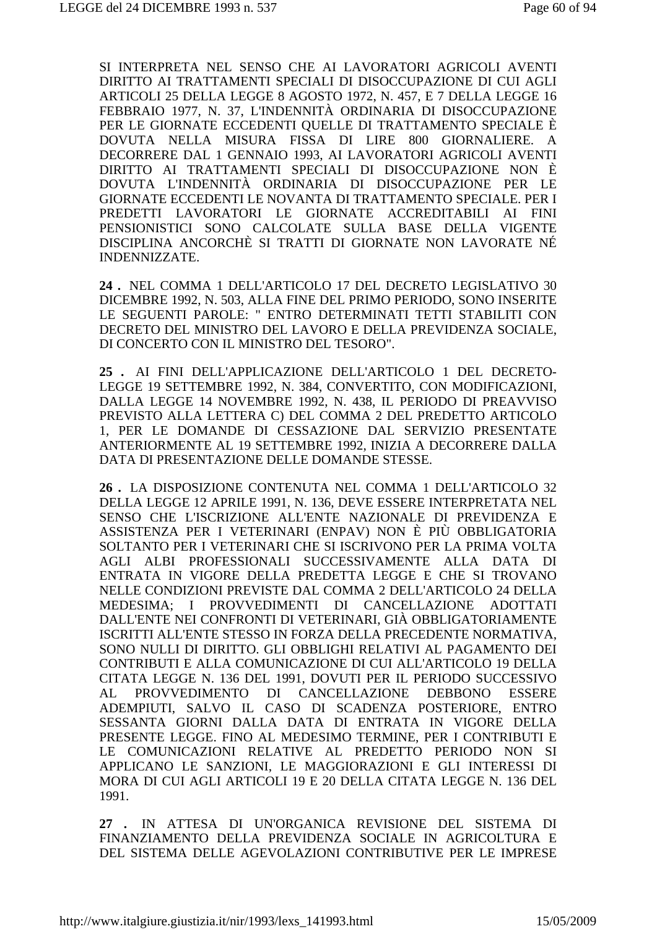SI INTERPRETA NEL SENSO CHE AI LAVORATORI AGRICOLI AVENTI DIRITTO AI TRATTAMENTI SPECIALI DI DISOCCUPAZIONE DI CUI AGLI ARTICOLI 25 DELLA LEGGE 8 AGOSTO 1972, N. 457, E 7 DELLA LEGGE 16 FEBBRAIO 1977, N. 37, L'INDENNITÀ ORDINARIA DI DISOCCUPAZIONE PER LE GIORNATE ECCEDENTI OUELLE DI TRATTAMENTO SPECIALE È DOVUTA NELLA MISURA FISSA DI LIRE 800 GIORNALIERE. A DECORRERE DAL 1 GENNAIO 1993, AI LAVORATORI AGRICOLI AVENTI DIRITTO AI TRATTAMENTI SPECIALI DI DISOCCUPAZIONE NON È DOVUTA L'INDENNITÀ ORDINARIA DI DISOCCUPAZIONE PER LE GIORNATE ECCEDENTI LE NOVANTA DI TRATTAMENTO SPECIALE. PER I PREDETTI LAVORATORI LE GIORNATE ACCREDITABILI AI FINI PENSIONISTICI SONO CALCOLATE SULLA BASE DELLA VIGENTE DISCIPLINA ANCORCHÈ SI TRATTI DI GIORNATE NON LAVORATE NÉ INDENNIZZATE.

24. NEL COMMA 1 DELL'ARTICOLO 17 DEL DECRETO LEGISLATIVO 30 DICEMBRE 1992. N. 503. ALLA FINE DEL PRIMO PERIODO. SONO INSERITE LE SEGUENTI PAROLE: " ENTRO DETERMINATI TETTI STABILITI CON DECRETO DEL MINISTRO DEL LAVORO E DELLA PREVIDENZA SOCIALE, DI CONCERTO CON IL MINISTRO DEL TESORO".

25. AI FINI DELL'APPLICAZIONE DELL'ARTICOLO 1 DEL DECRETO-LEGGE 19 SETTEMBRE 1992. N. 384. CONVERTITO. CON MODIFICAZIONI. DALLA LEGGE 14 NOVEMBRE 1992, N. 438, IL PERIODO DI PREAVVISO PREVISTO ALLA LETTERA C) DEL COMMA 2 DEL PREDETTO ARTICOLO 1. PER LE DOMANDE DI CESSAZIONE DAL SERVIZIO PRESENTATE ANTERIORMENTE AL 19 SETTEMBRE 1992. INIZIA A DECORRERE DALLA DATA DI PRESENTAZIONE DELLE DOMANDE STESSE.

26. LA DISPOSIZIONE CONTENUTA NEL COMMA 1 DELL'ARTICOLO 32 DELLA LEGGE 12 APRILE 1991, N. 136, DEVE ESSERE INTERPRETATA NEL SENSO CHE L'ISCRIZIONE ALL'ENTE NAZIONALE DI PREVIDENZA E ASSISTENZA PER I VETERINARI (ENPAV) NON È PIÙ OBBLIGATORIA SOLTANTO PER I VETERINARI CHE SI ISCRIVONO PER LA PRIMA VOLTA AGLI ALBI PROFESSIONALI SUCCESSIVAMENTE ALLA DATA DI ENTRATA IN VIGORE DELLA PREDETTA LEGGE E CHE SI TROVANO NELLE CONDIZIONI PREVISTE DAL COMMA 2 DELL'ARTICOLO 24 DELLA MEDESIMA; I PROVVEDIMENTI DI CANCELLAZIONE ADOTTATI DALL'ENTE NEI CONFRONTI DI VETERINARI, GIÀ OBBLIGATORIAMENTE ISCRITTI ALL'ENTE STESSO IN FORZA DELLA PRECEDENTE NORMATIVA. SONO NULLI DI DIRITTO. GLI OBBLIGHI RELATIVI AL PAGAMENTO DEI CONTRIBUTI E ALLA COMUNICAZIONE DI CUI ALL'ARTICOLO 19 DELLA CITATA LEGGE N. 136 DEL 1991, DOVUTI PER IL PERIODO SUCCESSIVO  $AL$ PROVVEDIMENTO DI CANCELLAZIONE DEBBONO ESSERE ADEMPIUTI, SALVO IL CASO DI SCADENZA POSTERIORE, ENTRO SESSANTA GIORNI DALLA DATA DI ENTRATA IN VIGORE DELLA PRESENTE LEGGE. FINO AL MEDESIMO TERMINE, PER I CONTRIBUTI E LE COMUNICAZIONI RELATIVE AL PREDETTO PERIODO NON SI APPLICANO LE SANZIONI, LE MAGGIORAZIONI E GLI INTERESSI DI MORA DI CUI AGLI ARTICOLI 19 E 20 DELLA CITATA LEGGE N. 136 DEL 1991.

27 . IN ATTESA DI UN'ORGANICA REVISIONE DEL SISTEMA DI FINANZIAMENTO DELLA PREVIDENZA SOCIALE IN AGRICOLTURA E DEL SISTEMA DELLE AGEVOLAZIONI CONTRIBUTIVE PER LE IMPRESE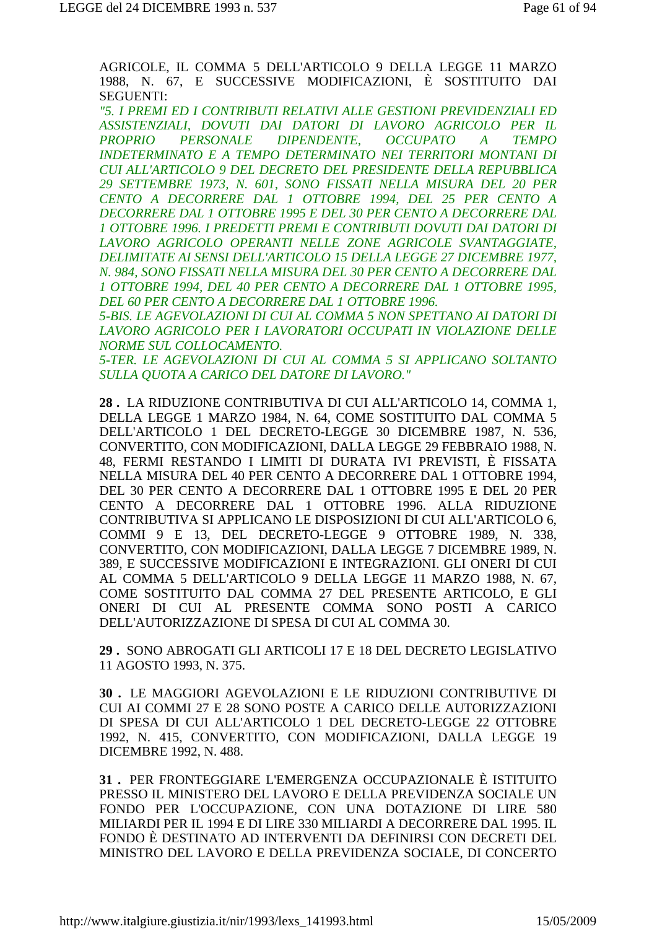AGRICOLE, IL COMMA 5 DELL'ARTICOLO 9 DELLA LEGGE 11 MARZO 1988, N. 67, E SUCCESSIVE MODIFICAZIONI, È SOSTITUITO DAI SEGUENTI:

*"5. I PREMI ED I CONTRIBUTI RELATIVI ALLE GESTIONI PREVIDENZIALI ED ASSISTENZIALI, DOVUTI DAI DATORI DI LAVORO AGRICOLO PER IL PROPRIO PERSONALE DIPENDENTE, OCCUPATO A TEMPO INDETERMINATO E A TEMPO DETERMINATO NEI TERRITORI MONTANI DI CUI ALL'ARTICOLO 9 DEL DECRETO DEL PRESIDENTE DELLA REPUBBLICA 29 SETTEMBRE 1973, N. 601, SONO FISSATI NELLA MISURA DEL 20 PER CENTO A DECORRERE DAL 1 OTTOBRE 1994, DEL 25 PER CENTO A DECORRERE DAL 1 OTTOBRE 1995 E DEL 30 PER CENTO A DECORRERE DAL 1 OTTOBRE 1996. I PREDETTI PREMI E CONTRIBUTI DOVUTI DAI DATORI DI LAVORO AGRICOLO OPERANTI NELLE ZONE AGRICOLE SVANTAGGIATE, DELIMITATE AI SENSI DELL'ARTICOLO 15 DELLA LEGGE 27 DICEMBRE 1977, N. 984, SONO FISSATI NELLA MISURA DEL 30 PER CENTO A DECORRERE DAL 1 OTTOBRE 1994, DEL 40 PER CENTO A DECORRERE DAL 1 OTTOBRE 1995, DEL 60 PER CENTO A DECORRERE DAL 1 OTTOBRE 1996.* 

*5-BIS. LE AGEVOLAZIONI DI CUI AL COMMA 5 NON SPETTANO AI DATORI DI LAVORO AGRICOLO PER I LAVORATORI OCCUPATI IN VIOLAZIONE DELLE NORME SUL COLLOCAMENTO.* 

*5-TER. LE AGEVOLAZIONI DI CUI AL COMMA 5 SI APPLICANO SOLTANTO SULLA QUOTA A CARICO DEL DATORE DI LAVORO."*

**28 .** LA RIDUZIONE CONTRIBUTIVA DI CUI ALL'ARTICOLO 14, COMMA 1, DELLA LEGGE 1 MARZO 1984, N. 64, COME SOSTITUITO DAL COMMA 5 DELL'ARTICOLO 1 DEL DECRETO-LEGGE 30 DICEMBRE 1987, N. 536, CONVERTITO, CON MODIFICAZIONI, DALLA LEGGE 29 FEBBRAIO 1988, N. 48, FERMI RESTANDO I LIMITI DI DURATA IVI PREVISTI, È FISSATA NELLA MISURA DEL 40 PER CENTO A DECORRERE DAL 1 OTTOBRE 1994, DEL 30 PER CENTO A DECORRERE DAL 1 OTTOBRE 1995 E DEL 20 PER CENTO A DECORRERE DAL 1 OTTOBRE 1996. ALLA RIDUZIONE CONTRIBUTIVA SI APPLICANO LE DISPOSIZIONI DI CUI ALL'ARTICOLO 6, COMMI 9 E 13, DEL DECRETO-LEGGE 9 OTTOBRE 1989, N. 338, CONVERTITO, CON MODIFICAZIONI, DALLA LEGGE 7 DICEMBRE 1989, N. 389, E SUCCESSIVE MODIFICAZIONI E INTEGRAZIONI. GLI ONERI DI CUI AL COMMA 5 DELL'ARTICOLO 9 DELLA LEGGE 11 MARZO 1988, N. 67, COME SOSTITUITO DAL COMMA 27 DEL PRESENTE ARTICOLO, E GLI ONERI DI CUI AL PRESENTE COMMA SONO POSTI A CARICO DELL'AUTORIZZAZIONE DI SPESA DI CUI AL COMMA 30.

**29 .** SONO ABROGATI GLI ARTICOLI 17 E 18 DEL DECRETO LEGISLATIVO 11 AGOSTO 1993, N. 375.

**30 .** LE MAGGIORI AGEVOLAZIONI E LE RIDUZIONI CONTRIBUTIVE DI CUI AI COMMI 27 E 28 SONO POSTE A CARICO DELLE AUTORIZZAZIONI DI SPESA DI CUI ALL'ARTICOLO 1 DEL DECRETO-LEGGE 22 OTTOBRE 1992, N. 415, CONVERTITO, CON MODIFICAZIONI, DALLA LEGGE 19 DICEMBRE 1992, N. 488.

**31 .** PER FRONTEGGIARE L'EMERGENZA OCCUPAZIONALE È ISTITUITO PRESSO IL MINISTERO DEL LAVORO E DELLA PREVIDENZA SOCIALE UN FONDO PER L'OCCUPAZIONE, CON UNA DOTAZIONE DI LIRE 580 MILIARDI PER IL 1994 E DI LIRE 330 MILIARDI A DECORRERE DAL 1995. IL FONDO È DESTINATO AD INTERVENTI DA DEFINIRSI CON DECRETI DEL MINISTRO DEL LAVORO E DELLA PREVIDENZA SOCIALE, DI CONCERTO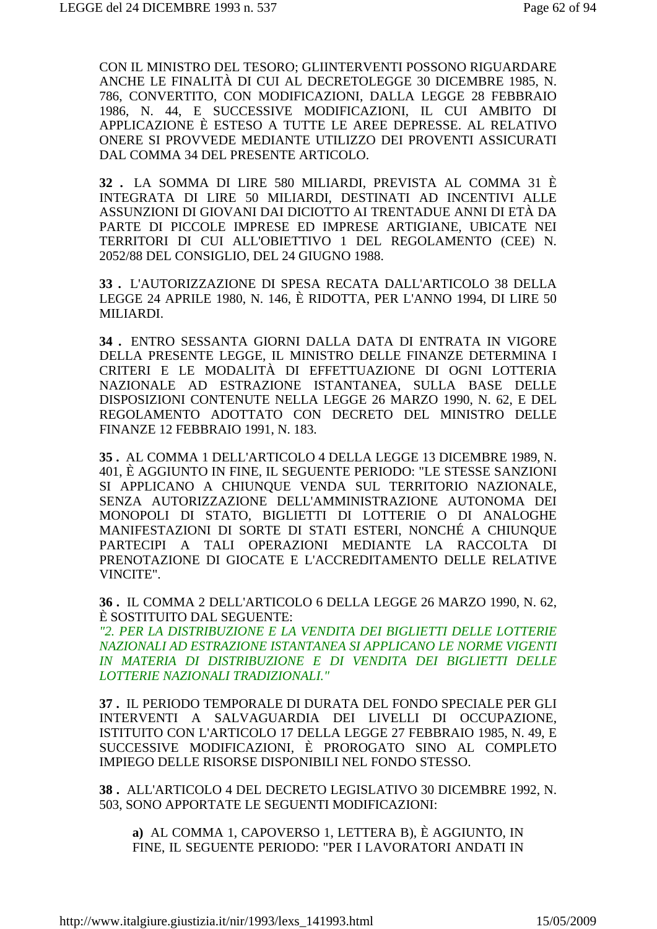CON IL MINISTRO DEL TESORO; GLIINTERVENTI POSSONO RIGUARDARE ANCHE LE FINALITÀ DI CUI AL DECRETOLEGGE 30 DICEMBRE 1985, N. 786, CONVERTITO, CON MODIFICAZIONI, DALLA LEGGE 28 FEBBRAIO 1986, N. 44, E SUCCESSIVE MODIFICAZIONI, IL CUI AMBITO DI APPLICAZIONE È ESTESO A TUTTE LE AREE DEPRESSE. AL RELATIVO ONERE SI PROVVEDE MEDIANTE UTILIZZO DEI PROVENTI ASSICURATI DAL COMMA 34 DEL PRESENTE ARTICOLO.

**32 .** LA SOMMA DI LIRE 580 MILIARDI, PREVISTA AL COMMA 31 È INTEGRATA DI LIRE 50 MILIARDI, DESTINATI AD INCENTIVI ALLE ASSUNZIONI DI GIOVANI DAI DICIOTTO AI TRENTADUE ANNI DI ETÀ DA PARTE DI PICCOLE IMPRESE ED IMPRESE ARTIGIANE, UBICATE NEI TERRITORI DI CUI ALL'OBIETTIVO 1 DEL REGOLAMENTO (CEE) N. 2052/88 DEL CONSIGLIO, DEL 24 GIUGNO 1988.

**33 .** L'AUTORIZZAZIONE DI SPESA RECATA DALL'ARTICOLO 38 DELLA LEGGE 24 APRILE 1980, N. 146, È RIDOTTA, PER L'ANNO 1994, DI LIRE 50 MILIARDI.

**34 .** ENTRO SESSANTA GIORNI DALLA DATA DI ENTRATA IN VIGORE DELLA PRESENTE LEGGE, IL MINISTRO DELLE FINANZE DETERMINA I CRITERI E LE MODALITÀ DI EFFETTUAZIONE DI OGNI LOTTERIA NAZIONALE AD ESTRAZIONE ISTANTANEA, SULLA BASE DELLE DISPOSIZIONI CONTENUTE NELLA LEGGE 26 MARZO 1990, N. 62, E DEL REGOLAMENTO ADOTTATO CON DECRETO DEL MINISTRO DELLE FINANZE 12 FEBBRAIO 1991, N. 183.

**35 .** AL COMMA 1 DELL'ARTICOLO 4 DELLA LEGGE 13 DICEMBRE 1989, N. 401, È AGGIUNTO IN FINE, IL SEGUENTE PERIODO: "LE STESSE SANZIONI SI APPLICANO A CHIUNQUE VENDA SUL TERRITORIO NAZIONALE, SENZA AUTORIZZAZIONE DELL'AMMINISTRAZIONE AUTONOMA DEI MONOPOLI DI STATO, BIGLIETTI DI LOTTERIE O DI ANALOGHE MANIFESTAZIONI DI SORTE DI STATI ESTERI, NONCHÉ A CHIUNQUE PARTECIPI A TALI OPERAZIONI MEDIANTE LA RACCOLTA DI PRENOTAZIONE DI GIOCATE E L'ACCREDITAMENTO DELLE RELATIVE VINCITE".

**36 .** IL COMMA 2 DELL'ARTICOLO 6 DELLA LEGGE 26 MARZO 1990, N. 62, È SOSTITUITO DAL SEGUENTE:

*"2. PER LA DISTRIBUZIONE E LA VENDITA DEI BIGLIETTI DELLE LOTTERIE NAZIONALI AD ESTRAZIONE ISTANTANEA SI APPLICANO LE NORME VIGENTI IN MATERIA DI DISTRIBUZIONE E DI VENDITA DEI BIGLIETTI DELLE LOTTERIE NAZIONALI TRADIZIONALI."*

**37 .** IL PERIODO TEMPORALE DI DURATA DEL FONDO SPECIALE PER GLI INTERVENTI A SALVAGUARDIA DEI LIVELLI DI OCCUPAZIONE, ISTITUITO CON L'ARTICOLO 17 DELLA LEGGE 27 FEBBRAIO 1985, N. 49, E SUCCESSIVE MODIFICAZIONI, È PROROGATO SINO AL COMPLETO IMPIEGO DELLE RISORSE DISPONIBILI NEL FONDO STESSO.

**38 .** ALL'ARTICOLO 4 DEL DECRETO LEGISLATIVO 30 DICEMBRE 1992, N. 503, SONO APPORTATE LE SEGUENTI MODIFICAZIONI:

**a)** AL COMMA 1, CAPOVERSO 1, LETTERA B), È AGGIUNTO, IN FINE, IL SEGUENTE PERIODO: "PER I LAVORATORI ANDATI IN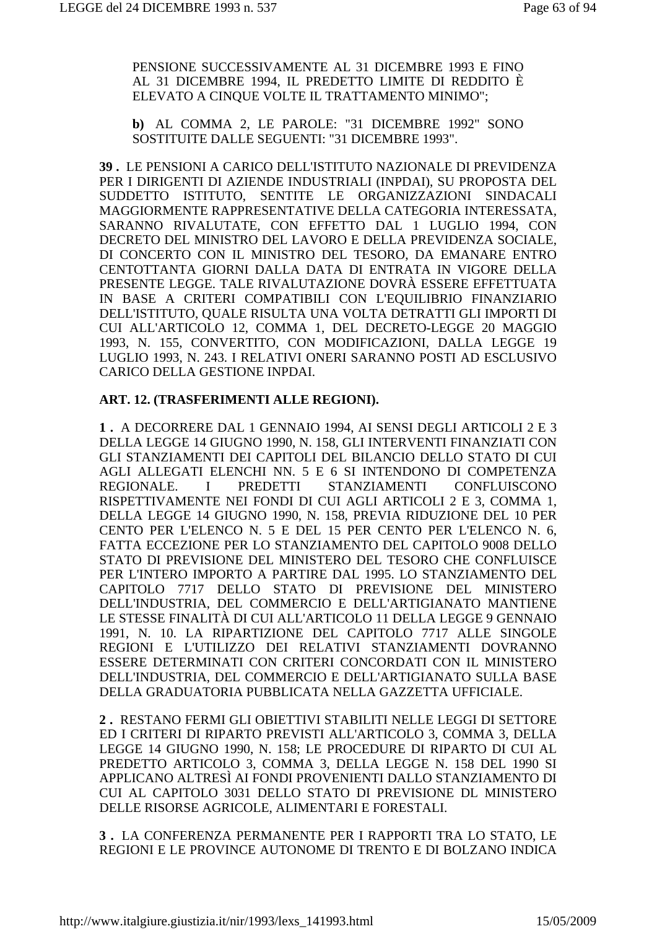PENSIONE SUCCESSIVAMENTE AL 31 DICEMBRE 1993 E FINO AL 31 DICEMBRE 1994, IL PREDETTO LIMITE DI REDDITO È ELEVATO A CINQUE VOLTE IL TRATTAMENTO MINIMO";

**b)** AL COMMA 2, LE PAROLE: "31 DICEMBRE 1992" SONO SOSTITUITE DALLE SEGUENTI: "31 DICEMBRE 1993".

**39 .** LE PENSIONI A CARICO DELL'ISTITUTO NAZIONALE DI PREVIDENZA PER I DIRIGENTI DI AZIENDE INDUSTRIALI (INPDAI), SU PROPOSTA DEL SUDDETTO ISTITUTO, SENTITE LE ORGANIZZAZIONI SINDACALI MAGGIORMENTE RAPPRESENTATIVE DELLA CATEGORIA INTERESSATA, SARANNO RIVALUTATE, CON EFFETTO DAL 1 LUGLIO 1994, CON DECRETO DEL MINISTRO DEL LAVORO E DELLA PREVIDENZA SOCIALE, DI CONCERTO CON IL MINISTRO DEL TESORO, DA EMANARE ENTRO CENTOTTANTA GIORNI DALLA DATA DI ENTRATA IN VIGORE DELLA PRESENTE LEGGE. TALE RIVALUTAZIONE DOVRÀ ESSERE EFFETTUATA IN BASE A CRITERI COMPATIBILI CON L'EQUILIBRIO FINANZIARIO DELL'ISTITUTO, QUALE RISULTA UNA VOLTA DETRATTI GLI IMPORTI DI CUI ALL'ARTICOLO 12, COMMA 1, DEL DECRETO-LEGGE 20 MAGGIO 1993, N. 155, CONVERTITO, CON MODIFICAZIONI, DALLA LEGGE 19 LUGLIO 1993, N. 243. I RELATIVI ONERI SARANNO POSTI AD ESCLUSIVO CARICO DELLA GESTIONE INPDAI.

#### **ART. 12. (TRASFERIMENTI ALLE REGIONI).**

**1 .** A DECORRERE DAL 1 GENNAIO 1994, AI SENSI DEGLI ARTICOLI 2 E 3 DELLA LEGGE 14 GIUGNO 1990, N. 158, GLI INTERVENTI FINANZIATI CON GLI STANZIAMENTI DEI CAPITOLI DEL BILANCIO DELLO STATO DI CUI AGLI ALLEGATI ELENCHI NN. 5 E 6 SI INTENDONO DI COMPETENZA REGIONALE. I PREDETTI STANZIAMENTI CONFLUISCONO RISPETTIVAMENTE NEI FONDI DI CUI AGLI ARTICOLI 2 E 3, COMMA 1, DELLA LEGGE 14 GIUGNO 1990, N. 158, PREVIA RIDUZIONE DEL 10 PER CENTO PER L'ELENCO N. 5 E DEL 15 PER CENTO PER L'ELENCO N. 6, FATTA ECCEZIONE PER LO STANZIAMENTO DEL CAPITOLO 9008 DELLO STATO DI PREVISIONE DEL MINISTERO DEL TESORO CHE CONFLUISCE PER L'INTERO IMPORTO A PARTIRE DAL 1995. LO STANZIAMENTO DEL CAPITOLO 7717 DELLO STATO DI PREVISIONE DEL MINISTERO DELL'INDUSTRIA, DEL COMMERCIO E DELL'ARTIGIANATO MANTIENE LE STESSE FINALITÀ DI CUI ALL'ARTICOLO 11 DELLA LEGGE 9 GENNAIO 1991, N. 10. LA RIPARTIZIONE DEL CAPITOLO 7717 ALLE SINGOLE REGIONI E L'UTILIZZO DEI RELATIVI STANZIAMENTI DOVRANNO ESSERE DETERMINATI CON CRITERI CONCORDATI CON IL MINISTERO DELL'INDUSTRIA, DEL COMMERCIO E DELL'ARTIGIANATO SULLA BASE DELLA GRADUATORIA PUBBLICATA NELLA GAZZETTA UFFICIALE.

**2 .** RESTANO FERMI GLI OBIETTIVI STABILITI NELLE LEGGI DI SETTORE ED I CRITERI DI RIPARTO PREVISTI ALL'ARTICOLO 3, COMMA 3, DELLA LEGGE 14 GIUGNO 1990, N. 158; LE PROCEDURE DI RIPARTO DI CUI AL PREDETTO ARTICOLO 3, COMMA 3, DELLA LEGGE N. 158 DEL 1990 SI APPLICANO ALTRESÌ AI FONDI PROVENIENTI DALLO STANZIAMENTO DI CUI AL CAPITOLO 3031 DELLO STATO DI PREVISIONE DL MINISTERO DELLE RISORSE AGRICOLE, ALIMENTARI E FORESTALI.

**3 .** LA CONFERENZA PERMANENTE PER I RAPPORTI TRA LO STATO, LE REGIONI E LE PROVINCE AUTONOME DI TRENTO E DI BOLZANO INDICA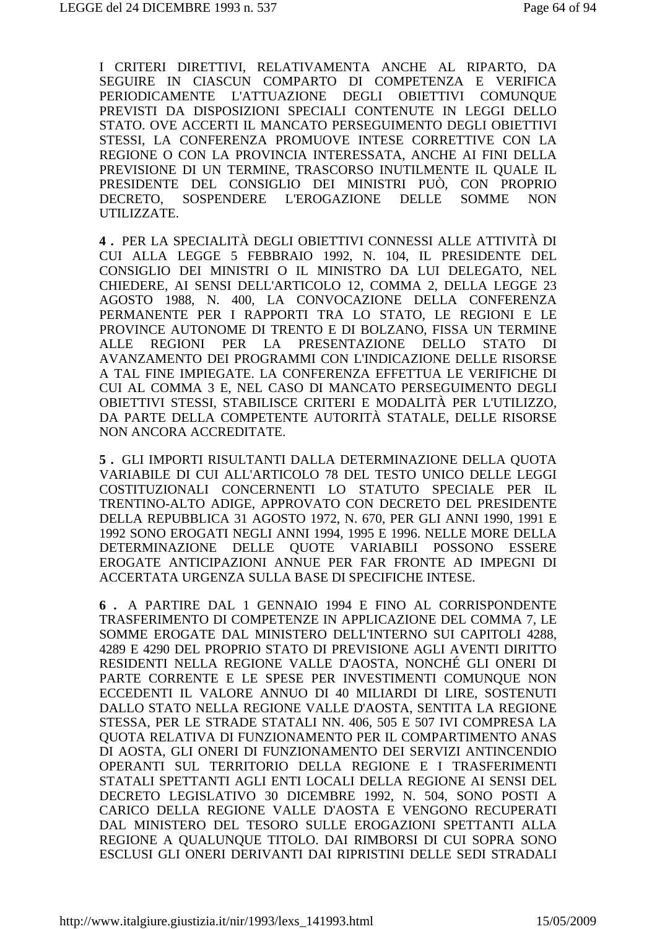I CRITERI DIRETTIVI, RELATIVAMENTA ANCHE AL RIPARTO, DA SEGUIRE IN CIASCUN COMPARTO DI COMPETENZA E VERIFICA PERIODICAMENTE L'ATTUAZIONE DEGLI OBIETTIVI COMUNQUE PREVISTI DA DISPOSIZIONI SPECIALI CONTENUTE IN LEGGI DELLO STATO. OVE ACCERTI IL MANCATO PERSEGUIMENTO DEGLI OBIETTIVI STESSI, LA CONFERENZA PROMUOVE INTESE CORRETTIVE CON LA REGIONE O CON LA PROVINCIA INTERESSATA, ANCHE AI FINI DELLA PREVISIONE DI UN TERMINE, TRASCORSO INUTILMENTE IL QUALE IL PRESIDENTE DEL CONSIGLIO DEI MINISTRI PUÒ, CON PROPRIO DECRETO, SOSPENDERE L'EROGAZIONE DELLE SOMME NON UTILIZZATE.

**4 .** PER LA SPECIALITÀ DEGLI OBIETTIVI CONNESSI ALLE ATTIVITÀ DI CUI ALLA LEGGE 5 FEBBRAIO 1992, N. 104, IL PRESIDENTE DEL CONSIGLIO DEI MINISTRI O IL MINISTRO DA LUI DELEGATO, NEL CHIEDERE, AI SENSI DELL'ARTICOLO 12, COMMA 2, DELLA LEGGE 23 AGOSTO 1988, N. 400, LA CONVOCAZIONE DELLA CONFERENZA PERMANENTE PER I RAPPORTI TRA LO STATO, LE REGIONI E LE PROVINCE AUTONOME DI TRENTO E DI BOLZANO, FISSA UN TERMINE ALLE REGIONI PER LA PRESENTAZIONE DELLO STATO DI AVANZAMENTO DEI PROGRAMMI CON L'INDICAZIONE DELLE RISORSE A TAL FINE IMPIEGATE. LA CONFERENZA EFFETTUA LE VERIFICHE DI CUI AL COMMA 3 E, NEL CASO DI MANCATO PERSEGUIMENTO DEGLI OBIETTIVI STESSI, STABILISCE CRITERI E MODALITÀ PER L'UTILIZZO, DA PARTE DELLA COMPETENTE AUTORITÀ STATALE, DELLE RISORSE NON ANCORA ACCREDITATE.

**5 .** GLI IMPORTI RISULTANTI DALLA DETERMINAZIONE DELLA QUOTA VARIABILE DI CUI ALL'ARTICOLO 78 DEL TESTO UNICO DELLE LEGGI COSTITUZIONALI CONCERNENTI LO STATUTO SPECIALE PER IL TRENTINO-ALTO ADIGE, APPROVATO CON DECRETO DEL PRESIDENTE DELLA REPUBBLICA 31 AGOSTO 1972, N. 670, PER GLI ANNI 1990, 1991 E 1992 SONO EROGATI NEGLI ANNI 1994, 1995 E 1996. NELLE MORE DELLA DETERMINAZIONE DELLE QUOTE VARIABILI POSSONO ESSERE EROGATE ANTICIPAZIONI ANNUE PER FAR FRONTE AD IMPEGNI DI ACCERTATA URGENZA SULLA BASE DI SPECIFICHE INTESE.

**6 .** A PARTIRE DAL 1 GENNAIO 1994 E FINO AL CORRISPONDENTE TRASFERIMENTO DI COMPETENZE IN APPLICAZIONE DEL COMMA 7, LE SOMME EROGATE DAL MINISTERO DELL'INTERNO SUI CAPITOLI 4288, 4289 E 4290 DEL PROPRIO STATO DI PREVISIONE AGLI AVENTI DIRITTO RESIDENTI NELLA REGIONE VALLE D'AOSTA, NONCHÉ GLI ONERI DI PARTE CORRENTE E LE SPESE PER INVESTIMENTI COMUNQUE NON ECCEDENTI IL VALORE ANNUO DI 40 MILIARDI DI LIRE, SOSTENUTI DALLO STATO NELLA REGIONE VALLE D'AOSTA, SENTITA LA REGIONE STESSA, PER LE STRADE STATALI NN. 406, 505 E 507 IVI COMPRESA LA QUOTA RELATIVA DI FUNZIONAMENTO PER IL COMPARTIMENTO ANAS DI AOSTA, GLI ONERI DI FUNZIONAMENTO DEI SERVIZI ANTINCENDIO OPERANTI SUL TERRITORIO DELLA REGIONE E I TRASFERIMENTI STATALI SPETTANTI AGLI ENTI LOCALI DELLA REGIONE AI SENSI DEL DECRETO LEGISLATIVO 30 DICEMBRE 1992, N. 504, SONO POSTI A CARICO DELLA REGIONE VALLE D'AOSTA E VENGONO RECUPERATI DAL MINISTERO DEL TESORO SULLE EROGAZIONI SPETTANTI ALLA REGIONE A QUALUNQUE TITOLO. DAI RIMBORSI DI CUI SOPRA SONO ESCLUSI GLI ONERI DERIVANTI DAI RIPRISTINI DELLE SEDI STRADALI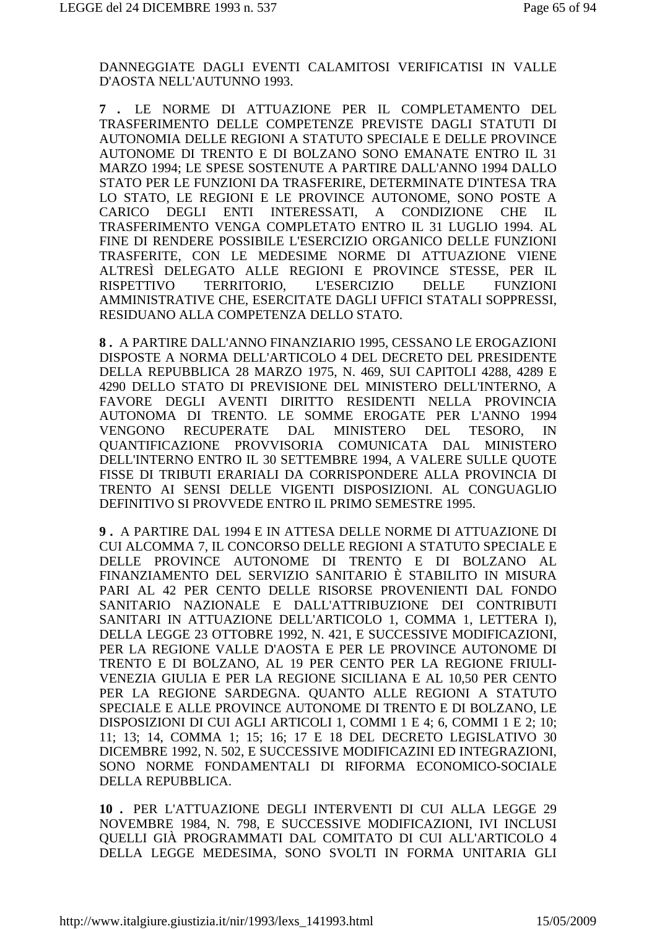DANNEGGIATE DAGLI EVENTI CALAMITOSI VERIFICATISI IN VALLE D'AOSTA NELL'AUTUNNO 1993.

**7 .** LE NORME DI ATTUAZIONE PER IL COMPLETAMENTO DEL TRASFERIMENTO DELLE COMPETENZE PREVISTE DAGLI STATUTI DI AUTONOMIA DELLE REGIONI A STATUTO SPECIALE E DELLE PROVINCE AUTONOME DI TRENTO E DI BOLZANO SONO EMANATE ENTRO IL 31 MARZO 1994; LE SPESE SOSTENUTE A PARTIRE DALL'ANNO 1994 DALLO STATO PER LE FUNZIONI DA TRASFERIRE, DETERMINATE D'INTESA TRA LO STATO, LE REGIONI E LE PROVINCE AUTONOME, SONO POSTE A CARICO DEGLI ENTI INTERESSATI, A CONDIZIONE CHE IL TRASFERIMENTO VENGA COMPLETATO ENTRO IL 31 LUGLIO 1994. AL FINE DI RENDERE POSSIBILE L'ESERCIZIO ORGANICO DELLE FUNZIONI TRASFERITE, CON LE MEDESIME NORME DI ATTUAZIONE VIENE ALTRESÌ DELEGATO ALLE REGIONI E PROVINCE STESSE, PER IL RISPETTIVO TERRITORIO, L'ESERCIZIO DELLE FUNZIONI AMMINISTRATIVE CHE, ESERCITATE DAGLI UFFICI STATALI SOPPRESSI, RESIDUANO ALLA COMPETENZA DELLO STATO.

**8 .** A PARTIRE DALL'ANNO FINANZIARIO 1995, CESSANO LE EROGAZIONI DISPOSTE A NORMA DELL'ARTICOLO 4 DEL DECRETO DEL PRESIDENTE DELLA REPUBBLICA 28 MARZO 1975, N. 469, SUI CAPITOLI 4288, 4289 E 4290 DELLO STATO DI PREVISIONE DEL MINISTERO DELL'INTERNO, A FAVORE DEGLI AVENTI DIRITTO RESIDENTI NELLA PROVINCIA AUTONOMA DI TRENTO. LE SOMME EROGATE PER L'ANNO 1994 VENGONO RECUPERATE DAL MINISTERO DEL TESORO, IN QUANTIFICAZIONE PROVVISORIA COMUNICATA DAL MINISTERO DELL'INTERNO ENTRO IL 30 SETTEMBRE 1994, A VALERE SULLE QUOTE FISSE DI TRIBUTI ERARIALI DA CORRISPONDERE ALLA PROVINCIA DI TRENTO AI SENSI DELLE VIGENTI DISPOSIZIONI. AL CONGUAGLIO DEFINITIVO SI PROVVEDE ENTRO IL PRIMO SEMESTRE 1995.

**9 .** A PARTIRE DAL 1994 E IN ATTESA DELLE NORME DI ATTUAZIONE DI CUI ALCOMMA 7, IL CONCORSO DELLE REGIONI A STATUTO SPECIALE E DELLE PROVINCE AUTONOME DI TRENTO E DI BOLZANO AL FINANZIAMENTO DEL SERVIZIO SANITARIO È STABILITO IN MISURA PARI AL 42 PER CENTO DELLE RISORSE PROVENIENTI DAL FONDO SANITARIO NAZIONALE E DALL'ATTRIBUZIONE DEI CONTRIBUTI SANITARI IN ATTUAZIONE DELL'ARTICOLO 1, COMMA 1, LETTERA I), DELLA LEGGE 23 OTTOBRE 1992, N. 421, E SUCCESSIVE MODIFICAZIONI, PER LA REGIONE VALLE D'AOSTA E PER LE PROVINCE AUTONOME DI TRENTO E DI BOLZANO, AL 19 PER CENTO PER LA REGIONE FRIULI-VENEZIA GIULIA E PER LA REGIONE SICILIANA E AL 10,50 PER CENTO PER LA REGIONE SARDEGNA. QUANTO ALLE REGIONI A STATUTO SPECIALE E ALLE PROVINCE AUTONOME DI TRENTO E DI BOLZANO, LE DISPOSIZIONI DI CUI AGLI ARTICOLI 1, COMMI 1 E 4; 6, COMMI 1 E 2; 10; 11; 13; 14, COMMA 1; 15; 16; 17 E 18 DEL DECRETO LEGISLATIVO 30 DICEMBRE 1992, N. 502, E SUCCESSIVE MODIFICAZINI ED INTEGRAZIONI, SONO NORME FONDAMENTALI DI RIFORMA ECONOMICO-SOCIALE DELLA REPUBBLICA.

**10 .** PER L'ATTUAZIONE DEGLI INTERVENTI DI CUI ALLA LEGGE 29 NOVEMBRE 1984, N. 798, E SUCCESSIVE MODIFICAZIONI, IVI INCLUSI QUELLI GIÀ PROGRAMMATI DAL COMITATO DI CUI ALL'ARTICOLO 4 DELLA LEGGE MEDESIMA, SONO SVOLTI IN FORMA UNITARIA GLI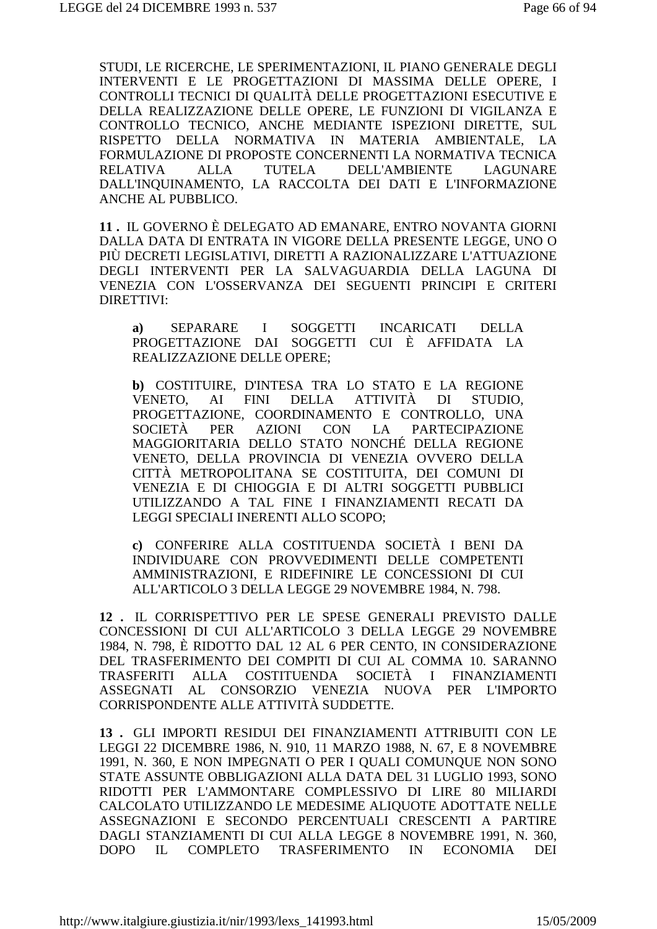STUDI, LE RICERCHE, LE SPERIMENTAZIONI, IL PIANO GENERALE DEGLI INTERVENTI E LE PROGETTAZIONI DI MASSIMA DELLE OPERE, I CONTROLLI TECNICI DI QUALITÀ DELLE PROGETTAZIONI ESECUTIVE E DELLA REALIZZAZIONE DELLE OPERE. LE FUNZIONI DI VIGILANZA E CONTROLLO TECNICO, ANCHE MEDIANTE ISPEZIONI DIRETTE, SUL RISPETTO DELLA NORMATIVA IN MATERIA AMBIENTALE, LA FORMULAZIONE DI PROPOSTE CONCERNENTI LA NORMATIVA TECNICA **RELATIVA**  $ALIA$ **TUTELA DELL'AMBIENTE LAGUNARE** DALL'INOUINAMENTO, LA RACCOLTA DEI DATI E L'INFORMAZIONE ANCHE AL PUBBLICO.

11. IL GOVERNO È DELEGATO AD EMANARE, ENTRO NOVANTA GIORNI DALLA DATA DI ENTRATA IN VIGORE DELLA PRESENTE LEGGE, UNO O PIÙ DECRETI LEGISLATIVI, DIRETTI A RAZIONALIZZARE L'ATTUAZIONE DEGLI INTERVENTI PER LA SALVAGUARDIA DELLA LAGUNA DI VENEZIA CON L'OSSERVANZA DEI SEGUENTI PRINCIPI E CRITERI DIRETTIVI:

**SEPARARE**  $\mathbf{I}$ SOGGETTI **INCARICATI DELLA**  $a)$ PROGETTAZIONE DAI SOGGETTI CUI È AFFIDATA LA **REALIZZAZIONE DELLE OPERE:** 

b) COSTITUIRE, D'INTESA TRA LO STATO E LA REGIONE **FINI DELLA ATTIVITÀ** VENETO.  $AI$ DI STUDIO. PROGETTAZIONE, COORDINAMENTO E CONTROLLO, UNA SOCIETÀ PER AZIONI **CON** LA **PARTECIPAZIONE** MAGGIORITARIA DELLO STATO NONCHÉ DELLA REGIONE VENETO, DELLA PROVINCIA DI VENEZIA OVVERO DELLA CITTÀ METROPOLITANA SE COSTITUITA, DEI COMUNI DI VENEZIA E DI CHIOGGIA E DI ALTRI SOGGETTI PUBBLICI UTILIZZANDO A TAL FINE I FINANZIAMENTI RECATI DA LEGGI SPECIALI INERENTI ALLO SCOPO;

c) CONFERIRE ALLA COSTITUENDA SOCIETÀ I BENI DA INDIVIDUARE CON PROVVEDIMENTI DELLE COMPETENTI AMMINISTRAZIONI, E RIDEFINIRE LE CONCESSIONI DI CUI ALL'ARTICOLO 3 DELLA LEGGE 29 NOVEMBRE 1984, N. 798.

12. IL CORRISPETTIVO PER LE SPESE GENERALI PREVISTO DALLE CONCESSIONI DI CUI ALL'ARTICOLO 3 DELLA LEGGE 29 NOVEMBRE 1984. N. 798. È RIDOTTO DAL 12 AL 6 PER CENTO. IN CONSIDERAZIONE DEL TRASFERIMENTO DEI COMPITI DI CUI AL COMMA 10. SARANNO TRASFERITI ALLA COSTITUENDA SOCIETÀ I FINANZIAMENTI ASSEGNATI AL CONSORZIO VENEZIA NUOVA PER L'IMPORTO CORRISPONDENTE ALLE ATTIVITÀ SUDDETTE.

13. GLI IMPORTI RESIDUI DEI FINANZIAMENTI ATTRIBUITI CON LE LEGGI 22 DICEMBRE 1986, N. 910, 11 MARZO 1988, N. 67, E 8 NOVEMBRE 1991, N. 360, E NON IMPEGNATI O PER I QUALI COMUNQUE NON SONO STATE ASSUNTE OBBLIGAZIONI ALLA DATA DEL 31 LUGLIO 1993, SONO RIDOTTI PER L'AMMONTARE COMPLESSIVO DI LIRE 80 MILIARDI CALCOLATO UTILIZZANDO LE MEDESIME ALIQUOTE ADOTTATE NELLE ASSEGNAZIONI E SECONDO PERCENTUALI CRESCENTI A PARTIRE DAGLI STANZIAMENTI DI CUI ALLA LEGGE 8 NOVEMBRE 1991, N. 360, DOPO IL TRASFERIMENTO IN COMPLETO **ECONOMIA DEI**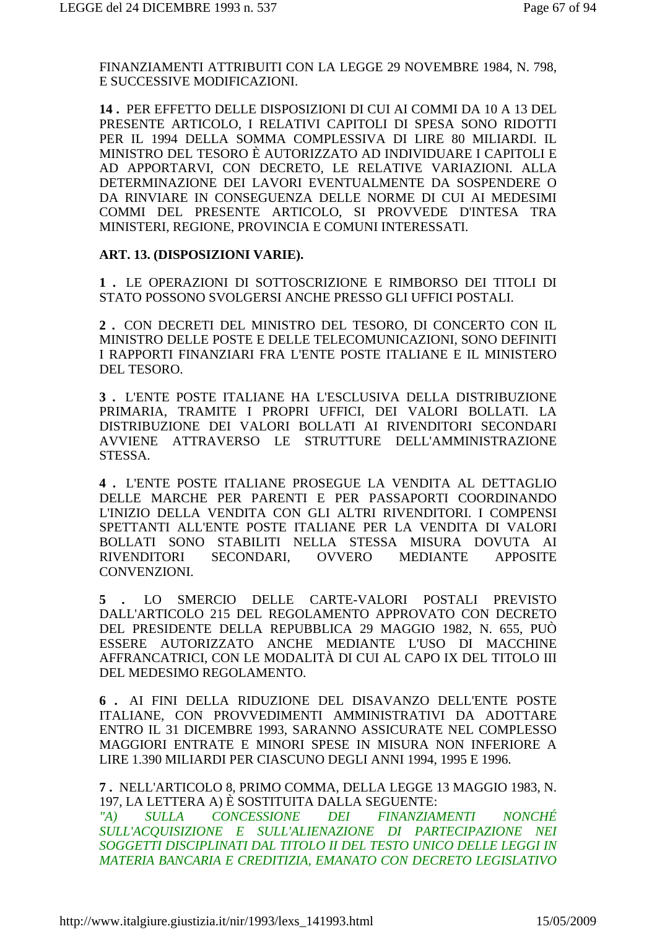FINANZIAMENTI ATTRIBUITI CON LA LEGGE 29 NOVEMBRE 1984, N. 798, E SUCCESSIVE MODIFICAZIONI.

14. PER EFFETTO DELLE DISPOSIZIONI DI CUI AI COMMI DA 10 A 13 DEL PRESENTE ARTICOLO, I RELATIVI CAPITOLI DI SPESA SONO RIDOTTI PER IL 1994 DELLA SOMMA COMPLESSIVA DI LIRE 80 MILIARDI. IL MINISTRO DEL TESORO È AUTORIZZATO AD INDIVIDUARE I CAPITOLI E AD APPORTARVI, CON DECRETO, LE RELATIVE VARIAZIONI. ALLA DETERMINAZIONE DEI LAVORI EVENTUALMENTE DA SOSPENDERE O DA RINVIARE IN CONSEGUENZA DELLE NORME DI CUI AI MEDESIMI COMMI DEL PRESENTE ARTICOLO, SI PROVVEDE D'INTESA TRA MINISTERI, REGIONE, PROVINCIA E COMUNI INTERESSATI.

## ART. 13. (DISPOSIZIONI VARIE).

1. LE OPERAZIONI DI SOTTOSCRIZIONE E RIMBORSO DEI TITOLI DI STATO POSSONO SVOLGERSI ANCHE PRESSO GLI UFFICI POSTALI.

2. CON DECRETI DEL MINISTRO DEL TESORO. DI CONCERTO CON IL MINISTRO DELLE POSTE E DELLE TELECOMUNICAZIONI, SONO DEFINITI I RAPPORTI FINANZIARI FRA L'ENTE POSTE ITALIANE E IL MINISTERO DEL TESORO.

3. L'ENTE POSTE ITALIANE HA L'ESCLUSIVA DELLA DISTRIBUZIONE PRIMARIA. TRAMITE I PROPRI UFFICI. DEI VALORI BOLLATI. LA DISTRIBUZIONE DEI VALORI BOLLATI AI RIVENDITORI SECONDARI AVVIENE ATTRAVERSO LE STRUTTURE DELL'AMMINISTRAZIONE STESSA.

4. L'ENTE POSTE ITALIANE PROSEGUE LA VENDITA AL DETTAGLIO DELLE MARCHE PER PARENTI E PER PASSAPORTI COORDINANDO L'INIZIO DELLA VENDITA CON GLI ALTRI RIVENDITORI. I COMPENSI SPETTANTI ALL'ENTE POSTE ITALIANE PER LA VENDITA DI VALORI BOLLATI SONO STABILITI NELLA STESSA MISURA DOVUTA AI RIVENDITORI SECONDARI, OVVERO MEDIANTE **APPOSITE** CONVENZIONI.

LO SMERCIO DELLE CARTE-VALORI POSTALI PREVISTO 5. DALL'ARTICOLO 215 DEL REGOLAMENTO APPROVATO CON DECRETO DEL PRESIDENTE DELLA REPUBBLICA 29 MAGGIO 1982, N. 655, PUÒ ESSERE AUTORIZZATO ANCHE MEDIANTE L'USO DI MACCHINE AFFRANCATRICI, CON LE MODALITÀ DI CUI AL CAPO IX DEL TITOLO III DEL MEDESIMO REGOLAMENTO.

6. AI FINI DELLA RIDUZIONE DEL DISAVANZO DELL'ENTE POSTE ITALIANE, CON PROVVEDIMENTI AMMINISTRATIVI DA ADOTTARE ENTRO IL 31 DICEMBRE 1993, SARANNO ASSICURATE NEL COMPLESSO MAGGIORI ENTRATE E MINORI SPESE IN MISURA NON INFERIORE A LIRE 1.390 MILIARDI PER CIASCUNO DEGLI ANNI 1994, 1995 E 1996.

7. NELL'ARTICOLO 8, PRIMO COMMA, DELLA LEGGE 13 MAGGIO 1983, N. 197, LA LETTERA A) È SOSTITUITA DALLA SEGUENTE:

 $''A$ ) **SULLA CONCESSIONE** DEI FINANZIAMENTI *NONCHÉ* SULL'ACOUISIZIONE E SULL'ALIENAZIONE DI PARTECIPAZIONE NEI SOGGETTI DISCIPLINATI DAL TITOLO II DEL TESTO UNICO DELLE LEGGI IN MATERIA BANCARIA E CREDITIZIA, EMANATO CON DECRETO LEGISLATIVO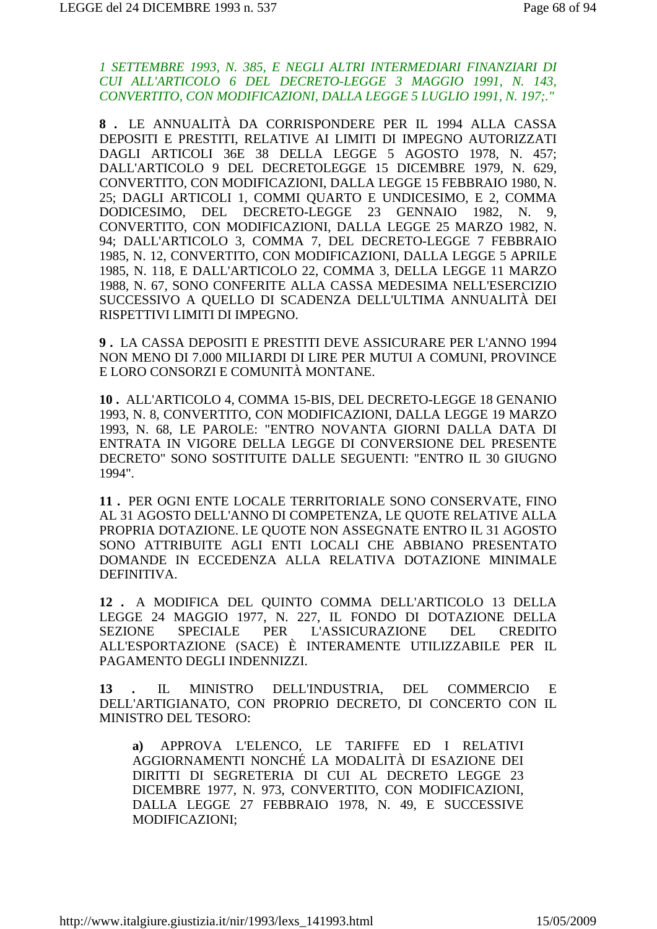*1 SETTEMBRE 1993, N. 385, E NEGLI ALTRI INTERMEDIARI FINANZIARI DI CUI ALL'ARTICOLO 6 DEL DECRETO-LEGGE 3 MAGGIO 1991, N. 143, CONVERTITO, CON MODIFICAZIONI, DALLA LEGGE 5 LUGLIO 1991, N. 197;."*

**8 .** LE ANNUALITÀ DA CORRISPONDERE PER IL 1994 ALLA CASSA DEPOSITI E PRESTITI, RELATIVE AI LIMITI DI IMPEGNO AUTORIZZATI DAGLI ARTICOLI 36E 38 DELLA LEGGE 5 AGOSTO 1978, N. 457; DALL'ARTICOLO 9 DEL DECRETOLEGGE 15 DICEMBRE 1979, N. 629, CONVERTITO, CON MODIFICAZIONI, DALLA LEGGE 15 FEBBRAIO 1980, N. 25; DAGLI ARTICOLI 1, COMMI QUARTO E UNDICESIMO, E 2, COMMA DODICESIMO, DEL DECRETO-LEGGE 23 GENNAIO 1982, N. 9, CONVERTITO, CON MODIFICAZIONI, DALLA LEGGE 25 MARZO 1982, N. 94; DALL'ARTICOLO 3, COMMA 7, DEL DECRETO-LEGGE 7 FEBBRAIO 1985, N. 12, CONVERTITO, CON MODIFICAZIONI, DALLA LEGGE 5 APRILE 1985, N. 118, E DALL'ARTICOLO 22, COMMA 3, DELLA LEGGE 11 MARZO 1988, N. 67, SONO CONFERITE ALLA CASSA MEDESIMA NELL'ESERCIZIO SUCCESSIVO A QUELLO DI SCADENZA DELL'ULTIMA ANNUALITÀ DEI RISPETTIVI LIMITI DI IMPEGNO.

**9 .** LA CASSA DEPOSITI E PRESTITI DEVE ASSICURARE PER L'ANNO 1994 NON MENO DI 7.000 MILIARDI DI LIRE PER MUTUI A COMUNI, PROVINCE E LORO CONSORZI E COMUNITÀ MONTANE.

**10 .** ALL'ARTICOLO 4, COMMA 15-BIS, DEL DECRETO-LEGGE 18 GENANIO 1993, N. 8, CONVERTITO, CON MODIFICAZIONI, DALLA LEGGE 19 MARZO 1993, N. 68, LE PAROLE: "ENTRO NOVANTA GIORNI DALLA DATA DI ENTRATA IN VIGORE DELLA LEGGE DI CONVERSIONE DEL PRESENTE DECRETO" SONO SOSTITUITE DALLE SEGUENTI: "ENTRO IL 30 GIUGNO 1994".

**11 .** PER OGNI ENTE LOCALE TERRITORIALE SONO CONSERVATE, FINO AL 31 AGOSTO DELL'ANNO DI COMPETENZA, LE QUOTE RELATIVE ALLA PROPRIA DOTAZIONE. LE QUOTE NON ASSEGNATE ENTRO IL 31 AGOSTO SONO ATTRIBUITE AGLI ENTI LOCALI CHE ABBIANO PRESENTATO DOMANDE IN ECCEDENZA ALLA RELATIVA DOTAZIONE MINIMALE DEFINITIVA.

**12 .** A MODIFICA DEL QUINTO COMMA DELL'ARTICOLO 13 DELLA LEGGE 24 MAGGIO 1977, N. 227, IL FONDO DI DOTAZIONE DELLA SEZIONE SPECIALE PER L'ASSICURAZIONE DEL CREDITO ALL'ESPORTAZIONE (SACE) È INTERAMENTE UTILIZZABILE PER IL PAGAMENTO DEGLI INDENNIZZI.

**13 .** IL MINISTRO DELL'INDUSTRIA, DEL COMMERCIO E DELL'ARTIGIANATO, CON PROPRIO DECRETO, DI CONCERTO CON IL MINISTRO DEL TESORO:

**a)** APPROVA L'ELENCO, LE TARIFFE ED I RELATIVI AGGIORNAMENTI NONCHÉ LA MODALITÀ DI ESAZIONE DEI DIRITTI DI SEGRETERIA DI CUI AL DECRETO LEGGE 23 DICEMBRE 1977, N. 973, CONVERTITO, CON MODIFICAZIONI, DALLA LEGGE 27 FEBBRAIO 1978, N. 49, E SUCCESSIVE MODIFICAZIONI;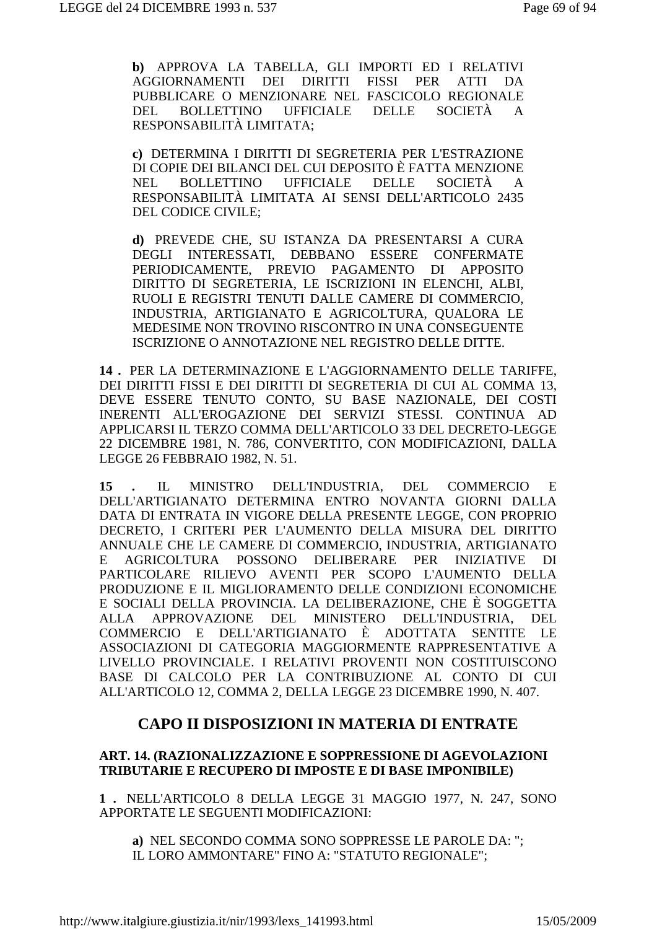b) APPROVA LA TABELLA, GLI IMPORTI ED I RELATIVI AGGIORNAMENTI DEI DIRITTI FISSI PER ATTI DA PUBBLICARE O MENZIONARE NEL FASCICOLO REGIONALE BOLLETTINO UFFICIALE DELLE SOCIETÀ DEL.  $\mathsf{A}$ RESPONSABILITÀ LIMITATA;

c) DETERMINA I DIRITTI DI SEGRETERIA PER L'ESTRAZIONE DI COPIE DEI BILANCI DEL CUI DEPOSITO È FATTA MENZIONE BOLLETTINO UFFICIALE NEL. DELLE SOCIETÀ  $\mathbf{A}$ RESPONSABILITÀ LIMITATA AI SENSI DELL'ARTICOLO 2435 **DEL CODICE CIVILE:** 

d) PREVEDE CHE, SU ISTANZA DA PRESENTARSI A CURA DEGLI INTERESSATI, DEBBANO ESSERE CONFERMATE PERIODICAMENTE, PREVIO PAGAMENTO DI APPOSITO DIRITTO DI SEGRETERIA, LE ISCRIZIONI IN ELENCHI, ALBI, RUOLI E REGISTRI TENUTI DALLE CAMERE DI COMMERCIO, INDUSTRIA, ARTIGIANATO E AGRICOLTURA, QUALORA LE MEDESIME NON TROVINO RISCONTRO IN UNA CONSEGUENTE ISCRIZIONE O ANNOTAZIONE NEL REGISTRO DELLE DITTE.

14. PER LA DETERMINAZIONE E L'AGGIORNAMENTO DELLE TARIFFE. DEI DIRITTI FISSI E DEI DIRITTI DI SEGRETERIA DI CUI AL COMMA 13, DEVE ESSERE TENUTO CONTO, SU BASE NAZIONALE, DEI COSTI INERENTI ALL'EROGAZIONE DEI SERVIZI STESSI. CONTINUA AD APPLICARSI IL TERZO COMMA DELL'ARTICOLO 33 DEL DECRETO-LEGGE 22 DICEMBRE 1981, N. 786, CONVERTITO, CON MODIFICAZIONI, DALLA LEGGE 26 FEBBRAIO 1982, N. 51.

 $IL$ **MINISTRO** DELL'INDUSTRIA. DEL **COMMERCIO**  $E$  $15 \,$ DELL'ARTIGIANATO DETERMINA ENTRO NOVANTA GIORNI DALLA DATA DI ENTRATA IN VIGORE DELLA PRESENTE LEGGE, CON PROPRIO DECRETO, I CRITERI PER L'AUMENTO DELLA MISURA DEL DIRITTO ANNUALE CHE LE CAMERE DI COMMERCIO. INDUSTRIA. ARTIGIANATO  $E$ AGRICOLTURA POSSONO DELIBERARE PER **INIZIATIVE**  $DI$ PARTICOLARE RILIEVO AVENTI PER SCOPO L'AUMENTO DELLA PRODUZIONE E IL MIGLIORAMENTO DELLE CONDIZIONI ECONOMICHE E SOCIALI DELLA PROVINCIA. LA DELIBERAZIONE, CHE È SOGGETTA ALLA APPROVAZIONE DEL MINISTERO DELL'INDUSTRIA, DEL COMMERCIO E DELL'ARTIGIANATO È ADOTTATA SENTITE LE ASSOCIAZIONI DI CATEGORIA MAGGIORMENTE RAPPRESENTATIVE A LIVELLO PROVINCIALE. I RELATIVI PROVENTI NON COSTITUISCONO BASE DI CALCOLO PER LA CONTRIBUZIONE AL CONTO DI CUI ALL'ARTICOLO 12, COMMA 2, DELLA LEGGE 23 DICEMBRE 1990, N. 407.

# **CAPO II DISPOSIZIONI IN MATERIA DI ENTRATE**

# ART. 14. (RAZIONALIZZAZIONE E SOPPRESSIONE DI AGEVOLAZIONI **TRIBUTARIE E RECUPERO DI IMPOSTE E DI BASE IMPONIBILE)**

1. NELL'ARTICOLO 8 DELLA LEGGE 31 MAGGIO 1977, N. 247, SONO APPORTATE LE SEGUENTI MODIFICAZIONI:

a) NEL SECONDO COMMA SONO SOPPRESSE LE PAROLE DA: "; IL LORO AMMONTARE" FINO A: "STATUTO REGIONALE";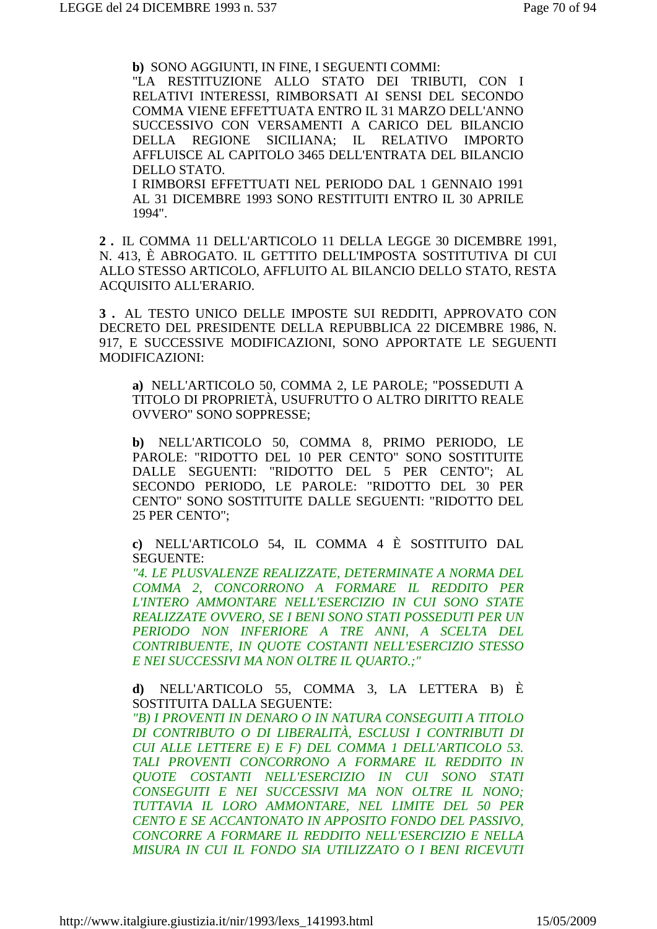**b)** SONO AGGIUNTI, IN FINE, I SEGUENTI COMMI:

"LA RESTITUZIONE ALLO STATO DEI TRIBUTI, CON I RELATIVI INTERESSI, RIMBORSATI AI SENSI DEL SECONDO COMMA VIENE EFFETTUATA ENTRO IL 31 MARZO DELL'ANNO SUCCESSIVO CON VERSAMENTI A CARICO DEL BILANCIO DELLA REGIONE SICILIANA; IL RELATIVO IMPORTO AFFLUISCE AL CAPITOLO 3465 DELL'ENTRATA DEL BILANCIO DELLO STATO.

I RIMBORSI EFFETTUATI NEL PERIODO DAL 1 GENNAIO 1991 AL 31 DICEMBRE 1993 SONO RESTITUITI ENTRO IL 30 APRILE 1994".

**2 .** IL COMMA 11 DELL'ARTICOLO 11 DELLA LEGGE 30 DICEMBRE 1991, N. 413, È ABROGATO. IL GETTITO DELL'IMPOSTA SOSTITUTIVA DI CUI ALLO STESSO ARTICOLO, AFFLUITO AL BILANCIO DELLO STATO, RESTA ACQUISITO ALL'ERARIO.

**3 .** AL TESTO UNICO DELLE IMPOSTE SUI REDDITI, APPROVATO CON DECRETO DEL PRESIDENTE DELLA REPUBBLICA 22 DICEMBRE 1986, N. 917, E SUCCESSIVE MODIFICAZIONI, SONO APPORTATE LE SEGUENTI MODIFICAZIONI:

**a)** NELL'ARTICOLO 50, COMMA 2, LE PAROLE; "POSSEDUTI A TITOLO DI PROPRIETÀ, USUFRUTTO O ALTRO DIRITTO REALE OVVERO" SONO SOPPRESSE;

**b)** NELL'ARTICOLO 50, COMMA 8, PRIMO PERIODO, LE PAROLE: "RIDOTTO DEL 10 PER CENTO" SONO SOSTITUITE DALLE SEGUENTI: "RIDOTTO DEL 5 PER CENTO"; AL SECONDO PERIODO, LE PAROLE: "RIDOTTO DEL 30 PER CENTO" SONO SOSTITUITE DALLE SEGUENTI: "RIDOTTO DEL 25 PER CENTO";

**c)** NELL'ARTICOLO 54, IL COMMA 4 È SOSTITUITO DAL SEGUENTE:

*"4. LE PLUSVALENZE REALIZZATE, DETERMINATE A NORMA DEL COMMA 2, CONCORRONO A FORMARE IL REDDITO PER L'INTERO AMMONTARE NELL'ESERCIZIO IN CUI SONO STATE REALIZZATE OVVERO, SE I BENI SONO STATI POSSEDUTI PER UN PERIODO NON INFERIORE A TRE ANNI, A SCELTA DEL CONTRIBUENTE, IN QUOTE COSTANTI NELL'ESERCIZIO STESSO E NEI SUCCESSIVI MA NON OLTRE IL QUARTO.;"*

**d)** NELL'ARTICOLO 55, COMMA 3, LA LETTERA B) È SOSTITUITA DALLA SEGUENTE:

*"B) I PROVENTI IN DENARO O IN NATURA CONSEGUITI A TITOLO DI CONTRIBUTO O DI LIBERALITÀ, ESCLUSI I CONTRIBUTI DI CUI ALLE LETTERE E) E F) DEL COMMA 1 DELL'ARTICOLO 53. TALI PROVENTI CONCORRONO A FORMARE IL REDDITO IN QUOTE COSTANTI NELL'ESERCIZIO IN CUI SONO STATI CONSEGUITI E NEI SUCCESSIVI MA NON OLTRE IL NONO; TUTTAVIA IL LORO AMMONTARE, NEL LIMITE DEL 50 PER CENTO E SE ACCANTONATO IN APPOSITO FONDO DEL PASSIVO, CONCORRE A FORMARE IL REDDITO NELL'ESERCIZIO E NELLA MISURA IN CUI IL FONDO SIA UTILIZZATO O I BENI RICEVUTI*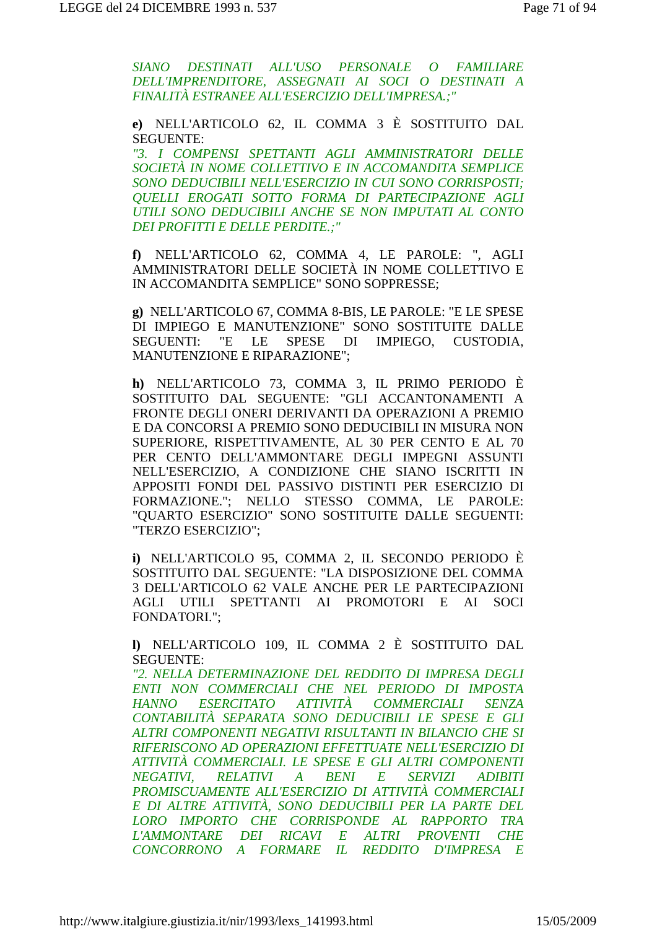SIANO DESTINATI ALL'USO PERSONALE O FAMILIARE DELL'IMPRENDITORE, ASSEGNATI AI SOCI O DESTINATI A FINALITÀ ESTRANEE ALL'ESERCIZIO DELL'IMPRESA.;"

e) NELL'ARTICOLO 62, IL COMMA 3 È SOSTITUITO DAL **SEGUENTE:** 

"3. I COMPENSI SPETTANTI AGLI AMMINISTRATORI DELLE SOCIETÀ IN NOME COLLETTIVO E IN ACCOMANDITA SEMPLICE SONO DEDUCIBILI NELL'ESERCIZIO IN CUI SONO CORRISPOSTI: OUELLI EROGATI SOTTO FORMA DI PARTECIPAZIONE AGLI UTILI SONO DEDUCIBILI ANCHE SE NON IMPUTATI AL CONTO **DEI PROFITTI E DELLE PERDITE.;"** 

f) NELL'ARTICOLO 62, COMMA 4, LE PAROLE: ", AGLI AMMINISTRATORI DELLE SOCIETÀ IN NOME COLLETTIVO E IN ACCOMANDITA SEMPLICE" SONO SOPPRESSE;

g) NELL'ARTICOLO 67, COMMA 8-BIS, LE PAROLE: "E LE SPESE DI IMPIEGO E MANUTENZIONE" SONO SOSTITUITE DALLE SPESE DI IMPIEGO, CUSTODIA, **SEGUENTI:** "E LE **MANUTENZIONE E RIPARAZIONE";** 

h) NELL'ARTICOLO 73, COMMA 3, IL PRIMO PERIODO È SOSTITUITO DAL SEGUENTE: "GLI ACCANTONAMENTI A FRONTE DEGLI ONERI DERIVANTI DA OPERAZIONI A PREMIO E DA CONCORSI A PREMIO SONO DEDUCIBILI IN MISURA NON SUPERIORE, RISPETTIVAMENTE, AL 30 PER CENTO E AL 70 PER CENTO DELL'AMMONTARE DEGLI IMPEGNI ASSUNTI NELL'ESERCIZIO, A CONDIZIONE CHE SIANO ISCRITTI IN APPOSITI FONDI DEL PASSIVO DISTINTI PER ESERCIZIO DI FORMAZIONE.": NELLO STESSO COMMA, LE PAROLE: "OUARTO ESERCIZIO" SONO SOSTITUITE DALLE SEGUENTI: "TERZO ESERCIZIO";

i) NELL'ARTICOLO 95, COMMA 2, IL SECONDO PERIODO È SOSTITUITO DAL SEGUENTE: "LA DISPOSIZIONE DEL COMMA 3 DELL'ARTICOLO 62 VALE ANCHE PER LE PARTECIPAZIONI AGLI UTILI SPETTANTI AI PROMOTORI E AI SOCI FONDATORI.";

I) NELL'ARTICOLO 109, IL COMMA 2 È SOSTITUITO DAL **SEGUENTE:** 

"2. NELLA DETERMINAZIONE DEL REDDITO DI IMPRESA DEGLI ENTI NON COMMERCIALI CHE NEL PERIODO DI IMPOSTA ESERCITATO ATTIVITÀ COMMERCIALI **HANNO SENZA** CONTABILITÀ SEPARATA SONO DEDUCIBILI LE SPESE E GLI ALTRI COMPONENTI NEGATIVI RISULTANTI IN BILANCIO CHE SI RIFERISCONO AD OPERAZIONI EFFETTUATE NELL'ESERCIZIO DI ATTIVITÀ COMMERCIALI. LE SPESE E GLI ALTRI COMPONENTI **NEGATIVI.** RELATIVI A BENI E **SERVIZI ADIBITI** PROMISCUAMENTE ALL'ESERCIZIO DI ATTIVITÀ COMMERCIALI E DI ALTRE ATTIVITÀ, SONO DEDUCIBILI PER LA PARTE DEL LORO IMPORTO CHE CORRISPONDE AL RAPPORTO TRA L'AMMONTARE DEI RICAVI E ALTRI PROVENTI CHE CONCORRONO A FORMARE IL REDDITO D'IMPRESA E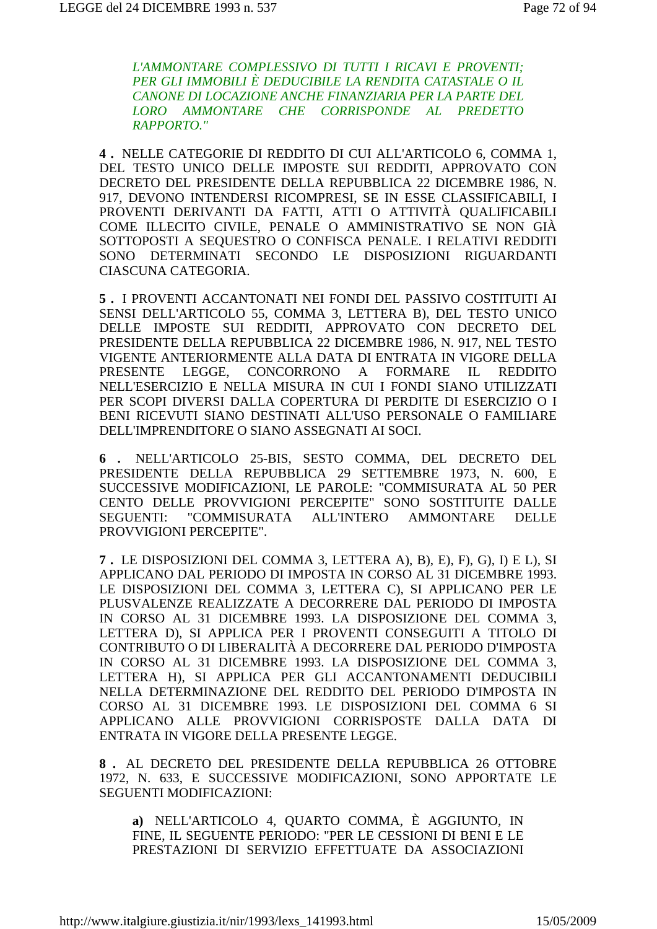L'AMMONTARE COMPLESSIVO DI TUTTI I RICAVI E PROVENTI; PER GLI IMMOBILI È DEDUCIBILE LA RENDITA CATASTALE O IL CANONE DI LOCAZIONE ANCHE FINANZIARIA PER LA PARTE DEL LORO AMMONTARE CHE CORRISPONDE AL PREDETTO **RAPPORTO."** 

4. NELLE CATEGORIE DI REDDITO DI CUI ALL'ARTICOLO 6. COMMA 1. DEL TESTO UNICO DELLE IMPOSTE SUI REDDITI, APPROVATO CON DECRETO DEL PRESIDENTE DELLA REPUBBLICA 22 DICEMBRE 1986, N. 917, DEVONO INTENDERSI RICOMPRESI, SE IN ESSE CLASSIFICABILI, I PROVENTI DERIVANTI DA FATTI, ATTI O ATTIVITÀ QUALIFICABILI COME ILLECITO CIVILE, PENALE O AMMINISTRATIVO SE NON GIÀ SOTTOPOSTI A SEOUESTRO O CONFISCA PENALE. I RELATIVI REDDITI SONO DETERMINATI SECONDO LE DISPOSIZIONI RIGUARDANTI CIASCUNA CATEGORIA.

5. I PROVENTI ACCANTONATI NEI FONDI DEL PASSIVO COSTITUITI AI SENSI DELL'ARTICOLO 55, COMMA 3, LETTERA B), DEL TESTO UNICO DELLE IMPOSTE SUI REDDITI, APPROVATO CON DECRETO DEL PRESIDENTE DELLA REPUBBLICA 22 DICEMBRE 1986, N. 917, NEL TESTO VIGENTE ANTERIORMENTE ALLA DATA DI ENTRATA IN VIGORE DELLA **PRESENTE** LEGGE. CONCORRONO  $\overline{A}$ **FORMARE**  $\Pi$ . **REDDITO** NELL'ESERCIZIO E NELLA MISURA IN CUI I FONDI SIANO UTILIZZATI PER SCOPI DIVERSI DALLA COPERTURA DI PERDITE DI ESERCIZIO O I BENI RICEVUTI SIANO DESTINATI ALL'USO PERSONALE O FAMILIARE DELL'IMPRENDITORE O SIANO ASSEGNATI AI SOCI.

6 . NELL'ARTICOLO 25-BIS, SESTO COMMA, DEL DECRETO DEL PRESIDENTE DELLA REPUBBLICA 29 SETTEMBRE 1973, N. 600, E SUCCESSIVE MODIFICAZIONI, LE PAROLE: "COMMISURATA AL 50 PER CENTO DELLE PROVVIGIONI PERCEPITE" SONO SOSTITUITE DALLE **SEGUENTI:** "COMMISURATA ALL'INTERO AMMONTARE **DELLE** PROVVIGIONI PERCEPITE".

7. LE DISPOSIZIONI DEL COMMA 3, LETTERA A), B), E), F), G), I) E L), SI APPLICANO DAL PERIODO DI IMPOSTA IN CORSO AL 31 DICEMBRE 1993. LE DISPOSIZIONI DEL COMMA 3. LETTERA C). SI APPLICANO PER LE PLUSVALENZE REALIZZATE A DECORRERE DAL PERIODO DI IMPOSTA IN CORSO AL 31 DICEMBRE 1993. LA DISPOSIZIONE DEL COMMA 3, LETTERA D), SI APPLICA PER I PROVENTI CONSEGUITI A TITOLO DI CONTRIBUTO O DI LIBERALITÀ A DECORRERE DAL PERIODO D'IMPOSTA IN CORSO AL 31 DICEMBRE 1993. LA DISPOSIZIONE DEL COMMA 3. LETTERA H), SI APPLICA PER GLI ACCANTONAMENTI DEDUCIBILI NELLA DETERMINAZIONE DEL REDDITO DEL PERIODO D'IMPOSTA IN CORSO AL 31 DICEMBRE 1993. LE DISPOSIZIONI DEL COMMA 6 SI APPLICANO ALLE PROVVIGIONI CORRISPOSTE DALLA DATA DI ENTRATA IN VIGORE DELLA PRESENTE LEGGE.

8. AL DECRETO DEL PRESIDENTE DELLA REPUBBLICA 26 OTTOBRE 1972, N. 633, E SUCCESSIVE MODIFICAZIONI, SONO APPORTATE LE **SEGUENTI MODIFICAZIONI:** 

a) NELL'ARTICOLO 4, QUARTO COMMA, È AGGIUNTO, IN FINE. IL SEGUENTE PERIODO: "PER LE CESSIONI DI BENI E LE PRESTAZIONI DI SERVIZIO EFFETTUATE DA ASSOCIAZIONI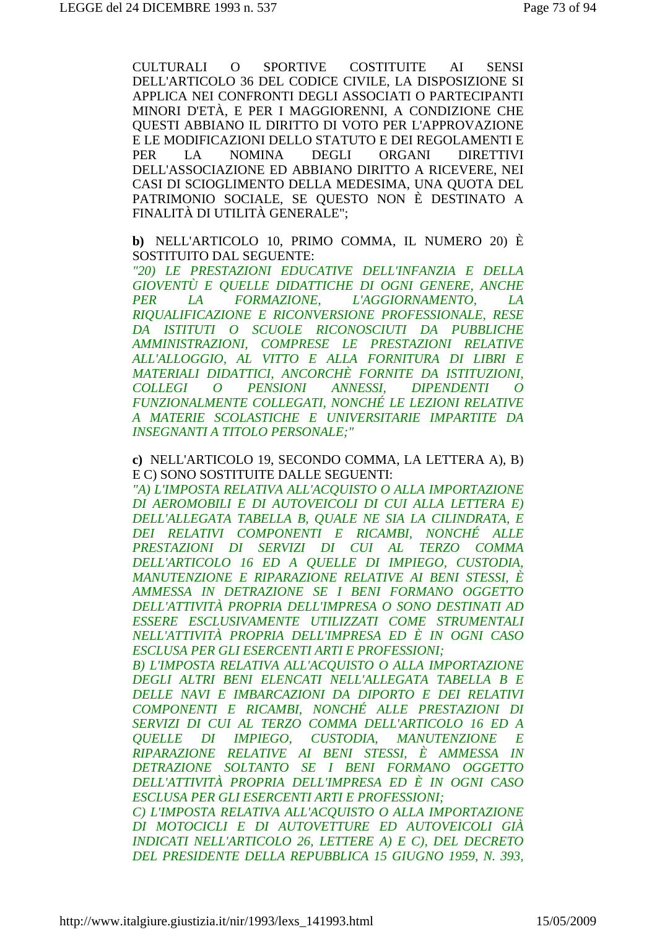**CULTURALI**  $\Omega$ **SPORTIVE COSTITUITE**  $AI$ **SENSI** DELL'ARTICOLO 36 DEL CODICE CIVILE, LA DISPOSIZIONE SI APPLICA NEI CONFRONTI DEGLI ASSOCIATI O PARTECIPANTI MINORI D'ETÀ. E PER I MAGGIORENNI. A CONDIZIONE CHE **OUESTI ABBIANO IL DIRITTO DI VOTO PER L'APPROVAZIONE** E LE MODIFICAZIONI DELLO STATUTO E DEI REGOLAMENTI E **NOMINA DEGLI** ORGANI **PER**  $L_A$ **DIRETTIVI** DELL'ASSOCIAZIONE ED ABBIANO DIRITTO A RICEVERE, NEI CASI DI SCIOGLIMENTO DELLA MEDESIMA, UNA QUOTA DEL PATRIMONIO SOCIALE, SE QUESTO NON È DESTINATO A FINALITÀ DI UTILITÀ GENERALE";

b) NELL'ARTICOLO 10, PRIMO COMMA, IL NUMERO 20) È SOSTITUITO DAL SEGUENTE:

"20) LE PRESTAZIONI EDUCATIVE DELL'INFANZIA E DELLA GIOVENTÙ E OUELLE DIDATTICHE DI OGNI GENERE, ANCHE **PER**  $IA$ **FORMAZIONE.** *L'AGGIORNAMENTO.*  $IA$ RIOUALIFICAZIONE E RICONVERSIONE PROFESSIONALE, RESE DA ISTITUTI O SCUOLE RICONOSCIUTI DA PUBBLICHE AMMINISTRAZIONI. COMPRESE LE PRESTAZIONI RELATIVE ALL'ALLOGGIO, AL VITTO E ALLA FORNITURA DI LIBRI E MATERIALI DIDATTICI, ANCORCHÈ FORNITE DA ISTITUZIONI,  $\overline{O}$ **COLLEGI**  $\overline{O}$ **PENSIONI** *ANNESSI.* **DIPENDENTI** FUNZIONALMENTE COLLEGATI, NONCHÉ LE LEZIONI RELATIVE A MATERIE SCOLASTICHE E UNIVERSITARIE IMPARTITE DA **INSEGNANTI A TITOLO PERSONALE;"** 

#### c) NELL'ARTICOLO 19. SECONDO COMMA, LA LETTERA A), B) E C) SONO SOSTITUITE DALLE SEGUENTI:

"A) L'IMPOSTA RELATIVA ALL'ACOUISTO O ALLA IMPORTAZIONE DI AEROMOBILI E DI AUTOVEICOLI DI CUI ALLA LETTERA E) DELL'ALLEGATA TABELLA B, QUALE NE SIA LA CILINDRATA, E DEI RELATIVI COMPONENTI E RICAMBI, NONCHÉ ALLE PRESTAZIONI DI SERVIZI DI CUI AL TERZO COMMA DELL'ARTICOLO 16 ED A OUELLE DI IMPIEGO, CUSTODIA, MANUTENZIONE E RIPARAZIONE RELATIVE AI BENI STESSI, È AMMESSA IN DETRAZIONE SE I BENI FORMANO OGGETTO DELL'ATTIVITÀ PROPRIA DELL'IMPRESA O SONO DESTINATI AD ESSERE ESCLUSIVAMENTE UTILIZZATI COME STRUMENTALI NELL'ATTIVITÀ PROPRIA DELL'IMPRESA ED È IN OGNI CASO **ESCLUSA PER GLI ESERCENTI ARTI E PROFESSIONI:** 

B) L'IMPOSTA RELATIVA ALL'ACQUISTO O ALLA IMPORTAZIONE DEGLI ALTRI BENI ELENCATI NELL'ALLEGATA TABELLA B E DELLE NAVI E IMBARCAZIONI DA DIPORTO E DEI RELATIVI COMPONENTI E RICAMBI, NONCHÉ ALLE PRESTAZIONI DI SERVIZI DI CUI AL TERZO COMMA DELL'ARTICOLO 16 ED A QUELLE DI IMPIEGO, CUSTODIA, **MANUTENZIONE E** RIPARAZIONE RELATIVE AI BENI STESSI, È AMMESSA IN DETRAZIONE SOLTANTO SE I BENI FORMANO OGGETTO DELL'ATTIVITÀ PROPRIA DELL'IMPRESA ED È IN OGNI CASO **ESCLUSA PER GLI ESERCENTI ARTI E PROFESSIONI:** 

C) L'IMPOSTA RELATIVA ALL'ACOUISTO O ALLA IMPORTAZIONE DI MOTOCICLI E DI AUTOVETTURE ED AUTOVEICOLI GIÀ INDICATI NELL'ARTICOLO 26, LETTERE A) E C), DEL DECRETO DEL PRESIDENTE DELLA REPUBBLICA 15 GIUGNO 1959, N. 393,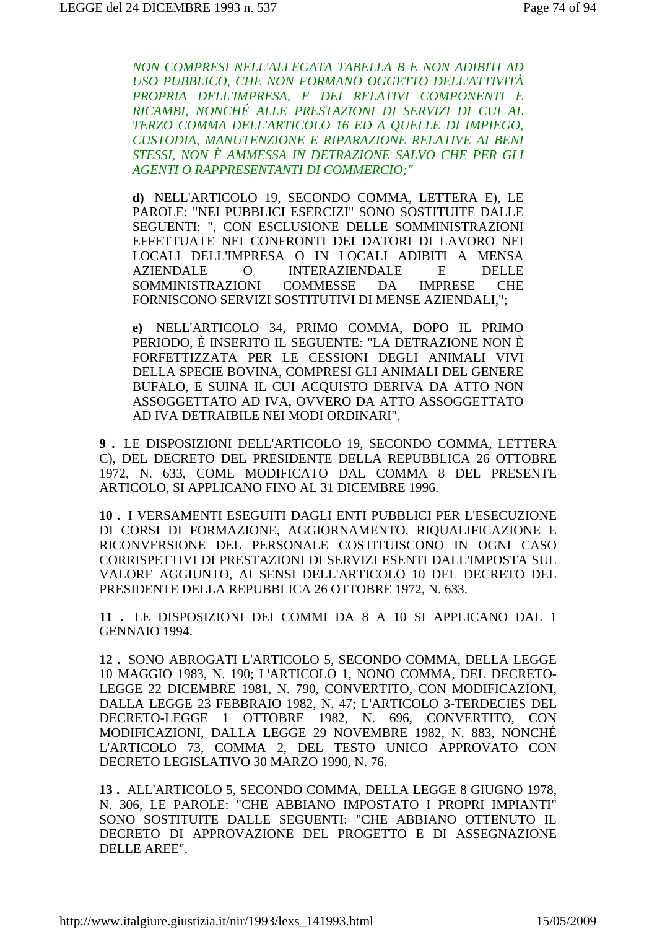NON COMPRESI NELL'ALLEGATA TABELLA B E NON ADIBITI AD USO PUBBLICO, CHE NON FORMANO OGGETTO DELL'ATTIVITÀ PROPRIA DELL'IMPRESA, E DEI RELATIVI COMPONENTI E RICAMBI, NONCHÉ ALLE PRESTAZIONI DI SERVIZI DI CUI AL TERZO COMMA DELL'ARTICOLO 16 ED A QUELLE DI IMPIEGO, CUSTODIA, MANUTENZIONE E RIPARAZIONE RELATIVE AI BENI STESSI, NON È AMMESSA IN DETRAZIONE SALVO CHE PER GLI **AGENTI O RAPPRESENTANTI DI COMMERCIO:"** 

d) NELL'ARTICOLO 19, SECONDO COMMA, LETTERA E), LE PAROLE: "NEI PUBBLICI ESERCIZI" SONO SOSTITUITE DALLE SEGUENTI: ", CON ESCLUSIONE DELLE SOMMINISTRAZIONI EFFETTUATE NEI CONFRONTI DEI DATORI DI LAVORO NEI LOCALI DELL'IMPRESA O IN LOCALI ADIBITI A MENSA **INTERAZIENDALE**  ${\bf E}$ **AZIENDALE**  $\overline{O}$ **DELLE SOMMINISTRAZIONI COMMESSE** DA **IMPRESE CHE** FORNISCONO SERVIZI SOSTITUTIVI DI MENSE AZIENDALI.":

e) NELL'ARTICOLO 34, PRIMO COMMA, DOPO IL PRIMO PERIODO, È INSERITO IL SEGUENTE: "LA DETRAZIONE NON È FORFETTIZZATA PER LE CESSIONI DEGLI ANIMALI VIVI DELLA SPECIE BOVINA, COMPRESI GLI ANIMALI DEL GENERE BUFALO, E SUINA IL CUI ACOUISTO DERIVA DA ATTO NON ASSOGGETTATO AD IVA, OVVERO DA ATTO ASSOGGETTATO AD IVA DETRAIBILE NEI MODI ORDINARI".

9. LE DISPOSIZIONI DELL'ARTICOLO 19, SECONDO COMMA, LETTERA C), DEL DECRETO DEL PRESIDENTE DELLA REPUBBLICA 26 OTTOBRE 1972, N. 633, COME MODIFICATO DAL COMMA 8 DEL PRESENTE ARTICOLO, SI APPLICANO FINO AL 31 DICEMBRE 1996.

10. I VERSAMENTI ESEGUITI DAGLI ENTI PUBBLICI PER L'ESECUZIONE DI CORSI DI FORMAZIONE, AGGIORNAMENTO, RIQUALIFICAZIONE E RICONVERSIONE DEL PERSONALE COSTITUISCONO IN OGNI CASO CORRISPETTIVI DI PRESTAZIONI DI SERVIZI ESENTI DALL'IMPOSTA SUL VALORE AGGIUNTO. AI SENSI DELL'ARTICOLO 10 DEL DECRETO DEL PRESIDENTE DELLA REPUBBLICA 26 OTTOBRE 1972, N. 633.

11 . LE DISPOSIZIONI DEI COMMI DA 8 A 10 SI APPLICANO DAL 1 GENNAIO 1994.

12. SONO ABROGATI L'ARTICOLO 5. SECONDO COMMA. DELLA LEGGE 10 MAGGIO 1983, N. 190; L'ARTICOLO 1, NONO COMMA, DEL DECRETO-LEGGE 22 DICEMBRE 1981, N. 790, CONVERTITO, CON MODIFICAZIONI, DALLA LEGGE 23 FEBBRAIO 1982, N. 47; L'ARTICOLO 3-TERDECIES DEL DECRETO-LEGGE 1 OTTOBRE 1982, N. 696, CONVERTITO, CON MODIFICAZIONI, DALLA LEGGE 29 NOVEMBRE 1982, N. 883, NONCHÉ L'ARTICOLO 73, COMMA 2, DEL TESTO UNICO APPROVATO CON DECRETO LEGISLATIVO 30 MARZO 1990, N. 76.

13. ALL'ARTICOLO 5, SECONDO COMMA, DELLA LEGGE 8 GIUGNO 1978, N. 306. LE PAROLE: "CHE ABBIANO IMPOSTATO I PROPRI IMPIANTI" SONO SOSTITUITE DALLE SEGUENTI: "CHE ABBIANO OTTENUTO IL DECRETO DI APPROVAZIONE DEL PROGETTO E DI ASSEGNAZIONE **DELLE AREE".**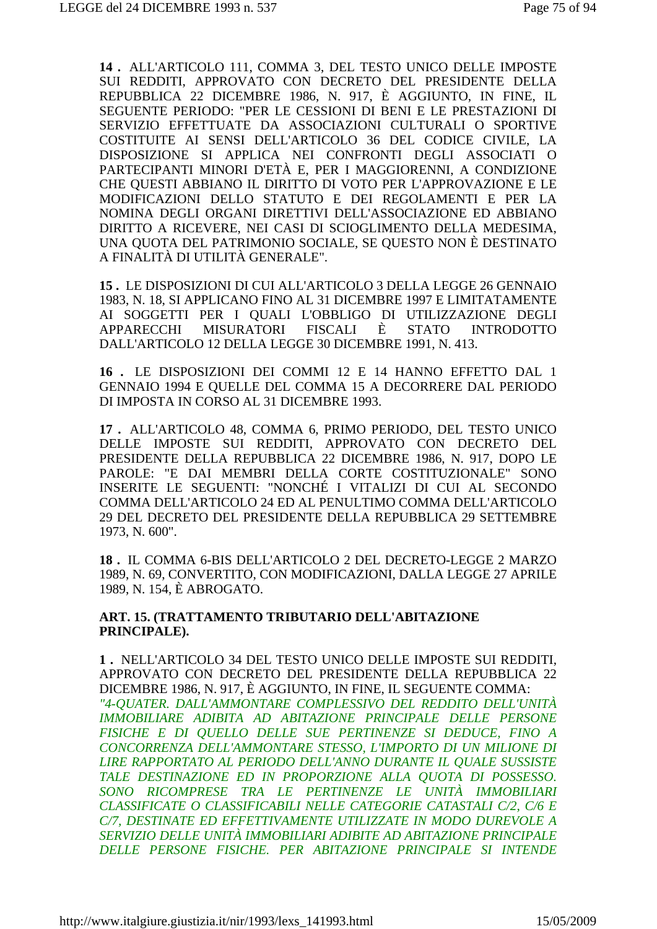14. ALL'ARTICOLO 111, COMMA 3, DEL TESTO UNICO DELLE IMPOSTE SUI REDDITI, APPROVATO CON DECRETO DEL PRESIDENTE DELLA REPUBBLICA 22 DICEMBRE 1986, N. 917, È AGGIUNTO, IN FINE, IL SEGUENTE PERIODO: "PER LE CESSIONI DI BENI E LE PRESTAZIONI DI SERVIZIO EFFETTUATE DA ASSOCIAZIONI CULTURALI O SPORTIVE COSTITUITE AI SENSI DELL'ARTICOLO 36 DEL CODICE CIVILE, LA DISPOSIZIONE SI APPLICA NEI CONFRONTI DEGLI ASSOCIATI O PARTECIPANTI MINORI D'ETÀ E. PER I MAGGIORENNI, A CONDIZIONE CHE QUESTI ABBIANO IL DIRITTO DI VOTO PER L'APPROVAZIONE E LE MODIFICAZIONI DELLO STATUTO E DEI REGOLAMENTI E PER LA NOMINA DEGLI ORGANI DIRETTIVI DELL'ASSOCIAZIONE ED ABBIANO DIRITTO A RICEVERE, NEI CASI DI SCIOGLIMENTO DELLA MEDESIMA, UNA QUOTA DEL PATRIMONIO SOCIALE, SE QUESTO NON È DESTINATO A FINALITÀ DI UTILITÀ GENERALE".

15. LE DISPOSIZIONI DI CUI ALL'ARTICOLO 3 DELLA LEGGE 26 GENNAIO 1983, N. 18, SI APPLICANO FINO AL 31 DICEMBRE 1997 E LIMITATAMENTE AI SOGGETTI PER I OUALI L'OBBLIGO DI UTILIZZAZIONE DEGLI **APPARECCHI STATO MISURATORI FISCALI** È **INTRODOTTO** DALL'ARTICOLO 12 DELLA LEGGE 30 DICEMBRE 1991, N. 413.

16. LE DISPOSIZIONI DEI COMMI 12 E 14 HANNO EFFETTO DAL 1 GENNAIO 1994 E OUELLE DEL COMMA 15 A DECORRERE DAL PERIODO DI IMPOSTA IN CORSO AL 31 DICEMBRE 1993.

17. ALL'ARTICOLO 48, COMMA 6, PRIMO PERIODO, DEL TESTO UNICO DELLE IMPOSTE SUI REDDITI, APPROVATO CON DECRETO DEL PRESIDENTE DELLA REPUBBLICA 22 DICEMBRE 1986, N. 917, DOPO LE PAROLE: "E DAI MEMBRI DELLA CORTE COSTITUZIONALE" SONO INSERITE LE SEGUENTI: "NONCHÉ I VITALIZI DI CUI AL SECONDO COMMA DELL'ARTICOLO 24 ED AL PENULTIMO COMMA DELL'ARTICOLO 29 DEL DECRETO DEL PRESIDENTE DELLA REPUBBLICA 29 SETTEMBRE 1973, N. 600".

18. IL COMMA 6-BIS DELL'ARTICOLO 2 DEL DECRETO-LEGGE 2 MARZO 1989, N. 69, CONVERTITO, CON MODIFICAZIONI, DALLA LEGGE 27 APRILE 1989, N. 154, È ABROGATO.

#### ART. 15. (TRATTAMENTO TRIBUTARIO DELL'ABITAZIONE PRINCIPALE).

1. NELL'ARTICOLO 34 DEL TESTO UNICO DELLE IMPOSTE SUI REDDITI. APPROVATO CON DECRETO DEL PRESIDENTE DELLA REPUBBLICA 22 DICEMBRE 1986, N. 917, È AGGIUNTO, IN FINE, IL SEGUENTE COMMA: "4-QUATER. DALL'AMMONTARE COMPLESSIVO DEL REDDITO DELL'UNITÀ IMMOBILIARE ADIBITA AD ABITAZIONE PRINCIPALE DELLE PERSONE FISICHE E DI OUELLO DELLE SUE PERTINENZE SI DEDUCE, FINO A CONCORRENZA DELL'AMMONTARE STESSO, L'IMPORTO DI UN MILIONE DI LIRE RAPPORTATO AL PERIODO DELL'ANNO DURANTE IL QUALE SUSSISTE TALE DESTINAZIONE ED IN PROPORZIONE ALLA OUOTA DI POSSESSO. SONO RICOMPRESE TRA LE PERTINENZE LE UNITÀ IMMOBILIARI CLASSIFICATE O CLASSIFICABILI NELLE CATEGORIE CATASTALI C/2, C/6 E C/7. DESTINATE ED EFFETTIVAMENTE UTILIZZATE IN MODO DUREVOLE A SERVIZIO DELLE UNITÀ IMMOBILIARI ADIBITE AD ABITAZIONE PRINCIPALE DELLE PERSONE FISICHE, PER ABITAZIONE PRINCIPALE SI INTENDE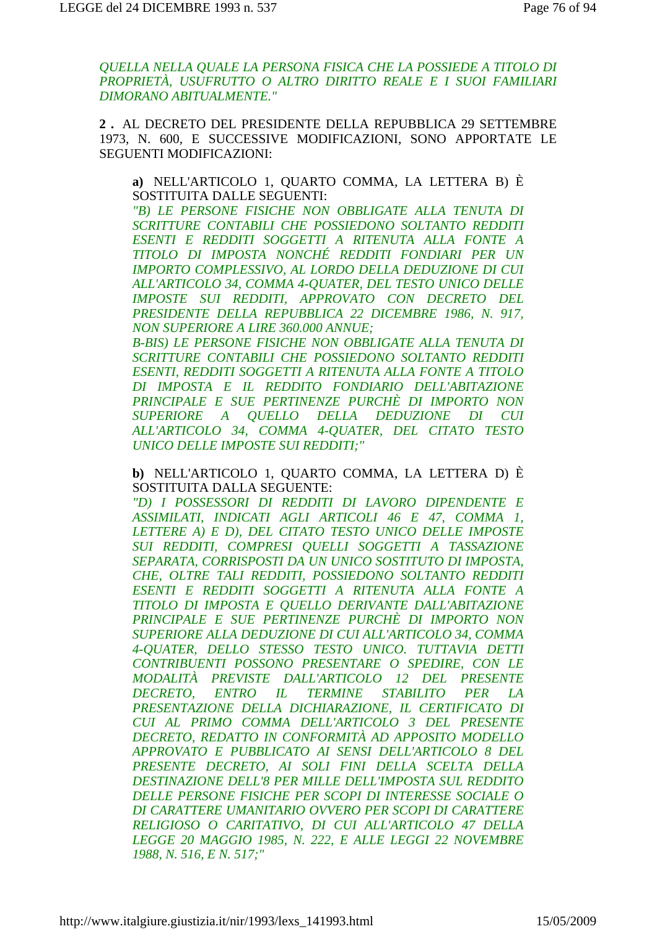OUELLA NELLA OUALE LA PERSONA FISICA CHE LA POSSIEDE A TITOLO DI PROPRIETÀ, USUFRUTTO O ALTRO DIRITTO REALE E I SUOI FAMILIARI **DIMORANO ABITUALMENTE."** 

2. AL DECRETO DEL PRESIDENTE DELLA REPUBBLICA 29 SETTEMBRE 1973, N. 600, E SUCCESSIVE MODIFICAZIONI, SONO APPORTATE LE **SEGUENTI MODIFICAZIONI:** 

a) NELL'ARTICOLO 1, QUARTO COMMA, LA LETTERA B) È SOSTITUITA DALLE SEGUENTI:

"B) LE PERSONE FISICHE NON OBBLIGATE ALLA TENUTA DI SCRITTURE CONTABILI CHE POSSIEDONO SOLTANTO REDDITI ESENTI E REDDITI SOGGETTI A RITENUTA ALLA FONTE A TITOLO DI IMPOSTA NONCHÉ REDDITI FONDIARI PER UN IMPORTO COMPLESSIVO, AL LORDO DELLA DEDUZIONE DI CUI ALL'ARTICOLO 34, COMMA 4-QUATER, DEL TESTO UNICO DELLE IMPOSTE SUI REDDITI, APPROVATO CON DECRETO DEL PRESIDENTE DELLA REPUBBLICA 22 DICEMBRE 1986, N. 917, **NON SUPERIORE A LIRE 360.000 ANNUE:** 

B-BIS) LE PERSONE FISICHE NON OBBLIGATE ALLA TENUTA DI SCRITTURE CONTABILI CHE POSSIEDONO SOLTANTO REDDITI ESENTI. REDDITI SOGGETTI A RITENUTA ALLA FONTE A TITOLO DI IMPOSTA E IL REDDITO FONDIARIO DELL'ABITAZIONE PRINCIPALE E SUE PERTINENZE PURCHÈ DI IMPORTO NON **SUPERIORE** A QUELLO DELLA DEDUZIONE DI CUI ALL'ARTICOLO 34, COMMA 4-OUATER, DEL CITATO TESTO **UNICO DELLE IMPOSTE SUI REDDITI;"** 

b) NELL'ARTICOLO 1, OUARTO COMMA, LA LETTERA D) È SOSTITUITA DALLA SEGUENTE:

"D) I POSSESSORI DI REDDITI DI LAVORO DIPENDENTE E ASSIMILATI, INDICATI AGLI ARTICOLI 46 E 47, COMMA 1, LETTERE A) E D), DEL CITATO TESTO UNICO DELLE IMPOSTE SUI REDDITI, COMPRESI QUELLI SOGGETTI A TASSAZIONE SEPARATA, CORRISPOSTI DA UN UNICO SOSTITUTO DI IMPOSTA, CHE. OLTRE TALI REDDITI, POSSIEDONO SOLTANTO REDDITI ESENTI E REDDITI SOGGETTI A RITENUTA ALLA FONTE A TITOLO DI IMPOSTA E QUELLO DERIVANTE DALL'ABITAZIONE PRINCIPALE E SUE PERTINENZE PURCHÈ DI IMPORTO NON SUPERIORE ALLA DEDUZIONE DI CUI ALL'ARTICOLO 34. COMMA 4-OUATER, DELLO STESSO TESTO UNICO. TUTTAVIA DETTI CONTRIBUENTI POSSONO PRESENTARE O SPEDIRE, CON LE MODALITÀ PREVISTE DALL'ARTICOLO 12 DEL PRESENTE *ENTRO* IL TERMINE STABILITO **DECRETO.** PER  $LA$ PRESENTAZIONE DELLA DICHIARAZIONE, IL CERTIFICATO DI CUI AL PRIMO COMMA DELL'ARTICOLO 3 DEL PRESENTE DECRETO, REDATTO IN CONFORMITÀ AD APPOSITO MODELLO APPROVATO E PUBBLICATO AI SENSI DELL'ARTICOLO 8 DEL PRESENTE DECRETO, AI SOLI FINI DELLA SCELTA DELLA DESTINAZIONE DELL'8 PER MILLE DELL'IMPOSTA SUL REDDITO DELLE PERSONE FISICHE PER SCOPI DI INTERESSE SOCIALE O DI CARATTERE UMANITARIO OVVERO PER SCOPI DI CARATTERE RELIGIOSO O CARITATIVO, DI CUI ALL'ARTICOLO 47 DELLA LEGGE 20 MAGGIO 1985, N. 222, E ALLE LEGGI 22 NOVEMBRE 1988, N. 516, E.N. 517;"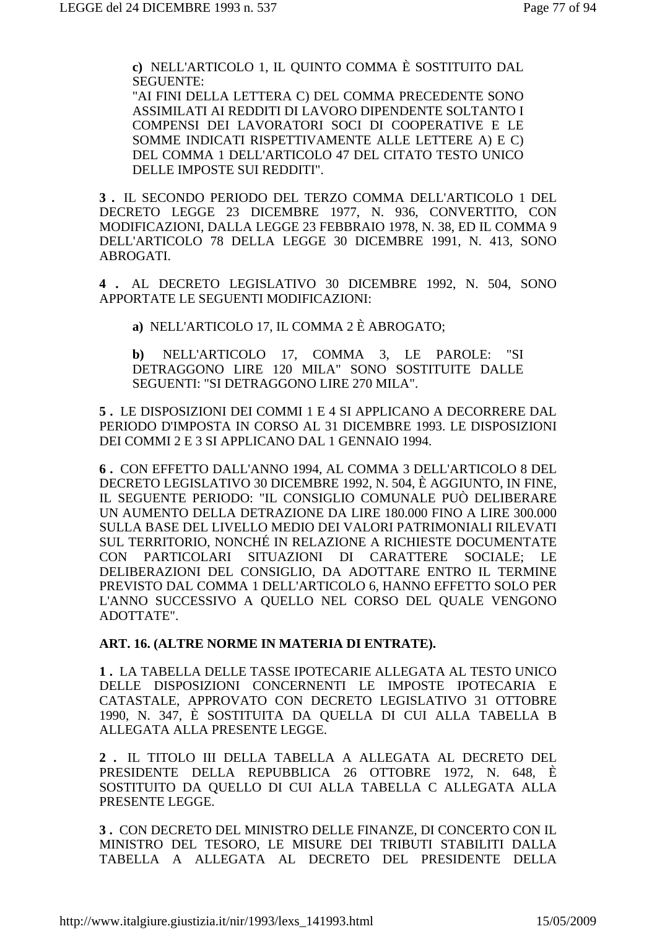**c)** NELL'ARTICOLO 1, IL QUINTO COMMA È SOSTITUITO DAL SEGUENTE:

"AI FINI DELLA LETTERA C) DEL COMMA PRECEDENTE SONO ASSIMILATI AI REDDITI DI LAVORO DIPENDENTE SOLTANTO I COMPENSI DEI LAVORATORI SOCI DI COOPERATIVE E LE SOMME INDICATI RISPETTIVAMENTE ALLE LETTERE A) E C) DEL COMMA 1 DELL'ARTICOLO 47 DEL CITATO TESTO UNICO DELLE IMPOSTE SUI REDDITI".

**3 .** IL SECONDO PERIODO DEL TERZO COMMA DELL'ARTICOLO 1 DEL DECRETO LEGGE 23 DICEMBRE 1977, N. 936, CONVERTITO, CON MODIFICAZIONI, DALLA LEGGE 23 FEBBRAIO 1978, N. 38, ED IL COMMA 9 DELL'ARTICOLO 78 DELLA LEGGE 30 DICEMBRE 1991, N. 413, SONO ABROGATI.

**4 .** AL DECRETO LEGISLATIVO 30 DICEMBRE 1992, N. 504, SONO APPORTATE LE SEGUENTI MODIFICAZIONI:

**a)** NELL'ARTICOLO 17, IL COMMA 2 È ABROGATO;

**b)** NELL'ARTICOLO 17, COMMA 3, LE PAROLE: "SI DETRAGGONO LIRE 120 MILA" SONO SOSTITUITE DALLE SEGUENTI: "SI DETRAGGONO LIRE 270 MILA".

**5 .** LE DISPOSIZIONI DEI COMMI 1 E 4 SI APPLICANO A DECORRERE DAL PERIODO D'IMPOSTA IN CORSO AL 31 DICEMBRE 1993. LE DISPOSIZIONI DEI COMMI 2 E 3 SI APPLICANO DAL 1 GENNAIO 1994.

**6 .** CON EFFETTO DALL'ANNO 1994, AL COMMA 3 DELL'ARTICOLO 8 DEL DECRETO LEGISLATIVO 30 DICEMBRE 1992, N. 504, È AGGIUNTO, IN FINE, IL SEGUENTE PERIODO: "IL CONSIGLIO COMUNALE PUÒ DELIBERARE UN AUMENTO DELLA DETRAZIONE DA LIRE 180.000 FINO A LIRE 300.000 SULLA BASE DEL LIVELLO MEDIO DEI VALORI PATRIMONIALI RILEVATI SUL TERRITORIO, NONCHÉ IN RELAZIONE A RICHIESTE DOCUMENTATE CON PARTICOLARI SITUAZIONI DI CARATTERE SOCIALE; LE DELIBERAZIONI DEL CONSIGLIO, DA ADOTTARE ENTRO IL TERMINE PREVISTO DAL COMMA 1 DELL'ARTICOLO 6, HANNO EFFETTO SOLO PER L'ANNO SUCCESSIVO A QUELLO NEL CORSO DEL QUALE VENGONO ADOTTATE".

**ART. 16. (ALTRE NORME IN MATERIA DI ENTRATE).** 

**1 .** LA TABELLA DELLE TASSE IPOTECARIE ALLEGATA AL TESTO UNICO DELLE DISPOSIZIONI CONCERNENTI LE IMPOSTE IPOTECARIA E CATASTALE, APPROVATO CON DECRETO LEGISLATIVO 31 OTTOBRE 1990, N. 347, È SOSTITUITA DA QUELLA DI CUI ALLA TABELLA B ALLEGATA ALLA PRESENTE LEGGE.

**2 .** IL TITOLO III DELLA TABELLA A ALLEGATA AL DECRETO DEL PRESIDENTE DELLA REPUBBLICA 26 OTTOBRE 1972, N. 648, È SOSTITUITO DA QUELLO DI CUI ALLA TABELLA C ALLEGATA ALLA PRESENTE LEGGE.

**3 .** CON DECRETO DEL MINISTRO DELLE FINANZE, DI CONCERTO CON IL MINISTRO DEL TESORO, LE MISURE DEI TRIBUTI STABILITI DALLA TABELLA A ALLEGATA AL DECRETO DEL PRESIDENTE DELLA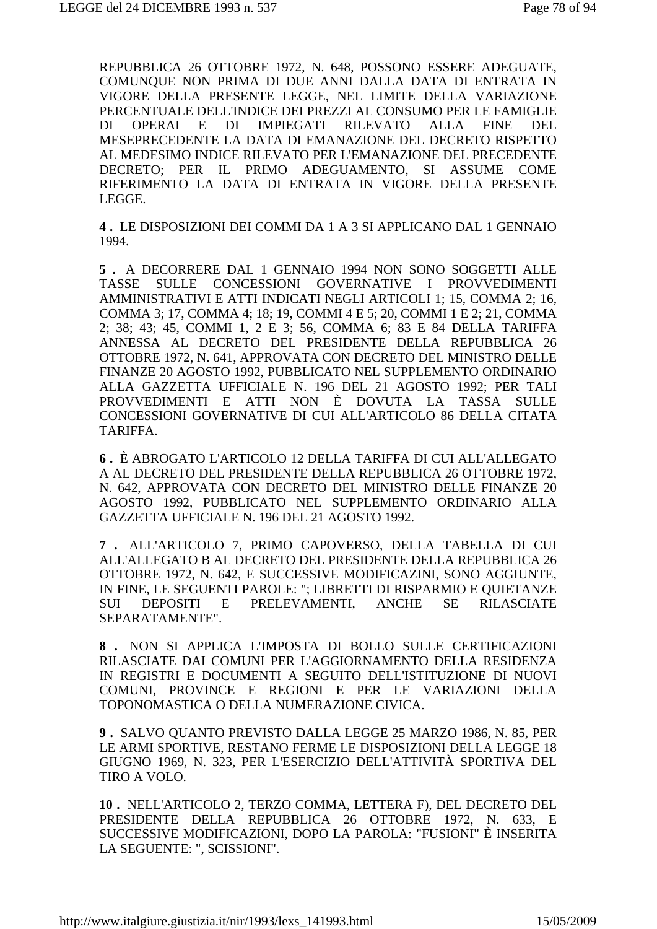REPUBBLICA 26 OTTOBRE 1972, N. 648, POSSONO ESSERE ADEGUATE, COMUNQUE NON PRIMA DI DUE ANNI DALLA DATA DI ENTRATA IN VIGORE DELLA PRESENTE LEGGE, NEL LIMITE DELLA VARIAZIONE PERCENTUALE DELL'INDICE DEI PREZZI AL CONSUMO PER LE FAMIGLIE DI OPERAI E DI IMPIEGATI RILEVATO ALLA FINE DEL MESEPRECEDENTE LA DATA DI EMANAZIONE DEL DECRETO RISPETTO AL MEDESIMO INDICE RILEVATO PER L'EMANAZIONE DEL PRECEDENTE DECRETO; PER IL PRIMO ADEGUAMENTO, SI ASSUME COME RIFERIMENTO LA DATA DI ENTRATA IN VIGORE DELLA PRESENTE LEGGE.

**4 .** LE DISPOSIZIONI DEI COMMI DA 1 A 3 SI APPLICANO DAL 1 GENNAIO 1994.

**5 .** A DECORRERE DAL 1 GENNAIO 1994 NON SONO SOGGETTI ALLE TASSE SULLE CONCESSIONI GOVERNATIVE I PROVVEDIMENTI AMMINISTRATIVI E ATTI INDICATI NEGLI ARTICOLI 1; 15, COMMA 2; 16, COMMA 3; 17, COMMA 4; 18; 19, COMMI 4 E 5; 20, COMMI 1 E 2; 21, COMMA 2; 38; 43; 45, COMMI 1, 2 E 3; 56, COMMA 6; 83 E 84 DELLA TARIFFA ANNESSA AL DECRETO DEL PRESIDENTE DELLA REPUBBLICA 26 OTTOBRE 1972, N. 641, APPROVATA CON DECRETO DEL MINISTRO DELLE FINANZE 20 AGOSTO 1992, PUBBLICATO NEL SUPPLEMENTO ORDINARIO ALLA GAZZETTA UFFICIALE N. 196 DEL 21 AGOSTO 1992; PER TALI PROVVEDIMENTI E ATTI NON È DOVUTA LA TASSA SULLE CONCESSIONI GOVERNATIVE DI CUI ALL'ARTICOLO 86 DELLA CITATA TARIFFA.

**6 .** È ABROGATO L'ARTICOLO 12 DELLA TARIFFA DI CUI ALL'ALLEGATO A AL DECRETO DEL PRESIDENTE DELLA REPUBBLICA 26 OTTOBRE 1972, N. 642, APPROVATA CON DECRETO DEL MINISTRO DELLE FINANZE 20 AGOSTO 1992, PUBBLICATO NEL SUPPLEMENTO ORDINARIO ALLA GAZZETTA UFFICIALE N. 196 DEL 21 AGOSTO 1992.

**7 .** ALL'ARTICOLO 7, PRIMO CAPOVERSO, DELLA TABELLA DI CUI ALL'ALLEGATO B AL DECRETO DEL PRESIDENTE DELLA REPUBBLICA 26 OTTOBRE 1972, N. 642, E SUCCESSIVE MODIFICAZINI, SONO AGGIUNTE, IN FINE, LE SEGUENTI PAROLE: "; LIBRETTI DI RISPARMIO E QUIETANZE SUI DEPOSITI E PRELEVAMENTI, ANCHE SE RILASCIATE SEPARATAMENTE".

**8 .** NON SI APPLICA L'IMPOSTA DI BOLLO SULLE CERTIFICAZIONI RILASCIATE DAI COMUNI PER L'AGGIORNAMENTO DELLA RESIDENZA IN REGISTRI E DOCUMENTI A SEGUITO DELL'ISTITUZIONE DI NUOVI COMUNI, PROVINCE E REGIONI E PER LE VARIAZIONI DELLA TOPONOMASTICA O DELLA NUMERAZIONE CIVICA.

**9 .** SALVO QUANTO PREVISTO DALLA LEGGE 25 MARZO 1986, N. 85, PER LE ARMI SPORTIVE, RESTANO FERME LE DISPOSIZIONI DELLA LEGGE 18 GIUGNO 1969, N. 323, PER L'ESERCIZIO DELL'ATTIVITÀ SPORTIVA DEL TIRO A VOLO.

**10 .** NELL'ARTICOLO 2, TERZO COMMA, LETTERA F), DEL DECRETO DEL PRESIDENTE DELLA REPUBBLICA 26 OTTOBRE 1972, N. 633, E SUCCESSIVE MODIFICAZIONI, DOPO LA PAROLA: "FUSIONI" È INSERITA LA SEGUENTE: ", SCISSIONI".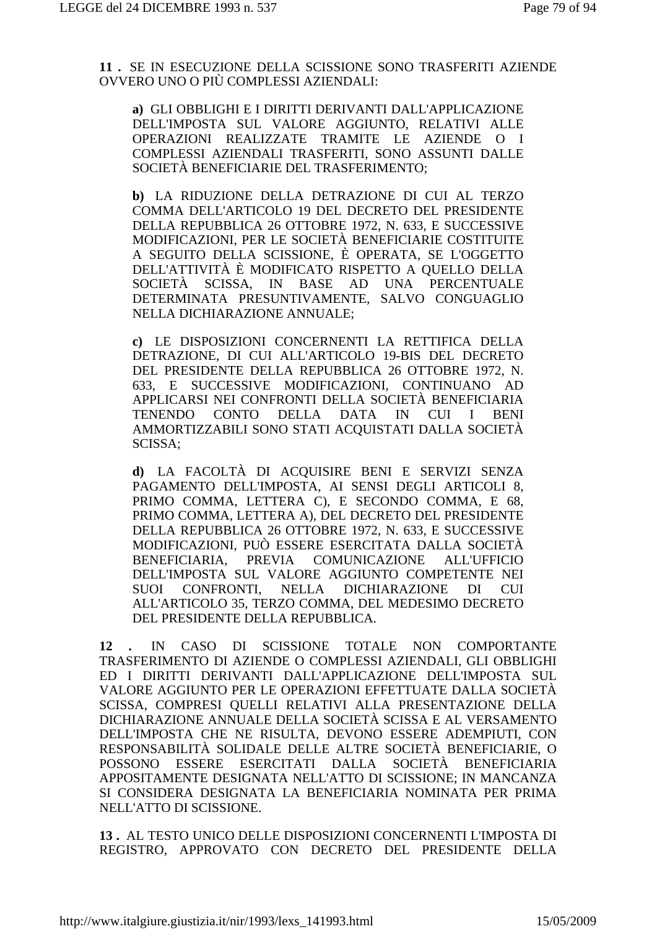**11 .** SE IN ESECUZIONE DELLA SCISSIONE SONO TRASFERITI AZIENDE OVVERO UNO O PIÙ COMPLESSI AZIENDALI:

**a)** GLI OBBLIGHI E I DIRITTI DERIVANTI DALL'APPLICAZIONE DELL'IMPOSTA SUL VALORE AGGIUNTO, RELATIVI ALLE OPERAZIONI REALIZZATE TRAMITE LE AZIENDE O I COMPLESSI AZIENDALI TRASFERITI, SONO ASSUNTI DALLE SOCIETÀ BENEFICIARIE DEL TRASFERIMENTO;

**b)** LA RIDUZIONE DELLA DETRAZIONE DI CUI AL TERZO COMMA DELL'ARTICOLO 19 DEL DECRETO DEL PRESIDENTE DELLA REPUBBLICA 26 OTTOBRE 1972, N. 633, E SUCCESSIVE MODIFICAZIONI, PER LE SOCIETÀ BENEFICIARIE COSTITUITE A SEGUITO DELLA SCISSIONE, È OPERATA, SE L'OGGETTO DELL'ATTIVITÀ È MODIFICATO RISPETTO A QUELLO DELLA SOCIETÀ SCISSA, IN BASE AD UNA PERCENTUALE DETERMINATA PRESUNTIVAMENTE, SALVO CONGUAGLIO NELLA DICHIARAZIONE ANNUALE;

**c)** LE DISPOSIZIONI CONCERNENTI LA RETTIFICA DELLA DETRAZIONE, DI CUI ALL'ARTICOLO 19-BIS DEL DECRETO DEL PRESIDENTE DELLA REPUBBLICA 26 OTTOBRE 1972, N. 633, E SUCCESSIVE MODIFICAZIONI, CONTINUANO AD APPLICARSI NEI CONFRONTI DELLA SOCIETÀ BENEFICIARIA TENENDO CONTO DELLA DATA IN CUI I BENI AMMORTIZZABILI SONO STATI ACQUISTATI DALLA SOCIETÀ SCISSA;

**d)** LA FACOLTÀ DI ACQUISIRE BENI E SERVIZI SENZA PAGAMENTO DELL'IMPOSTA, AI SENSI DEGLI ARTICOLI 8, PRIMO COMMA, LETTERA C), E SECONDO COMMA, E 68, PRIMO COMMA, LETTERA A), DEL DECRETO DEL PRESIDENTE DELLA REPUBBLICA 26 OTTOBRE 1972, N. 633, E SUCCESSIVE MODIFICAZIONI, PUÒ ESSERE ESERCITATA DALLA SOCIETÀ BENEFICIARIA, PREVIA COMUNICAZIONE ALL'UFFICIO DELL'IMPOSTA SUL VALORE AGGIUNTO COMPETENTE NEI SUOI CONFRONTI, NELLA DICHIARAZIONE DI CUI ALL'ARTICOLO 35, TERZO COMMA, DEL MEDESIMO DECRETO DEL PRESIDENTE DELLA REPUBBLICA.

**12 .** IN CASO DI SCISSIONE TOTALE NON COMPORTANTE TRASFERIMENTO DI AZIENDE O COMPLESSI AZIENDALI, GLI OBBLIGHI ED I DIRITTI DERIVANTI DALL'APPLICAZIONE DELL'IMPOSTA SUL VALORE AGGIUNTO PER LE OPERAZIONI EFFETTUATE DALLA SOCIETÀ SCISSA, COMPRESI QUELLI RELATIVI ALLA PRESENTAZIONE DELLA DICHIARAZIONE ANNUALE DELLA SOCIETÀ SCISSA E AL VERSAMENTO DELL'IMPOSTA CHE NE RISULTA, DEVONO ESSERE ADEMPIUTI, CON RESPONSABILITÀ SOLIDALE DELLE ALTRE SOCIETÀ BENEFICIARIE, O POSSONO ESSERE ESERCITATI DALLA SOCIETÀ BENEFICIARIA APPOSITAMENTE DESIGNATA NELL'ATTO DI SCISSIONE; IN MANCANZA SI CONSIDERA DESIGNATA LA BENEFICIARIA NOMINATA PER PRIMA NELL'ATTO DI SCISSIONE.

**13 .** AL TESTO UNICO DELLE DISPOSIZIONI CONCERNENTI L'IMPOSTA DI REGISTRO, APPROVATO CON DECRETO DEL PRESIDENTE DELLA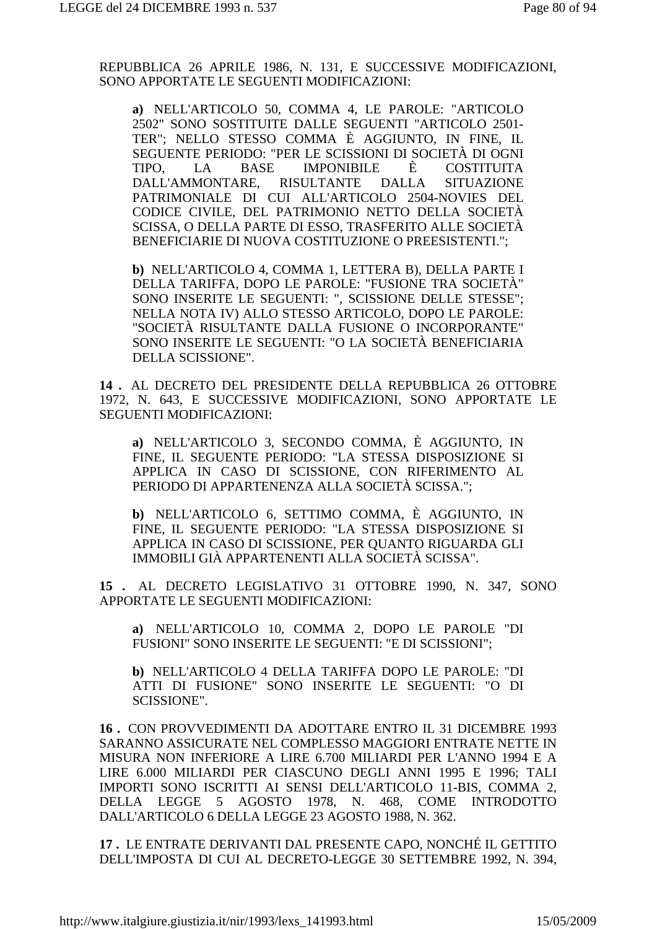REPUBBLICA 26 APRILE 1986, N. 131, E SUCCESSIVE MODIFICAZIONI, SONO APPORTATE LE SEGUENTI MODIFICAZIONI:

**a)** NELL'ARTICOLO 50, COMMA 4, LE PAROLE: "ARTICOLO 2502" SONO SOSTITUITE DALLE SEGUENTI "ARTICOLO 2501- TER"; NELLO STESSO COMMA È AGGIUNTO, IN FINE, IL SEGUENTE PERIODO: "PER LE SCISSIONI DI SOCIETÀ DI OGNI TIPO, LA BASE IMPONIBILE È COSTITUITA DALL'AMMONTARE, RISULTANTE DALLA SITUAZIONE PATRIMONIALE DI CUI ALL'ARTICOLO 2504-NOVIES DEL CODICE CIVILE, DEL PATRIMONIO NETTO DELLA SOCIETÀ SCISSA, O DELLA PARTE DI ESSO, TRASFERITO ALLE SOCIETÀ BENEFICIARIE DI NUOVA COSTITUZIONE O PREESISTENTI.";

**b)** NELL'ARTICOLO 4, COMMA 1, LETTERA B), DELLA PARTE I DELLA TARIFFA, DOPO LE PAROLE: "FUSIONE TRA SOCIETÀ" SONO INSERITE LE SEGUENTI: ", SCISSIONE DELLE STESSE"; NELLA NOTA IV) ALLO STESSO ARTICOLO, DOPO LE PAROLE: "SOCIETÀ RISULTANTE DALLA FUSIONE O INCORPORANTE" SONO INSERITE LE SEGUENTI: "O LA SOCIETÀ BENEFICIARIA DELLA SCISSIONE".

**14 .** AL DECRETO DEL PRESIDENTE DELLA REPUBBLICA 26 OTTOBRE 1972, N. 643, E SUCCESSIVE MODIFICAZIONI, SONO APPORTATE LE SEGUENTI MODIFICAZIONI:

**a)** NELL'ARTICOLO 3, SECONDO COMMA, È AGGIUNTO, IN FINE, IL SEGUENTE PERIODO: "LA STESSA DISPOSIZIONE SI APPLICA IN CASO DI SCISSIONE, CON RIFERIMENTO AL PERIODO DI APPARTENENZA ALLA SOCIETÀ SCISSA.";

**b)** NELL'ARTICOLO 6, SETTIMO COMMA, È AGGIUNTO, IN FINE, IL SEGUENTE PERIODO: "LA STESSA DISPOSIZIONE SI APPLICA IN CASO DI SCISSIONE, PER QUANTO RIGUARDA GLI IMMOBILI GIÀ APPARTENENTI ALLA SOCIETÀ SCISSA".

**15 .** AL DECRETO LEGISLATIVO 31 OTTOBRE 1990, N. 347, SONO APPORTATE LE SEGUENTI MODIFICAZIONI:

**a)** NELL'ARTICOLO 10, COMMA 2, DOPO LE PAROLE "DI FUSIONI" SONO INSERITE LE SEGUENTI: "E DI SCISSIONI";

**b)** NELL'ARTICOLO 4 DELLA TARIFFA DOPO LE PAROLE: "DI ATTI DI FUSIONE" SONO INSERITE LE SEGUENTI: "O DI SCISSIONE".

**16 .** CON PROVVEDIMENTI DA ADOTTARE ENTRO IL 31 DICEMBRE 1993 SARANNO ASSICURATE NEL COMPLESSO MAGGIORI ENTRATE NETTE IN MISURA NON INFERIORE A LIRE 6.700 MILIARDI PER L'ANNO 1994 E A LIRE 6.000 MILIARDI PER CIASCUNO DEGLI ANNI 1995 E 1996; TALI IMPORTI SONO ISCRITTI AI SENSI DELL'ARTICOLO 11-BIS, COMMA 2, DELLA LEGGE 5 AGOSTO 1978, N. 468, COME INTRODOTTO DALL'ARTICOLO 6 DELLA LEGGE 23 AGOSTO 1988, N. 362.

**17 .** LE ENTRATE DERIVANTI DAL PRESENTE CAPO, NONCHÉ IL GETTITO DELL'IMPOSTA DI CUI AL DECRETO-LEGGE 30 SETTEMBRE 1992, N. 394,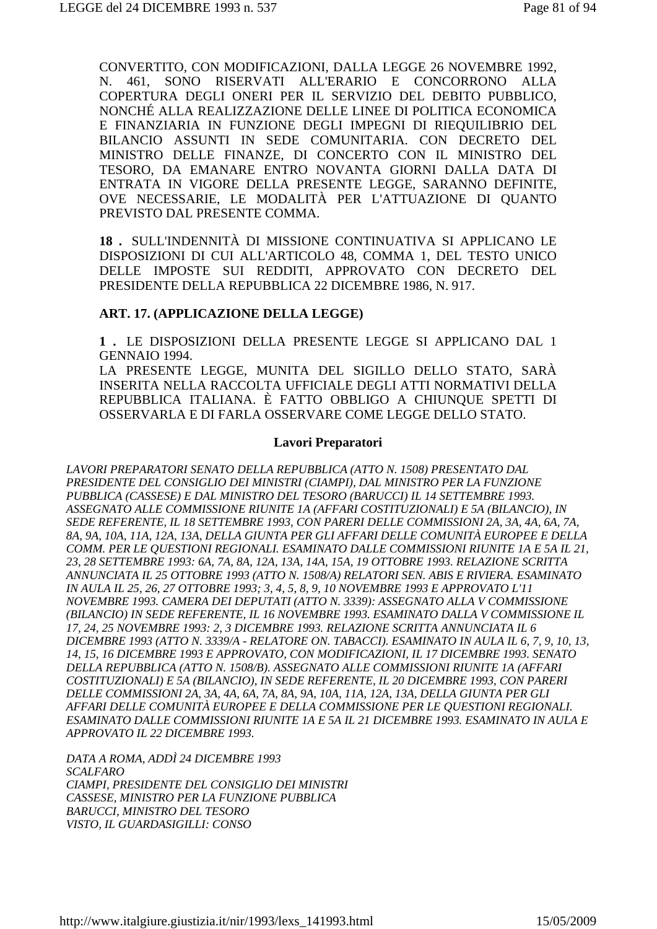CONVERTITO, CON MODIFICAZIONI, DALLA LEGGE 26 NOVEMBRE 1992, N. 461, SONO RISERVATI ALL'ERARIO E CONCORRONO ALLA COPERTURA DEGLI ONERI PER IL SERVIZIO DEL DEBITO PUBBLICO, NONCHÉ ALLA REALIZZAZIONE DELLE LINEE DI POLITICA ECONOMICA E FINANZIARIA IN FUNZIONE DEGLI IMPEGNI DI RIEQUILIBRIO DEL BILANCIO ASSUNTI IN SEDE COMUNITARIA. CON DECRETO DEL MINISTRO DELLE FINANZE, DI CONCERTO CON IL MINISTRO DEL TESORO, DA EMANARE ENTRO NOVANTA GIORNI DALLA DATA DI ENTRATA IN VIGORE DELLA PRESENTE LEGGE, SARANNO DEFINITE, OVE NECESSARIE, LE MODALITÀ PER L'ATTUAZIONE DI QUANTO PREVISTO DAL PRESENTE COMMA.

**18 .** SULL'INDENNITÀ DI MISSIONE CONTINUATIVA SI APPLICANO LE DISPOSIZIONI DI CUI ALL'ARTICOLO 48, COMMA 1, DEL TESTO UNICO DELLE IMPOSTE SUI REDDITI, APPROVATO CON DECRETO DEL PRESIDENTE DELLA REPUBBLICA 22 DICEMBRE 1986, N. 917.

#### **ART. 17. (APPLICAZIONE DELLA LEGGE)**

**1 .** LE DISPOSIZIONI DELLA PRESENTE LEGGE SI APPLICANO DAL 1 GENNAIO 1994.

LA PRESENTE LEGGE, MUNITA DEL SIGILLO DELLO STATO, SARÀ INSERITA NELLA RACCOLTA UFFICIALE DEGLI ATTI NORMATIVI DELLA REPUBBLICA ITALIANA. È FATTO OBBLIGO A CHIUNQUE SPETTI DI OSSERVARLA E DI FARLA OSSERVARE COME LEGGE DELLO STATO.

#### **Lavori Preparatori**

*LAVORI PREPARATORI SENATO DELLA REPUBBLICA (ATTO N. 1508) PRESENTATO DAL PRESIDENTE DEL CONSIGLIO DEI MINISTRI (CIAMPI), DAL MINISTRO PER LA FUNZIONE PUBBLICA (CASSESE) E DAL MINISTRO DEL TESORO (BARUCCI) IL 14 SETTEMBRE 1993. ASSEGNATO ALLE COMMISSIONE RIUNITE 1A (AFFARI COSTITUZIONALI) E 5A (BILANCIO), IN SEDE REFERENTE, IL 18 SETTEMBRE 1993, CON PARERI DELLE COMMISSIONI 2A, 3A, 4A, 6A, 7A, 8A, 9A, 10A, 11A, 12A, 13A, DELLA GIUNTA PER GLI AFFARI DELLE COMUNITÀ EUROPEE E DELLA COMM. PER LE QUESTIONI REGIONALI. ESAMINATO DALLE COMMISSIONI RIUNITE 1A E 5A IL 21, 23, 28 SETTEMBRE 1993: 6A, 7A, 8A, 12A, 13A, 14A, 15A, 19 OTTOBRE 1993. RELAZIONE SCRITTA ANNUNCIATA IL 25 OTTOBRE 1993 (ATTO N. 1508/A) RELATORI SEN. ABIS E RIVIERA. ESAMINATO IN AULA IL 25, 26, 27 OTTOBRE 1993; 3, 4, 5, 8, 9, 10 NOVEMBRE 1993 E APPROVATO L'11 NOVEMBRE 1993. CAMERA DEI DEPUTATI (ATTO N. 3339): ASSEGNATO ALLA V COMMISSIONE (BILANCIO) IN SEDE REFERENTE, IL 16 NOVEMBRE 1993. ESAMINATO DALLA V COMMISSIONE IL 17, 24, 25 NOVEMBRE 1993: 2, 3 DICEMBRE 1993. RELAZIONE SCRITTA ANNUNCIATA IL 6 DICEMBRE 1993 (ATTO N. 3339/A - RELATORE ON. TABACCI). ESAMINATO IN AULA IL 6, 7, 9, 10, 13, 14, 15, 16 DICEMBRE 1993 E APPROVATO, CON MODIFICAZIONI, IL 17 DICEMBRE 1993. SENATO DELLA REPUBBLICA (ATTO N. 1508/B). ASSEGNATO ALLE COMMISSIONI RIUNITE 1A (AFFARI COSTITUZIONALI) E 5A (BILANCIO), IN SEDE REFERENTE, IL 20 DICEMBRE 1993, CON PARERI DELLE COMMISSIONI 2A, 3A, 4A, 6A, 7A, 8A, 9A, 10A, 11A, 12A, 13A, DELLA GIUNTA PER GLI AFFARI DELLE COMUNITÀ EUROPEE E DELLA COMMISSIONE PER LE QUESTIONI REGIONALI. ESAMINATO DALLE COMMISSIONI RIUNITE 1A E 5A IL 21 DICEMBRE 1993. ESAMINATO IN AULA E APPROVATO IL 22 DICEMBRE 1993.* 

*DATA A ROMA, ADDÌ 24 DICEMBRE 1993 SCALFARO CIAMPI, PRESIDENTE DEL CONSIGLIO DEI MINISTRI CASSESE, MINISTRO PER LA FUNZIONE PUBBLICA BARUCCI, MINISTRO DEL TESORO VISTO, IL GUARDASIGILLI: CONSO*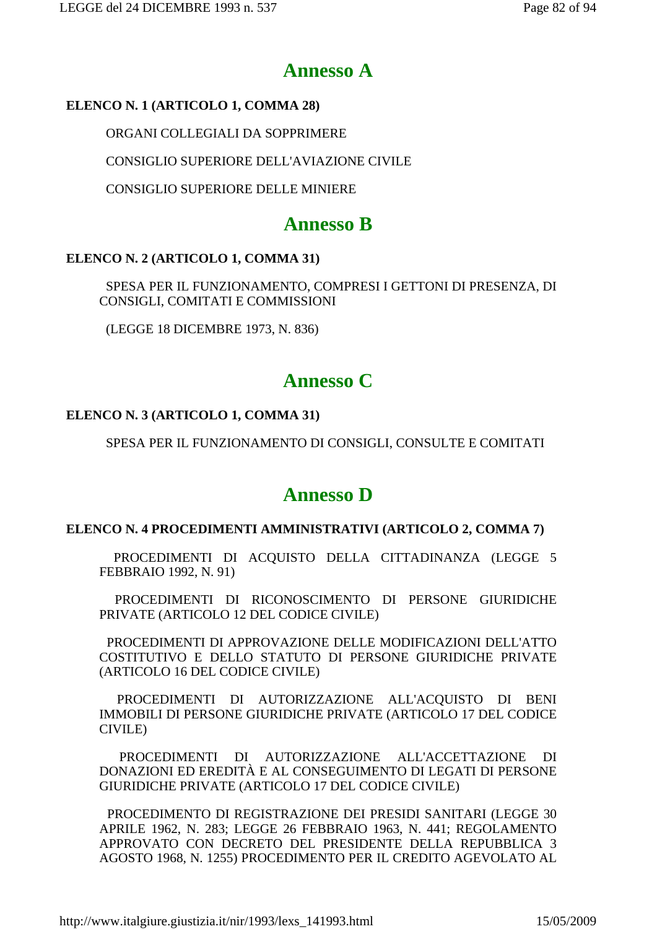# **Annesso A**

### **ELENCO N. 1 (ARTICOLO 1, COMMA 28)**

ORGANI COLLEGIALI DA SOPPRIMERE

CONSIGLIO SUPERIORE DELL'AVIAZIONE CIVILE

CONSIGLIO SUPERIORE DELLE MINIERE

## **Annesso B**

### **ELENCO N. 2 (ARTICOLO 1, COMMA 31)**

 SPESA PER IL FUNZIONAMENTO, COMPRESI I GETTONI DI PRESENZA, DI CONSIGLI, COMITATI E COMMISSIONI

(LEGGE 18 DICEMBRE 1973, N. 836)

# **Annesso C**

### **ELENCO N. 3 (ARTICOLO 1, COMMA 31)**

SPESA PER IL FUNZIONAMENTO DI CONSIGLI, CONSULTE E COMITATI

# **Annesso D**

### **ELENCO N. 4 PROCEDIMENTI AMMINISTRATIVI (ARTICOLO 2, COMMA 7)**

 PROCEDIMENTI DI ACQUISTO DELLA CITTADINANZA (LEGGE 5 FEBBRAIO 1992, N. 91)

 PROCEDIMENTI DI RICONOSCIMENTO DI PERSONE GIURIDICHE PRIVATE (ARTICOLO 12 DEL CODICE CIVILE)

 PROCEDIMENTI DI APPROVAZIONE DELLE MODIFICAZIONI DELL'ATTO COSTITUTIVO E DELLO STATUTO DI PERSONE GIURIDICHE PRIVATE (ARTICOLO 16 DEL CODICE CIVILE)

 PROCEDIMENTI DI AUTORIZZAZIONE ALL'ACQUISTO DI BENI IMMOBILI DI PERSONE GIURIDICHE PRIVATE (ARTICOLO 17 DEL CODICE CIVILE)

 PROCEDIMENTI DI AUTORIZZAZIONE ALL'ACCETTAZIONE DI DONAZIONI ED EREDITÀ E AL CONSEGUIMENTO DI LEGATI DI PERSONE GIURIDICHE PRIVATE (ARTICOLO 17 DEL CODICE CIVILE)

 PROCEDIMENTO DI REGISTRAZIONE DEI PRESIDI SANITARI (LEGGE 30 APRILE 1962, N. 283; LEGGE 26 FEBBRAIO 1963, N. 441; REGOLAMENTO APPROVATO CON DECRETO DEL PRESIDENTE DELLA REPUBBLICA 3 AGOSTO 1968, N. 1255) PROCEDIMENTO PER IL CREDITO AGEVOLATO AL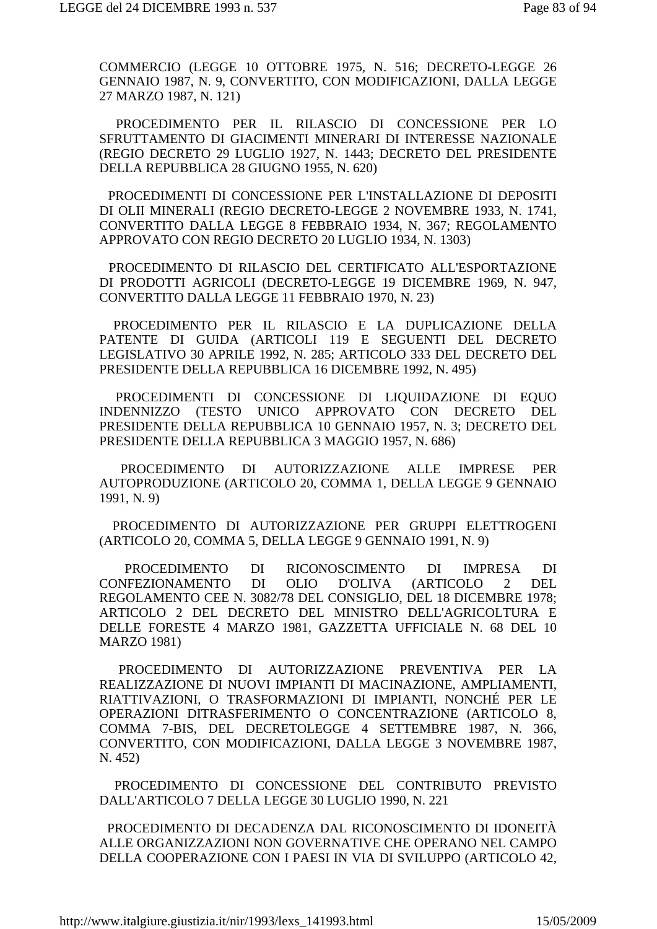COMMERCIO (LEGGE 10 OTTOBRE 1975, N. 516; DECRETO-LEGGE 26 GENNAIO 1987, N. 9, CONVERTITO, CON MODIFICAZIONI, DALLA LEGGE 27 MARZO 1987, N. 121)

 PROCEDIMENTO PER IL RILASCIO DI CONCESSIONE PER LO SFRUTTAMENTO DI GIACIMENTI MINERARI DI INTERESSE NAZIONALE (REGIO DECRETO 29 LUGLIO 1927, N. 1443; DECRETO DEL PRESIDENTE DELLA REPUBBLICA 28 GIUGNO 1955, N. 620)

 PROCEDIMENTI DI CONCESSIONE PER L'INSTALLAZIONE DI DEPOSITI DI OLII MINERALI (REGIO DECRETO-LEGGE 2 NOVEMBRE 1933, N. 1741, CONVERTITO DALLA LEGGE 8 FEBBRAIO 1934, N. 367; REGOLAMENTO APPROVATO CON REGIO DECRETO 20 LUGLIO 1934, N. 1303)

 PROCEDIMENTO DI RILASCIO DEL CERTIFICATO ALL'ESPORTAZIONE DI PRODOTTI AGRICOLI (DECRETO-LEGGE 19 DICEMBRE 1969, N. 947, CONVERTITO DALLA LEGGE 11 FEBBRAIO 1970, N. 23)

 PROCEDIMENTO PER IL RILASCIO E LA DUPLICAZIONE DELLA PATENTE DI GUIDA (ARTICOLI 119 E SEGUENTI DEL DECRETO LEGISLATIVO 30 APRILE 1992, N. 285; ARTICOLO 333 DEL DECRETO DEL PRESIDENTE DELLA REPUBBLICA 16 DICEMBRE 1992, N. 495)

 PROCEDIMENTI DI CONCESSIONE DI LIQUIDAZIONE DI EQUO INDENNIZZO (TESTO UNICO APPROVATO CON DECRETO DEL PRESIDENTE DELLA REPUBBLICA 10 GENNAIO 1957, N. 3; DECRETO DEL PRESIDENTE DELLA REPUBBLICA 3 MAGGIO 1957, N. 686)

 PROCEDIMENTO DI AUTORIZZAZIONE ALLE IMPRESE PER AUTOPRODUZIONE (ARTICOLO 20, COMMA 1, DELLA LEGGE 9 GENNAIO 1991, N. 9)

 PROCEDIMENTO DI AUTORIZZAZIONE PER GRUPPI ELETTROGENI (ARTICOLO 20, COMMA 5, DELLA LEGGE 9 GENNAIO 1991, N. 9)

 PROCEDIMENTO DI RICONOSCIMENTO DI IMPRESA DI CONFEZIONAMENTO DI OLIO D'OLIVA (ARTICOLO 2 DEL REGOLAMENTO CEE N. 3082/78 DEL CONSIGLIO, DEL 18 DICEMBRE 1978; ARTICOLO 2 DEL DECRETO DEL MINISTRO DELL'AGRICOLTURA E DELLE FORESTE 4 MARZO 1981, GAZZETTA UFFICIALE N. 68 DEL 10 MARZO 1981)

 PROCEDIMENTO DI AUTORIZZAZIONE PREVENTIVA PER LA REALIZZAZIONE DI NUOVI IMPIANTI DI MACINAZIONE, AMPLIAMENTI, RIATTIVAZIONI, O TRASFORMAZIONI DI IMPIANTI, NONCHÉ PER LE OPERAZIONI DITRASFERIMENTO O CONCENTRAZIONE (ARTICOLO 8, COMMA 7-BIS, DEL DECRETOLEGGE 4 SETTEMBRE 1987, N. 366, CONVERTITO, CON MODIFICAZIONI, DALLA LEGGE 3 NOVEMBRE 1987, N. 452)

 PROCEDIMENTO DI CONCESSIONE DEL CONTRIBUTO PREVISTO DALL'ARTICOLO 7 DELLA LEGGE 30 LUGLIO 1990, N. 221

 PROCEDIMENTO DI DECADENZA DAL RICONOSCIMENTO DI IDONEITÀ ALLE ORGANIZZAZIONI NON GOVERNATIVE CHE OPERANO NEL CAMPO DELLA COOPERAZIONE CON I PAESI IN VIA DI SVILUPPO (ARTICOLO 42,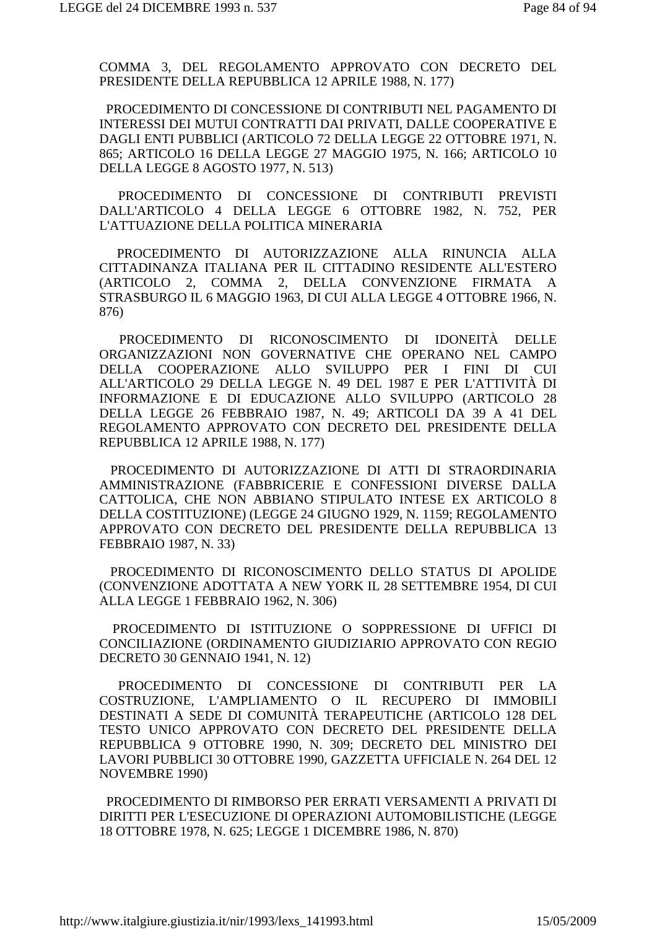COMMA 3, DEL REGOLAMENTO APPROVATO CON DECRETO DEL PRESIDENTE DELLA REPUBBLICA 12 APRILE 1988, N. 177)

 PROCEDIMENTO DI CONCESSIONE DI CONTRIBUTI NEL PAGAMENTO DI INTERESSI DEI MUTUI CONTRATTI DAI PRIVATI, DALLE COOPERATIVE E DAGLI ENTI PUBBLICI (ARTICOLO 72 DELLA LEGGE 22 OTTOBRE 1971, N. 865; ARTICOLO 16 DELLA LEGGE 27 MAGGIO 1975, N. 166; ARTICOLO 10 DELLA LEGGE 8 AGOSTO 1977, N. 513)

 PROCEDIMENTO DI CONCESSIONE DI CONTRIBUTI PREVISTI DALL'ARTICOLO 4 DELLA LEGGE 6 OTTOBRE 1982, N. 752, PER L'ATTUAZIONE DELLA POLITICA MINERARIA

 PROCEDIMENTO DI AUTORIZZAZIONE ALLA RINUNCIA ALLA CITTADINANZA ITALIANA PER IL CITTADINO RESIDENTE ALL'ESTERO (ARTICOLO 2, COMMA 2, DELLA CONVENZIONE FIRMATA A STRASBURGO IL 6 MAGGIO 1963, DI CUI ALLA LEGGE 4 OTTOBRE 1966, N. 876)

 PROCEDIMENTO DI RICONOSCIMENTO DI IDONEITÀ DELLE ORGANIZZAZIONI NON GOVERNATIVE CHE OPERANO NEL CAMPO DELLA COOPERAZIONE ALLO SVILUPPO PER I FINI DI CUI ALL'ARTICOLO 29 DELLA LEGGE N. 49 DEL 1987 E PER L'ATTIVITÀ DI INFORMAZIONE E DI EDUCAZIONE ALLO SVILUPPO (ARTICOLO 28 DELLA LEGGE 26 FEBBRAIO 1987, N. 49; ARTICOLI DA 39 A 41 DEL REGOLAMENTO APPROVATO CON DECRETO DEL PRESIDENTE DELLA REPUBBLICA 12 APRILE 1988, N. 177)

 PROCEDIMENTO DI AUTORIZZAZIONE DI ATTI DI STRAORDINARIA AMMINISTRAZIONE (FABBRICERIE E CONFESSIONI DIVERSE DALLA CATTOLICA, CHE NON ABBIANO STIPULATO INTESE EX ARTICOLO 8 DELLA COSTITUZIONE) (LEGGE 24 GIUGNO 1929, N. 1159; REGOLAMENTO APPROVATO CON DECRETO DEL PRESIDENTE DELLA REPUBBLICA 13 FEBBRAIO 1987, N. 33)

 PROCEDIMENTO DI RICONOSCIMENTO DELLO STATUS DI APOLIDE (CONVENZIONE ADOTTATA A NEW YORK IL 28 SETTEMBRE 1954, DI CUI ALLA LEGGE 1 FEBBRAIO 1962, N. 306)

 PROCEDIMENTO DI ISTITUZIONE O SOPPRESSIONE DI UFFICI DI CONCILIAZIONE (ORDINAMENTO GIUDIZIARIO APPROVATO CON REGIO DECRETO 30 GENNAIO 1941, N. 12)

 PROCEDIMENTO DI CONCESSIONE DI CONTRIBUTI PER LA COSTRUZIONE, L'AMPLIAMENTO O IL RECUPERO DI IMMOBILI DESTINATI A SEDE DI COMUNITÀ TERAPEUTICHE (ARTICOLO 128 DEL TESTO UNICO APPROVATO CON DECRETO DEL PRESIDENTE DELLA REPUBBLICA 9 OTTOBRE 1990, N. 309; DECRETO DEL MINISTRO DEI LAVORI PUBBLICI 30 OTTOBRE 1990, GAZZETTA UFFICIALE N. 264 DEL 12 NOVEMBRE 1990)

 PROCEDIMENTO DI RIMBORSO PER ERRATI VERSAMENTI A PRIVATI DI DIRITTI PER L'ESECUZIONE DI OPERAZIONI AUTOMOBILISTICHE (LEGGE 18 OTTOBRE 1978, N. 625; LEGGE 1 DICEMBRE 1986, N. 870)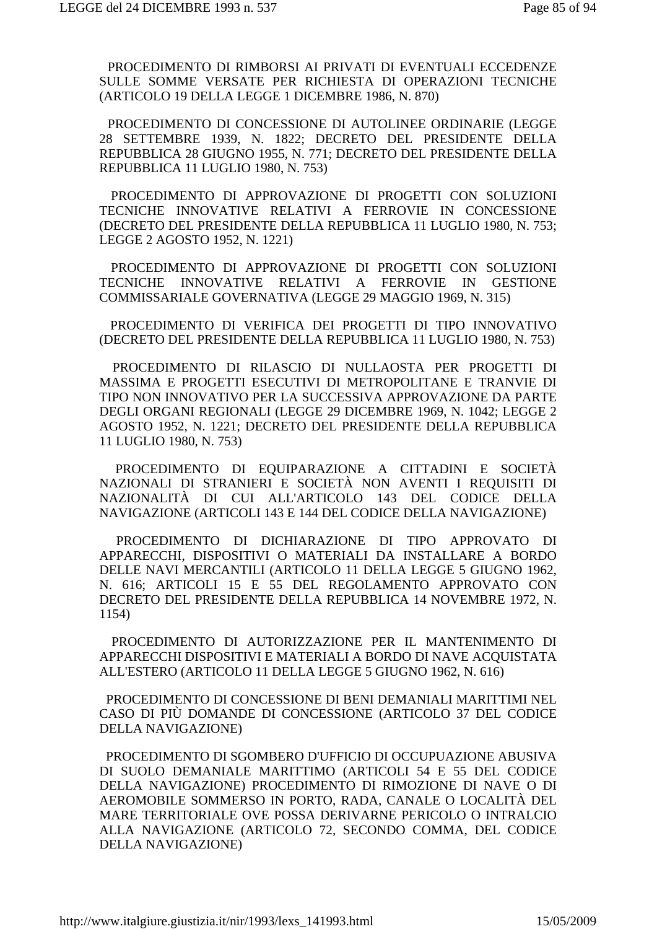PROCEDIMENTO DI RIMBORSI AI PRIVATI DI EVENTUALI ECCEDENZE SULLE SOMME VERSATE PER RICHIESTA DI OPERAZIONI TECNICHE (ARTICOLO 19 DELLA LEGGE 1 DICEMBRE 1986, N. 870)

 PROCEDIMENTO DI CONCESSIONE DI AUTOLINEE ORDINARIE (LEGGE 28 SETTEMBRE 1939, N. 1822; DECRETO DEL PRESIDENTE DELLA REPUBBLICA 28 GIUGNO 1955, N. 771; DECRETO DEL PRESIDENTE DELLA REPUBBLICA 11 LUGLIO 1980, N. 753)

 PROCEDIMENTO DI APPROVAZIONE DI PROGETTI CON SOLUZIONI TECNICHE INNOVATIVE RELATIVI A FERROVIE IN CONCESSIONE (DECRETO DEL PRESIDENTE DELLA REPUBBLICA 11 LUGLIO 1980, N. 753; LEGGE 2 AGOSTO 1952, N. 1221)

 PROCEDIMENTO DI APPROVAZIONE DI PROGETTI CON SOLUZIONI TECNICHE INNOVATIVE RELATIVI A FERROVIE IN GESTIONE COMMISSARIALE GOVERNATIVA (LEGGE 29 MAGGIO 1969, N. 315)

 PROCEDIMENTO DI VERIFICA DEI PROGETTI DI TIPO INNOVATIVO (DECRETO DEL PRESIDENTE DELLA REPUBBLICA 11 LUGLIO 1980, N. 753)

 PROCEDIMENTO DI RILASCIO DI NULLAOSTA PER PROGETTI DI MASSIMA E PROGETTI ESECUTIVI DI METROPOLITANE E TRANVIE DI TIPO NON INNOVATIVO PER LA SUCCESSIVA APPROVAZIONE DA PARTE DEGLI ORGANI REGIONALI (LEGGE 29 DICEMBRE 1969, N. 1042; LEGGE 2 AGOSTO 1952, N. 1221; DECRETO DEL PRESIDENTE DELLA REPUBBLICA 11 LUGLIO 1980, N. 753)

 PROCEDIMENTO DI EQUIPARAZIONE A CITTADINI E SOCIETÀ NAZIONALI DI STRANIERI E SOCIETÀ NON AVENTI I REQUISITI DI NAZIONALITÀ DI CUI ALL'ARTICOLO 143 DEL CODICE DELLA NAVIGAZIONE (ARTICOLI 143 E 144 DEL CODICE DELLA NAVIGAZIONE)

 PROCEDIMENTO DI DICHIARAZIONE DI TIPO APPROVATO DI APPARECCHI, DISPOSITIVI O MATERIALI DA INSTALLARE A BORDO DELLE NAVI MERCANTILI (ARTICOLO 11 DELLA LEGGE 5 GIUGNO 1962, N. 616; ARTICOLI 15 E 55 DEL REGOLAMENTO APPROVATO CON DECRETO DEL PRESIDENTE DELLA REPUBBLICA 14 NOVEMBRE 1972, N. 1154)

 PROCEDIMENTO DI AUTORIZZAZIONE PER IL MANTENIMENTO DI APPARECCHI DISPOSITIVI E MATERIALI A BORDO DI NAVE ACQUISTATA ALL'ESTERO (ARTICOLO 11 DELLA LEGGE 5 GIUGNO 1962, N. 616)

 PROCEDIMENTO DI CONCESSIONE DI BENI DEMANIALI MARITTIMI NEL CASO DI PIÙ DOMANDE DI CONCESSIONE (ARTICOLO 37 DEL CODICE DELLA NAVIGAZIONE)

 PROCEDIMENTO DI SGOMBERO D'UFFICIO DI OCCUPUAZIONE ABUSIVA DI SUOLO DEMANIALE MARITTIMO (ARTICOLI 54 E 55 DEL CODICE DELLA NAVIGAZIONE) PROCEDIMENTO DI RIMOZIONE DI NAVE O DI AEROMOBILE SOMMERSO IN PORTO, RADA, CANALE O LOCALITÀ DEL MARE TERRITORIALE OVE POSSA DERIVARNE PERICOLO O INTRALCIO ALLA NAVIGAZIONE (ARTICOLO 72, SECONDO COMMA, DEL CODICE DELLA NAVIGAZIONE)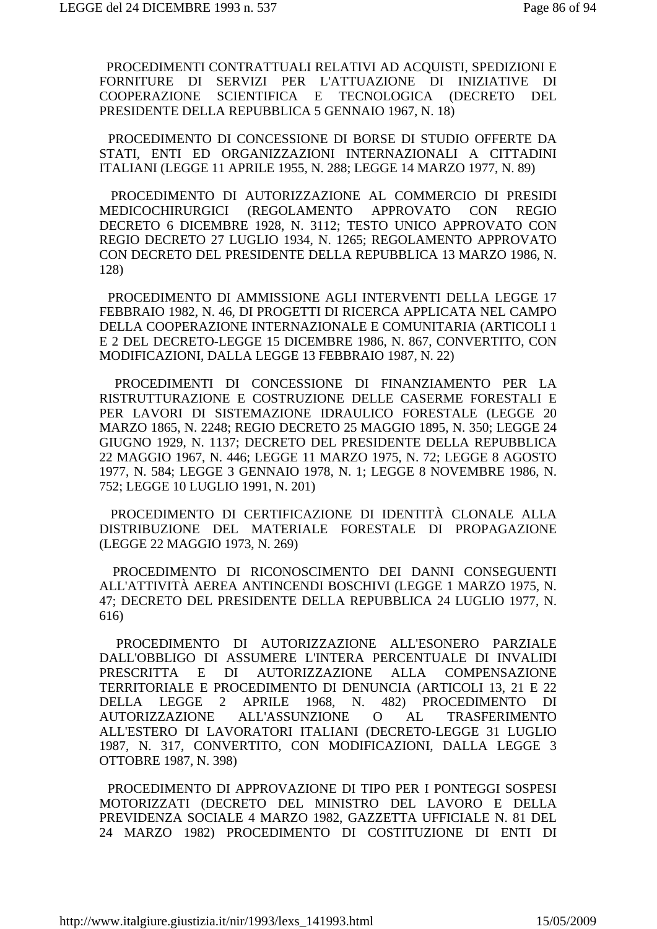PROCEDIMENTI CONTRATTUALI RELATIVI AD ACQUISTI, SPEDIZIONI E FORNITURE DI SERVIZI PER L'ATTUAZIONE DI INIZIATIVE DI COOPERAZIONE SCIENTIFICA E TECNOLOGICA (DECRETO DEL PRESIDENTE DELLA REPUBBLICA 5 GENNAIO 1967, N. 18)

 PROCEDIMENTO DI CONCESSIONE DI BORSE DI STUDIO OFFERTE DA STATI, ENTI ED ORGANIZZAZIONI INTERNAZIONALI A CITTADINI ITALIANI (LEGGE 11 APRILE 1955, N. 288; LEGGE 14 MARZO 1977, N. 89)

 PROCEDIMENTO DI AUTORIZZAZIONE AL COMMERCIO DI PRESIDI MEDICOCHIRURGICI (REGOLAMENTO APPROVATO CON REGIO DECRETO 6 DICEMBRE 1928, N. 3112; TESTO UNICO APPROVATO CON REGIO DECRETO 27 LUGLIO 1934, N. 1265; REGOLAMENTO APPROVATO CON DECRETO DEL PRESIDENTE DELLA REPUBBLICA 13 MARZO 1986, N. 128)

 PROCEDIMENTO DI AMMISSIONE AGLI INTERVENTI DELLA LEGGE 17 FEBBRAIO 1982, N. 46, DI PROGETTI DI RICERCA APPLICATA NEL CAMPO DELLA COOPERAZIONE INTERNAZIONALE E COMUNITARIA (ARTICOLI 1 E 2 DEL DECRETO-LEGGE 15 DICEMBRE 1986, N. 867, CONVERTITO, CON MODIFICAZIONI, DALLA LEGGE 13 FEBBRAIO 1987, N. 22)

 PROCEDIMENTI DI CONCESSIONE DI FINANZIAMENTO PER LA RISTRUTTURAZIONE E COSTRUZIONE DELLE CASERME FORESTALI E PER LAVORI DI SISTEMAZIONE IDRAULICO FORESTALE (LEGGE 20 MARZO 1865, N. 2248; REGIO DECRETO 25 MAGGIO 1895, N. 350; LEGGE 24 GIUGNO 1929, N. 1137; DECRETO DEL PRESIDENTE DELLA REPUBBLICA 22 MAGGIO 1967, N. 446; LEGGE 11 MARZO 1975, N. 72; LEGGE 8 AGOSTO 1977, N. 584; LEGGE 3 GENNAIO 1978, N. 1; LEGGE 8 NOVEMBRE 1986, N. 752; LEGGE 10 LUGLIO 1991, N. 201)

 PROCEDIMENTO DI CERTIFICAZIONE DI IDENTITÀ CLONALE ALLA DISTRIBUZIONE DEL MATERIALE FORESTALE DI PROPAGAZIONE (LEGGE 22 MAGGIO 1973, N. 269)

 PROCEDIMENTO DI RICONOSCIMENTO DEI DANNI CONSEGUENTI ALL'ATTIVITÀ AEREA ANTINCENDI BOSCHIVI (LEGGE 1 MARZO 1975, N. 47; DECRETO DEL PRESIDENTE DELLA REPUBBLICA 24 LUGLIO 1977, N. 616)

 PROCEDIMENTO DI AUTORIZZAZIONE ALL'ESONERO PARZIALE DALL'OBBLIGO DI ASSUMERE L'INTERA PERCENTUALE DI INVALIDI PRESCRITTA E DI AUTORIZZAZIONE ALLA COMPENSAZIONE TERRITORIALE E PROCEDIMENTO DI DENUNCIA (ARTICOLI 13, 21 E 22 DELLA LEGGE 2 APRILE 1968, N. 482) PROCEDIMENTO DI AUTORIZZAZIONE ALL'ASSUNZIONE O AL TRASFERIMENTO ALL'ESTERO DI LAVORATORI ITALIANI (DECRETO-LEGGE 31 LUGLIO 1987, N. 317, CONVERTITO, CON MODIFICAZIONI, DALLA LEGGE 3 OTTOBRE 1987, N. 398)

 PROCEDIMENTO DI APPROVAZIONE DI TIPO PER I PONTEGGI SOSPESI MOTORIZZATI (DECRETO DEL MINISTRO DEL LAVORO E DELLA PREVIDENZA SOCIALE 4 MARZO 1982, GAZZETTA UFFICIALE N. 81 DEL 24 MARZO 1982) PROCEDIMENTO DI COSTITUZIONE DI ENTI DI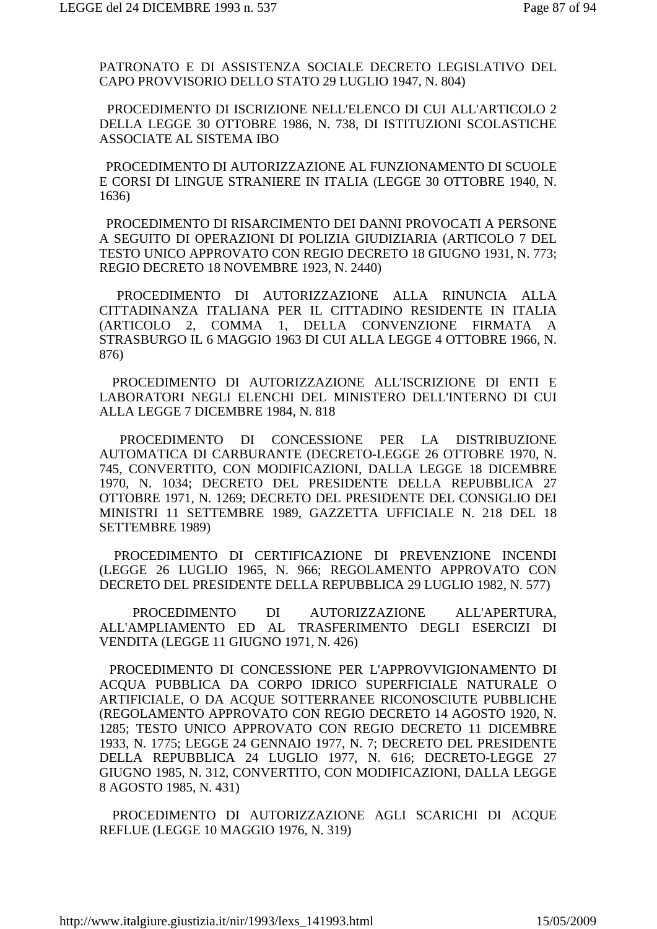PATRONATO E DI ASSISTENZA SOCIALE DECRETO LEGISLATIVO DEL CAPO PROVVISORIO DELLO STATO 29 LUGLIO 1947, N. 804)

 PROCEDIMENTO DI ISCRIZIONE NELL'ELENCO DI CUI ALL'ARTICOLO 2 DELLA LEGGE 30 OTTOBRE 1986, N. 738, DI ISTITUZIONI SCOLASTICHE ASSOCIATE AL SISTEMA IBO

 PROCEDIMENTO DI AUTORIZZAZIONE AL FUNZIONAMENTO DI SCUOLE E CORSI DI LINGUE STRANIERE IN ITALIA (LEGGE 30 OTTOBRE 1940, N. 1636)

 PROCEDIMENTO DI RISARCIMENTO DEI DANNI PROVOCATI A PERSONE A SEGUITO DI OPERAZIONI DI POLIZIA GIUDIZIARIA (ARTICOLO 7 DEL TESTO UNICO APPROVATO CON REGIO DECRETO 18 GIUGNO 1931, N. 773; REGIO DECRETO 18 NOVEMBRE 1923, N. 2440)

 PROCEDIMENTO DI AUTORIZZAZIONE ALLA RINUNCIA ALLA CITTADINANZA ITALIANA PER IL CITTADINO RESIDENTE IN ITALIA (ARTICOLO 2, COMMA 1, DELLA CONVENZIONE FIRMATA A STRASBURGO IL 6 MAGGIO 1963 DI CUI ALLA LEGGE 4 OTTOBRE 1966, N. 876)

 PROCEDIMENTO DI AUTORIZZAZIONE ALL'ISCRIZIONE DI ENTI E LABORATORI NEGLI ELENCHI DEL MINISTERO DELL'INTERNO DI CUI ALLA LEGGE 7 DICEMBRE 1984, N. 818

 PROCEDIMENTO DI CONCESSIONE PER LA DISTRIBUZIONE AUTOMATICA DI CARBURANTE (DECRETO-LEGGE 26 OTTOBRE 1970, N. 745, CONVERTITO, CON MODIFICAZIONI, DALLA LEGGE 18 DICEMBRE 1970, N. 1034; DECRETO DEL PRESIDENTE DELLA REPUBBLICA 27 OTTOBRE 1971, N. 1269; DECRETO DEL PRESIDENTE DEL CONSIGLIO DEI MINISTRI 11 SETTEMBRE 1989, GAZZETTA UFFICIALE N. 218 DEL 18 SETTEMBRE 1989)

 PROCEDIMENTO DI CERTIFICAZIONE DI PREVENZIONE INCENDI (LEGGE 26 LUGLIO 1965, N. 966; REGOLAMENTO APPROVATO CON DECRETO DEL PRESIDENTE DELLA REPUBBLICA 29 LUGLIO 1982, N. 577)

 PROCEDIMENTO DI AUTORIZZAZIONE ALL'APERTURA, ALL'AMPLIAMENTO ED AL TRASFERIMENTO DEGLI ESERCIZI DI VENDITA (LEGGE 11 GIUGNO 1971, N. 426)

 PROCEDIMENTO DI CONCESSIONE PER L'APPROVVIGIONAMENTO DI ACQUA PUBBLICA DA CORPO IDRICO SUPERFICIALE NATURALE O ARTIFICIALE, O DA ACQUE SOTTERRANEE RICONOSCIUTE PUBBLICHE (REGOLAMENTO APPROVATO CON REGIO DECRETO 14 AGOSTO 1920, N. 1285; TESTO UNICO APPROVATO CON REGIO DECRETO 11 DICEMBRE 1933, N. 1775; LEGGE 24 GENNAIO 1977, N. 7; DECRETO DEL PRESIDENTE DELLA REPUBBLICA 24 LUGLIO 1977, N. 616; DECRETO-LEGGE 27 GIUGNO 1985, N. 312, CONVERTITO, CON MODIFICAZIONI, DALLA LEGGE 8 AGOSTO 1985, N. 431)

 PROCEDIMENTO DI AUTORIZZAZIONE AGLI SCARICHI DI ACQUE REFLUE (LEGGE 10 MAGGIO 1976, N. 319)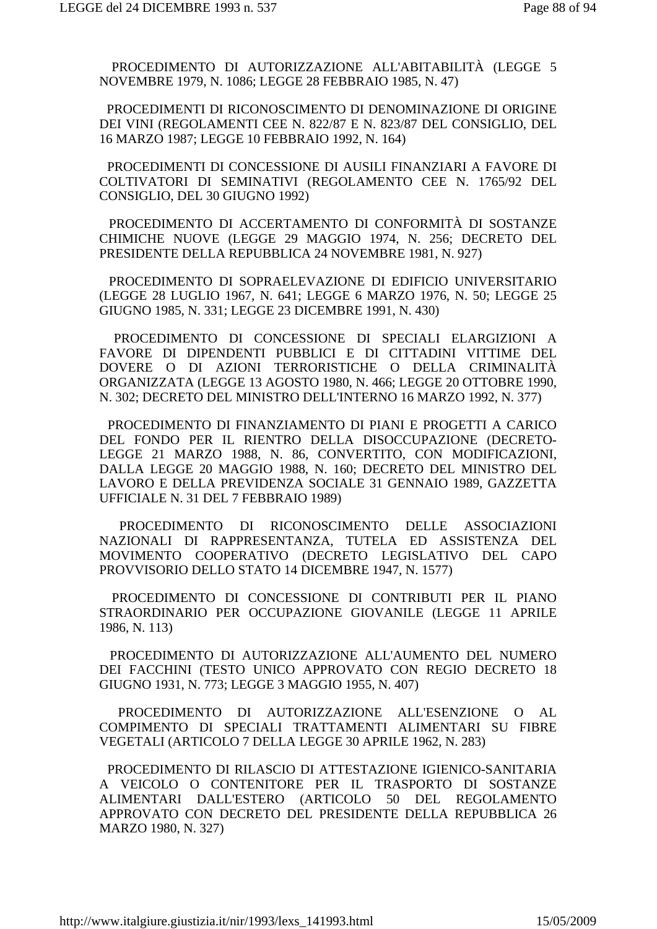PROCEDIMENTO DI AUTORIZZAZIONE ALL'ABITABILITÀ (LEGGE 5 NOVEMBRE 1979, N. 1086; LEGGE 28 FEBBRAIO 1985, N. 47)

 PROCEDIMENTI DI RICONOSCIMENTO DI DENOMINAZIONE DI ORIGINE DEI VINI (REGOLAMENTI CEE N. 822/87 E N. 823/87 DEL CONSIGLIO, DEL 16 MARZO 1987; LEGGE 10 FEBBRAIO 1992, N. 164)

 PROCEDIMENTI DI CONCESSIONE DI AUSILI FINANZIARI A FAVORE DI COLTIVATORI DI SEMINATIVI (REGOLAMENTO CEE N. 1765/92 DEL CONSIGLIO, DEL 30 GIUGNO 1992)

 PROCEDIMENTO DI ACCERTAMENTO DI CONFORMITÀ DI SOSTANZE CHIMICHE NUOVE (LEGGE 29 MAGGIO 1974, N. 256; DECRETO DEL PRESIDENTE DELLA REPUBBLICA 24 NOVEMBRE 1981, N. 927)

 PROCEDIMENTO DI SOPRAELEVAZIONE DI EDIFICIO UNIVERSITARIO (LEGGE 28 LUGLIO 1967, N. 641; LEGGE 6 MARZO 1976, N. 50; LEGGE 25 GIUGNO 1985, N. 331; LEGGE 23 DICEMBRE 1991, N. 430)

 PROCEDIMENTO DI CONCESSIONE DI SPECIALI ELARGIZIONI A FAVORE DI DIPENDENTI PUBBLICI E DI CITTADINI VITTIME DEL DOVERE O DI AZIONI TERRORISTICHE O DELLA CRIMINALITÀ ORGANIZZATA (LEGGE 13 AGOSTO 1980, N. 466; LEGGE 20 OTTOBRE 1990, N. 302; DECRETO DEL MINISTRO DELL'INTERNO 16 MARZO 1992, N. 377)

 PROCEDIMENTO DI FINANZIAMENTO DI PIANI E PROGETTI A CARICO DEL FONDO PER IL RIENTRO DELLA DISOCCUPAZIONE (DECRETO-LEGGE 21 MARZO 1988, N. 86, CONVERTITO, CON MODIFICAZIONI, DALLA LEGGE 20 MAGGIO 1988, N. 160; DECRETO DEL MINISTRO DEL LAVORO E DELLA PREVIDENZA SOCIALE 31 GENNAIO 1989, GAZZETTA UFFICIALE N. 31 DEL 7 FEBBRAIO 1989)

 PROCEDIMENTO DI RICONOSCIMENTO DELLE ASSOCIAZIONI NAZIONALI DI RAPPRESENTANZA, TUTELA ED ASSISTENZA DEL MOVIMENTO COOPERATIVO (DECRETO LEGISLATIVO DEL CAPO PROVVISORIO DELLO STATO 14 DICEMBRE 1947, N. 1577)

 PROCEDIMENTO DI CONCESSIONE DI CONTRIBUTI PER IL PIANO STRAORDINARIO PER OCCUPAZIONE GIOVANILE (LEGGE 11 APRILE 1986, N. 113)

 PROCEDIMENTO DI AUTORIZZAZIONE ALL'AUMENTO DEL NUMERO DEI FACCHINI (TESTO UNICO APPROVATO CON REGIO DECRETO 18 GIUGNO 1931, N. 773; LEGGE 3 MAGGIO 1955, N. 407)

 PROCEDIMENTO DI AUTORIZZAZIONE ALL'ESENZIONE O AL COMPIMENTO DI SPECIALI TRATTAMENTI ALIMENTARI SU FIBRE VEGETALI (ARTICOLO 7 DELLA LEGGE 30 APRILE 1962, N. 283)

 PROCEDIMENTO DI RILASCIO DI ATTESTAZIONE IGIENICO-SANITARIA A VEICOLO O CONTENITORE PER IL TRASPORTO DI SOSTANZE ALIMENTARI DALL'ESTERO (ARTICOLO 50 DEL REGOLAMENTO APPROVATO CON DECRETO DEL PRESIDENTE DELLA REPUBBLICA 26 MARZO 1980, N. 327)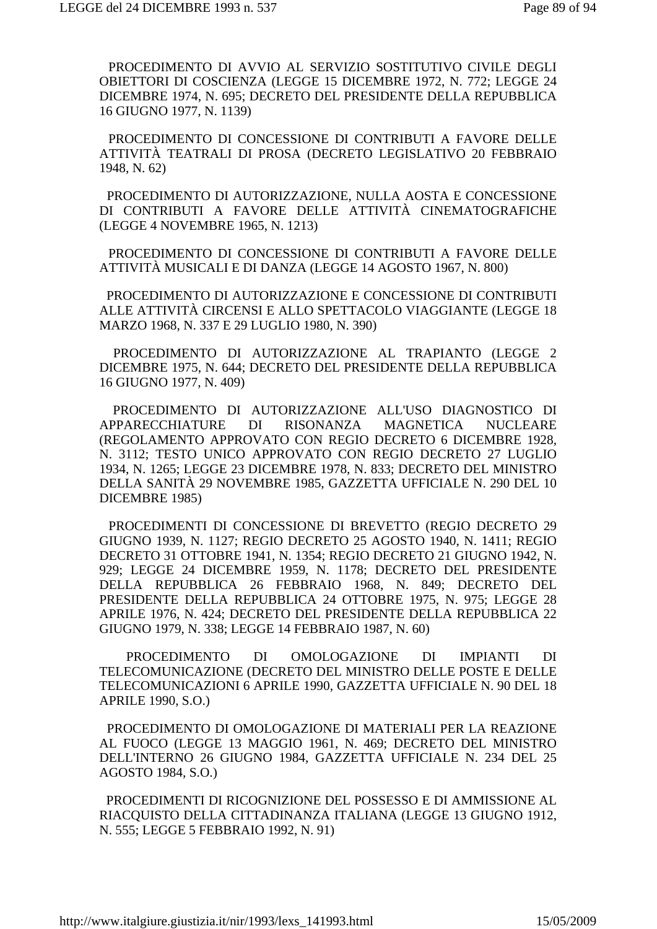PROCEDIMENTO DI AVVIO AL SERVIZIO SOSTITUTIVO CIVILE DEGLI OBIETTORI DI COSCIENZA (LEGGE 15 DICEMBRE 1972, N. 772; LEGGE 24 DICEMBRE 1974, N. 695; DECRETO DEL PRESIDENTE DELLA REPUBBLICA 16 GIUGNO 1977, N. 1139)

 PROCEDIMENTO DI CONCESSIONE DI CONTRIBUTI A FAVORE DELLE ATTIVITÀ TEATRALI DI PROSA (DECRETO LEGISLATIVO 20 FEBBRAIO 1948, N. 62)

 PROCEDIMENTO DI AUTORIZZAZIONE, NULLA AOSTA E CONCESSIONE DI CONTRIBUTI A FAVORE DELLE ATTIVITÀ CINEMATOGRAFICHE (LEGGE 4 NOVEMBRE 1965, N. 1213)

 PROCEDIMENTO DI CONCESSIONE DI CONTRIBUTI A FAVORE DELLE ATTIVITÀ MUSICALI E DI DANZA (LEGGE 14 AGOSTO 1967, N. 800)

 PROCEDIMENTO DI AUTORIZZAZIONE E CONCESSIONE DI CONTRIBUTI ALLE ATTIVITÀ CIRCENSI E ALLO SPETTACOLO VIAGGIANTE (LEGGE 18 MARZO 1968, N. 337 E 29 LUGLIO 1980, N. 390)

 PROCEDIMENTO DI AUTORIZZAZIONE AL TRAPIANTO (LEGGE 2 DICEMBRE 1975, N. 644; DECRETO DEL PRESIDENTE DELLA REPUBBLICA 16 GIUGNO 1977, N. 409)

 PROCEDIMENTO DI AUTORIZZAZIONE ALL'USO DIAGNOSTICO DI APPARECCHIATURE DI RISONANZA MAGNETICA NUCLEARE (REGOLAMENTO APPROVATO CON REGIO DECRETO 6 DICEMBRE 1928, N. 3112; TESTO UNICO APPROVATO CON REGIO DECRETO 27 LUGLIO 1934, N. 1265; LEGGE 23 DICEMBRE 1978, N. 833; DECRETO DEL MINISTRO DELLA SANITÀ 29 NOVEMBRE 1985, GAZZETTA UFFICIALE N. 290 DEL 10 DICEMBRE 1985)

 PROCEDIMENTI DI CONCESSIONE DI BREVETTO (REGIO DECRETO 29 GIUGNO 1939, N. 1127; REGIO DECRETO 25 AGOSTO 1940, N. 1411; REGIO DECRETO 31 OTTOBRE 1941, N. 1354; REGIO DECRETO 21 GIUGNO 1942, N. 929; LEGGE 24 DICEMBRE 1959, N. 1178; DECRETO DEL PRESIDENTE DELLA REPUBBLICA 26 FEBBRAIO 1968, N. 849; DECRETO DEL PRESIDENTE DELLA REPUBBLICA 24 OTTOBRE 1975, N. 975; LEGGE 28 APRILE 1976, N. 424; DECRETO DEL PRESIDENTE DELLA REPUBBLICA 22 GIUGNO 1979, N. 338; LEGGE 14 FEBBRAIO 1987, N. 60)

 PROCEDIMENTO DI OMOLOGAZIONE DI IMPIANTI DI TELECOMUNICAZIONE (DECRETO DEL MINISTRO DELLE POSTE E DELLE TELECOMUNICAZIONI 6 APRILE 1990, GAZZETTA UFFICIALE N. 90 DEL 18 APRILE 1990, S.O.)

 PROCEDIMENTO DI OMOLOGAZIONE DI MATERIALI PER LA REAZIONE AL FUOCO (LEGGE 13 MAGGIO 1961, N. 469; DECRETO DEL MINISTRO DELL'INTERNO 26 GIUGNO 1984, GAZZETTA UFFICIALE N. 234 DEL 25 AGOSTO 1984, S.O.)

 PROCEDIMENTI DI RICOGNIZIONE DEL POSSESSO E DI AMMISSIONE AL RIACQUISTO DELLA CITTADINANZA ITALIANA (LEGGE 13 GIUGNO 1912, N. 555; LEGGE 5 FEBBRAIO 1992, N. 91)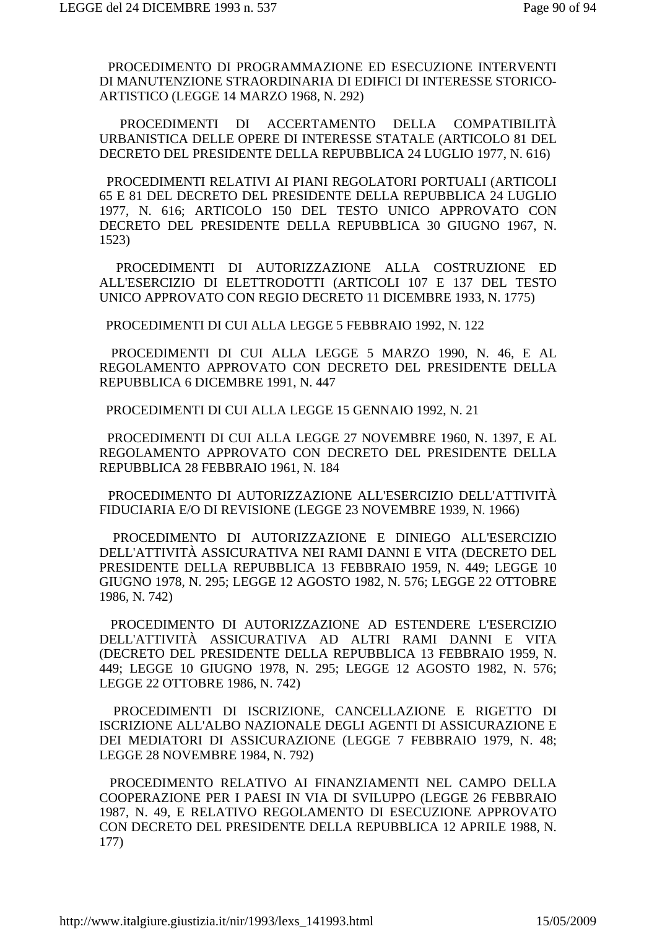PROCEDIMENTO DI PROGRAMMAZIONE ED ESECUZIONE INTERVENTI DI MANUTENZIONE STRAORDINARIA DI EDIFICI DI INTERESSE STORICO-ARTISTICO (LEGGE 14 MARZO 1968, N. 292)

 PROCEDIMENTI DI ACCERTAMENTO DELLA COMPATIBILITÀ URBANISTICA DELLE OPERE DI INTERESSE STATALE (ARTICOLO 81 DEL DECRETO DEL PRESIDENTE DELLA REPUBBLICA 24 LUGLIO 1977, N. 616)

 PROCEDIMENTI RELATIVI AI PIANI REGOLATORI PORTUALI (ARTICOLI 65 E 81 DEL DECRETO DEL PRESIDENTE DELLA REPUBBLICA 24 LUGLIO 1977, N. 616; ARTICOLO 150 DEL TESTO UNICO APPROVATO CON DECRETO DEL PRESIDENTE DELLA REPUBBLICA 30 GIUGNO 1967, N. 1523)

 PROCEDIMENTI DI AUTORIZZAZIONE ALLA COSTRUZIONE ED ALL'ESERCIZIO DI ELETTRODOTTI (ARTICOLI 107 E 137 DEL TESTO UNICO APPROVATO CON REGIO DECRETO 11 DICEMBRE 1933, N. 1775)

PROCEDIMENTI DI CUI ALLA LEGGE 5 FEBBRAIO 1992, N. 122

 PROCEDIMENTI DI CUI ALLA LEGGE 5 MARZO 1990, N. 46, E AL REGOLAMENTO APPROVATO CON DECRETO DEL PRESIDENTE DELLA REPUBBLICA 6 DICEMBRE 1991, N. 447

PROCEDIMENTI DI CUI ALLA LEGGE 15 GENNAIO 1992, N. 21

 PROCEDIMENTI DI CUI ALLA LEGGE 27 NOVEMBRE 1960, N. 1397, E AL REGOLAMENTO APPROVATO CON DECRETO DEL PRESIDENTE DELLA REPUBBLICA 28 FEBBRAIO 1961, N. 184

 PROCEDIMENTO DI AUTORIZZAZIONE ALL'ESERCIZIO DELL'ATTIVITÀ FIDUCIARIA E/O DI REVISIONE (LEGGE 23 NOVEMBRE 1939, N. 1966)

 PROCEDIMENTO DI AUTORIZZAZIONE E DINIEGO ALL'ESERCIZIO DELL'ATTIVITÀ ASSICURATIVA NEI RAMI DANNI E VITA (DECRETO DEL PRESIDENTE DELLA REPUBBLICA 13 FEBBRAIO 1959, N. 449; LEGGE 10 GIUGNO 1978, N. 295; LEGGE 12 AGOSTO 1982, N. 576; LEGGE 22 OTTOBRE 1986, N. 742)

 PROCEDIMENTO DI AUTORIZZAZIONE AD ESTENDERE L'ESERCIZIO DELL'ATTIVITÀ ASSICURATIVA AD ALTRI RAMI DANNI E VITA (DECRETO DEL PRESIDENTE DELLA REPUBBLICA 13 FEBBRAIO 1959, N. 449; LEGGE 10 GIUGNO 1978, N. 295; LEGGE 12 AGOSTO 1982, N. 576; LEGGE 22 OTTOBRE 1986, N. 742)

 PROCEDIMENTI DI ISCRIZIONE, CANCELLAZIONE E RIGETTO DI ISCRIZIONE ALL'ALBO NAZIONALE DEGLI AGENTI DI ASSICURAZIONE E DEI MEDIATORI DI ASSICURAZIONE (LEGGE 7 FEBBRAIO 1979, N. 48; LEGGE 28 NOVEMBRE 1984, N. 792)

 PROCEDIMENTO RELATIVO AI FINANZIAMENTI NEL CAMPO DELLA COOPERAZIONE PER I PAESI IN VIA DI SVILUPPO (LEGGE 26 FEBBRAIO 1987, N. 49, E RELATIVO REGOLAMENTO DI ESECUZIONE APPROVATO CON DECRETO DEL PRESIDENTE DELLA REPUBBLICA 12 APRILE 1988, N. 177)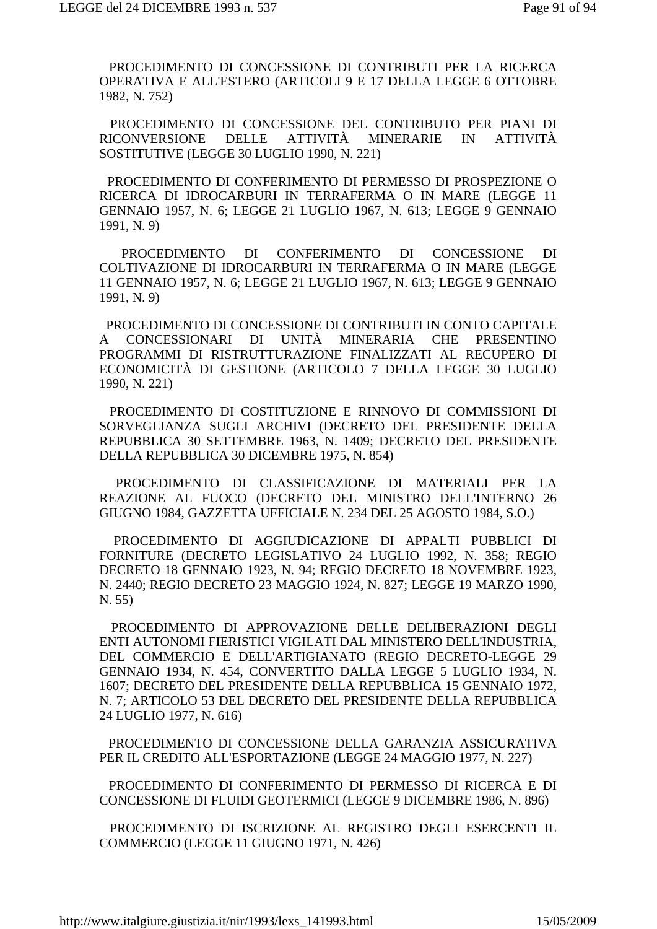PROCEDIMENTO DI CONCESSIONE DI CONTRIBUTI PER LA RICERCA OPERATIVA E ALL'ESTERO (ARTICOLI 9 E 17 DELLA LEGGE 6 OTTOBRE 1982, N. 752)

 PROCEDIMENTO DI CONCESSIONE DEL CONTRIBUTO PER PIANI DI RICONVERSIONE DELLE ATTIVITÀ MINERARIE IN ATTIVITÀ SOSTITUTIVE (LEGGE 30 LUGLIO 1990, N. 221)

 PROCEDIMENTO DI CONFERIMENTO DI PERMESSO DI PROSPEZIONE O RICERCA DI IDROCARBURI IN TERRAFERMA O IN MARE (LEGGE 11 GENNAIO 1957, N. 6; LEGGE 21 LUGLIO 1967, N. 613; LEGGE 9 GENNAIO 1991, N. 9)

 PROCEDIMENTO DI CONFERIMENTO DI CONCESSIONE DI COLTIVAZIONE DI IDROCARBURI IN TERRAFERMA O IN MARE (LEGGE 11 GENNAIO 1957, N. 6; LEGGE 21 LUGLIO 1967, N. 613; LEGGE 9 GENNAIO 1991, N. 9)

 PROCEDIMENTO DI CONCESSIONE DI CONTRIBUTI IN CONTO CAPITALE A CONCESSIONARI DI UNITÀ MINERARIA CHE PRESENTINO PROGRAMMI DI RISTRUTTURAZIONE FINALIZZATI AL RECUPERO DI ECONOMICITÀ DI GESTIONE (ARTICOLO 7 DELLA LEGGE 30 LUGLIO 1990, N. 221)

 PROCEDIMENTO DI COSTITUZIONE E RINNOVO DI COMMISSIONI DI SORVEGLIANZA SUGLI ARCHIVI (DECRETO DEL PRESIDENTE DELLA REPUBBLICA 30 SETTEMBRE 1963, N. 1409; DECRETO DEL PRESIDENTE DELLA REPUBBLICA 30 DICEMBRE 1975, N. 854)

 PROCEDIMENTO DI CLASSIFICAZIONE DI MATERIALI PER LA REAZIONE AL FUOCO (DECRETO DEL MINISTRO DELL'INTERNO 26 GIUGNO 1984, GAZZETTA UFFICIALE N. 234 DEL 25 AGOSTO 1984, S.O.)

 PROCEDIMENTO DI AGGIUDICAZIONE DI APPALTI PUBBLICI DI FORNITURE (DECRETO LEGISLATIVO 24 LUGLIO 1992, N. 358; REGIO DECRETO 18 GENNAIO 1923, N. 94; REGIO DECRETO 18 NOVEMBRE 1923, N. 2440; REGIO DECRETO 23 MAGGIO 1924, N. 827; LEGGE 19 MARZO 1990, N. 55)

 PROCEDIMENTO DI APPROVAZIONE DELLE DELIBERAZIONI DEGLI ENTI AUTONOMI FIERISTICI VIGILATI DAL MINISTERO DELL'INDUSTRIA, DEL COMMERCIO E DELL'ARTIGIANATO (REGIO DECRETO-LEGGE 29 GENNAIO 1934, N. 454, CONVERTITO DALLA LEGGE 5 LUGLIO 1934, N. 1607; DECRETO DEL PRESIDENTE DELLA REPUBBLICA 15 GENNAIO 1972, N. 7; ARTICOLO 53 DEL DECRETO DEL PRESIDENTE DELLA REPUBBLICA 24 LUGLIO 1977, N. 616)

 PROCEDIMENTO DI CONCESSIONE DELLA GARANZIA ASSICURATIVA PER IL CREDITO ALL'ESPORTAZIONE (LEGGE 24 MAGGIO 1977, N. 227)

 PROCEDIMENTO DI CONFERIMENTO DI PERMESSO DI RICERCA E DI CONCESSIONE DI FLUIDI GEOTERMICI (LEGGE 9 DICEMBRE 1986, N. 896)

 PROCEDIMENTO DI ISCRIZIONE AL REGISTRO DEGLI ESERCENTI IL COMMERCIO (LEGGE 11 GIUGNO 1971, N. 426)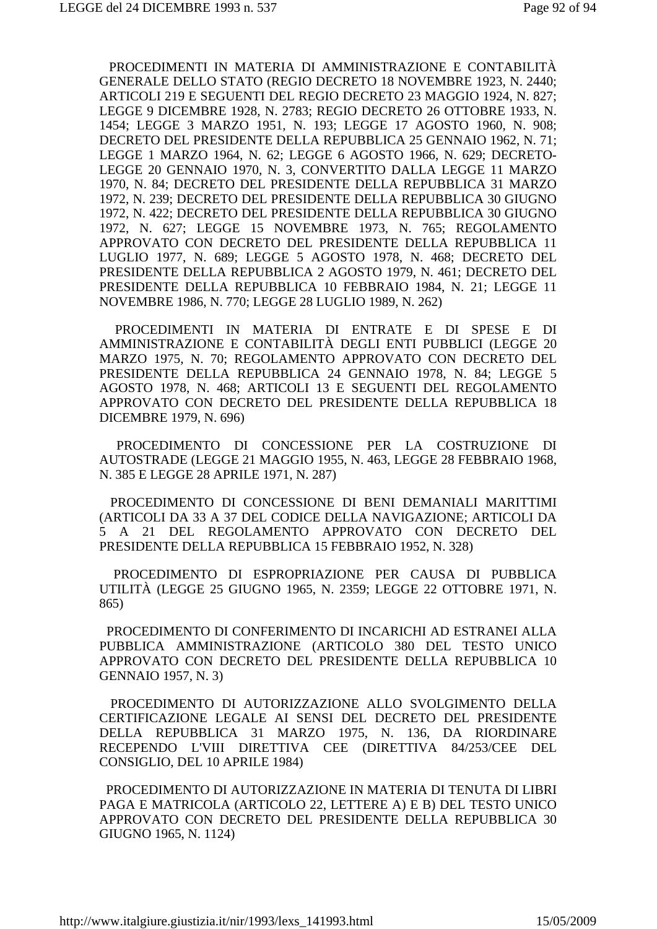PROCEDIMENTI IN MATERIA DI AMMINISTRAZIONE E CONTABILITÀ GENERALE DELLO STATO (REGIO DECRETO 18 NOVEMBRE 1923, N. 2440; ARTICOLI 219 E SEGUENTI DEL REGIO DECRETO 23 MAGGIO 1924, N. 827; LEGGE 9 DICEMBRE 1928, N. 2783; REGIO DECRETO 26 OTTOBRE 1933, N. 1454; LEGGE 3 MARZO 1951, N. 193; LEGGE 17 AGOSTO 1960, N. 908; DECRETO DEL PRESIDENTE DELLA REPUBBLICA 25 GENNAIO 1962, N. 71; LEGGE 1 MARZO 1964, N. 62; LEGGE 6 AGOSTO 1966, N. 629; DECRETO-LEGGE 20 GENNAIO 1970, N. 3, CONVERTITO DALLA LEGGE 11 MARZO 1970, N. 84; DECRETO DEL PRESIDENTE DELLA REPUBBLICA 31 MARZO 1972, N. 239; DECRETO DEL PRESIDENTE DELLA REPUBBLICA 30 GIUGNO 1972, N. 422; DECRETO DEL PRESIDENTE DELLA REPUBBLICA 30 GIUGNO 1972, N. 627; LEGGE 15 NOVEMBRE 1973, N. 765; REGOLAMENTO APPROVATO CON DECRETO DEL PRESIDENTE DELLA REPUBBLICA 11 LUGLIO 1977, N. 689; LEGGE 5 AGOSTO 1978, N. 468; DECRETO DEL PRESIDENTE DELLA REPUBBLICA 2 AGOSTO 1979, N. 461; DECRETO DEL PRESIDENTE DELLA REPUBBLICA 10 FEBBRAIO 1984, N. 21; LEGGE 11 NOVEMBRE 1986, N. 770; LEGGE 28 LUGLIO 1989, N. 262)

 PROCEDIMENTI IN MATERIA DI ENTRATE E DI SPESE E DI AMMINISTRAZIONE E CONTABILITÀ DEGLI ENTI PUBBLICI (LEGGE 20 MARZO 1975, N. 70; REGOLAMENTO APPROVATO CON DECRETO DEL PRESIDENTE DELLA REPUBBLICA 24 GENNAIO 1978, N. 84; LEGGE 5 AGOSTO 1978, N. 468; ARTICOLI 13 E SEGUENTI DEL REGOLAMENTO APPROVATO CON DECRETO DEL PRESIDENTE DELLA REPUBBLICA 18 DICEMBRE 1979, N. 696)

 PROCEDIMENTO DI CONCESSIONE PER LA COSTRUZIONE DI AUTOSTRADE (LEGGE 21 MAGGIO 1955, N. 463, LEGGE 28 FEBBRAIO 1968, N. 385 E LEGGE 28 APRILE 1971, N. 287)

 PROCEDIMENTO DI CONCESSIONE DI BENI DEMANIALI MARITTIMI (ARTICOLI DA 33 A 37 DEL CODICE DELLA NAVIGAZIONE; ARTICOLI DA 5 A 21 DEL REGOLAMENTO APPROVATO CON DECRETO DEL PRESIDENTE DELLA REPUBBLICA 15 FEBBRAIO 1952, N. 328)

 PROCEDIMENTO DI ESPROPRIAZIONE PER CAUSA DI PUBBLICA UTILITÀ (LEGGE 25 GIUGNO 1965, N. 2359; LEGGE 22 OTTOBRE 1971, N. 865)

 PROCEDIMENTO DI CONFERIMENTO DI INCARICHI AD ESTRANEI ALLA PUBBLICA AMMINISTRAZIONE (ARTICOLO 380 DEL TESTO UNICO APPROVATO CON DECRETO DEL PRESIDENTE DELLA REPUBBLICA 10 GENNAIO 1957, N. 3)

 PROCEDIMENTO DI AUTORIZZAZIONE ALLO SVOLGIMENTO DELLA CERTIFICAZIONE LEGALE AI SENSI DEL DECRETO DEL PRESIDENTE DELLA REPUBBLICA 31 MARZO 1975, N. 136, DA RIORDINARE RECEPENDO L'VIII DIRETTIVA CEE (DIRETTIVA 84/253/CEE DEL CONSIGLIO, DEL 10 APRILE 1984)

 PROCEDIMENTO DI AUTORIZZAZIONE IN MATERIA DI TENUTA DI LIBRI PAGA E MATRICOLA (ARTICOLO 22, LETTERE A) E B) DEL TESTO UNICO APPROVATO CON DECRETO DEL PRESIDENTE DELLA REPUBBLICA 30 GIUGNO 1965, N. 1124)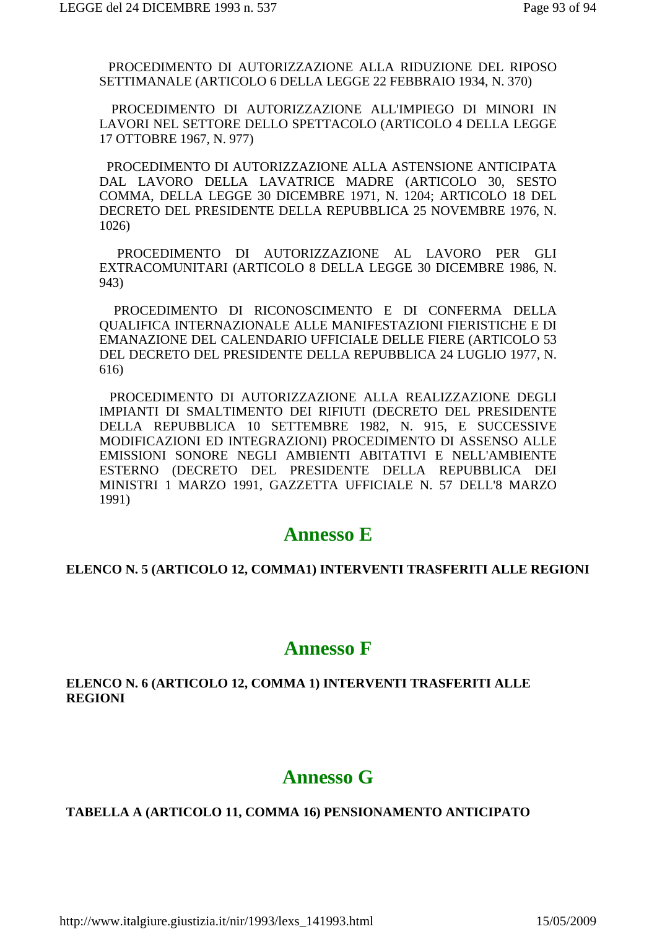PROCEDIMENTO DI AUTORIZZAZIONE ALLA RIDUZIONE DEL RIPOSO SETTIMANALE (ARTICOLO 6 DELLA LEGGE 22 FEBBRAIO 1934, N. 370)

 PROCEDIMENTO DI AUTORIZZAZIONE ALL'IMPIEGO DI MINORI IN LAVORI NEL SETTORE DELLO SPETTACOLO (ARTICOLO 4 DELLA LEGGE 17 OTTOBRE 1967, N. 977)

 PROCEDIMENTO DI AUTORIZZAZIONE ALLA ASTENSIONE ANTICIPATA DAL LAVORO DELLA LAVATRICE MADRE (ARTICOLO 30, SESTO COMMA, DELLA LEGGE 30 DICEMBRE 1971, N. 1204; ARTICOLO 18 DEL DECRETO DEL PRESIDENTE DELLA REPUBBLICA 25 NOVEMBRE 1976, N. 1026)

 PROCEDIMENTO DI AUTORIZZAZIONE AL LAVORO PER GLI EXTRACOMUNITARI (ARTICOLO 8 DELLA LEGGE 30 DICEMBRE 1986, N. 943)

 PROCEDIMENTO DI RICONOSCIMENTO E DI CONFERMA DELLA QUALIFICA INTERNAZIONALE ALLE MANIFESTAZIONI FIERISTICHE E DI EMANAZIONE DEL CALENDARIO UFFICIALE DELLE FIERE (ARTICOLO 53 DEL DECRETO DEL PRESIDENTE DELLA REPUBBLICA 24 LUGLIO 1977, N. 616)

 PROCEDIMENTO DI AUTORIZZAZIONE ALLA REALIZZAZIONE DEGLI IMPIANTI DI SMALTIMENTO DEI RIFIUTI (DECRETO DEL PRESIDENTE DELLA REPUBBLICA 10 SETTEMBRE 1982, N. 915, E SUCCESSIVE MODIFICAZIONI ED INTEGRAZIONI) PROCEDIMENTO DI ASSENSO ALLE EMISSIONI SONORE NEGLI AMBIENTI ABITATIVI E NELL'AMBIENTE ESTERNO (DECRETO DEL PRESIDENTE DELLA REPUBBLICA DEI MINISTRI 1 MARZO 1991, GAZZETTA UFFICIALE N. 57 DELL'8 MARZO 1991)

### **Annesso E**

#### **ELENCO N. 5 (ARTICOLO 12, COMMA1) INTERVENTI TRASFERITI ALLE REGIONI**

## **Annesso F**

### **ELENCO N. 6 (ARTICOLO 12, COMMA 1) INTERVENTI TRASFERITI ALLE REGIONI**

## **Annesso G**

### **TABELLA A (ARTICOLO 11, COMMA 16) PENSIONAMENTO ANTICIPATO**